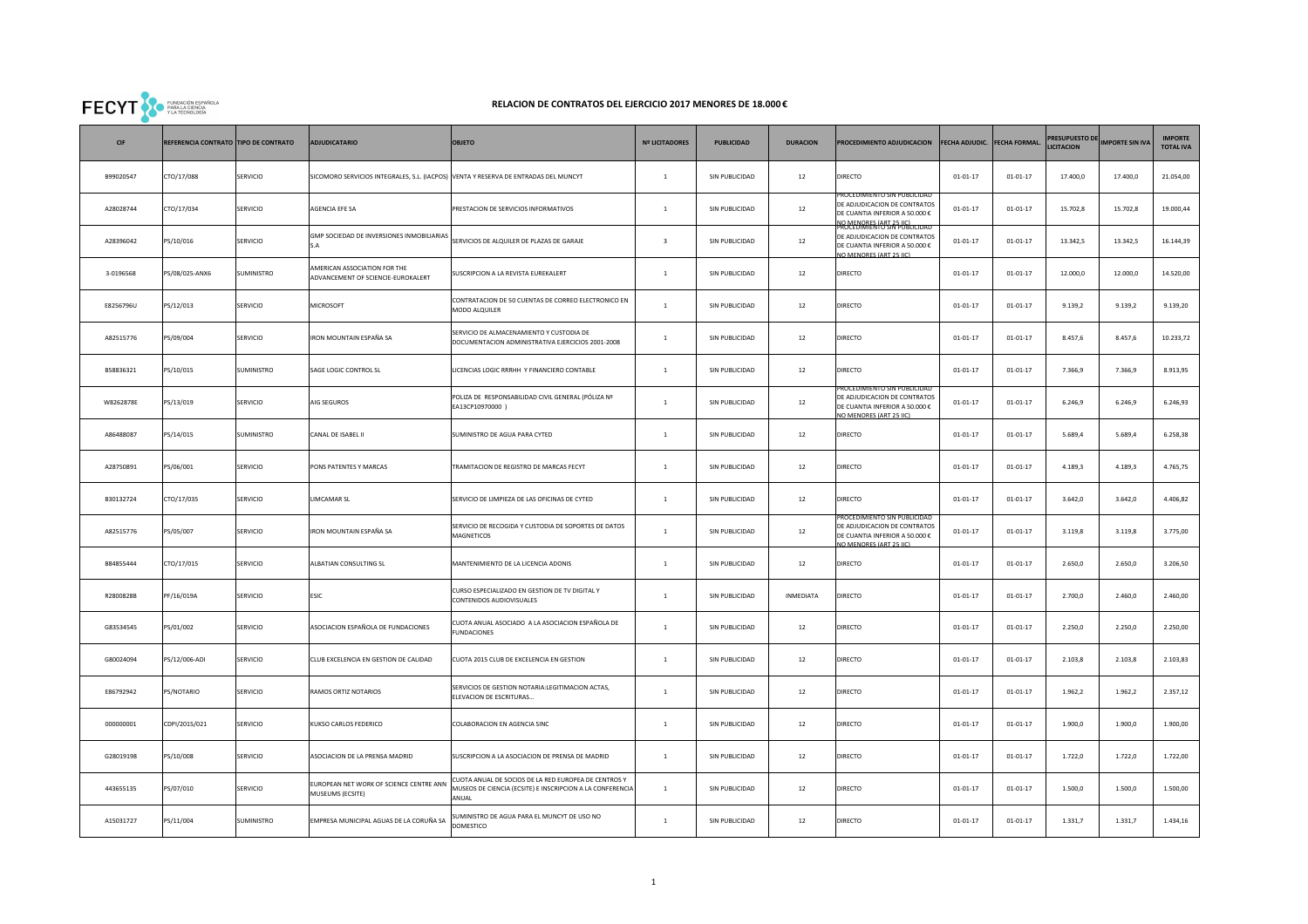

## **RELACION DE CONTRATOS DEL EJERCICIO 2017 MENORES DE 18.000 €**

| CIF       | REFERENCIA CONTRATO TIPO DE CONTRATO |            | <b>ADJUDICATARIO</b>                                                                | <b>OBJETO</b>                                                                                                              | <b>Nº LICITADORES</b>   | <b>PUBLICIDAD</b> | <b>DURACION</b> | PROCEDIMIENTO ADJUDICACION                                                                                             | FECHA ADJUDIC. FECHA FORMAL |                | <b>PRESUPUESTO DE</b><br><b>LICITACION</b> | <b>MPORTE SIN IVA</b> | <b>IMPORTE</b><br><b>TOTAL IVA</b> |
|-----------|--------------------------------------|------------|-------------------------------------------------------------------------------------|----------------------------------------------------------------------------------------------------------------------------|-------------------------|-------------------|-----------------|------------------------------------------------------------------------------------------------------------------------|-----------------------------|----------------|--------------------------------------------|-----------------------|------------------------------------|
| B99020547 | CTO/17/088                           | SERVICIO   | SICOMORO SERVICIOS INTEGRALES, S.L. (IACPOS) VENTA Y RESERVA DE ENTRADAS DEL MUNCYT |                                                                                                                            | $\mathbf{1}$            | SIN PUBLICIDAD    | $12\,$          | <b>DIRECTO</b>                                                                                                         | $01 - 01 - 17$              | $01 - 01 - 17$ | 17.400,0                                   | 17.400,0              | 21.054,00                          |
| A28028744 | CTO/17/034                           | SERVICIO   | AGENCIA EFE SA                                                                      | PRESTACION DE SERVICIOS INFORMATIVOS                                                                                       | $\mathbf{1}$            | SIN PUBLICIDAD    | $12\,$          | DE ADJUDICACION DE CONTRATOS<br>DE CUANTIA INFERIOR A 50.000 €<br>O MENORES (ART 25 HC)                                | $01 - 01 - 17$              | $01 - 01 - 17$ | 15.702,8                                   | 15.702,8              | 19.000,44                          |
| A28396042 | PS/10/016                            | SERVICIO   | GMP SOCIEDAD DE INVERSIONES INMOBILIARIAS                                           | SERVICIOS DE ALQUILER DE PLAZAS DE GARAJE                                                                                  | $\overline{\mathbf{3}}$ | SIN PUBLICIDAD    | 12              | ROCEDIMIENTO SIN PUBLICIDAD<br>DE ADJUDICACION DE CONTRATOS<br>DE CUANTIA INFERIOR A 50.000 €<br>O MENORES (ART 25 LC) | $01 - 01 - 17$              | $01 - 01 - 17$ | 13.342,5                                   | 13.342,5              | 16.144,39                          |
| 3-0196568 | PS/08/025-ANX6                       | SUMINISTRO | AMERICAN ASSOCIATION FOR THE<br>ADVANCEMENT OF SCIENCIE-EUROKALERT                  | SUSCRIPCION A LA REVISTA EUREKALERT                                                                                        | $\mathbf{1}$            | SIN PUBLICIDAD    | 12              | <b>DIRECTO</b>                                                                                                         | $01 - 01 - 17$              | $01 - 01 - 17$ | 12.000,0                                   | 12.000,0              | 14.520,00                          |
| E8256796U | PS/12/013                            | SERVICIO   | MICROSOFT                                                                           | CONTRATACION DE 50 CUENTAS DE CORREO ELECTRONICO EN<br>MODO ALQUILER                                                       | $\mathbf{1}$            | SIN PUBLICIDAD    | 12              | <b>DIRECTO</b>                                                                                                         | $01 - 01 - 17$              | $01 - 01 - 17$ | 9.139,2                                    | 9.139,2               | 9.139,20                           |
| A82515776 | PS/09/004                            | SERVICIO   | IRON MOUNTAIN ESPAÑA SA                                                             | SERVICIO DE ALMACENAMIENTO Y CUSTODIA DE<br>DOCUMENTACION ADMINISTRATIVA EJERCICIOS 2001-2008                              | $\mathbf{1}$            | SIN PUBLICIDAD    | $12\,$          | <b>DIRECTO</b>                                                                                                         | $01 - 01 - 17$              | $01 - 01 - 17$ | 8.457,6                                    | 8.457,6               | 10.233,72                          |
| B58836321 | PS/10/015                            | SUMINISTRO | SAGE LOGIC CONTROL SL                                                               | LICENCIAS LOGIC RRRHH Y FINANCIERO CONTABLE                                                                                | $\,1\,$                 | SIN PUBLICIDAD    | $12\,$          | <b>DIRECTO</b>                                                                                                         | $01 - 01 - 17$              | $01 - 01 - 17$ | 7.366,9                                    | 7.366,9               | 8.913,95                           |
| W8262878E | PS/13/019                            | SERVICIO   | AIG SEGUROS                                                                         | POLIZA DE RESPONSABILIDAD CIVIL GENERAL (PÓLIZA Nº<br>EA13CP10970000)                                                      | $\mathbf{1}$            | SIN PUBLICIDAD    | 12              | ROCEDIMIENTO SIN PUBLICIDAI<br>DE ADJUDICACION DE CONTRATOS<br>DE CUANTIA INFERIOR A 50.000 €<br>O MENORES (ART 25 LC) | $01 - 01 - 17$              | $01 - 01 - 17$ | 6.246,9                                    | 6.246,9               | 6.246,93                           |
| A86488087 | PS/14/015                            | SUMINISTRO | CANAL DE ISABEL II                                                                  | SUMINISTRO DE AGUA PARA CYTED                                                                                              | $\mathbf{1}$            | SIN PUBLICIDAD    | 12              | <b>DIRECTO</b>                                                                                                         | $01 - 01 - 17$              | $01 - 01 - 17$ | 5.689,4                                    | 5.689,4               | 6.258,38                           |
| A28750891 | PS/06/001                            | SERVICIO   | PONS PATENTES Y MARCAS                                                              | TRAMITACION DE REGISTRO DE MARCAS FECYT                                                                                    | $\mathbf{1}$            | SIN PUBLICIDAD    | 12              | <b>DIRECTO</b>                                                                                                         | $01 - 01 - 17$              | $01 - 01 - 17$ | 4.189,3                                    | 4.189,3               | 4.765,75                           |
| B30132724 | CTO/17/035                           | SERVICIO   | LIMCAMAR SL                                                                         | SERVICIO DE LIMPIEZA DE LAS OFICINAS DE CYTED                                                                              | $\mathbf{1}$            | SIN PUBLICIDAD    | 12              | <b>DIRECTO</b>                                                                                                         | $01 - 01 - 17$              | $01 - 01 - 17$ | 3.642,0                                    | 3.642,0               | 4.406,82                           |
| A82515776 | PS/05/007                            | SERVICIO   | IRON MOUNTAIN ESPAÑA SA                                                             | SERVICIO DE RECOGIDA Y CUSTODIA DE SOPORTES DE DATOS<br>MAGNETICOS                                                         | $\mathbf{1}$            | SIN PUBLICIDAD    | 12              | DE ADJUDICACION DE CONTRATOS<br>DE CUANTIA INFERIOR A 50.000 €<br>O MENORES (ART 25 LC)                                | $01 - 01 - 17$              | $01 - 01 - 17$ | 3.119,8                                    | 3.119,8               | 3.775,00                           |
| B84855444 | CTO/17/015                           | SERVICIO   | ALBATIAN CONSULTING SL                                                              | MANTENIMIENTO DE LA LICENCIA ADONIS                                                                                        | $\,$ 1 $\,$             | SIN PUBLICIDAD    | 12              | DIRECTO                                                                                                                | $01 - 01 - 17$              | $01 - 01 - 17$ | 2.650,0                                    | 2.650,0               | 3.206,50                           |
| R2800828B | PF/16/019A                           | SERVICIO   | <b>ESIC</b>                                                                         | CURSO ESPECIALIZADO EN GESTION DE TV DIGITAL Y<br>CONTENIDOS AUDIOVISUALES                                                 | $\mathbf{1}$            | SIN PUBLICIDAD    | INMEDIATA       | <b>DIRECTO</b>                                                                                                         | $01 - 01 - 17$              | $01 - 01 - 17$ | 2.700,0                                    | 2.460,0               | 2.460,00                           |
| G83534545 | PS/01/002                            | SERVICIO   | ASOCIACION ESPAÑOLA DE FUNDACIONES                                                  | CUOTA ANUAL ASOCIADO A LA ASOCIACION ESPAÑOLA DE<br><b>FUNDACIONES</b>                                                     | $\mathbf{1}$            | SIN PUBLICIDAD    | 12              | <b>DIRECTO</b>                                                                                                         | $01 - 01 - 17$              | $01 - 01 - 17$ | 2.250,0                                    | 2.250,0               | 2.250,00                           |
| G80024094 | PS/12/006-ADI                        | SERVICIO   | CLUB EXCELENCIA EN GESTION DE CALIDAD                                               | CUOTA 2015 CLUB DE EXCELENCIA EN GESTION                                                                                   | $\mathbf{1}$            | SIN PUBLICIDAD    | 12              | <b>DIRECTO</b>                                                                                                         | $01 - 01 - 17$              | $01 - 01 - 17$ | 2.103,8                                    | 2.103,8               | 2.103,83                           |
| E86792942 | PS/NOTARIO                           | SERVICIO   | RAMOS ORTIZ NOTARIOS                                                                | SERVICIOS DE GESTION NOTARIA:LEGITIMACION ACTAS,<br>ELEVACION DE ESCRITURAS                                                | $\mathbf{1}$            | SIN PUBLICIDAD    | $12\,$          | <b>DIRECTO</b>                                                                                                         | $01 - 01 - 17$              | $01 - 01 - 17$ | 1.962,2                                    | 1.962,2               | 2.357,12                           |
| 000000001 | CDPI/2015/021                        | SERVICIO   | KUKSO CARLOS FEDERICO                                                               | COLABORACION EN AGENCIA SINC                                                                                               | $\mathbf{1}$            | SIN PUBLICIDAD    | 12              | <b>DIRECTO</b>                                                                                                         | $01 - 01 - 17$              | $01 - 01 - 17$ | 1.900,0                                    | 1.900,0               | 1.900,00                           |
| G28019198 | PS/10/008                            | SERVICIO   | ASOCIACION DE LA PRENSA MADRID                                                      | SUSCRIPCION A LA ASOCIACION DE PRENSA DE MADRID                                                                            | $\mathbf{1}$            | SIN PUBLICIDAD    | $12\,$          | <b>DIRECTO</b>                                                                                                         | $01 - 01 - 17$              | $01 - 01 - 17$ | 1.722,0                                    | 1.722,0               | 1.722,00                           |
| 443655135 | PS/07/010                            | SERVICIO   | UROPEAN NET WORK OF SCIENCE CENTRE ANN<br>MUSEUMS (ECSITE)                          | CUOTA ANUAL DE SOCIOS DE LA RED EUROPEA DE CENTROS Y<br>MUSEOS DE CIENCIA (ECSITE) E INSCRIPCION A LA CONFERENCIA<br>ANUAL | $\mathbf{1}$            | SIN PUBLICIDAD    | 12              | <b>DIRECTO</b>                                                                                                         | $01 - 01 - 17$              | $01 - 01 - 17$ | 1.500,0                                    | 1.500,0               | 1.500,00                           |
| A15031727 | PS/11/004                            | SUMINISTRO | EMPRESA MUNICIPAL AGUAS DE LA CORUÑA SA                                             | SUMINISTRO DE AGUA PARA EL MUNCYT DE USO NO<br>DOMESTICO                                                                   | $\mathbf{1}$            | SIN PUBLICIDAD    | 12              | <b>DIRECTO</b>                                                                                                         | $01 - 01 - 17$              | $01 - 01 - 17$ | 1.331,7                                    | 1.331,7               | 1.434,16                           |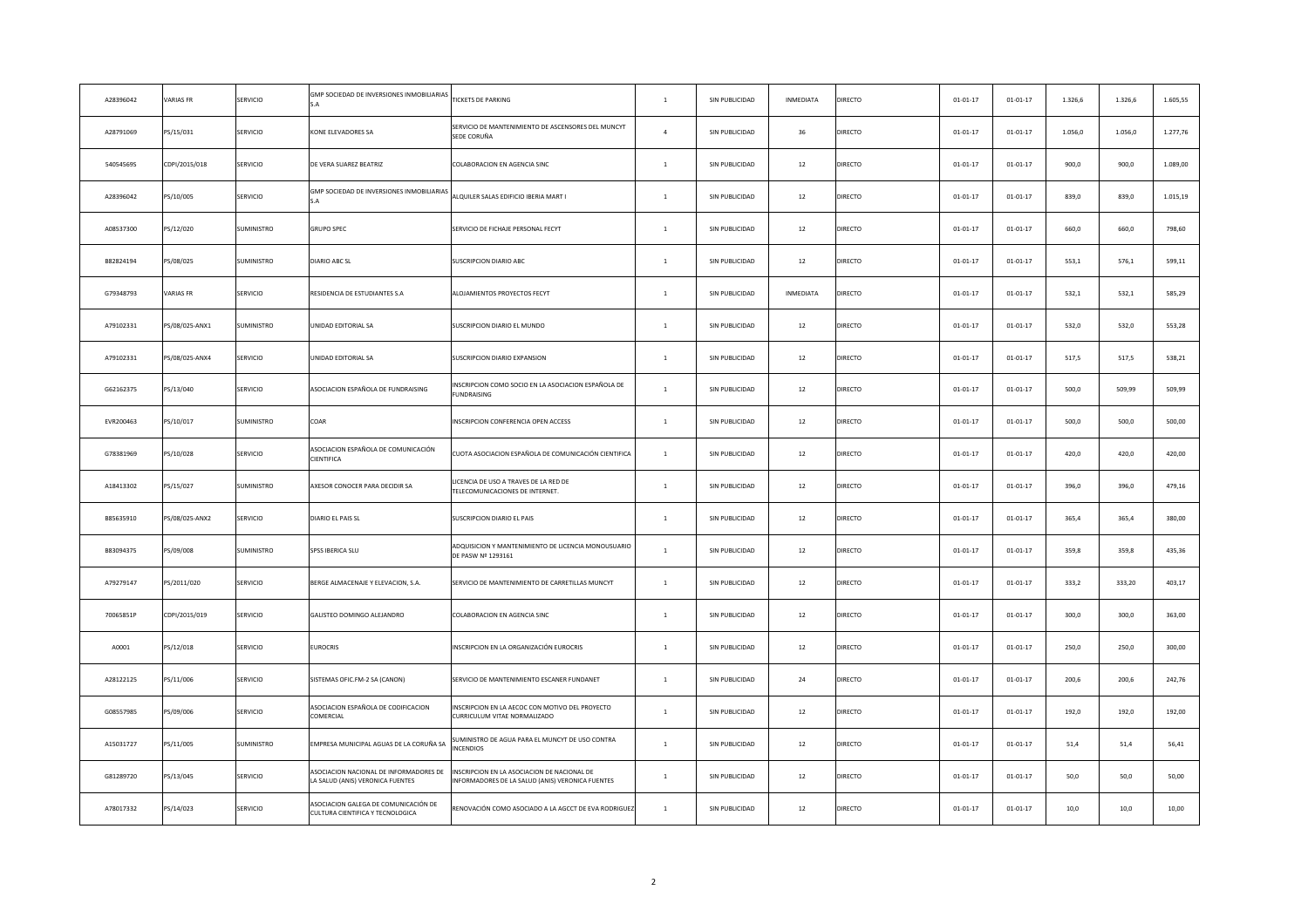| A28396042 | <b>VARIAS FR</b> | SERVICIO        | GMP SOCIEDAD DE INVERSIONES INMOBILIARIAS                                  | <b>TICKETS DE PARKING</b>                                                                      | $\mathbf{1}$   | SIN PUBLICIDAD | INMEDIATA | DIRECTO | $01 - 01 - 17$ | $01 - 01 - 17$ | 1.326,6 | 1.326,6 | 1.605,55 |
|-----------|------------------|-----------------|----------------------------------------------------------------------------|------------------------------------------------------------------------------------------------|----------------|----------------|-----------|---------|----------------|----------------|---------|---------|----------|
| A28791069 | PS/15/031        | SERVICIO        | <b>CONE ELEVADORES SA</b>                                                  | SERVICIO DE MANTENIMIENTO DE ASCENSORES DEL MUNCYT<br>SEDE CORUÑA                              | $\overline{a}$ | SIN PUBLICIDAD | 36        | DIRECTO | $01 - 01 - 17$ | $01 - 01 - 17$ | 1.056,0 | 1.056,0 | 1.277,76 |
| 54054569S | CDPI/2015/018    | SERVICIO        | DE VERA SUAREZ BEATRIZ                                                     | COLABORACION EN AGENCIA SINC                                                                   | $\mathbf{1}$   | SIN PUBLICIDAD | 12        | DIRECTO | $01 - 01 - 17$ | $01 - 01 - 17$ | 900,0   | 900,0   | 1.089,00 |
| A28396042 | PS/10/005        | SERVICIO        | GMP SOCIEDAD DE INVERSIONES INMOBILIARIAS<br>. A                           | ALQUILER SALAS EDIFICIO IBERIA MART I                                                          | $\,1\,$        | SIN PUBLICIDAD | 12        | DIRECTO | $01 - 01 - 17$ | $01 - 01 - 17$ | 839,0   | 839,0   | 1.015,19 |
| A08537300 | PS/12/020        | SUMINISTRO      | <b>GRUPO SPEC</b>                                                          | SERVICIO DE FICHAJE PERSONAL FECYT                                                             | $\,$ 1 $\,$    | SIN PUBLICIDAD | $12\,$    | DIRECTO | $01 - 01 - 17$ | $01 - 01 - 17$ | 660,0   | 660,0   | 798,60   |
| B82824194 | PS/08/025        | SUMINISTRO      | DIARIO ABC SL                                                              | SUSCRIPCION DIARIO ABC                                                                         | $\mathbf{1}$   | SIN PUBLICIDAD | 12        | DIRECTO | $01 - 01 - 17$ | $01 - 01 - 17$ | 553,1   | 576,1   | 599,11   |
| G79348793 | <b>VARIAS FR</b> | SERVICIO        | RESIDENCIA DE ESTUDIANTES S.A                                              | ALOJAMIENTOS PROYECTOS FECYT                                                                   | $\mathbf{1}$   | SIN PUBLICIDAD | INMEDIATA | DIRECTO | $01 - 01 - 17$ | $01 - 01 - 17$ | 532,1   | 532,1   | 585,29   |
| A79102331 | PS/08/025-ANX1   | SUMINISTRO      | JNIDAD EDITORIAL SA                                                        | SUSCRIPCION DIARIO EL MUNDO                                                                    | $\mathbf{1}$   | SIN PUBLICIDAD | $12\,$    | DIRECTO | $01 - 01 - 17$ | $01 - 01 - 17$ | 532,0   | 532,0   | 553,28   |
| A79102331 | PS/08/025-ANX4   | SERVICIO        | JNIDAD EDITORIAL SA                                                        | SUSCRIPCION DIARIO EXPANSION                                                                   | $\mathbf{1}$   | SIN PUBLICIDAD | 12        | DIRECTO | $01 - 01 - 17$ | $01 - 01 - 17$ | 517,5   | 517,5   | 538,21   |
| G62162375 | PS/13/040        | SERVICIO        | ASOCIACION ESPAÑOLA DE FUNDRAISING                                         | INSCRIPCION COMO SOCIO EN LA ASOCIACION ESPAÑOLA DE<br><b>FUNDRAISING</b>                      | $\mathbf{1}$   | SIN PUBLICIDAD | $12\,$    | DIRECTO | $01 - 01 - 17$ | $01 - 01 - 17$ | 500,0   | 509,99  | 509,99   |
| EVR200463 | PS/10/017        | SUMINISTRO      | COAR                                                                       | INSCRIPCION CONFERENCIA OPEN ACCESS                                                            | $\mathbf{1}$   | SIN PUBLICIDAD | 12        | DIRECTO | $01 - 01 - 17$ | $01 - 01 - 17$ | 500,0   | 500,0   | 500,00   |
| G78381969 | PS/10/028        | SERVICIO        | ASOCIACION ESPAÑOLA DE COMUNICACIÓN<br>CIENTIFICA                          | CUOTA ASOCIACION ESPAÑOLA DE COMUNICACIÓN CIENTIFICA                                           | $1$ $\,$       | SIN PUBLICIDAD | $12\,$    | DIRECTO | $01 - 01 - 17$ | $01 - 01 - 17$ | 420,0   | 420,0   | 420,00   |
| A18413302 | PS/15/027        | SUMINISTRO      | AXESOR CONOCER PARA DECIDIR SA                                             | ICENCIA DE USO A TRAVES DE LA RED DE<br>TELECOMUNICACIONES DE INTERNET.                        | $\mathbf{1}$   | SIN PUBLICIDAD | $12\,$    | DIRECTO | $01 - 01 - 17$ | $01 - 01 - 17$ | 396,0   | 396,0   | 479,16   |
| B85635910 | PS/08/025-ANX2   | SERVICIO        | DIARIO EL PAIS SL                                                          | SUSCRIPCION DIARIO EL PAIS                                                                     | $\mathbf{1}$   | SIN PUBLICIDAD | 12        | DIRECTO | $01 - 01 - 17$ | $01 - 01 - 17$ | 365,4   | 365,4   | 380,00   |
| B83094375 | PS/09/008        | SUMINISTRO      | <b>SPSS IBERICA SLU</b>                                                    | ADQUISICION Y MANTENIMIENTO DE LICENCIA MONOUSUARIO<br>DE PASW Nº 1293161                      | $\mathbf{1}$   | SIN PUBLICIDAD | 12        | DIRECTO | $01 - 01 - 17$ | $01 - 01 - 17$ | 359,8   | 359,8   | 435,36   |
| A79279147 | PS/2011/020      | SERVICIO        | BERGE ALMACENAJE Y ELEVACION, S.A.                                         | SERVICIO DE MANTENIMIENTO DE CARRETILLAS MUNCYT                                                | $\mathbf{1}$   | SIN PUBLICIDAD | 12        | DIRECTO | $01 - 01 - 17$ | $01 - 01 - 17$ | 333,2   | 333,20  | 403,17   |
| 70065851P | CDPI/2015/019    | SERVICIO        | GALISTEO DOMINGO ALEJANDRO                                                 | COLABORACION EN AGENCIA SINC                                                                   | $\,$ 1 $\,$    | SIN PUBLICIDAD | $12\,$    | DIRECTO | $01 - 01 - 17$ | $01 - 01 - 17$ | 300,0   | 300,0   | 363,00   |
| A0001     | PS/12/018        | SERVICIO        | <b>EUROCRIS</b>                                                            | INSCRIPCION EN LA ORGANIZACIÓN EUROCRIS                                                        | $\mathbf{1}$   | SIN PUBLICIDAD | 12        | DIRECTO | $01 - 01 - 17$ | $01 - 01 - 17$ | 250,0   | 250,0   | 300,00   |
| A28122125 | PS/11/006        | SERVICIO        | SISTEMAS OFIC.FM-2 SA (CANON)                                              | SERVICIO DE MANTENIMIENTO ESCANER FUNDANET                                                     | $\mathbf{1}$   | SIN PUBLICIDAD | 24        | DIRECTO | $01 - 01 - 17$ | $01 - 01 - 17$ | 200,6   | 200,6   | 242,76   |
| G08557985 | PS/09/006        | SERVICIO        | ASOCIACION ESPAÑOLA DE CODIFICACION<br>COMERCIAL                           | INSCRIPCION EN LA AECOC CON MOTIVO DEL PROYECTO<br>CURRICULUM VITAE NORMALIZADO                | $\mathbf{1}$   | SIN PUBLICIDAD | $12\,$    | DIRECTO | $01 - 01 - 17$ | $01 - 01 - 17$ | 192,0   | 192,0   | 192,00   |
| A15031727 | PS/11/005        | SUMINISTRO      | IMPRESA MUNICIPAL AGUAS DE LA CORUÑA SA                                    | SUMINISTRO DE AGUA PARA EL MUNCYT DE USO CONTRA<br><b>INCENDIOS</b>                            | $\mathbf{1}$   | SIN PUBLICIDAD | 12        | DIRECTO | $01 - 01 - 17$ | $01 - 01 - 17$ | 51,4    | 51,4    | 56,41    |
| G81289720 | PS/13/045        | SERVICIO        | ASOCIACION NACIONAL DE INFORMADORES DE<br>LA SALUD (ANIS) VERONICA FUENTES | NSCRIPCION EN LA ASOCIACION DE NACIONAL DE<br>INFORMADORES DE LA SALUD (ANIS) VERONICA FUENTES | $\mathbf{1}$   | SIN PUBLICIDAD | $12\,$    | DIRECTO | $01 - 01 - 17$ | $01 - 01 - 17$ | 50,0    | 50,0    | 50,00    |
| A78017332 | PS/14/023        | <b>SERVICIO</b> | ASOCIACION GALEGA DE COMUNICACIÓN DE<br>CULTURA CIENTIFICA Y TECNOLOGICA   | RENOVACIÓN COMO ASOCIADO A LA AGCCT DE EVA RODRIGUEZ                                           | $\overline{1}$ | SIN PUBLICIDAD | 12        | DIRECTO | $01 - 01 - 17$ | $01 - 01 - 17$ | 10,0    | 10,0    | 10,00    |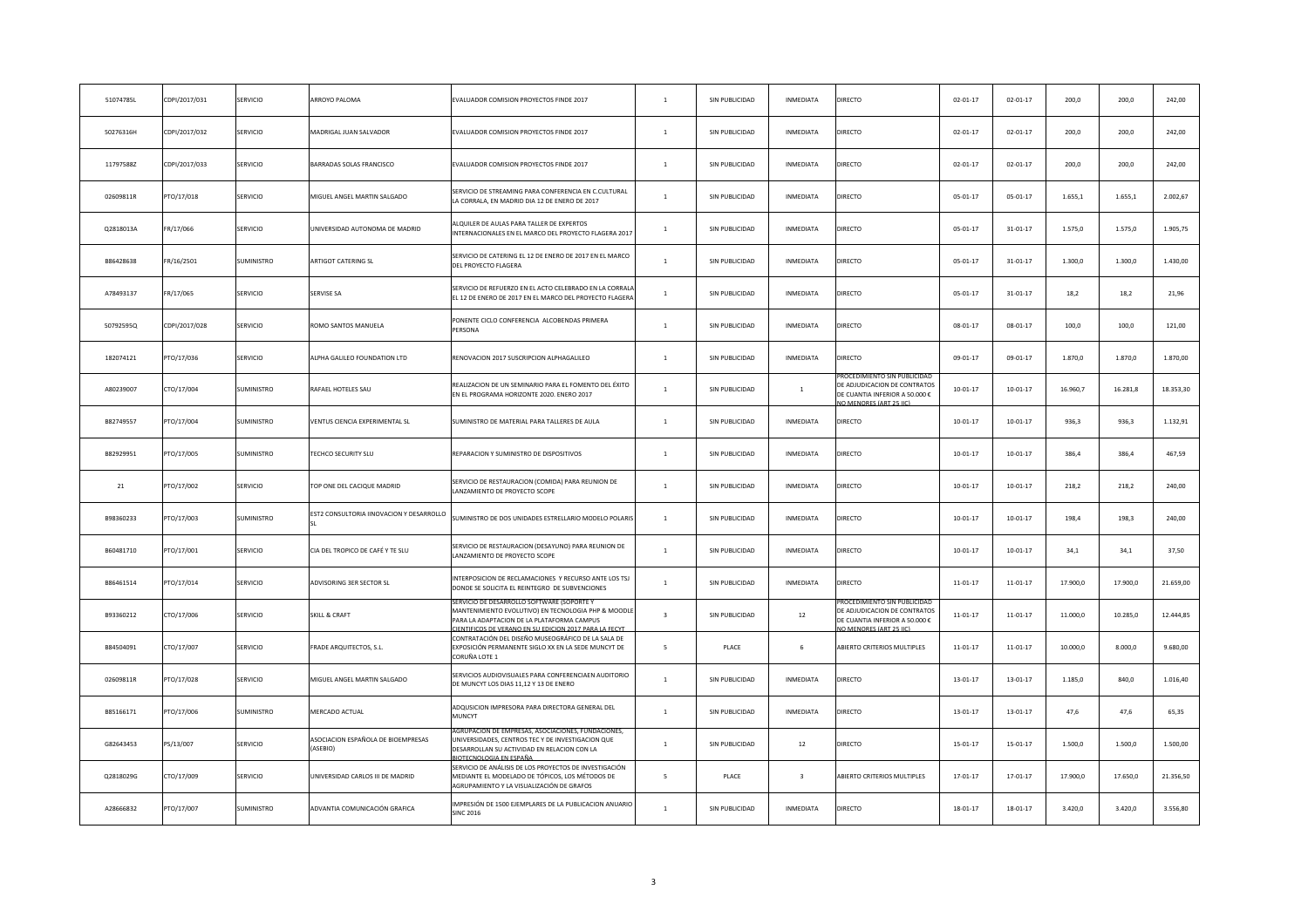| 51074785L | CDPI/2017/031 | SERVICIO          | ARROYO PALOMA                                  | EVALUADOR COMISION PROYECTOS FINDE 2017                                                                                                                                   | $\mathbf{1}$   | SIN PUBLICIDAD | INMEDIATA               | <b>DIRECTO</b>                                                                                                        | $02 - 01 - 17$ | $02 - 01 - 17$ | 200,0    | 200,0    | 242,00    |
|-----------|---------------|-------------------|------------------------------------------------|---------------------------------------------------------------------------------------------------------------------------------------------------------------------------|----------------|----------------|-------------------------|-----------------------------------------------------------------------------------------------------------------------|----------------|----------------|----------|----------|-----------|
| 50276316H | CDPI/2017/032 | SERVICIO          | MADRIGAL JUAN SALVADOR                         | EVALUADOR COMISION PROYECTOS FINDE 2017                                                                                                                                   | $\mathbf{1}$   | SIN PUBLICIDAD | INMEDIATA               | <b>DIRECTO</b>                                                                                                        | $02 - 01 - 17$ | $02 - 01 - 17$ | 200,0    | 200,0    | 242,00    |
| 11797588Z | CDPI/2017/033 | SERVICIO          | BARRADAS SOLAS FRANCISCO                       | EVALUADOR COMISION PROYECTOS FINDE 2017                                                                                                                                   | $\mathbf{1}$   | SIN PUBLICIDAD | INMEDIATA               | <b>DIRECTO</b>                                                                                                        | $02 - 01 - 17$ | $02 - 01 - 17$ | 200,0    | 200,0    | 242,00    |
| 02609811R | PTO/17/018    | SERVICIO          | MIGUEL ANGEL MARTIN SALGADO                    | SERVICIO DE STREAMING PARA CONFERENCIA EN C.CULTURAL<br>LA CORRALA, EN MADRID DIA 12 DE ENERO DE 2017                                                                     | $\mathbf{1}$   | SIN PUBLICIDAD | INMEDIATA               | <b>DIRECTO</b>                                                                                                        | $05 - 01 - 17$ | $05 - 01 - 17$ | 1.655,1  | 1.655,1  | 2.002,67  |
| Q2818013A | FR/17/066     | SERVICIO          | UNIVERSIDAD AUTONOMA DE MADRID                 | LQUILER DE AULAS PARA TALLER DE EXPERTOS<br>NTERNACIONALES EN EL MARCO DEL PROYECTO FLAGERA 2017                                                                          | $\mathbf{1}$   | SIN PUBLICIDAD | INMEDIATA               | DIRECTO                                                                                                               | $05 - 01 - 17$ | $31 - 01 - 17$ | 1.575,0  | 1.575,0  | 1.905,75  |
| B86428638 | FR/16/2501    | SUMINISTRO        | ARTIGOT CATERING SL                            | SERVICIO DE CATERING EL 12 DE ENERO DE 2017 EN EL MARCO<br>DEL PROYECTO FLAGERA                                                                                           | $\overline{1}$ | SIN PUBLICIDAD | INMEDIATA               | DIRECTO                                                                                                               | $05 - 01 - 17$ | $31 - 01 - 17$ | 1.300,0  | 1.300,0  | 1.430,00  |
| A78493137 | FR/17/065     | SERVICIO          | SERVISE SA                                     | ERVICIO DE REFUERZO EN EL ACTO CELEBRADO EN LA CORRAL<br>EL 12 DE ENERO DE 2017 EN EL MARCO DEL PROYECTO FLAGERA                                                          | $\mathbf{1}$   | SIN PUBLICIDAD | INMEDIATA               | DIRECTO                                                                                                               | $05 - 01 - 17$ | $31 - 01 - 17$ | 18,2     | 18,2     | 21,96     |
| 50792595Q | CDPI/2017/028 | SERVICIO          | ROMO SANTOS MANUELA                            | PONENTE CICLO CONFERENCIA ALCOBENDAS PRIMERA<br>PERSONA                                                                                                                   | $\mathbf{1}$   | SIN PUBLICIDAD | INMEDIATA               | <b>DIRECTO</b>                                                                                                        | $08 - 01 - 17$ | $08 - 01 - 17$ | 100,0    | 100,0    | 121,00    |
| 182074121 | PTO/17/036    | SERVICIO          | ALPHA GALILEO FOUNDATION LTD                   | RENOVACION 2017 SUSCRIPCION ALPHAGALILEO                                                                                                                                  | $\,$ 1         | SIN PUBLICIDAD | INMEDIATA               | DIRECTO                                                                                                               | 09-01-17       | 09-01-17       | 1.870,0  | 1.870,0  | 1.870,00  |
| A80239007 | CTO/17/004    | <b>SUMINISTRO</b> | RAFAEL HOTELES SAU                             | REALIZACION DE UN SEMINARIO PARA EL FOMENTO DEL ÉXITO<br>EN EL PROGRAMA HORIZONTE 2020. ENERO 2017                                                                        | $\overline{1}$ | SIN PUBLICIDAD | <sup>1</sup>            | ROCEDIMIENTO SIN PUBLICIDA<br>DE ADJUDICACION DE CONTRATOS<br>DE CUANTIA INFERIOR A 50.000 €<br>O MENORES (ART 25 LC) | $10 - 01 - 17$ | $10 - 01 - 17$ | 16.960,7 | 16.281,8 | 18.353,30 |
| B82749557 | PTO/17/004    | SUMINISTRO        | VENTUS CIENCIA EXPERIMENTAL SL                 | SUMINISTRO DE MATERIAL PARA TALLERES DE AULA                                                                                                                              | $\,$ 1         | SIN PUBLICIDAD | INMEDIATA               | DIRECTO                                                                                                               | $10-01-17$     | $10 - 01 - 17$ | 936,3    | 936,3    | 1.132,91  |
| B82929951 | PTO/17/005    | <b>SUMINISTRO</b> | TECHCO SECURITY SLU                            | REPARACION Y SUMINISTRO DE DISPOSITIVOS                                                                                                                                   | $\mathbf{1}$   | SIN PUBLICIDAD | INMEDIATA               | DIRECTO                                                                                                               | $10-01-17$     | $10-01-17$     | 386.4    | 386.4    | 467,59    |
| 21        | PTO/17/002    | SERVICIO          | TOP ONE DEL CACIQUE MADRID                     | SERVICIO DE RESTAURACION (COMIDA) PARA REUNION DE<br>LANZAMIENTO DE PROYECTO SCOPE                                                                                        | $\mathbf{1}$   | SIN PUBLICIDAD | INMEDIATA               | <b>DIRECTO</b>                                                                                                        | $10-01-17$     | $10 - 01 - 17$ | 218,2    | 218,2    | 240,00    |
| B98360233 | PTO/17/003    | SUMINISTRO        | EST2 CONSULTORIA IINOVACION Y DESARROLLO       | SUMINISTRO DE DOS UNIDADES ESTRELLARIO MODELO POLARIS                                                                                                                     | $\mathbf{1}$   | SIN PUBLICIDAD | INMEDIATA               | DIRECTO                                                                                                               | $10-01-17$     | $10 - 01 - 17$ | 198,4    | 198,3    | 240,00    |
| B60481710 | PTO/17/001    | SERVICIO          | CIA DEL TROPICO DE CAFÉ Y TE SLU               | SERVICIO DE RESTAURACION (DESAYUNO) PARA REUNION DE<br>LANZAMIENTO DE PROYECTO SCOPE                                                                                      | $\mathbf{1}$   | SIN PUBLICIDAD | INMEDIATA               | DIRECTO                                                                                                               | $10-01-17$     | $10 - 01 - 17$ | 34,1     | 34,1     | 37,50     |
| B86461514 | PTO/17/014    | SERVICIO          | ADVISORING 3ER SECTOR SL                       | INTERPOSICION DE RECLAMACIONES Y RECURSO ANTE LOS TSJ<br>DONDE SE SOLICITA EL REINTEGRO DE SUBVENCIONES                                                                   | $\mathbf{1}$   | SIN PUBLICIDAD | <b>INMEDIATA</b>        | <b>DIRECTO</b>                                                                                                        | 11-01-17       | 11-01-17       | 17.900,0 | 17.900,0 | 21.659,00 |
| B93360212 | CTO/17/006    | SERVICIO          | <b>SKILL &amp; CRAFT</b>                       | MANTENIMIENTO EVOLUTIVO) EN TECNOLOGIA PHP & MOODLI<br>PARA LA ADAPTACION DE LA PLATAFORMA CAMPUS<br><b>IENTIFICOS DE VERANO EN SU EDICION 2017 PARA LA FECYT</b>         | $\mathbf{R}$   | SIN PUBLICIDAD | 12                      | DE ADJUDICACION DE CONTRATOS<br>DE CUANTIA INFERIOR A 50.000 €<br>CHAPPIONES (ART 25 IIC)                             | $11 - 01 - 17$ | 11-01-17       | 11.000,0 | 10.285,0 | 12.444,85 |
| B84504091 | CTO/17/007    | SERVICIO          | FRADE ARQUITECTOS, S.L.                        | CONTRATACIÓN DEL DISEÑO MUSEOGRÁFICO DE LA SALA DE<br>EXPOSICIÓN PERMANENTE SIGLO XX EN LA SEDE MUNCYT DE<br>CORUÑA LOTE 1                                                | -5             | PLACE          | 6                       | ABIERTO CRITERIOS MULTIPLES                                                                                           | 11-01-17       | 11-01-17       | 10.000,0 | 8.000,0  | 9.680,00  |
| 02609811R | PTO/17/028    | SERVICIO          | MIGUEL ANGEL MARTIN SALGADO                    | SERVICIOS AUDIOVISUALES PARA CONFERENCIAEN AUDITORIO<br>DE MUNCYT LOS DIAS 11,12 Y 13 DE ENERO                                                                            | $\overline{1}$ | SIN PUBLICIDAD | INMEDIATA               | DIRECTO                                                                                                               | 13-01-17       | 13-01-17       | 1.185,0  | 840,0    | 1.016,40  |
| B85166171 | PTO/17/006    | SUMINISTRO        | MERCADO ACTUAL                                 | ADQUSICION IMPRESORA PARA DIRECTORA GENERAL DEL<br>MUNCYT                                                                                                                 | $\mathbf{1}$   | SIN PUBLICIDAD | INMEDIATA               | DIRECTO                                                                                                               | $13 - 01 - 17$ | $13 - 01 - 17$ | 47,6     | 47,6     | 65,35     |
| G82643453 | PS/13/007     | SERVICIO          | ASOCIACION ESPAÑOLA DE BIOEMPRESAS<br>(ASEBIO) | (CION DE EMPRESAS, ASOCIACIONES, FUNDACIONE<br>JNIVERSIDADES, CENTROS TEC Y DE INVESTIGACION QUE<br>DESARROLLAN SU ACTIVIDAD EN RELACION CON LA<br>IOTECNOLOGIA EN ESPAÑA | $\mathbf{1}$   | SIN PUBLICIDAD | 12                      | DIRECTO                                                                                                               | $15 - 01 - 17$ | 15-01-17       | 1.500,0  | 1.500,0  | 1.500,00  |
| Q2818029G | CTO/17/009    | SERVICIO          | UNIVERSIDAD CARLOS III DE MADRID               | SERVICIO DE ANÁLISIS DE LOS PROYECTOS DE INVESTIGACIÓN<br>MEDIANTE EL MODELADO DE TÓPICOS, LOS MÉTODOS DE<br>AGRUPAMIENTO Y LA VISUALIZACIÓN DE GRAFOS                    | -5             | PLACE          | $\overline{\mathbf{3}}$ | ABIERTO CRITERIOS MULTIPLES                                                                                           | $17 - 01 - 17$ | 17-01-17       | 17.900,0 | 17.650,0 | 21.356,50 |
| A28666832 | PTO/17/007    | SUMINISTRO        | ADVANTIA COMUNICACIÓN GRAFICA                  | IMPRESIÓN DE 1500 EJEMPLARES DE LA PUBLICACION ANUARIO<br><b>SINC 2016</b>                                                                                                | $\mathbf{1}$   | SIN PUBLICIDAD | <b>INMEDIATA</b>        | <b>DIRECTO</b>                                                                                                        | $18 - 01 - 17$ | $18 - 01 - 17$ | 3.420,0  | 3.420,0  | 3.556,80  |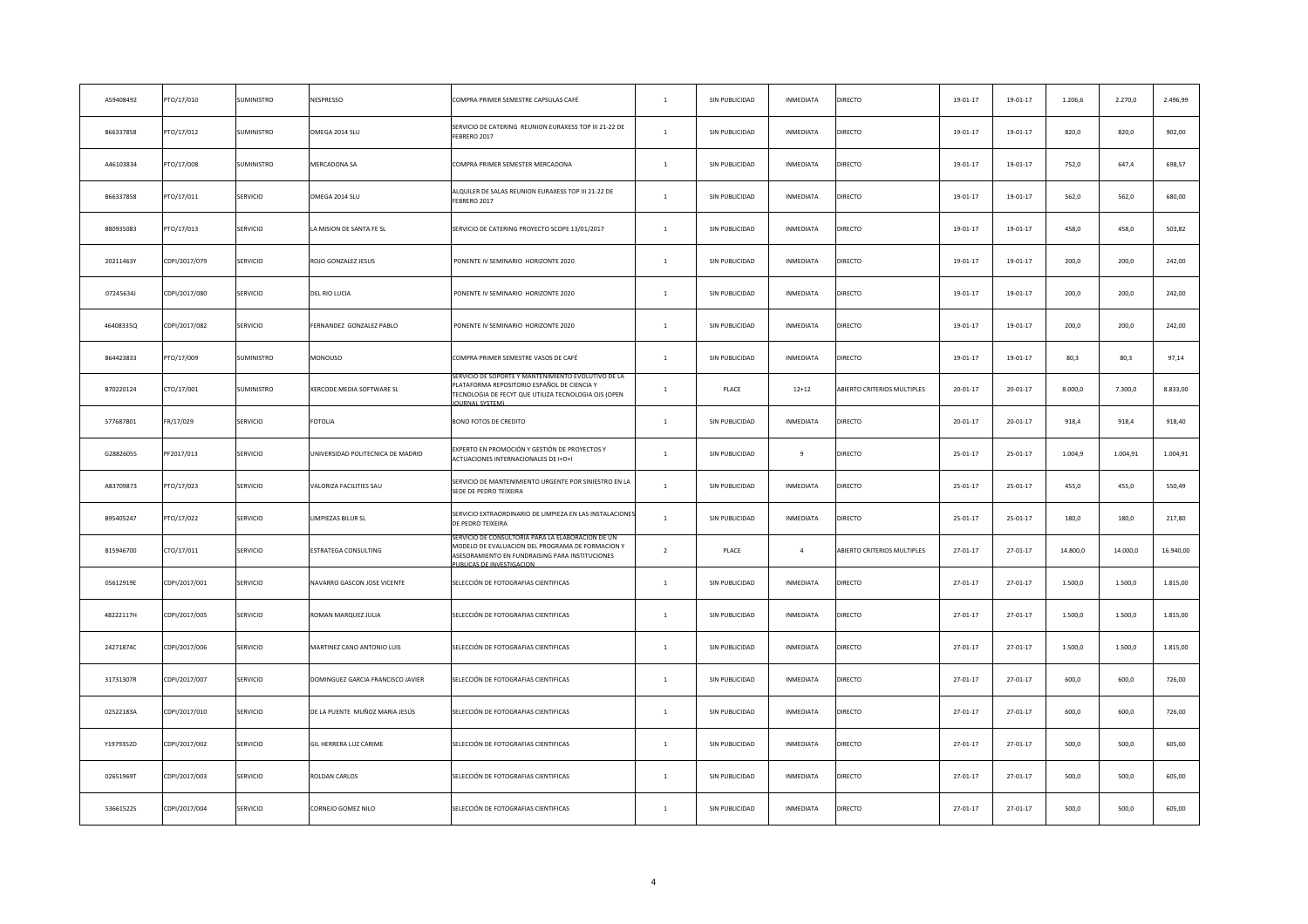| A59408492 | PTO/17/010    | SUMINISTRO | NESPRESSO                         | COMPRA PRIMER SEMESTRE CAPSULAS CAFÉ                                                                                                                                               | $\mathbf{1}$   | SIN PUBLICIDAD | INMEDIATA      | DIRECTO                     | 19-01-17       | 19-01-17       | 1.206,6  | 2.270,0  | 2.496,99  |
|-----------|---------------|------------|-----------------------------------|------------------------------------------------------------------------------------------------------------------------------------------------------------------------------------|----------------|----------------|----------------|-----------------------------|----------------|----------------|----------|----------|-----------|
| B66337858 | PTO/17/012    | SUMINISTRO | OMEGA 2014 SLU                    | SERVICIO DE CATERING REUNION EURAXESS TOP III 21-22 DE<br>FEBRERO 2017                                                                                                             | $\mathbf{1}$   | SIN PUBLICIDAD | INMEDIATA      | DIRECTO                     | 19-01-17       | 19-01-17       | 820,0    | 820,0    | 902,00    |
| A46103834 | PTO/17/008    | SUMINISTRO | <b>MERCADONA SA</b>               | COMPRA PRIMER SEMESTER MERCADONA                                                                                                                                                   | $\mathbf{1}$   | SIN PUBLICIDAD | INMEDIATA      | DIRECTO                     | 19-01-17       | 19-01-17       | 752,0    | 647,4    | 698,57    |
| B66337858 | PTO/17/011    | SERVICIO   | OMEGA 2014 SLU                    | ALQUILER DE SALAS REUNION EURAXESS TOP III 21-22 DE<br>FEBRERO 2017                                                                                                                | $\mathbf{1}$   | SIN PUBLICIDAD | INMEDIATA      | DIRECTO                     | 19-01-17       | 19-01-17       | 562,0    | 562,0    | 680,00    |
| B80935083 | PTO/17/013    | SERVICIO   | A MISION DE SANTA FE SL           | SERVICIO DE CATERING PROYECTO SCOPE 13/01/2017                                                                                                                                     | $\mathbf{1}$   | SIN PUBLICIDAD | INMEDIATA      | DIRECTO                     | 19-01-17       | 19-01-17       | 458,0    | 458,0    | 503,82    |
| 20211463Y | CDPI/2017/079 | SERVICIO   | ROJO GONZALEZ JESUS               | PONENTE IV SEMINARIO HORIZONTE 2020                                                                                                                                                | $\mathbf{1}$   | SIN PUBLICIDAD | INMEDIATA      | DIRECTO                     | 19-01-17       | 19-01-17       | 200,0    | 200,0    | 242,00    |
| 07245634J | CDPI/2017/080 | SERVICIO   | DEL RIO LUCIA                     | PONENTE IV SEMINARIO HORIZONTE 2020                                                                                                                                                | $\mathbf{1}$   | SIN PUBLICIDAD | INMEDIATA      | DIRECTO                     | 19-01-17       | 19-01-17       | 200,0    | 200,0    | 242,00    |
| 46408335Q | CDPI/2017/082 | SERVICIO   | ERNANDEZ GONZALEZ PABLO           | PONENTE IV SEMINARIO HORIZONTE 2020                                                                                                                                                | $\mathbf{1}$   | SIN PUBLICIDAD | INMEDIATA      | DIRECTO                     | 19-01-17       | 19-01-17       | 200,0    | 200,0    | 242,00    |
| B64423833 | PTO/17/009    | SUMINISTRO | <b>MONOUSO</b>                    | COMPRA PRIMER SEMESTRE VASOS DE CAFÉ                                                                                                                                               | $\mathbf{1}$   | SIN PUBLICIDAD | INMEDIATA      | DIRECTO                     | $19 - 01 - 17$ | 19-01-17       | 80,3     | 80.3     | 97,14     |
| B70220124 | CTO/17/001    | SUMINISTRO | XERCODE MEDIA SOFTWARE SL         | SERVICIO DE SOPORTE Y MANTENIMIENTO EVOLUTIVO DE LA<br>PLATAFORMA REPOSITORIO ESPAÑOL DE CIENCIA Y<br>TECNOLOGIA DE FECYT QUE UTILIZA TECNOLOGIA OJS (OPEN<br><b>OURNAL SYSTEM</b> | $\mathbf{1}$   | PLACE          | $12 + 12$      | ABIERTO CRITERIOS MULTIPLES | 20-01-17       | $20 - 01 - 17$ | 8.000,0  | 7.300,0  | 8.833,00  |
| 577687B01 | FR/17/029     | SERVICIO   | FOTOLIA                           | BONO FOTOS DE CREDITO                                                                                                                                                              | $\overline{1}$ | SIN PUBLICIDAD | INMEDIATA      | DIRECTO                     | $20 - 01 - 17$ | 20-01-17       | 918.4    | 918,4    | 918,40    |
| G28826055 | PF2017/013    | SERVICIO   | UNIVERSIDAD POLITECNICA DE MADRID | EXPERTO EN PROMOCIÓN Y GESTIÓN DE PROYECTOS Y<br>ACTUACIONES INTERNACIONALES DE I+D+I                                                                                              | $\overline{1}$ | SIN PUBLICIDAD | 9              | DIRECTO                     | $25 - 01 - 17$ | $25 - 01 - 17$ | 1.004,9  | 1.004,91 | 1.004,91  |
| A83709873 | PTO/17/023    | SERVICIO   | <b>ALORIZA FACILITIES SAU</b>     | SERVICIO DE MANTENIMIENTO URGENTE POR SINIESTRO EN LA<br>SEDE DE PEDRO TEIXEIRA                                                                                                    | $1\,$          | SIN PUBLICIDAD | INMEDIATA      | DIRECTO                     | 25-01-17       | 25-01-17       | 455,0    | 455,0    | 550,49    |
| B95405247 | PTO/17/022    | SERVICIO   | LIMPIEZAS BILUR SL                | SERVICIO EXTRAORDINARIO DE LIMPIEZA EN LAS INSTALACIONE<br>DE PEDRO TEIXEIRA                                                                                                       | $\mathbf{1}$   | SIN PUBLICIDAD | INMEDIATA      | DIRECTO                     | 25-01-17       | $25 - 01 - 17$ | 180,0    | 180,0    | 217,80    |
| B15946700 | CTO/17/011    | SERVICIO   | ESTRATEGA CONSULTING              | IO DE CONSULTORIA PARA LA ELABORACION DE UN<br>MODELO DE EVALUACION DEL PROGRAMA DE FORMACION Y<br>ASESORAMIENTO EN FUNDRAISING PARA INSTITUCIONES<br>PUBLICAS DE INVESTIGACION    | $\overline{2}$ | PLACE          | $\overline{4}$ | ABIERTO CRITERIOS MULTIPLES | 27-01-17       | 27-01-17       | 14.800,0 | 14.000,0 | 16.940,00 |
| 05612919E | CDPI/2017/001 | SERVICIO   | NAVARRO GASCON JOSE VICENTE       | SELECCIÓN DE FOTOGRAFIAS CIENTIFICAS                                                                                                                                               | $\mathbf{1}$   | SIN PUBLICIDAD | INMEDIATA      | DIRECTO                     | 27-01-17       | $27 - 01 - 17$ | 1.500,0  | 1.500,0  | 1.815,00  |
| 48222117H | CDPI/2017/005 | SERVICIO   | OMAN MARQUEZ JULIA                | SELECCIÓN DE FOTOGRAFIAS CIENTIFICAS                                                                                                                                               | $\mathbf{1}$   | SIN PUBLICIDAD | INMEDIATA      | DIRECTO                     | 27-01-17       | 27-01-17       | 1.500,0  | 1.500,0  | 1.815,00  |
| 24271874C | CDPI/2017/006 | SERVICIO   | MARTINEZ CANO ANTONIO LUIS        | SELECCIÓN DE FOTOGRAFIAS CIENTIFICAS                                                                                                                                               | $\mathbf{1}$   | SIN PUBLICIDAD | INMEDIATA      | DIRECTO                     | 27-01-17       | $27 - 01 - 17$ | 1.500,0  | 1.500,0  | 1.815,00  |
| 31731307R | CDPI/2017/007 | SERVICIO   | DOMINGUEZ GARCIA FRANCISCO JAVIER | SELECCIÓN DE FOTOGRAFIAS CIENTIFICAS                                                                                                                                               | $\mathbf{1}$   | SIN PUBLICIDAD | INMEDIATA      | DIRECTO                     | 27-01-17       | 27-01-17       | 600,0    | 600,0    | 726,00    |
| 02522183A | CDPI/2017/010 | SERVICIO   | DE LA PUENTE MUÑOZ MARIA JESÚS    | SELECCIÓN DE FOTOGRAFIAS CIENTIFICAS                                                                                                                                               | $\mathbf{1}$   | SIN PUBLICIDAD | INMEDIATA      | DIRECTO                     | 27-01-17       | 27-01-17       | 600,0    | 600,0    | 726,00    |
| Y1979352D | CDPI/2017/002 | SERVICIO   | GIL HERRERA LUZ CARIME            | SELECCIÓN DE FOTOGRAFIAS CIENTIFICAS                                                                                                                                               | $\,1\,$        | SIN PUBLICIDAD | INMEDIATA      | DIRECTO                     | 27-01-17       | $27 - 01 - 17$ | 500,0    | 500,0    | 605,00    |
| 02651969T | CDPI/2017/003 | SERVICIO   | <b>ROLDAN CARLOS</b>              | SELECCIÓN DE FOTOGRAFIAS CIENTIFICAS                                                                                                                                               | $\mathbf{1}$   | SIN PUBLICIDAD | INMEDIATA      | DIRECTO                     | 27-01-17       | 27-01-17       | 500,0    | 500,0    | 605,00    |
| 53661522S | CDPI/2017/004 | SERVICIO   | CORNEJO GOMEZ NILO                | SELECCIÓN DE FOTOGRAFIAS CIENTIFICAS                                                                                                                                               | $\mathbf{1}$   | SIN PUBLICIDAD | INMEDIATA      | DIRECTO                     | 27-01-17       | 27-01-17       | 500,0    | 500,0    | 605,00    |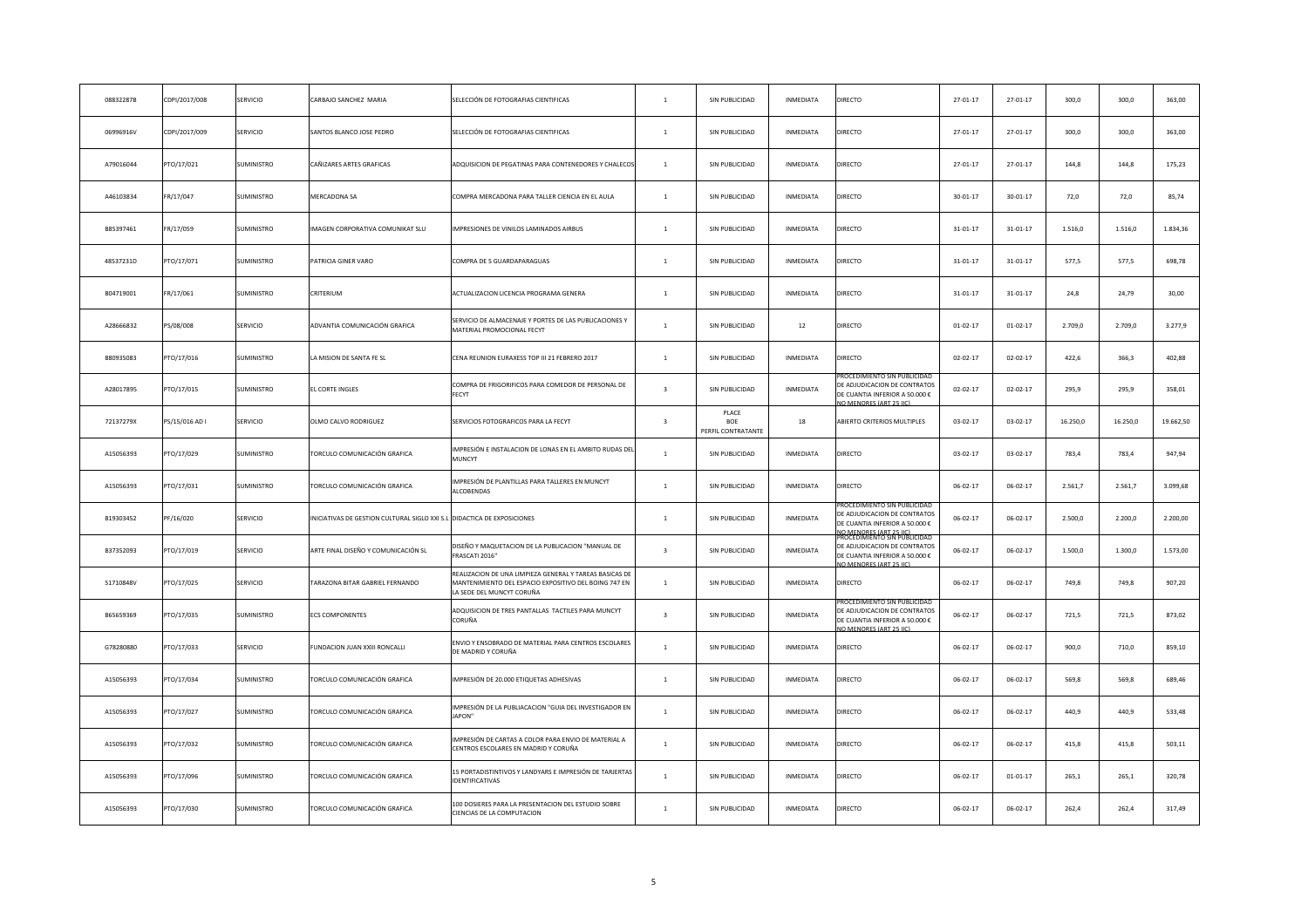| 08832287B | CDPI/2017/008  | SERVICIO          | ARBAJO SANCHEZ MARIA                                                   | SELECCIÓN DE FOTOGRAFIAS CIENTIFICAS                                                                                                          | $\mathbf{1}$            | SIN PUBLICIDAD                            | INMEDIATA        | DIRECTO                                                                                                                                                        | 27-01-17       | 27-01-17       | 300,0    | 300,0    | 363,00    |
|-----------|----------------|-------------------|------------------------------------------------------------------------|-----------------------------------------------------------------------------------------------------------------------------------------------|-------------------------|-------------------------------------------|------------------|----------------------------------------------------------------------------------------------------------------------------------------------------------------|----------------|----------------|----------|----------|-----------|
| 06996916V | CDPI/2017/009  | SERVICIO          | <b>SANTOS BLANCO JOSE PEDRO</b>                                        | SELECCIÓN DE FOTOGRAFIAS CIENTIFICAS                                                                                                          | $\mathbf{1}$            | SIN PUBLICIDAD                            | INMEDIATA        | DIRECTO                                                                                                                                                        | 27-01-17       | 27-01-17       | 300,0    | 300,0    | 363,00    |
| A79016044 | PTO/17/021     | SUMINISTRO        | CAÑIZARES ARTES GRAFICAS                                               | ADQUISICION DE PEGATINAS PARA CONTENEDORES Y CHALECO:                                                                                         | $\mathbf{1}$            | SIN PUBLICIDAD                            | INMEDIATA        | DIRECTO                                                                                                                                                        | 27-01-17       | 27-01-17       | 144,8    | 144,8    | 175,23    |
| A46103834 | FR/17/047      | SUMINISTRO        | MERCADONA SA                                                           | COMPRA MERCADONA PARA TALLER CIENCIA EN EL AULA                                                                                               | $\mathbf{1}$            | SIN PUBLICIDAD                            | INMEDIATA        | DIRECTO                                                                                                                                                        | $30 - 01 - 17$ | $30 - 01 - 17$ | 72,0     | 72,0     | 85,74     |
| B85397461 | FR/17/059      | SUMINISTRO        | MAGEN CORPORATIVA COMUNIKAT SLU                                        | IMPRESIONES DE VINILOS LAMINADOS AIRBUS                                                                                                       | $\mathbf{1}$            | SIN PUBLICIDAD                            | INMEDIATA        | DIRECTO                                                                                                                                                        | $31 - 01 - 17$ | $31 - 01 - 17$ | 1.516,0  | 1.516,0  | 1.834,36  |
| 48537231D | PTO/17/071     | SUMINISTRO        | <b>PATRICIA GINER VARO</b>                                             | COMPRA DE 5 GUARDAPARAGUAS                                                                                                                    | $\mathbf{1}$            | SIN PUBLICIDAD                            | INMEDIATA        | DIRECTO                                                                                                                                                        | $31 - 01 - 17$ | $31 - 01 - 17$ | 577,5    | 577,5    | 698,78    |
| B04719001 | FR/17/061      | SUMINISTRO        | CRITERIUM                                                              | ACTUALIZACION LICENCIA PROGRAMA GENERA                                                                                                        | $\mathbf{1}$            | SIN PUBLICIDAD                            | INMEDIATA        | DIRECTO                                                                                                                                                        | $31 - 01 - 17$ | $31 - 01 - 17$ | 24,8     | 24,79    | 30,00     |
| A28666832 | PS/08/008      | SERVICIO          | ADVANTIA COMUNICACIÓN GRAFICA                                          | SERVICIO DE ALMACENAJE Y PORTES DE LAS PUBLICACIONES Y<br>MATERIAL PROMOCIONAL FECYT                                                          | $\mathbf{1}$            | SIN PUBLICIDAD                            | 12               | DIRECTO                                                                                                                                                        | $01 - 02 - 17$ | $01 - 02 - 17$ | 2.709,0  | 2.709,0  | 3.277,9   |
| B80935083 | PTO/17/016     | SUMINISTRO        | A MISION DE SANTA FE SL                                                | CENA REUNION EURAXESS TOP III 21 FEBRERO 2017                                                                                                 | $\mathbf{1}$            | SIN PUBLICIDAD                            | INMEDIATA        | DIRECTO                                                                                                                                                        | $02 - 02 - 17$ | $02 - 02 - 17$ | 422,6    | 366,3    | 402,88    |
| A28017895 | PTO/17/015     | SUMINISTRO        | L CORTE INGLES                                                         | COMPRA DE FRIGORIFICOS PARA COMEDOR DE PERSONAL DE<br>FECYT                                                                                   | $\overline{\mathbf{3}}$ | SIN PUBLICIDAD                            | INMEDIATA        | ROCEDIMIENTO SIN PUBLICID.<br>DE ADJUDICACION DE CONTRATOS<br>DE CUANTIA INFERIOR A 50.000 €<br><b>IO MENORES (ART 25 IIC)</b>                                 | $02 - 02 - 17$ | $02 - 02 - 17$ | 295,9    | 295,9    | 358,01    |
| 72137279X | PS/15/016 AD I | SERVICIO          | <b>OLMO CALVO RODRIGUEZ</b>                                            | SERVICIOS FOTOGRAFICOS PARA LA FECYT                                                                                                          | $\overline{\mathbf{3}}$ | PLACE<br><b>BOE</b><br>PERFIL CONTRATANTE | 18               | ABIERTO CRITERIOS MULTIPLES                                                                                                                                    | $03 - 02 - 17$ | $03 - 02 - 17$ | 16.250,0 | 16.250,0 | 19.662,50 |
| A15056393 | PTO/17/029     | SUMINISTRO        | FORCULO COMUNICACIÓN GRAFICA                                           | IMPRESIÓN E INSTALACION DE LONAS EN EL AMBITO RUDAS DE<br><b>MUNCYT</b>                                                                       | $\overline{1}$          | SIN PUBLICIDAD                            | INMEDIATA        | DIRECTO                                                                                                                                                        | $03 - 02 - 17$ | $03 - 02 - 17$ | 783.4    | 783.4    | 947,94    |
| A15056393 | PTO/17/031     | SUMINISTRO        | <b>FORCULO COMUNICACIÓN GRAFICA</b>                                    | IMPRESIÓN DE PLANTILLAS PARA TALLERES EN MUNCYT<br>ALCOBENDAS                                                                                 | $\mathbf{1}$            | SIN PUBLICIDAD                            | INMEDIATA        | DIRECTO                                                                                                                                                        | $06 - 02 - 17$ | $06 - 02 - 17$ | 2.561,7  | 2.561,7  | 3.099,68  |
| B19303452 | PF/16/020      | <b>SERVICIO</b>   | NICIATIVAS DE GESTION CULTURAL SIGLO XXI S.L DIDACTICA DE EXPOSICIONES |                                                                                                                                               | $\overline{1}$          | SIN PUBLICIDAD                            | INMEDIATA        | ROCEDIMIENTO SIN PUBLICIDAI<br>DE ADJUDICACION DE CONTRATOS<br>DE CUANTIA INFERIOR A 50.000 €<br><u>IO MENORES (ART 25 IIC)</u><br>ROCEDIMIENTO SIN PUBLICIDAI | $06 - 02 - 17$ | $06 - 02 - 17$ | 2.500.0  | 2,200.0  | 2.200.00  |
| B37352093 | PTO/17/019     | SERVICIO          | ARTE FINAL DISEÑO Y COMUNICACIÓN SL                                    | DISEÑO Y MAQUETACION DE LA PUBLICACION "MANUAL DE<br>FRASCATI 2016"                                                                           | $\overline{3}$          | SIN PUBLICIDAD                            | INMEDIATA        | DE ADJUDICACION DE CONTRATOS<br>DE CUANTIA INFERIOR A 50.000 €<br>O MENORES (ART 25 IIC)                                                                       | $06 - 02 - 17$ | $06 - 02 - 17$ | 1.500,0  | 1.300,0  | 1.573,00  |
| 51710848V | PTO/17/025     | SERVICIO          | <b>FARAZONA BITAR GABRIEL FERNANDO</b>                                 | REALIZACION DE UNA LIMPIEZA GENERAL Y TAREAS BASICAS DI<br>MANTENIMIENTO DEL ESPACIO EXPOSITIVO DEL BOING 747 EN<br>LA SEDE DEL MUNCYT CORUÑA | $\mathbf{1}$            | SIN PUBLICIDAD                            | INMEDIATA        | DIRECTO                                                                                                                                                        | $06 - 02 - 17$ | $06 - 02 - 17$ | 749,8    | 749,8    | 907,20    |
| B65659369 | PTO/17/035     | SUMINISTRO        | <b>ECS COMPONENTES</b>                                                 | ADQUISICION DE TRES PANTALLAS TACTILES PARA MUNCYT<br>CORUÑA                                                                                  | $\overline{\mathbf{3}}$ | SIN PUBLICIDAD                            | INMEDIATA        | ROCEDIMIENTO SIN PUBLIC<br>DE ADJUDICACION DE CONTRATOS<br>DE CUANTIA INFERIOR A 50.000 €<br>O MENORES (ART 25 IIC)                                            | $06 - 02 - 17$ | $06 - 02 - 17$ | 721,5    | 721,5    | 873,02    |
| G78280880 | PTO/17/033     | SERVICIO          | UNDACION JUAN XXIII RONCALLI                                           | INVIO Y ENSOBRADO DE MATERIAL PARA CENTROS ESCOLARES<br>DE MADRID Y CORUÑA                                                                    | $\mathbf{1}$            | SIN PUBLICIDAD                            | INMEDIATA        | <b>DIRECTO</b>                                                                                                                                                 | $06 - 02 - 17$ | $06 - 02 - 17$ | 900,0    | 710,0    | 859,10    |
| A15056393 | PTO/17/034     | SUMINISTRO        | FORCULO COMUNICACIÓN GRAFICA                                           | IMPRESIÓN DE 20.000 ETIQUETAS ADHESIVAS                                                                                                       | $\mathbf{1}$            | SIN PUBLICIDAD                            | INMEDIATA        | DIRECTO                                                                                                                                                        | $06 - 02 - 17$ | $06 - 02 - 17$ | 569,8    | 569,8    | 689,46    |
| A15056393 | PTO/17/027     | <b>SUMINISTRO</b> | <b>FORCULO COMUNICACIÓN GRAFICA</b>                                    | MPRESIÓN DE LA PUBLIACACION "GUIA DEL INVESTIGADOR EN<br>JAPON"                                                                               | $\overline{1}$          | SIN PUBLICIDAD                            | INMEDIATA        | DIRECTO                                                                                                                                                        | $06 - 02 - 17$ | $06 - 02 - 17$ | 440,9    | 440,9    | 533,48    |
| A15056393 | PTO/17/032     | SUMINISTRO        | FORCULO COMUNICACIÓN GRAFICA                                           | IMPRESIÓN DE CARTAS A COLOR PARA ENVIO DE MATERIAL A<br>CENTROS ESCOLARES EN MADRID Y CORUÑA                                                  | $\mathbf{1}$            | SIN PUBLICIDAD                            | <b>INMEDIATA</b> | DIRECTO                                                                                                                                                        | $06 - 02 - 17$ | $06 - 02 - 17$ | 415,8    | 415,8    | 503,11    |
| A15056393 | PTO/17/096     | SUMINISTRO        | FORCULO COMUNICACIÓN GRAFICA                                           | 15 PORTADISTINTIVOS Y LANDYARS E IMPRESIÓN DE TARJERTAS<br><b>IDENTIFICATIVAS</b>                                                             | $\overline{1}$          | SIN PUBLICIDAD                            | <b>INMEDIATA</b> | DIRECTO                                                                                                                                                        | $06 - 02 - 17$ | $01 - 01 - 17$ | 265,1    | 265,1    | 320,78    |
| A15056393 | PTO/17/030     | SUMINISTRO        | FORCULO COMUNICACIÓN GRAFICA                                           | 100 DOSIERES PARA LA PRESENTACION DEL ESTUDIO SOBRE<br>CIENCIAS DE LA COMPUTACION                                                             | $\mathbf{1}$            | SIN PUBLICIDAD                            | <b>INMEDIATA</b> | DIRECTO                                                                                                                                                        | $06 - 02 - 17$ | $06 - 02 - 17$ | 262.4    | 262,4    | 317,49    |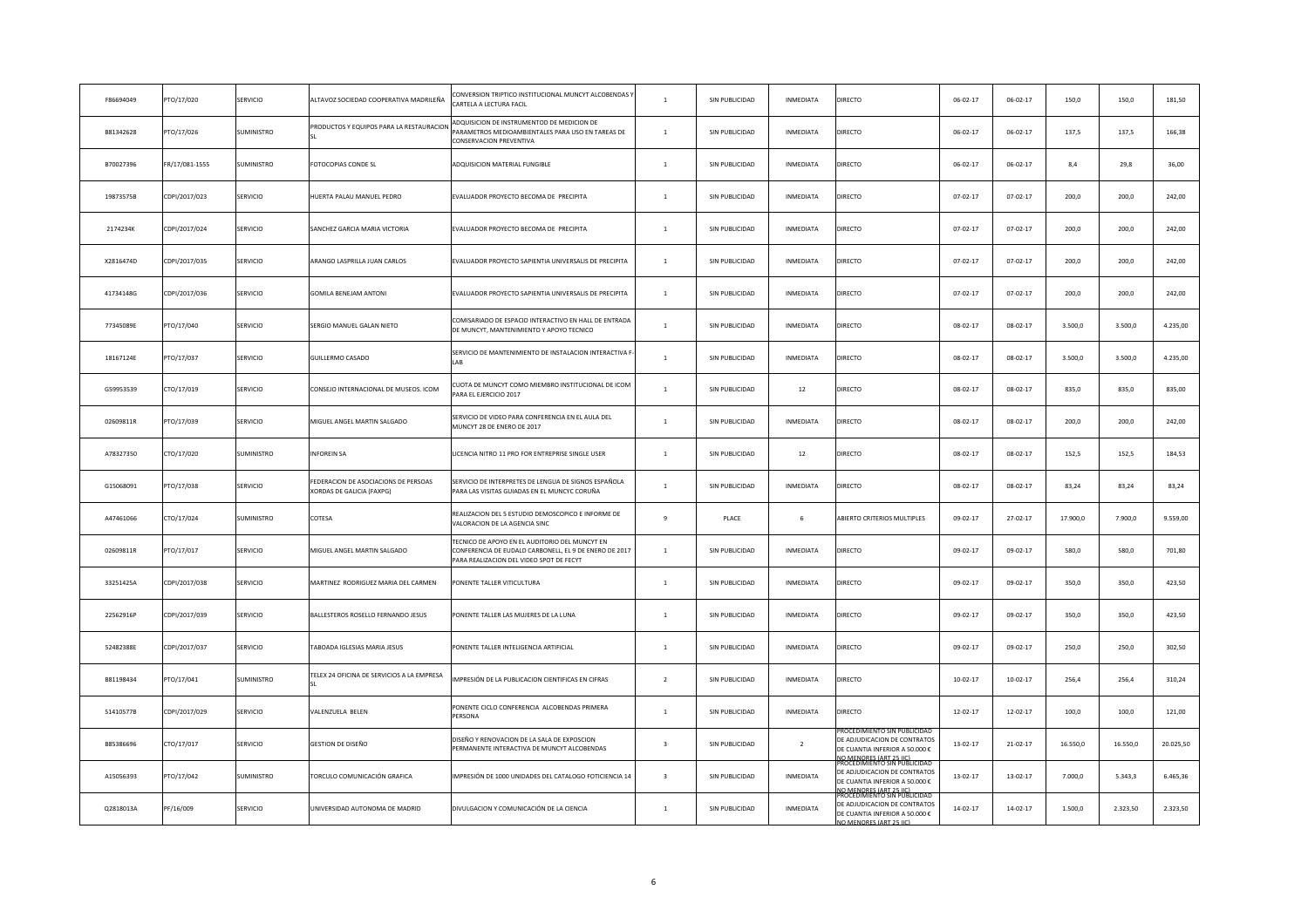| F86694049 | PTO/17/020     | SERVICIO          | ALTAVOZ SOCIEDAD COOPERATIVA MADRILEÑA                            | CONVERSION TRIPTICO INSTITUCIONAL MUNCYT ALCOBENDAS<br>CARTELA A LECTURA FACIL                                                                       | $\mathbf{1}$            | SIN PUBLICIDAD | INMEDIATA      | DIRECTO                                                                                                                                           | $06 - 02 - 17$ | $06 - 02 - 17$ | 150,0    | 150,0    | 181,50    |
|-----------|----------------|-------------------|-------------------------------------------------------------------|------------------------------------------------------------------------------------------------------------------------------------------------------|-------------------------|----------------|----------------|---------------------------------------------------------------------------------------------------------------------------------------------------|----------------|----------------|----------|----------|-----------|
| B81342628 | PTO/17/026     | SUMINISTRO        | PRODUCTOS Y EQUIPOS PARA LA RESTAURACION                          | ADQUISICION DE INSTRUMENTOD DE MEDICION DE<br>ARAMETROS MEDIOAMBIENTALES PARA USO EN TAREAS DE<br>CONSERVACION PREVENTIVA                            | $\mathbf{1}$            | SIN PUBLICIDAD | INMEDIATA      | DIRECTO                                                                                                                                           | $06 - 02 - 17$ | $06 - 02 - 17$ | 137,5    | 137,5    | 166,38    |
| B70027396 | FR/17/081-1555 | SUMINISTRO        | FOTOCOPIAS CONDE SL                                               | ADQUISICION MATERIAL FUNGIBLE                                                                                                                        | $\mathbf{1}$            | SIN PUBLICIDAD | INMEDIATA      | DIRECTO                                                                                                                                           | $06 - 02 - 17$ | $06 - 02 - 17$ | 8,4      | 29,8     | 36,00     |
| 19873575B | CDPI/2017/023  | SERVICIO          | HUERTA PALAU MANUEL PEDRO                                         | EVALUADOR PROYECTO BECOMA DE PRECIPITA                                                                                                               | $\mathbf{1}$            | SIN PUBLICIDAD | INMEDIATA      | DIRECTO                                                                                                                                           | $07 - 02 - 17$ | $07 - 02 - 17$ | 200,0    | 200,0    | 242,00    |
| 2174234K  | CDPI/2017/024  | SERVICIO          | SANCHEZ GARCIA MARIA VICTORIA                                     | EVALUADOR PROYECTO BECOMA DE PRECIPITA                                                                                                               | $\mathbf{1}$            | SIN PUBLICIDAD | INMEDIATA      | DIRECTO                                                                                                                                           | $07 - 02 - 17$ | $07 - 02 - 17$ | 200,0    | 200,0    | 242,00    |
| X2816474D | CDPI/2017/035  | SERVICIO          | ARANGO LASPRILLA JUAN CARLOS                                      | EVALUADOR PROYECTO SAPIENTIA UNIVERSALIS DE PRECIPITA                                                                                                | $\mathbf{1}$            | SIN PUBLICIDAD | INMEDIATA      | DIRECTO                                                                                                                                           | $07 - 02 - 17$ | $07 - 02 - 17$ | 200,0    | 200,0    | 242,00    |
| 41734148G | CDPI/2017/036  | SERVICIO          | <b>GOMILA BENEJAM ANTONI</b>                                      | EVALUADOR PROYECTO SAPIENTIA UNIVERSALIS DE PRECIPITA                                                                                                | $\mathbf{1}$            | SIN PUBLICIDAD | INMEDIATA      | DIRECTO                                                                                                                                           | $07 - 02 - 17$ | $07 - 02 - 17$ | 200,0    | 200,0    | 242,00    |
| 77345089E | PTO/17/040     | SERVICIO          | SERGIO MANUEL GALAN NIETO                                         | COMISARIADO DE ESPACIO INTERACTIVO EN HALL DE ENTRADA<br>DE MUNCYT, MANTENIMIENTO Y APOYO TECNICO                                                    | $\mathbf{1}$            | SIN PUBLICIDAD | INMEDIATA      | DIRECTO                                                                                                                                           | $08 - 02 - 17$ | $08 - 02 - 17$ | 3.500.0  | 3.500.0  | 4.235,00  |
| 18167124E | PTO/17/037     | SERVICIO          | GUILLERMO CASADO                                                  | SERVICIO DE MANTENIMIENTO DE INSTALACION INTERACTIVA F                                                                                               | $\mathbf{1}$            | SIN PUBLICIDAD | INMEDIATA      | DIRECTO                                                                                                                                           | $08 - 02 - 17$ | $08 - 02 - 17$ | 3.500,0  | 3.500,0  | 4.235,00  |
| G59953539 | CTO/17/019     | SERVICIO          | CONSEJO INTERNACIONAL DE MUSEOS. ICOM                             | CUOTA DE MUNCYT COMO MIEMBRO INSTITUCIONAL DE ICOM<br>PARA EL EJERCICIO 2017                                                                         | $\overline{1}$          | SIN PUBLICIDAD | 12             | DIRECTO                                                                                                                                           | $08 - 02 - 17$ | 08-02-17       | 835,0    | 835,0    | 835,00    |
| 02609811R | PTO/17/039     | SERVICIO          | MIGUEL ANGEL MARTIN SALGADO                                       | SERVICIO DE VIDEO PARA CONFERENCIA EN EL AULA DEL<br>MUNCYT 28 DE ENERO DE 2017                                                                      | $\mathbf{1}$            | SIN PUBLICIDAD | INMEDIATA      | DIRECTO                                                                                                                                           | $08 - 02 - 17$ | $08 - 02 - 17$ | 200,0    | 200,0    | 242,00    |
| A78327350 | CTO/17/020     | <b>SUMINISTRO</b> | <b>INFOREIN SA</b>                                                | LICENCIA NITRO 11 PRO FOR ENTREPRISE SINGLE USER                                                                                                     | $\mathbf{1}$            | SIN PUBLICIDAD | $12\,$         | DIRECTO                                                                                                                                           | $08 - 02 - 17$ | $08 - 02 - 17$ | 152,5    | 152,5    | 184,53    |
| G15068091 | PTO/17/038     | SERVICIO          | FEDERACION DE ASOCIACIONS DE PERSOAS<br>XORDAS DE GALICIA (FAXPG) | SERVICIO DE INTERPRETES DE LENGUA DE SIGNOS ESPAÑOLA<br>PARA LAS VISITAS GUIADAS EN EL MUNCYC CORUÑA                                                 | $\,$ 1 $\,$             | SIN PUBLICIDAD | INMEDIATA      | DIRECTO                                                                                                                                           | $08 - 02 - 17$ | $08 - 02 - 17$ | 83,24    | 83,24    | 83,24     |
| A47461066 | CTO/17/024     | <b>SUMINISTRO</b> | COTESA                                                            | REALIZACION DEL 5 ESTUDIO DEMOSCOPICO E INFORME DE<br>VALORACION DE LA AGENCIA SINC                                                                  | $\mathbf{q}$            | PLACE          | 6              | ABIERTO CRITERIOS MULTIPLES                                                                                                                       | $09 - 02 - 17$ | $27 - 02 - 17$ | 17.900,0 | 7.900,0  | 9.559,00  |
| 02609811R | PTO/17/017     | SERVICIO          | MIGUEL ANGEL MARTIN SALGADO                                       | FECNICO DE APOYO EN EL AUDITORIO DEL MUNCYT EN<br>CONFERENCIA DE EUDALD CARBONELL, EL 9 DE ENERO DE 2017<br>PARA REALIZACION DEL VIDEO SPOT DE FECYT | $\mathbf{1}$            | SIN PUBLICIDAD | INMEDIATA      | <b>DIRECTO</b>                                                                                                                                    | 09-02-17       | 09-02-17       | 580,0    | 580,0    | 701,80    |
| 33251425A | CDPI/2017/038  | SERVICIO          | MARTINEZ RODRIGUEZ MARIA DEL CARMEN                               | PONENTE TALLER VITICULTURA                                                                                                                           | $\mathbf{1}$            | SIN PUBLICIDAD | INMEDIATA      | DIRECTO                                                                                                                                           | 09-02-17       | 09-02-17       | 350,0    | 350,0    | 423,50    |
| 22562916P | CDPI/2017/039  | SERVICIO          | BALLESTEROS ROSELLO FERNANDO JESUS                                | PONENTE TALLER LAS MUJERES DE LA LUNA                                                                                                                | $\mathbf{1}$            | SIN PUBLICIDAD | INMEDIATA      | DIRECTO                                                                                                                                           | 09-02-17       | 09-02-17       | 350,0    | 350,0    | 423,50    |
| 52482388E | CDPI/2017/037  | SERVICIO          | ABOADA IGLESIAS MARIA JESUS                                       | PONENTE TALLER INTELIGENCIA ARTIFICIAL                                                                                                               | $\mathbf{1}$            | SIN PUBLICIDAD | INMEDIATA      | DIRECTO                                                                                                                                           | 09-02-17       | 09-02-17       | 250,0    | 250,0    | 302,50    |
| B81198434 | PTO/17/041     | <b>SUMINISTRO</b> | ELEX 24 OFICINA DE SERVICIOS A LA EMPRESA                         | MPRESIÓN DE LA PUBLICACION CIENTIFICAS EN CIFRAS                                                                                                     | $\overline{2}$          | SIN PUBLICIDAD | INMEDIATA      | <b>DIRECTO</b>                                                                                                                                    | $10 - 02 - 17$ | $10 - 02 - 17$ | 256,4    | 256,4    | 310,24    |
| 51410577B | CDPI/2017/029  | SERVICIO          | VALENZUELA BELEN                                                  | ONENTE CICLO CONFERENCIA ALCOBENDAS PRIMERA<br>PERSONA                                                                                               | $\mathbf{1}$            | SIN PUBLICIDAD | INMEDIATA      | DIRECTO                                                                                                                                           | $12 - 02 - 17$ | $12 - 02 - 17$ | 100,0    | 100,0    | 121,00    |
| B85386696 | CTO/17/017     | SERVICIO          | GESTION DE DISEÑO                                                 | DISEÑO Y RENOVACION DE LA SALA DE EXPOSCION<br>PERMANENTE INTERACTIVA DE MUNCYT ALCOBENDAS                                                           | $\overline{\mathbf{3}}$ | SIN PUBLICIDAD | $\overline{2}$ | OCEDIMIENTO SIN PUBLICIDA<br>DE ADJUDICACION DE CONTRATOS<br>DE CUANTIA INFERIOR A 50.000 €                                                       | $13 - 02 - 17$ | $21 - 02 - 17$ | 16.550,0 | 16.550,0 | 20.025,50 |
| A15056393 | TO/17/042      | SUMINISTRO        | TORCULO COMUNICACIÓN GRAFICA                                      | IMPRESIÓN DE 1000 UNIDADES DEL CATALOGO FOTICIENCIA 14                                                                                               | $\overline{\mathbf{3}}$ | SIN PUBLICIDAD | INMEDIATA      | IO MENORES (ART 25 HC).<br>ROCEDIMIENTO SIN PUBLICIDAI<br>DE ADJUDICACION DE CONTRATOS<br>DE CUANTIA INFERIOR A 50.000 €<br>O MENORES (ART 25 HC) | $13 - 02 - 17$ | $13 - 02 - 17$ | 7.000,0  | 5.343,3  | 6.465,36  |
| Q2818013A | PF/16/009      | SERVICIO          | UNIVERSIDAD AUTONOMA DE MADRID                                    | DIVULGACION Y COMUNICACIÓN DE LA CIENCIA                                                                                                             | $\mathbf{1}$            | SIN PUBLICIDAD | INMEDIATA      | CEDIMIENTO SIN PUBLICIDAL<br>DE ADJUDICACION DE CONTRATOS<br>DE CUANTIA INFERIOR A 50.000 €<br>NO MENORES (ART 25 IIC)                            | $14 - 02 - 17$ | $14 - 02 - 17$ | 1.500,0  | 2.323,50 | 2.323,50  |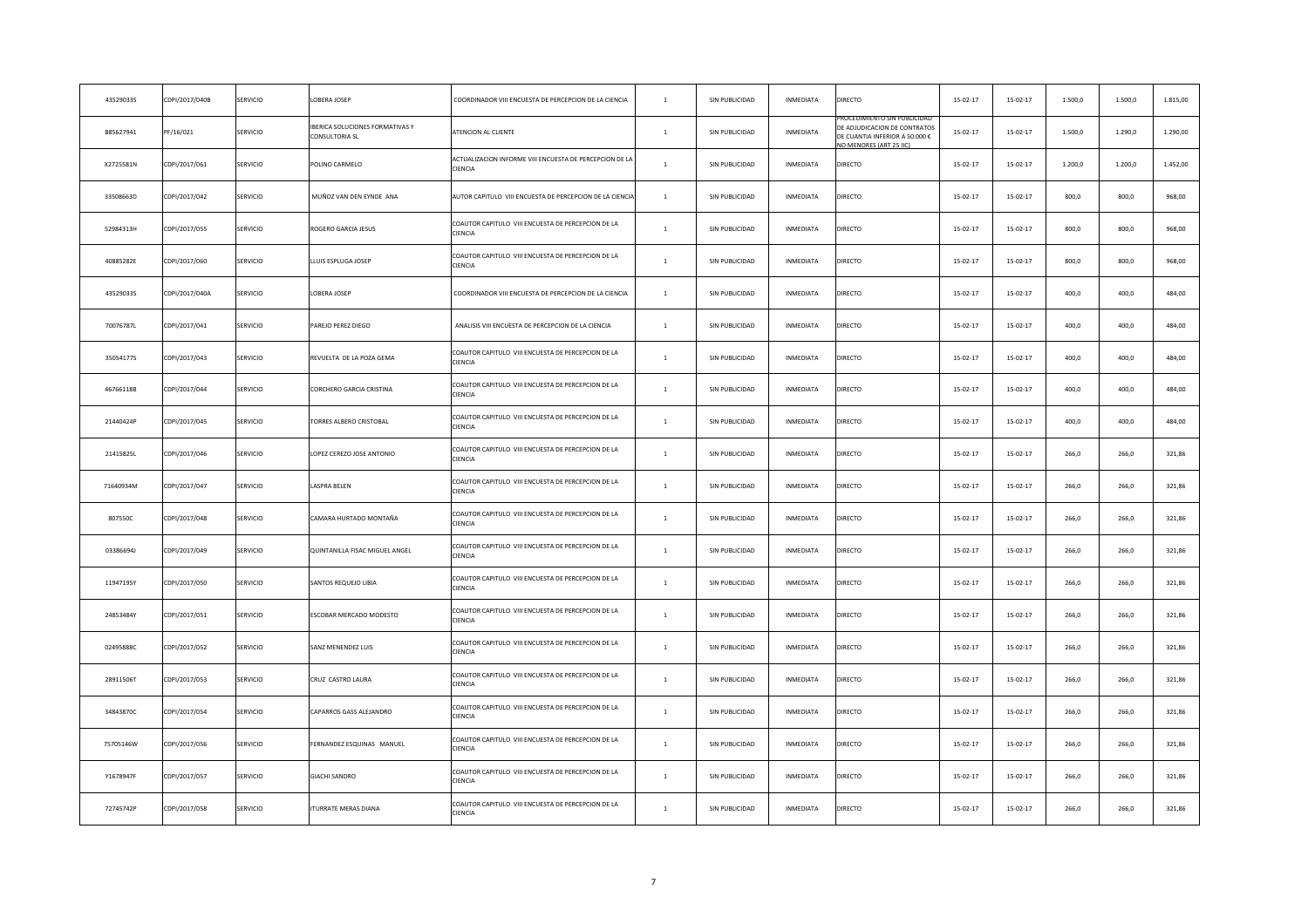| 43529033S | CDPI/2017/040B | SERVICIO        | OBERA JOSEP                                      | COORDINADOR VIII ENCUESTA DE PERCEPCION DE LA CIENCIA                | $\mathbf{1}$   | SIN PUBLICIDAD | INMEDIATA        | DIRECTO                                                                                                                | $15 - 02 - 17$ | $15 - 02 - 17$ | 1.500,0 | 1.500,0 | 1.815,00 |
|-----------|----------------|-----------------|--------------------------------------------------|----------------------------------------------------------------------|----------------|----------------|------------------|------------------------------------------------------------------------------------------------------------------------|----------------|----------------|---------|---------|----------|
| B85627941 | PF/16/021      | SERVICIO        | BERICA SOLUCIONES FORMATIVAS Y<br>CONSULTORIA SL | ATENCION AL CLIENTE                                                  | $\mathbf{1}$   | SIN PUBLICIDAD | INMEDIATA        | ROCEDIMIENTO SIN PUBLICIDAI<br>DE ADJUDICACION DE CONTRATOS<br>DE CUANTIA INFERIOR A 50.000 €<br>O MENORES (ART 25 LC) | $15 - 02 - 17$ | $15 - 02 - 17$ | 1.500,0 | 1.290,0 | 1.290,00 |
| X2725581N | CDPI/2017/061  | SERVICIO        | <b>POLINO CARMELO</b>                            | ACTUALIZACION INFORME VIII ENCUESTA DE PERCEPCION DE LA<br>CIENCIA   | $\mathbf{1}$   | SIN PUBLICIDAD | INMEDIATA        | DIRECTO                                                                                                                | $15 - 02 - 17$ | $15 - 02 - 17$ | 1.200,0 | 1.200,0 | 1.452,00 |
| 33508663D | CDPI/2017/042  | SERVICIO        | MUÑOZ VAN DEN EYNDE ANA                          | AUTOR CAPITULO VIII ENCUESTA DE PERCEPCION DE LA CIENCIA             | $\mathbf{1}$   | SIN PUBLICIDAD | INMEDIATA        | DIRECTO                                                                                                                | $15 - 02 - 17$ | $15 - 02 - 17$ | 800,0   | 800,0   | 968,00   |
| 52984313H | CDPI/2017/055  | SERVICIO        | ROGERO GARCIA JESUS                              | COAUTOR CAPITULO VIII ENCUESTA DE PERCEPCION DE LA<br>CIENCIA        | $\mathbf{1}$   | SIN PUBLICIDAD | INMEDIATA        | DIRECTO                                                                                                                | $15 - 02 - 17$ | $15 - 02 - 17$ | 800,0   | 800,0   | 968,00   |
| 40885282E | CDPI/2017/060  | SERVICIO        | LLUIS ESPLUGA JOSEP                              | COAUTOR CAPITULO VIII ENCUESTA DE PERCEPCION DE LA<br>CIENCIA        | $\mathbf{1}$   | SIN PUBLICIDAD | INMEDIATA        | DIRECTO                                                                                                                | $15 - 02 - 17$ | $15 - 02 - 17$ | 800,0   | 800,0   | 968,00   |
| 43529033S | CDPI/2017/040A | SERVICIO        | OBERA JOSEP                                      | COORDINADOR VIII ENCUESTA DE PERCEPCION DE LA CIENCIA                | $\mathbf{1}$   | SIN PUBLICIDAD | INMEDIATA        | DIRECTO                                                                                                                | $15 - 02 - 17$ | $15 - 02 - 17$ | 400,0   | 400,0   | 484,00   |
| 70076787L | CDPI/2017/041  | SERVICIO        | PAREJO PEREZ DIEGO                               | ANALISIS VIII ENCUESTA DE PERCEPCION DE LA CIENCIA                   | $\mathbf{1}$   | SIN PUBLICIDAD | INMEDIATA        | DIRECTO                                                                                                                | $15 - 02 - 17$ | 15-02-17       | 400,0   | 400,0   | 484,00   |
| 35054177S | CDPI/2017/043  | SERVICIO        | REVUELTA DE LA POZA GEMA                         | COAUTOR CAPITULO VIII ENCUESTA DE PERCEPCION DE LA<br>CIENCIA        | $\mathbf{1}$   | SIN PUBLICIDAD | INMEDIATA        | DIRECTO                                                                                                                | $15 - 02 - 17$ | $15 - 02 - 17$ | 400,0   | 400,0   | 484,00   |
| 46766118B | CDPI/2017/044  | SERVICIO        | CORCHERO GARCIA CRISTINA                         | COAUTOR CAPITULO VIII ENCUESTA DE PERCEPCION DE LA<br>CIENCIA        | $\mathbf{1}$   | SIN PUBLICIDAD | INMEDIATA        | DIRECTO                                                                                                                | $15 - 02 - 17$ | $15 - 02 - 17$ | 400,0   | 400,0   | 484,00   |
| 21440424P | CDPI/2017/045  | SERVICIO        | <b>FORRES ALBERO CRISTOBAL</b>                   | COAUTOR CAPITULO VIII ENCUESTA DE PERCEPCION DE LA<br>CIENCIA        | $\mathbf{1}$   | SIN PUBLICIDAD | INMEDIATA        | DIRECTO                                                                                                                | $15 - 02 - 17$ | 15-02-17       | 400,0   | 400,0   | 484,00   |
| 21415825L | CDPI/2017/046  | SERVICIO        | OPEZ CEREZO JOSE ANTONIO                         | COAUTOR CAPITULO VIII ENCUESTA DE PERCEPCION DE LA<br>CIENCIA        | $\overline{1}$ | SIN PUBLICIDAD | INMEDIATA        | DIRECTO                                                                                                                | $15 - 02 - 17$ | $15 - 02 - 17$ | 266,0   | 266.0   | 321,86   |
| 71640934M | CDPI/2017/047  | SERVICIO        | <b>ASPRA BELEN</b>                               | COAUTOR CAPITULO VIII ENCUESTA DE PERCEPCION DE LA<br>CIENCIA        | $1$ $\,$       | SIN PUBLICIDAD | <b>INMEDIATA</b> | DIRECTO                                                                                                                | $15 - 02 - 17$ | 15-02-17       | 266,0   | 266,0   | 321,86   |
| 807550C   | CDPI/2017/048  | SERVICIO        | CAMARA HURTADO MONTAÑA                           | COAUTOR CAPITULO VIII ENCUESTA DE PERCEPCION DE LA<br><b>CIENCIA</b> | $\overline{1}$ | SIN PUBLICIDAD | <b>INMEDIATA</b> | DIRECTO                                                                                                                | $15 - 02 - 17$ | $15 - 02 - 17$ | 266,0   | 266,0   | 321,86   |
| 03386694J | CDPI/2017/049  | SERVICIO        | QUINTANILLA FISAC MIGUEL ANGEL                   | COAUTOR CAPITULO VIII ENCUESTA DE PERCEPCION DE LA<br>CIENCIA        | $\overline{1}$ | SIN PUBLICIDAD | INMEDIATA        | DIRECTO                                                                                                                | $15-02-17$     | $15 - 02 - 17$ | 266,0   | 266,0   | 321,86   |
| 11947195Y | CDPI/2017/050  | SERVICIO        | SANTOS REQUEJO LIBIA                             | COAUTOR CAPITULO VIII ENCUESTA DE PERCEPCION DE LA<br>CIENCIA        | $\mathbf{1}$   | SIN PUBLICIDAD | INMEDIATA        | DIRECTO                                                                                                                | $15 - 02 - 17$ | $15 - 02 - 17$ | 266,0   | 266,0   | 321,86   |
| 24853484Y | CDPI/2017/051  | SERVICIO        | SCOBAR MERCADO MODESTO                           | COAUTOR CAPITULO VIII ENCUESTA DE PERCEPCION DE LA<br>CIENCIA        | $\overline{1}$ | SIN PUBLICIDAD | INMEDIATA        | DIRECTO                                                                                                                | $15 - 02 - 17$ | $15 - 02 - 17$ | 266,0   | 266.0   | 321,86   |
| 02495888C | CDPI/2017/052  | SERVICIO        | SANZ MENENDEZ LUIS                               | COAUTOR CAPITULO VIII ENCUESTA DE PERCEPCION DE LA<br>CIENCIA        | $\mathbf{1}$   | SIN PUBLICIDAD | INMEDIATA        | DIRECTO                                                                                                                | $15 - 02 - 17$ | $15 - 02 - 17$ | 266,0   | 266,0   | 321,86   |
| 28911506T | CDPI/2017/053  | <b>SERVICIO</b> | CRUZ CASTRO LAURA                                | COAUTOR CAPITULO VIII ENCUESTA DE PERCEPCION DE LA<br>CIENCIA        | $\overline{1}$ | SIN PUBLICIDAD | <b>INMEDIATA</b> | DIRECTO                                                                                                                | $15 - 02 - 17$ | $15 - 02 - 17$ | 266,0   | 266,0   | 321,86   |
| 34843870C | CDPI/2017/054  | SERVICIO        | CAPARROS GASS ALEJANDRO                          | COAUTOR CAPITULO VIII ENCUESTA DE PERCEPCION DE LA<br>CIENCIA        | $\overline{1}$ | SIN PUBLICIDAD | INMEDIATA        | DIRECTO                                                                                                                | $15 - 02 - 17$ | $15 - 02 - 17$ | 266,0   | 266,0   | 321,86   |
| 75705146W | CDPI/2017/056  | SERVICIO        | ERNANDEZ ESQUINAS MANUEL                         | COAUTOR CAPITULO VIII ENCUESTA DE PERCEPCION DE LA<br>CIENCIA        | $1\,$          | SIN PUBLICIDAD | INMEDIATA        | DIRECTO                                                                                                                | $15 - 02 - 17$ | 15-02-17       | 266,0   | 266,0   | 321,86   |
| Y1678947F | CDPI/2017/057  | SERVICIO        | <b>GIACHI SANDRO</b>                             | COAUTOR CAPITULO VIII ENCUESTA DE PERCEPCION DE LA<br>CIENCIA        | $\overline{1}$ | SIN PUBLICIDAD | <b>INMEDIATA</b> | DIRECTO                                                                                                                | $15 - 02 - 17$ | $15 - 02 - 17$ | 266,0   | 266,0   | 321,86   |
| 72745742P | CDPI/2017/058  | SERVICIO        | TURRATE MERAS DIANA                              | COAUTOR CAPITULO VIII ENCUESTA DE PERCEPCION DE LA<br>CIENCIA        | $\overline{1}$ | SIN PUBLICIDAD | <b>INMEDIATA</b> | DIRECTO                                                                                                                | $15 - 02 - 17$ | $15 - 02 - 17$ | 266.0   | 266.0   | 321,86   |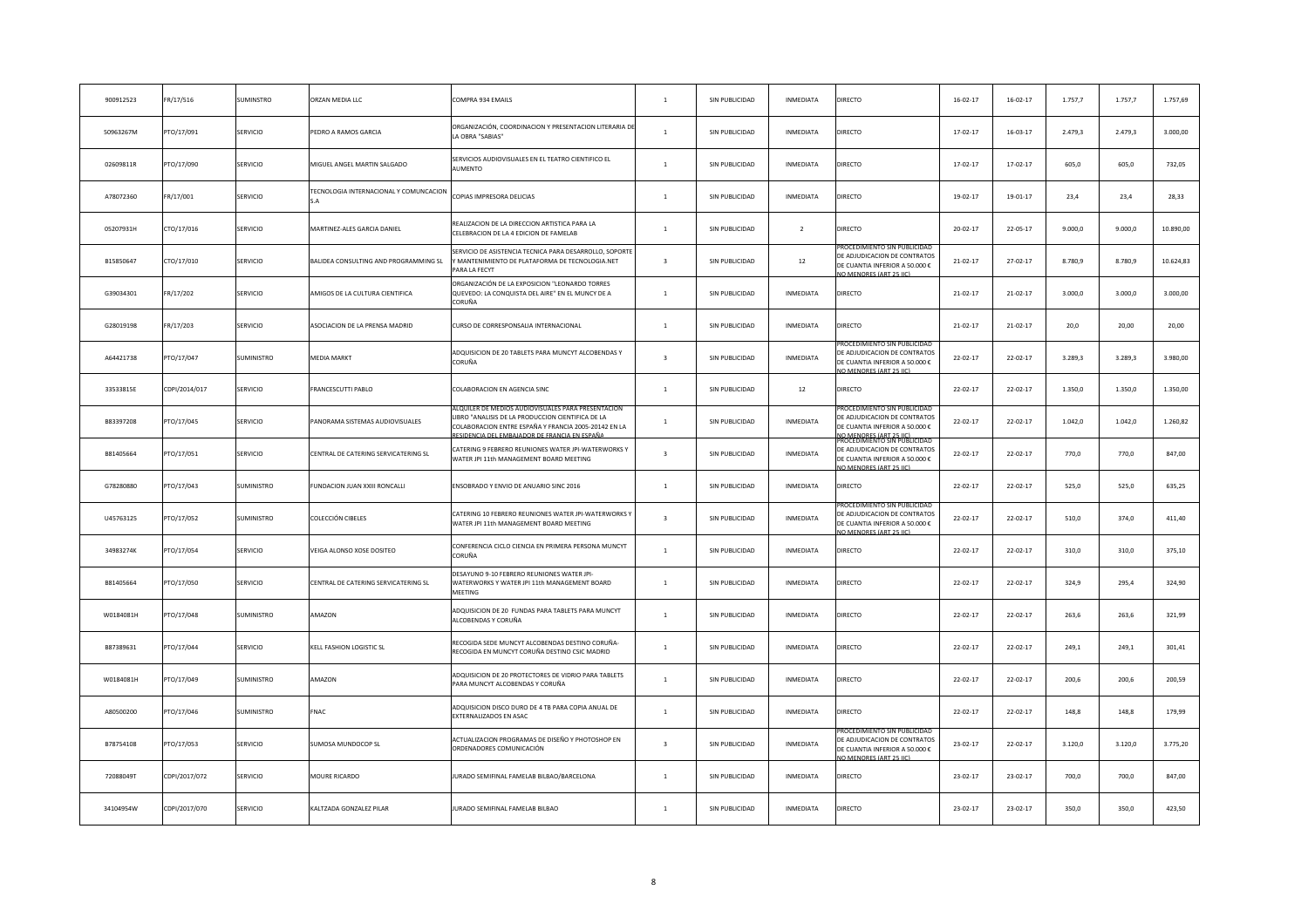| 900912523 | FR/17/516     | SUMINSTRO         | ORZAN MEDIA LLC                        | COMPRA 934 EMAILS                                                                                                                                                                                             | $\,$ 1 $\,$             | SIN PUBLICIDAD | INMEDIATA        | DIRECTO                                                                                                                                          | $16 - 02 - 17$ | $16 - 02 - 17$ | 1.757,7 | 1.757,7 | 1.757,69  |
|-----------|---------------|-------------------|----------------------------------------|---------------------------------------------------------------------------------------------------------------------------------------------------------------------------------------------------------------|-------------------------|----------------|------------------|--------------------------------------------------------------------------------------------------------------------------------------------------|----------------|----------------|---------|---------|-----------|
| 50963267M | PTO/17/091    | SERVICIO          | PEDRO A RAMOS GARCIA                   | ORGANIZACIÓN, COORDINACION Y PRESENTACION LITERARIA DI<br>LA OBRA "SABIAS"                                                                                                                                    | $\mathbf{1}$            | SIN PUBLICIDAD | <b>INMEDIATA</b> | DIRECTO                                                                                                                                          | $17 - 02 - 17$ | $16 - 03 - 17$ | 2.479,3 | 2.479,3 | 3.000,00  |
| 02609811R | TO/17/090     | SERVICIO          | MIGUEL ANGEL MARTIN SALGADO            | SERVICIOS AUDIOVISUALES EN EL TEATRO CIENTIFICO EL<br><b>AUMENTO</b>                                                                                                                                          | $\,$ 1 $\,$             | SIN PUBLICIDAD | INMEDIATA        | DIRECTO                                                                                                                                          | 17-02-17       | $17 - 02 - 17$ | 605,0   | 605,0   | 732,05    |
| A78072360 | FR/17/001     | SERVICIO          | TECNOLOGIA INTERNACIONAL Y COMUNCACION | COPIAS IMPRESORA DELICIAS                                                                                                                                                                                     | $\mathbf{1}$            | SIN PUBLICIDAD | INMEDIATA        | DIRECTO                                                                                                                                          | 19-02-17       | 19-01-17       | 23,4    | 23,4    | 28,33     |
| 05207931H | CTO/17/016    | SERVICIO          | MARTINEZ-ALES GARCIA DANIEL            | REALIZACION DE LA DIRECCION ARTISTICA PARA LA<br>CELEBRACION DE LA 4 EDICION DE FAMELAB                                                                                                                       | $\mathbf{1}$            | SIN PUBLICIDAD | $\overline{2}$   | DIRECTO                                                                                                                                          | $20 - 02 - 17$ | $22 - 05 - 17$ | 9.000,0 | 9.000,0 | 10.890,00 |
| B15850647 | CTO/17/010    | SERVICIO          | BALIDEA CONSULTING AND PROGRAMMING SL  | ERVICIO DE ASISTENCIA TECNICA PARA DESARROLLO, SOPORTE<br>/ MANTENIMIENTO DE PLATAFORMA DE TECNOLOGIA.NET<br>PARA LA FECYT                                                                                    | $\overline{\mathbf{3}}$ | SIN PUBLICIDAD | 12               | ROCEDIMIENTO SIN PUBLICIDAD<br>DE ADJUDICACION DE CONTRATOS<br>DE CUANTIA INFERIOR A 50.000 €<br><b>JO MENORES (ART 25 JIC)</b>                  | $21 - 02 - 17$ | 27-02-17       | 8.780,9 | 8.780,9 | 10.624,83 |
| G39034301 | FR/17/202     | SERVICIO          | AMIGOS DE LA CULTURA CIENTIFICA        | ORGANIZACIÓN DE LA EXPOSICION "LEONARDO TORRES<br>QUEVEDO: LA CONQUISTA DEL AIRE" EN EL MUNCY DE A<br>CORUÑA                                                                                                  | $\,$ 1 $\,$             | SIN PUBLICIDAD | INMEDIATA        | DIRECTO                                                                                                                                          | $21 - 02 - 17$ | $21 - 02 - 17$ | 3.000,0 | 3.000,0 | 3.000,00  |
| G28019198 | FR/17/203     | SERVICIO          | ASOCIACION DE LA PRENSA MADRID         | CURSO DE CORRESPONSALIA INTERNACIONAL                                                                                                                                                                         | $\mathbf{1}$            | SIN PUBLICIDAD | INMEDIATA        | DIRECTO                                                                                                                                          | $21 - 02 - 17$ | 21-02-17       | 20,0    | 20,00   | 20,00     |
| A64421738 | PTO/17/047    | SUMINISTRO        | <b>MEDIA MARKT</b>                     | ADQUISICION DE 20 TABLETS PARA MUNCYT ALCOBENDAS Y<br>CORUÑA                                                                                                                                                  | $\overline{\mathbf{3}}$ | SIN PUBLICIDAD | INMEDIATA        | DE ADJUDICACION DE CONTRATOS<br>DE CUANTIA INFERIOR A 50.000 €<br>O MENORES (ART 25 IIC)                                                         | $22 - 02 - 17$ | $22 - 02 - 17$ | 3.289,3 | 3.289,3 | 3.980,00  |
| 33533815E | CDPI/2014/017 | SERVICIO          | FRANCESCUTTI PABLO                     | COLABORACION EN AGENCIA SINC                                                                                                                                                                                  | $\mathbf{1}$            | SIN PUBLICIDAD | 12               | <b>DIRECTO</b>                                                                                                                                   | $22 - 02 - 17$ | $22 - 02 - 17$ | 1.350,0 | 1.350,0 | 1.350,00  |
| B83397208 | PTO/17/045    | SERVICIO          | PANORAMA SISTEMAS AUDIOVISUALES        | LLQUILER DE MEDIOS AUDIOVISUALES PARA PRESENTACION<br>IBRO "ANALISIS DE LA PRODUCCION CIENTIFICA DE LA<br>COLABORACION ENTRE ESPAÑA Y FRANCIA 2005-20142 EN LA<br>SIDENCIA DEL EMBAJADOR DE FRANCIA EN ESPAÑA | $\mathbf{1}$            | SIN PUBLICIDAD | INMEDIATA        | ROCEDIMIENTO SIN PUBLICIDAD<br>DE ADJUDICACION DE CONTRATOS<br>DE CUANTIA INFERIOR A 50.000 €                                                    | $22 - 02 - 17$ | $22 - 02 - 17$ | 1.042,0 | 1.042,0 | 1.260,82  |
| B81405664 | PTO/17/051    | SERVICIO          | CENTRAL DE CATERING SERVICATERING SL   | CATERING 9 FEBRERO REUNIONES WATER JPI-WATERWORKS Y<br>WATER JPI 11th MANAGEMENT BOARD MEETING                                                                                                                | $\mathbf{R}$            | SIN PUBLICIDAD | INMEDIATA        | IO MENORES (ART 25 UC)<br>ROCEDIMIENTO SIN PUBLICIDAI<br>DE ADJUDICACION DE CONTRATOS<br>DE CUANTIA INFERIOR A 50.000 €<br>O MENORES (ART 25 HC) | $22 - 02 - 17$ | $22 - 02 - 17$ | 770,0   | 770.0   | 847,00    |
| G78280880 | PTO/17/043    | <b>SUMINISTRO</b> | FUNDACION JUAN XXIII RONCALLI          | ENSOBRADO Y ENVIO DE ANUARIO SINC 2016                                                                                                                                                                        | $\mathbf{1}$            | SIN PUBLICIDAD | <b>INMEDIATA</b> | DIRECTO                                                                                                                                          | 22-02-17       | $22 - 02 - 17$ | 525,0   | 525,0   | 635,25    |
| U45763125 | PTO/17/052    | <b>SUMINISTRO</b> | COLECCIÓN CIBELES                      | CATERING 10 FEBRERO REUNIONES WATER JPI-WATERWORKS<br>WATER JPI 11th MANAGEMENT BOARD MEETING                                                                                                                 | $\overline{3}$          | SIN PUBLICIDAD | INMEDIATA        | ROCEDIMIENTO SIN PUBLICIDA<br>DE ADJUDICACION DE CONTRATOS<br>DE CUANTIA INFERIOR A 50.000 €<br>O MENORES (ART 25 HC                             | $22 - 02 - 17$ | $22 - 02 - 17$ | 510,0   | 374,0   | 411,40    |
| 34983274K | PTO/17/054    | SERVICIO          | VEIGA ALONSO XOSE DOSITEO              | CONFERENCIA CICLO CIENCIA EN PRIMERA PERSONA MUNCYT<br>CORUÑA                                                                                                                                                 | $\overline{1}$          | SIN PUBLICIDAD | <b>INMEDIATA</b> | <b>DIRECTO</b>                                                                                                                                   | $22 - 02 - 17$ | $22 - 02 - 17$ | 310,0   | 310,0   | 375,10    |
| B81405664 | PTO/17/050    | SERVICIO          | CENTRAL DE CATERING SERVICATERING SL   | DESAYUNO 9-10 FEBRERO REUNIONES WATER JPI-<br>WATERWORKS Y WATER JPI 11th MANAGEMENT BOARD<br>MEETING                                                                                                         | $\mathbf{1}$            | SIN PUBLICIDAD | INMEDIATA        | DIRECTO                                                                                                                                          | $22 - 02 - 17$ | $22 - 02 - 17$ | 324,9   | 295,4   | 324,90    |
| W0184081H | PTO/17/048    | <b>SUMINISTRO</b> | AMAZON                                 | ADQUISICION DE 20 FUNDAS PARA TABLETS PARA MUNCYT<br>ALCOBENDAS Y CORUÑA                                                                                                                                      | $\overline{1}$          | SIN PUBLICIDAD | INMEDIATA        | DIRECTO                                                                                                                                          | $22 - 02 - 17$ | $22 - 02 - 17$ | 263,6   | 263,6   | 321,99    |
| B87389631 | PTO/17/044    | SERVICIO          | KELL FASHION LOGISTIC SL               | RECOGIDA SEDE MUNCYT ALCOBENDAS DESTINO CORUÑA-<br>RECOGIDA EN MUNCYT CORUÑA DESTINO CSIC MADRID                                                                                                              | <sup>1</sup>            | SIN PUBLICIDAD | INMEDIATA        | DIRECTO                                                                                                                                          | 22-02-17       | $22 - 02 - 17$ | 249,1   | 249,1   | 301,41    |
| W0184081H | PTO/17/049    | <b>SUMINISTRO</b> | MAZON                                  | ADQUISICION DE 20 PROTECTORES DE VIDRIO PARA TABLETS<br>PARA MUNCYT ALCOBENDAS Y CORUÑA                                                                                                                       | $\overline{1}$          | SIN PUBLICIDAD | <b>INMEDIATA</b> | DIRECTO                                                                                                                                          | $22 - 02 - 17$ | 22-02-17       | 200,6   | 200,6   | 200,59    |
| A80500200 | PTO/17/046    | SUMINISTRO        | FNAC                                   | ADQUISICION DISCO DURO DE 4 TB PARA COPIA ANUAL DE<br>EXTERNALIZADOS EN ASAC                                                                                                                                  | $\mathbf{1}$            | SIN PUBLICIDAD | INMEDIATA        | DIRECTO                                                                                                                                          | $22 - 02 - 17$ | $22 - 02 - 17$ | 148,8   | 148,8   | 179,99    |
| B78754108 | PTO/17/053    | SERVICIO          | SUMOSA MUNDOCOP SL                     | ACTUALIZACION PROGRAMAS DE DISEÑO Y PHOTOSHOP EN<br>ORDENADORES COMUNICACIÓN                                                                                                                                  | $\mathbf{R}$            | SIN PUBLICIDAD | INMEDIATA        | DE ADJUDICACION DE CONTRATOS<br>DE CUANTIA INFERIOR A 50.000 €<br>O MENORES (ART 25 IIC)                                                         | 23-02-17       | 22-02-17       | 3.120,0 | 3.120,0 | 3.775,20  |
| 72088049T | CDPI/2017/072 | SERVICIO          | MOURE RICARDO                          | JURADO SEMIFINAL FAMELAB BILBAO/BARCELONA                                                                                                                                                                     | $\mathbf{1}$            | SIN PUBLICIDAD | INMEDIATA        | DIRECTO                                                                                                                                          | 23-02-17       | $23 - 02 - 17$ | 700,0   | 700,0   | 847,00    |
| 34104954W | CDPI/2017/070 | SERVICIO          | KALTZADA GONZALEZ PILAR                | JURADO SEMIFINAL FAMELAB BILBAO                                                                                                                                                                               | $\mathbf{1}$            | SIN PUBLICIDAD | <b>INMEDIATA</b> | <b>DIRECTO</b>                                                                                                                                   | 23-02-17       | $23 - 02 - 17$ | 350.0   | 350.0   | 423,50    |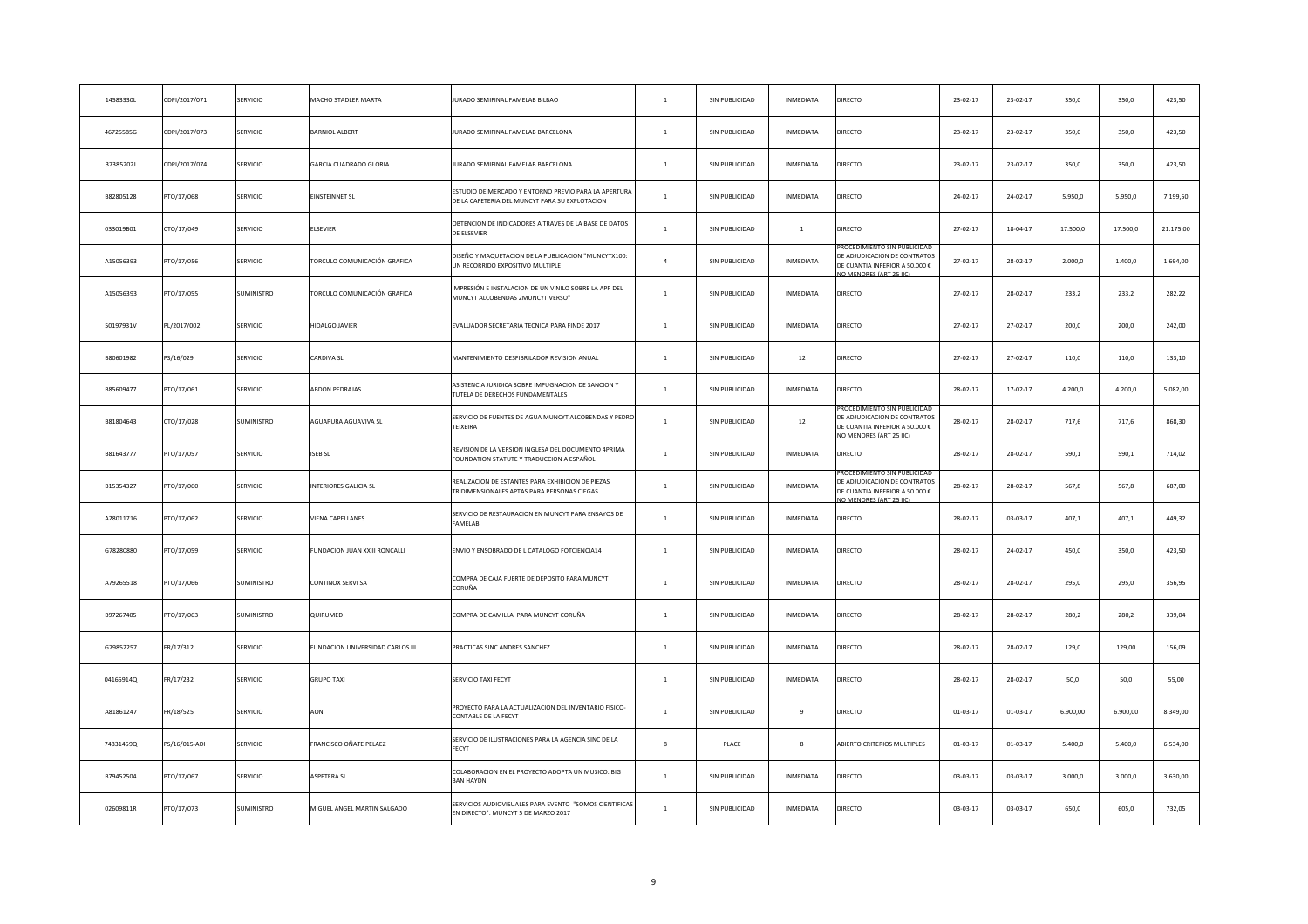| 14583330L | CDPI/2017/071 | SERVICIO          | <b>MACHO STADLER MARTA</b>          | JURADO SEMIFINAL FAMELAB BILBAO                                                                        | $\mathbf{1}$     | SIN PUBLICIDAD | INMEDIATA        | DIRECTO                                                                                                                 | 23-02-17       | $23 - 02 - 17$ | 350,0    | 350,0    | 423,50    |
|-----------|---------------|-------------------|-------------------------------------|--------------------------------------------------------------------------------------------------------|------------------|----------------|------------------|-------------------------------------------------------------------------------------------------------------------------|----------------|----------------|----------|----------|-----------|
| 46725585G | CDPI/2017/073 | SERVICIO          | <b>BARNIOL ALBERT</b>               | JURADO SEMIFINAL FAMELAB BARCELONA                                                                     | $\mathbf{1}$     | SIN PUBLICIDAD | INMEDIATA        | DIRECTO                                                                                                                 | 23-02-17       | $23 - 02 - 17$ | 350,0    | 350,0    | 423,50    |
| 37385202J | CDPI/2017/074 | SERVICIO          | GARCIA CUADRADO GLORIA              | JURADO SEMIFINAL FAMELAB BARCELONA                                                                     | $\mathbf{1}$     | SIN PUBLICIDAD | INMEDIATA        | DIRECTO                                                                                                                 | 23-02-17       | $23 - 02 - 17$ | 350,0    | 350,0    | 423,50    |
| B82805128 | PTO/17/068    | SERVICIO          | <b>INSTEINNET SL</b>                | ESTUDIO DE MERCADO Y ENTORNO PREVIO PARA LA APERTURA<br>DE LA CAFETERIA DEL MUNCYT PARA SU EXPLOTACION | $\mathbf{1}$     | SIN PUBLICIDAD | INMEDIATA        | DIRECTO                                                                                                                 | $24 - 02 - 17$ | $24 - 02 - 17$ | 5.950,0  | 5.950,0  | 7.199,50  |
| 033019B01 | CTO/17/049    | SERVICIO          | <b>LSEVIER</b>                      | OBTENCION DE INDICADORES A TRAVES DE LA BASE DE DATOS<br>DE ELSEVIER                                   | $\,1\,$          | SIN PUBLICIDAD | $\mathbf{1}$     | DIRECTO                                                                                                                 | 27-02-17       | 18-04-17       | 17.500,0 | 17.500,0 | 21.175,00 |
| A15056393 | PTO/17/056    | SERVICIO          | FORCULO COMUNICACIÓN GRAFICA        | DISEÑO Y MAQUETACION DE LA PUBLICACION "MUNCYTX100:<br>UN RECORRIDO EXPOSITIVO MULTIPLE                | $\overline{a}$   | SIN PUBLICIDAD | INMEDIATA        | CEDIMIENTO SIN PUBLICIDAI<br>DE ADJUDICACION DE CONTRATOS<br>DE CUANTIA INFERIOR A 50.000 €<br>O MENORES (ART 25 IIC)   | 27-02-17       | $28 - 02 - 17$ | 2.000,0  | 1.400,0  | 1.694,00  |
| A15056393 | PTO/17/055    | SUMINISTRO        | <b>FORCULO COMUNICACIÓN GRAFICA</b> | IMPRESIÓN E INSTALACION DE UN VINILO SOBRE LA APP DEL<br>MUNCYT ALCOBENDAS 2MUNCYT VERSO"              | $\mathbf{1}$     | SIN PUBLICIDAD | INMEDIATA        | DIRECTO                                                                                                                 | 27-02-17       | 28-02-17       | 233,2    | 233,2    | 282,22    |
| 50197931V | PL/2017/002   | SERVICIO          | HIDALGO JAVIER                      | EVALUADOR SECRETARIA TECNICA PARA FINDE 2017                                                           | $\mathbf{1}$     | SIN PUBLICIDAD | INMEDIATA        | DIRECTO                                                                                                                 | 27-02-17       | 27-02-17       | 200,0    | 200,0    | 242,00    |
| B80601982 | PS/16/029     | SERVICIO          | CARDIVA SL                          | MANTENIMIENTO DESFIBRILADOR REVISION ANUAL                                                             | $\mathbf{1}$     | SIN PUBLICIDAD | 12               | DIRECTO                                                                                                                 | 27-02-17       | 27-02-17       | 110,0    | 110,0    | 133,10    |
| B85609477 | PTO/17/061    | SERVICIO          | <b>ABDON PEDRAJAS</b>               | ASISTENCIA JURIDICA SOBRE IMPUGNACION DE SANCION Y<br>TUTELA DE DERECHOS FUNDAMENTALES                 | $\mathbf{1}$     | SIN PUBLICIDAD | INMEDIATA        | DIRECTO                                                                                                                 | 28-02-17       | $17 - 02 - 17$ | 4.200,0  | 4.200,0  | 5.082,00  |
| B81804643 | CTO/17/028    | SUMINISTRO        | AGUAPURA AGUAVIVA SL                | SERVICIO DE FUENTES DE AGUA MUNCYT ALCOBENDAS Y PEDRI<br><b>TFIXFIRA</b>                               | $\overline{1}$   | SIN PUBLICIDAD | 12               | ROCEDIMIENTO SIN PUBLICIDAI<br>DE ADJUDICACION DE CONTRATOS<br>DE CUANTIA INFERIOR A 50.000 €<br>O MENORES (ART 25 IIC) | 28-02-17       | 28-02-17       | 717,6    | 717,6    | 868,30    |
| B81643777 | PTO/17/057    | SERVICIO          | <b>ISEB SL</b>                      | REVISION DE LA VERSION INGLESA DEL DOCUMENTO 4PRIMA<br>FOUNDATION STATUTE Y TRADUCCION A ESPAÑOL       | $\mathbf{1}$     | SIN PUBLICIDAD | INMEDIATA        | DIRECTO                                                                                                                 | 28-02-17       | 28-02-17       | 590,1    | 590.1    | 714,02    |
| B15354327 | PTO/17/060    | SERVICIO          | NTERIORES GALICIA SL                | REALIZACION DE ESTANTES PARA EXHIBICION DE PIEZAS<br>TRIDIMENSIONALES APTAS PARA PERSONAS CIEGAS       | $\mathbf{1}$     | SIN PUBLICIDAD | INMEDIATA        | DE ADJUDICACION DE CONTRATOS<br>DE CUANTIA INFERIOR A 50.000 €<br>IO MENORES (ART 25 IIC)                               | 28-02-17       | 28-02-17       | 567,8    | 567,8    | 687,00    |
| A28011716 | PTO/17/062    | <b>SERVICIO</b>   | VIENA CAPELLANES                    | SERVICIO DE RESTAURACION EN MUNCYT PARA ENSAYOS DE<br>FAMELAB                                          | $\overline{1}$   | SIN PUBLICIDAD | <b>INMEDIATA</b> | DIRECTO                                                                                                                 | 28-02-17       | 03-03-17       | 407,1    | 407,1    | 449,32    |
| G78280880 | PTO/17/059    | SERVICIO          | UNDACION JUAN XXIII RONCALLI        | ENVIO Y ENSOBRADO DE L CATALOGO FOTCIENCIA14                                                           | $\mathbf{1}$     | SIN PUBLICIDAD | INMEDIATA        | DIRECTO                                                                                                                 | 28-02-17       | $24 - 02 - 17$ | 450,0    | 350,0    | 423,50    |
| A79265518 | PTO/17/066    | <b>SUMINISTRO</b> | CONTINOX SERVI SA                   | COMPRA DE CAJA FUERTE DE DEPOSITO PARA MUNCYT<br>CORUÑA                                                | $\mathbf{1}$     | SIN PUBLICIDAD | INMEDIATA        | <b>DIRECTO</b>                                                                                                          | 28-02-17       | $28 - 02 - 17$ | 295,0    | 295,0    | 356,95    |
| B97267405 | PTO/17/063    | SUMINISTRO        | QUIRUMED                            | COMPRA DE CAMILLA PARA MUNCYT CORUÑA                                                                   | $\mathbf{1}$     | SIN PUBLICIDAD | INMEDIATA        | DIRECTO                                                                                                                 | 28-02-17       | 28-02-17       | 280,2    | 280,2    | 339,04    |
| G79852257 | FR/17/312     | SERVICIO          | UNDACION UNIVERSIDAD CARLOS III     | PRACTICAS SINC ANDRES SANCHEZ                                                                          | $\mathbf{1}$     | SIN PUBLICIDAD | INMEDIATA        | <b>DIRECTO</b>                                                                                                          | 28-02-17       | 28-02-17       | 129,0    | 129,00   | 156,09    |
| 04165914Q | FR/17/232     | SERVICIO          | GRUPO TAXI                          | SERVICIO TAXI FECYT                                                                                    | $\mathbf{1}$     | SIN PUBLICIDAD | <b>INMEDIATA</b> | DIRECTO                                                                                                                 | 28-02-17       | 28-02-17       | 50,0     | 50,0     | 55,00     |
| A81861247 | FR/18/525     | SERVICIO          | AON                                 | PROYECTO PARA LA ACTUALIZACION DEL INVENTARIO FISICO-<br>CONTABLE DE LA FECYT                          | $\overline{1}$   | SIN PUBLICIDAD | 9                | DIRECTO                                                                                                                 | $01 - 03 - 17$ | $01 - 03 - 17$ | 6.900,00 | 6.900,00 | 8.349,00  |
| 74831459Q | PS/16/015-ADI | SERVICIO          | FRANCISCO OÑATE PELAEZ              | SERVICIO DE ILUSTRACIONES PARA LA AGENCIA SINC DE LA<br>FECYT                                          | $\boldsymbol{8}$ | PLACE          | 8                | ABIERTO CRITERIOS MULTIPLES                                                                                             | $01 - 03 - 17$ | $01 - 03 - 17$ | 5.400,0  | 5.400,0  | 6.534,00  |
| B79452504 | PTO/17/067    | SERVICIO          | ASPETERA SL                         | COLABORACION EN EL PROYECTO ADOPTA UN MUSICO. BIG<br><b>BAN HAYDN</b>                                  | $\overline{1}$   | SIN PUBLICIDAD | INMEDIATA        | DIRECTO                                                                                                                 | 03-03-17       | 03-03-17       | 3.000,0  | 3.000,0  | 3.630,00  |
| 02609811R | PTO/17/073    | SUMINISTRO        | MIGUEL ANGEL MARTIN SALGADO         | SERVICIOS AUDIOVISUALES PARA EVENTO "SOMOS CIENTIFICAS<br>EN DIRECTO". MUNCYT 5 DE MARZO 2017          | $\mathbf{1}$     | SIN PUBLICIDAD | <b>INMEDIATA</b> | DIRECTO                                                                                                                 | 03-03-17       | 03-03-17       | 650.0    | 605.0    | 732,05    |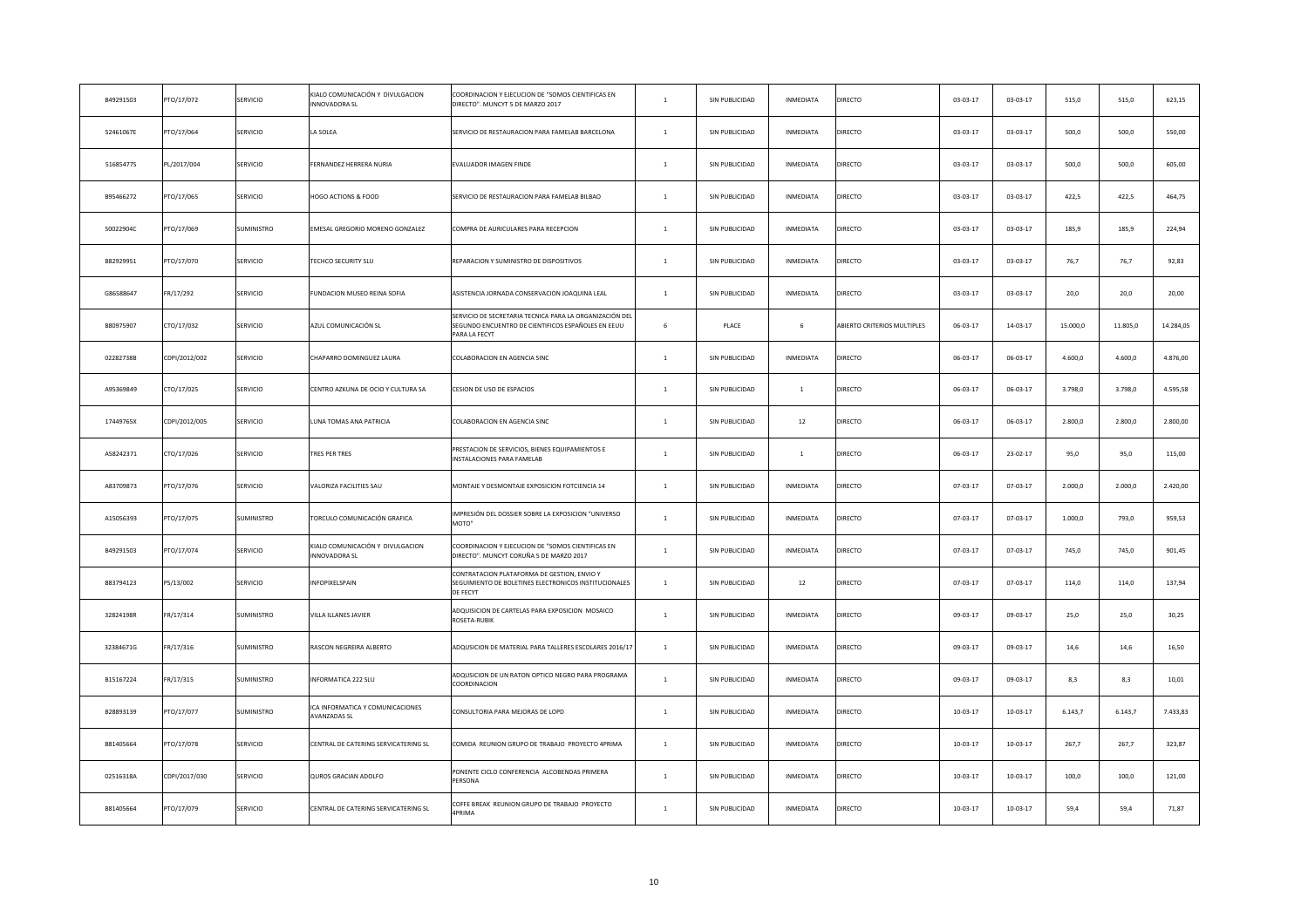| B49291503 | PTO/17/072    | SERVICIO          | KIALO COMUNICACIÓN Y DIVULGACION<br>INNOVADORA SL        | COORDINACION Y FIECUCION DE "SOMOS CIENTIFICAS EN<br>DIRECTO". MUNCYT 5 DE MARZO 2017                                         | $\mathbf{1}$   | SIN PUBLICIDAD | INMEDIATA      | <b>DIRECTO</b>              | 03-03-17       | $03 - 03 - 17$ | 515,0    | 515,0    | 623,15    |
|-----------|---------------|-------------------|----------------------------------------------------------|-------------------------------------------------------------------------------------------------------------------------------|----------------|----------------|----------------|-----------------------------|----------------|----------------|----------|----------|-----------|
| 52461067E | PTO/17/064    | SERVICIO          | LA SOLEA                                                 | SERVICIO DE RESTAURACION PARA FAMELAB BARCELONA                                                                               | $\mathbf{1}$   | SIN PUBLICIDAD | INMEDIATA      | DIRECTO                     | 03-03-17       | 03-03-17       | 500,0    | 500,0    | 550,00    |
| 51685477S | PL/2017/004   | SERVICIO          | FERNANDEZ HERRERA NURIA                                  | EVALUADOR IMAGEN FINDE                                                                                                        | $\mathbf{1}$   | SIN PUBLICIDAD | INMEDIATA      | <b>DIRECTO</b>              | 03-03-17       | $03 - 03 - 17$ | 500,0    | 500,0    | 605,00    |
| B95466272 | PTO/17/065    | SERVICIO          | HOGO ACTIONS & FOOD                                      | SERVICIO DE RESTAURACION PARA FAMELAB BILBAO                                                                                  | $\mathbf{1}$   | SIN PUBLICIDAD | INMEDIATA      | DIRECTO                     | 03-03-17       | $03 - 03 - 17$ | 422,5    | 422,5    | 464,75    |
| 50022904C | PTO/17/069    | <b>SUMINISTRO</b> | EMESAL GREGORIO MORENO GONZALEZ                          | COMPRA DE AURICULARES PARA RECEPCION                                                                                          | $\mathbf{1}$   | SIN PUBLICIDAD | INMEDIATA      | DIRECTO                     | $03 - 03 - 17$ | 03-03-17       | 185,9    | 185,9    | 224,94    |
| B82929951 | PTO/17/070    | SERVICIO          | TECHCO SECURITY SLU                                      | REPARACION Y SUMINISTRO DE DISPOSITIVOS                                                                                       | $\,$ 1         | SIN PUBLICIDAD | INMEDIATA      | DIRECTO                     | 03-03-17       | 03-03-17       | 76,7     | 76,7     | 92,83     |
| G86588647 | FR/17/292     | SERVICIO          | FUNDACION MUSEO REINA SOFIA                              | ASISTENCIA JORNADA CONSERVACION JOAQUINA LEAL                                                                                 | $\mathbf{1}$   | SIN PUBLICIDAD | INMEDIATA      | <b>DIRECTO</b>              | $03 - 03 - 17$ | 03-03-17       | 20,0     | 20,0     | 20,00     |
| B80975907 | CTO/17/032    | SERVICIO          | AZUL COMUNICACIÓN SL                                     | SERVICIO DE SECRETARIA TECNICA PARA LA ORGANIZACIÓN DE<br>SEGUNDO ENCUENTRO DE CIENTIFICOS ESPAÑOLES EN EEUU<br>PARA LA FECYT | 6              | PLACE          | 6              | ABIERTO CRITERIOS MULTIPLES | $06 - 03 - 17$ | $14 - 03 - 17$ | 15.000,0 | 11.805,0 | 14.284,05 |
| 02282738B | CDPI/2012/002 | SERVICIO          | CHAPARRO DOMINGUEZ LAURA                                 | COLABORACION EN AGENCIA SINC                                                                                                  | $\overline{1}$ | SIN PUBLICIDAD | INMEDIATA      | <b>DIRECTO</b>              | $06 - 03 - 17$ | $06 - 03 - 17$ | 4.600,0  | 4.600,0  | 4.876,00  |
| A95369849 | CTO/17/025    | SERVICIO          | CENTRO AZKUNA DE OCIO Y CULTURA SA                       | CESION DE USO DE ESPACIOS                                                                                                     | $\overline{1}$ | SIN PUBLICIDAD | $\overline{1}$ | DIRECTO                     | $06 - 03 - 17$ | $06 - 03 - 17$ | 3.798,0  | 3.798,0  | 4.595,58  |
| 17449765X | CDPI/2012/005 | SERVICIO          | LUNA TOMAS ANA PATRICIA                                  | COLABORACION EN AGENCIA SINC                                                                                                  | $\overline{1}$ | SIN PUBLICIDAD | 12             | DIRECTO                     | 06-03-17       | $06 - 03 - 17$ | 2.800,0  | 2.800,0  | 2.800,00  |
| A58242371 | CTO/17/026    | SERVICIO          | TRES PER TRES                                            | PRESTACION DE SERVICIOS, BIENES EQUIPAMIENTOS E<br>INSTALACIONES PARA FAMELAB                                                 | $\mathbf{1}$   | SIN PUBLICIDAD | $\overline{1}$ | <b>DIRECTO</b>              | $06 - 03 - 17$ | 23-02-17       | 95,0     | 95,0     | 115,00    |
| A83709873 | PTO/17/076    | SERVICIO          | VALORIZA FACILITIES SAU                                  | MONTAJE Y DESMONTAJE EXPOSICION FOTCIENCIA 14                                                                                 | $\mathbf{1}$   | SIN PUBLICIDAD | INMEDIATA      | DIRECTO                     | $07 - 03 - 17$ | $07 - 03 - 17$ | 2.000,0  | 2.000,0  | 2.420,00  |
| A15056393 | PTO/17/075    | SUMINISTRO        | TORCULO COMUNICACIÓN GRAFICA                             | IMPRESIÓN DEL DOSSIER SOBRE LA EXPOSICION "UNIVERSO<br>MOTO"                                                                  | $\mathbf{1}$   | SIN PUBLICIDAD | INMEDIATA      | DIRECTO                     | $07 - 03 - 17$ | $07 - 03 - 17$ | 1.000,0  | 793,0    | 959,53    |
| B49291503 | PTO/17/074    | SERVICIO          | KIALO COMUNICACIÓN Y DIVULGACION<br><b>INNOVADORA SL</b> | COORDINACION Y EJECUCION DE "SOMOS CIENTIFICAS EN<br>DIRECTO". MUNCYT CORUÑA 5 DE MARZO 2017                                  | $\mathbf{1}$   | SIN PUBLICIDAD | INMEDIATA      | DIRECTO                     | $07 - 03 - 17$ | $07 - 03 - 17$ | 745,0    | 745,0    | 901,45    |
| B83794123 | PS/13/002     | SERVICIO          | INFOPIXELSPAIN                                           | CONTRATACION PLATAFORMA DE GESTION, ENVIO Y<br>SEGUIMIENTO DE BOLETINES ELECTRONICOS INSTITUCIONALES<br>DE FECYT              | $\mathbf{1}$   | SIN PUBLICIDAD | 12             | DIRECTO                     | 07-03-17       | 07-03-17       | 114,0    | 114,0    | 137,94    |
| 32824198R | FR/17/314     | SUMINISTRO        | VILLA ILLANES JAVIER                                     | ADQUISICION DE CARTELAS PARA EXPOSICION MOSAICO<br>ROSETA-RUBIK                                                               | $\mathbf{1}$   | SIN PUBLICIDAD | INMEDIATA      | DIRECTO                     | 09-03-17       | 09-03-17       | 25,0     | 25,0     | 30,25     |
| 32384671G | FR/17/316     | SUMINISTRO        | RASCON NEGREIRA ALBERTO                                  | ADQUSICION DE MATERIAL PARA TALLERES ESCOLARES 2016/17                                                                        | $\mathbf{1}$   | SIN PUBLICIDAD | INMEDIATA      | DIRECTO                     | 09-03-17       | 09-03-17       | 14,6     | 14,6     | 16,50     |
| B15167224 | FR/17/315     | SUMINISTRO        | INFORMATICA 222 SLU                                      | ADQUSICION DE UN RATON OPTICO NEGRO PARA PROGRAMA<br>COORDINACION                                                             | $\mathbf{1}$   | SIN PUBLICIDAD | INMEDIATA      | DIRECTO                     | 09-03-17       | 09-03-17       | 8,3      | 8,3      | 10,01     |
| B28893139 | PTO/17/077    | SUMINISTRO        | ICA INFORMATICA Y COMUNICACIONES<br>AVANZADAS SL         | CONSULTORIA PARA MEJORAS DE LOPD                                                                                              | $\mathbf{1}$   | SIN PUBLICIDAD | INMEDIATA      | DIRECTO                     | $10-03-17$     | $10-03-17$     | 6.143,7  | 6.143,7  | 7.433,83  |
| B81405664 | PTO/17/078    | SERVICIO          | CENTRAL DE CATERING SERVICATERING SL                     | COMIDA REUNION GRUPO DE TRABAJO PROYECTO 4PRIMA                                                                               | $\mathbf{1}$   | SIN PUBLICIDAD | INMEDIATA      | DIRECTO                     | $10-03-17$     | $10-03-17$     | 267,7    | 267,7    | 323,87    |
| 02516318A | CDPI/2017/030 | SERVICIO          | QUROS GRACIAN ADOLFO                                     | PONENTE CICLO CONFERENCIA ALCOBENDAS PRIMERA<br>PERSONA                                                                       | $\overline{1}$ | SIN PUBLICIDAD | INMEDIATA      | DIRECTO                     | $10-03-17$     | $10 - 03 - 17$ | 100,0    | 100,0    | 121,00    |
| B81405664 | PTO/17/079    | SERVICIO          | CENTRAL DE CATERING SERVICATERING SL                     | COFFE BREAK REUNION GRUPO DE TRABAJO PROYECTO<br>1PRIMA                                                                       | $\mathbf{1}$   | SIN PUBLICIDAD | INMEDIATA      | DIRECTO                     | $10-03-17$     | 10-03-17       | 59,4     | 59,4     | 71,87     |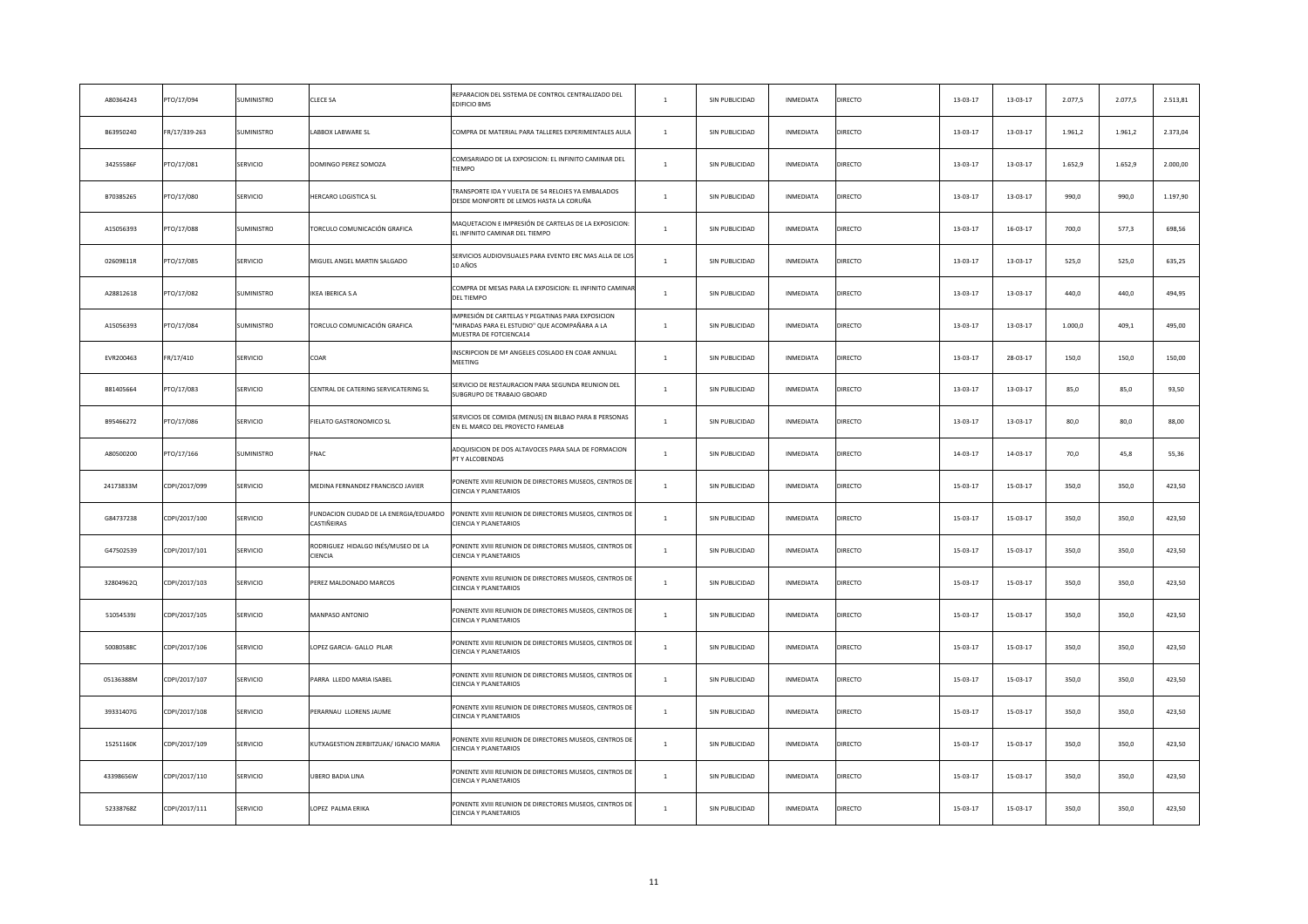| A80364243 | PTO/17/094    | SUMINISTRO      | CLECE SA                                             | REPARACION DEL SISTEMA DE CONTROL CENTRALIZADO DEL<br>EDIFICIO BMS                                                           | $\mathbf{1}$   | SIN PUBLICIDAD | INMEDIATA        | DIRECTO        | 13-03-17       | $13 - 03 - 17$ | 2.077,5 | 2.077,5 | 2.513,81 |
|-----------|---------------|-----------------|------------------------------------------------------|------------------------------------------------------------------------------------------------------------------------------|----------------|----------------|------------------|----------------|----------------|----------------|---------|---------|----------|
| B63950240 | FR/17/339-263 | SUMINISTRO      | ABBOX LABWARE SL                                     | COMPRA DE MATERIAL PARA TALLERES EXPERIMENTALES AULA                                                                         | $\mathbf{1}$   | SIN PUBLICIDAD | INMEDIATA        | DIRECTO        | 13-03-17       | 13-03-17       | 1.961,2 | 1.961,2 | 2.373,04 |
| 34255586F | PTO/17/081    | SERVICIO        | DOMINGO PEREZ SOMOZA                                 | COMISARIADO DE LA EXPOSICION: EL INFINITO CAMINAR DEL<br>TIEMPO                                                              | $\mathbf{1}$   | SIN PUBLICIDAD | INMEDIATA        | DIRECTO        | 13-03-17       | $13 - 03 - 17$ | 1.652,9 | 1.652,9 | 2.000,00 |
| B70385265 | PTO/17/080    | SERVICIO        | <b>HERCARO LOGISTICA SL</b>                          | TRANSPORTE IDA Y VUELTA DE 54 RELOJES YA EMBALADOS<br>DESDE MONFORTE DE LEMOS HASTA LA CORUÑA                                | $\mathbf{1}$   | SIN PUBLICIDAD | INMEDIATA        | DIRECTO        | 13-03-17       | $13 - 03 - 17$ | 990,0   | 990,0   | 1.197,90 |
| A15056393 | PTO/17/088    | SUMINISTRO      | <b>FORCULO COMUNICACIÓN GRAFICA</b>                  | MAQUETACION E IMPRESIÓN DE CARTELAS DE LA EXPOSICION:<br>EL INFINITO CAMINAR DEL TIEMPO                                      | $\mathbf{1}$   | SIN PUBLICIDAD | INMEDIATA        | DIRECTO        | 13-03-17       | $16 - 03 - 17$ | 700,0   | 577,3   | 698,56   |
| 02609811R | PTO/17/085    | SERVICIO        | VIIGUEL ANGEL MARTIN SALGADO                         | SERVICIOS AUDIOVISUALES PARA EVENTO ERC MAS ALLA DE LOS<br>10 AÑOS                                                           | $\mathbf{1}$   | SIN PUBLICIDAD | INMEDIATA        | DIRECTO        | $13 - 03 - 17$ | $13 - 03 - 17$ | 525,0   | 525,0   | 635,25   |
| A28812618 | PTO/17/082    | SUMINISTRO      | KEA IBERICA S.A                                      | COMPRA DE MESAS PARA LA EXPOSICION: EL INFINITO CAMINA<br>DEL TIEMPO                                                         | $\mathbf{1}$   | SIN PUBLICIDAD | INMEDIATA        | DIRECTO        | 13-03-17       | $13 - 03 - 17$ | 440,0   | 440,0   | 494,95   |
| A15056393 | PTO/17/084    | SUMINISTRO      | FORCULO COMUNICACIÓN GRAFICA                         | IMPRESIÓN DE CARTELAS Y PEGATINAS PARA EXPOSICION<br>"MIRADAS PARA EL ESTUDIO" QUE ACOMPAÑARA A LA<br>MUESTRA DE FOTCIENCA14 | $\mathbf{1}$   | SIN PUBLICIDAD | INMEDIATA        | DIRECTO        | 13-03-17       | $13 - 03 - 17$ | 1.000,0 | 409,1   | 495,00   |
| EVR200463 | FR/17/410     | SERVICIO        | COAR                                                 | INSCRIPCION DE Mª ANGELES COSLADO EN COAR ANNUAL<br>MEETING                                                                  | $\mathbf{1}$   | SIN PUBLICIDAD | INMEDIATA        | DIRECTO        | 13-03-17       | 28-03-17       | 150,0   | 150,0   | 150,00   |
| B81405664 | PTO/17/083    | SERVICIO        | CENTRAL DE CATERING SERVICATERING SL                 | SERVICIO DE RESTAURACION PARA SEGUNDA REUNION DEL<br>SUBGRUPO DE TRABAJO GBOARD                                              | $\mathbf{1}$   | SIN PUBLICIDAD | INMEDIATA        | DIRECTO        | 13-03-17       | 13-03-17       | 85,0    | 85,0    | 93,50    |
| B95466272 | PTO/17/086    | SERVICIO        | <b>IELATO GASTRONOMICO SL</b>                        | SERVICIOS DE COMIDA (MENUS) EN BILBAO PARA 8 PERSONAS<br>EN EL MARCO DEL PROYECTO FAMELAB                                    | $\overline{1}$ | SIN PUBLICIDAD | INMEDIATA        | DIRECTO        | 13-03-17       | 13-03-17       | 80,0    | 80,0    | 88,00    |
| A80500200 | PTO/17/166    | SUMINISTRO      | NAC <sup>-</sup>                                     | ADQUISICION DE DOS ALTAVOCES PARA SALA DE FORMACION<br>PT Y ALCOBENDAS                                                       | $\mathbf{1}$   | SIN PUBLICIDAD | INMEDIATA        | DIRECTO        | 14-03-17       | 14-03-17       | 70.0    | 45,8    | 55,36    |
| 24173833M | CDPI/2017/099 | SERVICIO        | <b>MEDINA FERNANDEZ FRANCISCO JAVIER</b>             | PONENTE XVIII REUNION DE DIRECTORES MUSEOS, CENTROS DI<br>CIENCIA Y PLANETARIOS                                              | $\mathbf{1}$   | SIN PUBLICIDAD | INMEDIATA        | DIRECTO        | 15-03-17       | 15-03-17       | 350,0   | 350,0   | 423,50   |
| G84737238 | CDPI/2017/100 | <b>SERVICIO</b> | UNDACION CIUDAD DE LA ENERGIA/EDUARDO<br>CASTIÑEIRAS | PONENTE XVIII REUNION DE DIRECTORES MUSEOS, CENTROS DE<br><b>CIENCIA Y PLANETARIOS</b>                                       | $\overline{1}$ | SIN PUBLICIDAD | <b>INMEDIATA</b> | DIRECTO        | 15-03-17       | 15-03-17       | 350.0   | 350.0   | 423,50   |
| G47502539 | CDPI/2017/101 | SERVICIO        | ODRIGUEZ HIDALGO INÉS/MUSEO DE LA<br>CIENCIA         | PONENTE XVIII REUNION DE DIRECTORES MUSEOS, CENTROS DE<br>CIENCIA Y PLANETARIOS                                              | $\overline{1}$ | SIN PUBLICIDAD | INMEDIATA        | DIRECTO        | 15-03-17       | 15-03-17       | 350,0   | 350,0   | 423,50   |
| 32804962Q | CDPI/2017/103 | SERVICIO        | PEREZ MALDONADO MARCOS                               | PONENTE XVIII REUNION DE DIRECTORES MUSEOS, CENTROS DI<br>CIENCIA Y PLANETARIOS                                              | $\mathbf{1}$   | SIN PUBLICIDAD | INMEDIATA        | <b>DIRECTO</b> | 15-03-17       | 15-03-17       | 350,0   | 350,0   | 423,50   |
| 51054539J | CDPI/2017/105 | SERVICIO        | <b>MANPASO ANTONIO</b>                               | PONENTE XVIII REUNION DE DIRECTORES MUSEOS, CENTROS DE<br>CIENCIA Y PLANETARIOS                                              | $\mathbf{1}$   | SIN PUBLICIDAD | <b>INMEDIATA</b> | DIRECTO        | 15-03-17       | 15-03-17       | 350,0   | 350,0   | 423,50   |
| 50080588C | CDPI/2017/106 | SERVICIO        | OPEZ GARCIA- GALLO PILAR                             | ONENTE XVIII REUNION DE DIRECTORES MUSEOS, CENTROS DE<br><b>CIENCIA Y PLANETARIOS</b>                                        | $\mathbf{1}$   | SIN PUBLICIDAD | INMEDIATA        | <b>DIRECTO</b> | 15-03-17       | $15 - 03 - 17$ | 350,0   | 350,0   | 423,50   |
| 05136388M | CDPI/2017/107 | SERVICIO        | ARRA LLEDO MARIA ISABEL                              | PONENTE XVIII REUNION DE DIRECTORES MUSEOS, CENTROS DE<br>CIENCIA Y PLANETARIOS                                              | $\overline{1}$ | SIN PUBLICIDAD | INMEDIATA        | DIRECTO        | 15-03-17       | 15-03-17       | 350,0   | 350,0   | 423,50   |
| 39331407G | CDPI/2017/108 | SERVICIO        | PERARNAU LLORENS JAUME                               | PONENTE XVIII REUNION DE DIRECTORES MUSEOS, CENTROS DE<br>CIENCIA Y PLANETARIOS                                              | $\overline{1}$ | SIN PUBLICIDAD | INMEDIATA        | DIRECTO        | 15-03-17       | 15-03-17       | 350,0   | 350,0   | 423,50   |
| 15251160K | CDPI/2017/109 | SERVICIO        | KUTXAGESTION ZERBITZUAK/ IGNACIO MARIA               | ONENTE XVIII REUNION DE DIRECTORES MUSEOS, CENTROS DI<br><b>CIENCIA Y PLANETARIOS</b>                                        | $\,1\,$        | SIN PUBLICIDAD | <b>INMEDIATA</b> | DIRECTO        | 15-03-17       | 15-03-17       | 350,0   | 350,0   | 423,50   |
| 43398656W | CDPI/2017/110 | SERVICIO        | UBERO BADIA LINA                                     | PONENTE XVIII REUNION DE DIRECTORES MUSEOS, CENTROS DE<br>CIENCIA Y PLANETARIOS                                              | $\overline{1}$ | SIN PUBLICIDAD | INMEDIATA        | DIRECTO        | 15-03-17       | 15-03-17       | 350,0   | 350,0   | 423,50   |
| 52338768Z | CDPI/2017/111 | SERVICIO        | OPEZ PALMA ERIKA                                     | PONENTE XVIII REUNION DE DIRECTORES MUSEOS, CENTROS DE<br>CIENCIA Y PLANETARIOS                                              | $\mathbf{1}$   | SIN PUBLICIDAD | <b>INMEDIATA</b> | DIRECTO        | $15 - 03 - 17$ | 15-03-17       | 350.0   | 350.0   | 423,50   |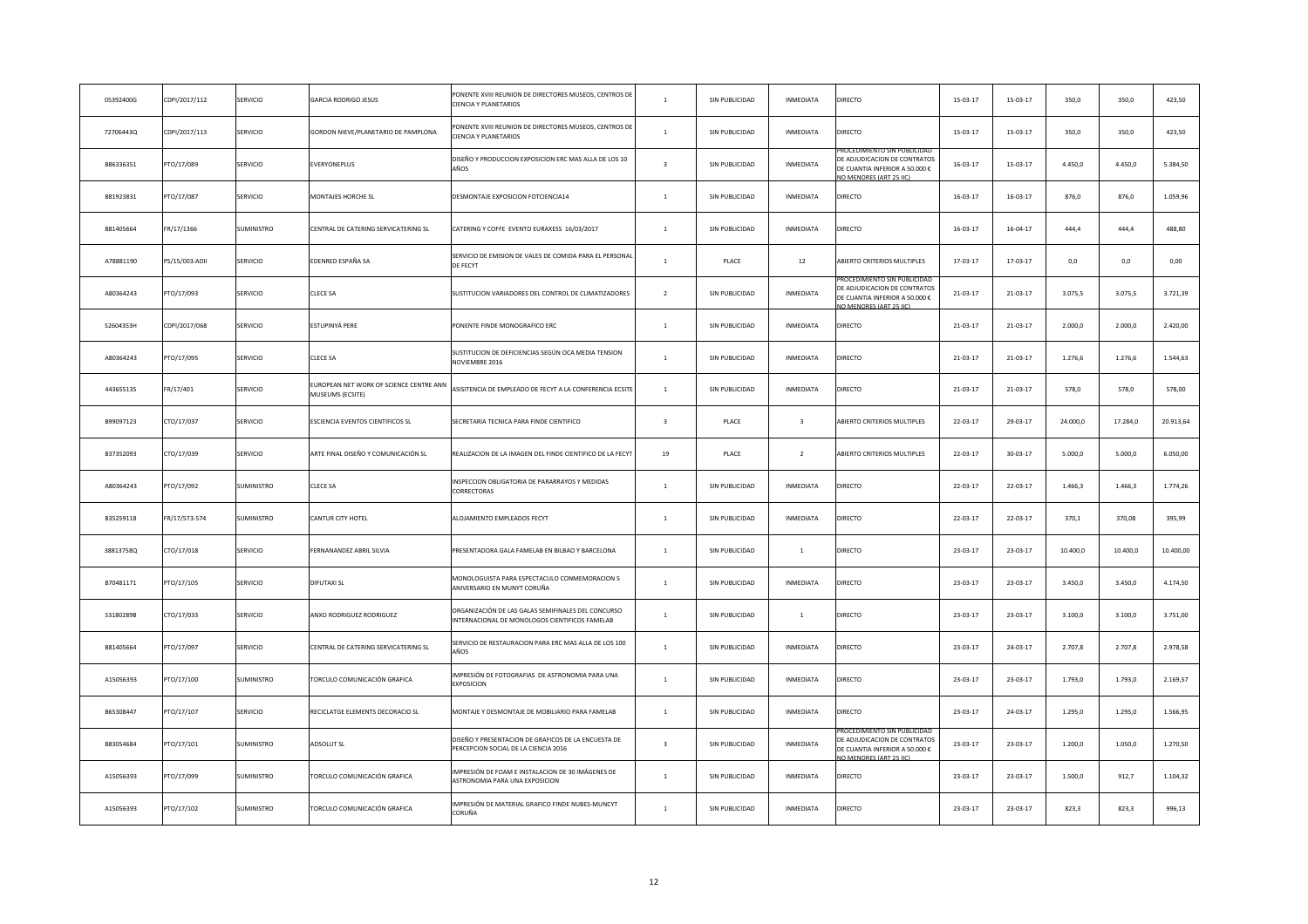| 05392400G | CDPI/2017/112  | SERVICIO          | GARCIA RODRIGO JESUS                                       | PONENTE XVIII REUNION DE DIRECTORES MUSEOS, CENTROS DE<br><b>CIENCIA Y PLANETARIOS</b>               | $\overline{1}$          | SIN PUBLICIDAD | INMEDIATA               | DIRECTO                                                                                                                | 15-03-17       | 15-03-17       | 350,0    | 350,0    | 423,50    |
|-----------|----------------|-------------------|------------------------------------------------------------|------------------------------------------------------------------------------------------------------|-------------------------|----------------|-------------------------|------------------------------------------------------------------------------------------------------------------------|----------------|----------------|----------|----------|-----------|
| 72706443Q | CDPI/2017/113  | SERVICIO          | GORDON NIEVE/PLANETARIO DE PAMPLONA                        | PONENTE XVIII REUNION DE DIRECTORES MUSEOS, CENTROS DE<br><b>CIENCIA Y PLANETARIOS</b>               | $\mathbf{1}$            | SIN PUBLICIDAD | INMEDIATA               | DIRECTO                                                                                                                | $15 - 03 - 17$ | $15 - 03 - 17$ | 350,0    | 350,0    | 423,50    |
| B86336351 | PTO/17/089     | SERVICIO          | EVERYONEPLUS                                               | DISEÑO Y PRODUCCION EXPOSICION ERC MAS ALLA DE LOS 10<br>AÑOS                                        | $\overline{\mathbf{3}}$ | SIN PUBLICIDAD | INMEDIATA               | ROCEDIMIENTO SIN PUBLICIDA<br>DE ADJUDICACION DE CONTRATOS<br>DE CUANTIA INFERIOR A 50.000 €<br>O MENORES (ART 25 IIC) | $16 - 03 - 17$ | 15-03-17       | 4.450,0  | 4.450,0  | 5.384,50  |
| B81923831 | PTO/17/087     | SERVICIO          | MONTAJES HORCHE SL                                         | DESMONTAJE EXPOSICION FOTCIENCIA14                                                                   | $\mathbf{1}$            | SIN PUBLICIDAD | INMEDIATA               | DIRECTO                                                                                                                | $16 - 03 - 17$ | $16 - 03 - 17$ | 876,0    | 876,0    | 1.059,96  |
| B81405664 | FR/17/1366     | SUMINISTRO        | CENTRAL DE CATERING SERVICATERING SL                       | CATERING Y COFFE EVENTO EURAXESS 16/03/2017                                                          | $\mathbf{1}$            | SIN PUBLICIDAD | INMEDIATA               | DIRECTO                                                                                                                | $16 - 03 - 17$ | $16 - 04 - 17$ | 444,4    | 444,4    | 488,80    |
| A78881190 | PS/15/003-ADII | SERVICIO          | EDENRED ESPAÑA SA                                          | SERVICIO DE EMISION DE VALES DE COMIDA PARA EL PERSONAL<br>DE FECYT                                  | $\overline{1}$          | PLACE          | 12                      | ABIERTO CRITERIOS MULTIPLES                                                                                            | 17-03-17       | 17-03-17       | 0,0      | 0,0      | 0,00      |
| A80364243 | PTO/17/093     | SERVICIO          | CLECE SA                                                   | SUSTITUCION VARIADORES DEL CONTROL DE CLIMATIZADORES                                                 | $\overline{2}$          | SIN PUBLICIDAD | INMEDIATA               | E ADJUDICACION DE CONTRATOS<br>DE CUANTIA INFERIOR A 50.000 €<br>O MENORES (ART 25 LC)                                 | 21-03-17       | $21 - 03 - 17$ | 3.075,5  | 3.075,5  | 3.721,39  |
| 52604353H | CDPI/2017/068  | <b>SERVICIO</b>   | ESTUPINYÁ PERE                                             | PONENTE FINDE MONOGRAFICO ERC                                                                        | $\mathbf{1}$            | SIN PUBLICIDAD | INMEDIATA               | DIRECTO                                                                                                                | 21-03-17       | 21-03-17       | 2.000,0  | 2.000,0  | 2.420,00  |
| A80364243 | PTO/17/095     | SERVICIO          | CLECE SA                                                   | SUSTITUCION DE DEFICIENCIAS SEGÚN OCA MEDIA TENSION<br>NOVIEMBRE 2016                                | $\,$ 1 $\,$             | SIN PUBLICIDAD | INMEDIATA               | DIRECTO                                                                                                                | $21 - 03 - 17$ | 21-03-17       | 1.276,6  | 1.276,6  | 1.544,63  |
| 443655135 | FR/17/401      | SERVICIO          | UROPEAN NET WORK OF SCIENCE CENTRE ANN<br>MUSEUMS (ECSITE) | ASISITENCIA DE EMPLEADO DE FECYT A LA CONFERENCIA ECSITE                                             | $\mathbf{1}$            | SIN PUBLICIDAD | INMEDIATA               | DIRECTO                                                                                                                | 21-03-17       | 21-03-17       | 578,0    | 578,0    | 578,00    |
| B99097123 | CTO/17/037     | SERVICIO          | <b>ESCIENCIA EVENTOS CIENTIFICOS SL</b>                    | SECRETARIA TECNICA PARA FINDE CIENTIFICO                                                             | $\overline{\mathbf{3}}$ | PLACE          | $\overline{\mathbf{3}}$ | ABIERTO CRITERIOS MULTIPLES                                                                                            | 22-03-17       | 29-03-17       | 24.000,0 | 17.284,0 | 20.913,64 |
| B37352093 | CTO/17/039     | SERVICIO          | ARTE FINAL DISEÑO Y COMUNICACIÓN SL                        | REALIZACION DE LA IMAGEN DEL FINDE CIENTIFICO DE LA FECYT                                            | 19                      | PLACE          | $\overline{2}$          | ABIERTO CRITERIOS MULTIPLES                                                                                            | 22-03-17       | 30-03-17       | 5.000,0  | 5.000,0  | 6.050,00  |
| A80364243 | PTO/17/092     | <b>SUMINISTRO</b> | CLECE SA                                                   | INSPECCION OBLIGATORIA DE PARARRAYOS Y MEDIDAS<br>CORRECTORAS                                        | $1$ $\,$                | SIN PUBLICIDAD | <b>INMEDIATA</b>        | DIRECTO                                                                                                                | 22-03-17       | 22-03-17       | 1.466,3  | 1.466,3  | 1.774,26  |
| B35259118 | FR/17/573-574  | <b>SUMINISTRO</b> | CANTUR CITY HOTEL                                          | ALOJAMIENTO EMPLEADOS FECYT                                                                          | $\mathbf{1}$            | SIN PUBLICIDAD | <b>INMEDIATA</b>        | DIRECTO                                                                                                                | 22-03-17       | 22-03-17       | 370,1    | 370,08   | 395,99    |
| 38813758Q | CTO/17/018     | <b>SERVICIO</b>   | ERNANANDEZ ABRIL SILVIA                                    | PRESENTADORA GALA FAMELAB EN BILBAO Y BARCELONA                                                      | $\mathbf{1}$            | SIN PUBLICIDAD | <sup>1</sup>            | <b>DIRECTO</b>                                                                                                         | 23-03-17       | 23-03-17       | 10.400,0 | 10,400.0 | 10.400,00 |
| B70481171 | PTO/17/105     | SERVICIO          | <b>DIFUTAXI SL</b>                                         | MONOLOGUISTA PARA ESPECTACULO CONMEMORACION 5<br>ANIVERSARIO EN MUNYT CORUÑA                         | $\mathbf{1}$            | SIN PUBLICIDAD | <b>INMEDIATA</b>        | DIRECTO                                                                                                                | 23-03-17       | 23-03-17       | 3.450,0  | 3.450,0  | 4.174,50  |
| 53180289B | CTO/17/033     | SERVICIO          | ANXO RODRIGUEZ RODRIGUEZ                                   | ORGANIZACIÓN DE LAS GALAS SEMIFINALES DEL CONCURSO<br>INTERNACIONAL DE MONOLOGOS CIENTIFICOS FAMELAB | $\mathbf{1}$            | SIN PUBLICIDAD | $\overline{1}$          | DIRECTO                                                                                                                | $23 - 03 - 17$ | 23-03-17       | 3.100,0  | 3.100,0  | 3.751,00  |
| B81405664 | PTO/17/097     | SERVICIO          | CENTRAL DE CATERING SERVICATERING SL                       | SERVICIO DE RESTAURACION PARA ERC MAS ALLA DE LOS 100<br>AÑOS                                        | $\mathbf{1}$            | SIN PUBLICIDAD | INMEDIATA               | DIRECTO                                                                                                                | 23-03-17       | 24-03-17       | 2.707,8  | 2.707,8  | 2.978,58  |
| A15056393 | PTO/17/100     | SUMINISTRO        | FORCULO COMUNICACIÓN GRAFICA                               | IMPRESIÓN DE FOTOGRAFIAS DE ASTRONOMIA PARA UNA<br><b>EXPOSICION</b>                                 | $\overline{1}$          | SIN PUBLICIDAD | <b>INMEDIATA</b>        | DIRECTO                                                                                                                | 23-03-17       | 23-03-17       | 1.793,0  | 1,793.0  | 2.169,57  |
| B65308447 | PTO/17/107     | SERVICIO          | RECICLATGE ELEMENTS DECORACIO SL                           | MONTAJE Y DESMONTAJE DE MOBILIARIO PARA FAMELAB                                                      | $\overline{1}$          | SIN PUBLICIDAD | INMEDIATA               | DIRECTO                                                                                                                | 23-03-17       | 24-03-17       | 1.295,0  | 1.295,0  | 1.566,95  |
| B83054684 | PTO/17/101     | SUMINISTRO        | ADSOLUT SL                                                 | DISEÑO Y PRESENTACION DE GRAFICOS DE LA ENCUESTA DE<br>PERCEPCION SOCIAL DE LA CIENCIA 2016          | $\overline{\mathbf{3}}$ | SIN PUBLICIDAD | INMEDIATA               | DE ADJUDICACION DE CONTRATO:<br>DE CUANTIA INFERIOR A 50.000 €<br>O MENORES (ART 25 IIC)                               | 23-03-17       | 23-03-17       | 1.200,0  | 1.050,0  | 1.270,50  |
| A15056393 | PTO/17/099     | SUMINISTRO        | <b>FORCULO COMUNICACIÓN GRAFICA</b>                        | MPRESIÓN DE FOAM E INSTALACION DE 30 IMÁGENES DE<br>ASTRONOMIA PARA UNA EXPOSICION                   | $\overline{1}$          | SIN PUBLICIDAD | INMEDIATA               | DIRECTO                                                                                                                | 23-03-17       | 23-03-17       | 1.500,0  | 912,7    | 1.104,32  |
| A15056393 | PTO/17/102     | SUMINISTRO        | TORCULO COMUNICACIÓN GRAFICA                               | IMPRESIÓN DE MATERIAL GRAFICO FINDE NUBES-MUNCYT<br>CORUÑA                                           | $\mathbf{1}$            | SIN PUBLICIDAD | <b>INMEDIATA</b>        | DIRECTO                                                                                                                | 23-03-17       | 23-03-17       | 823,3    | 823,3    | 996,13    |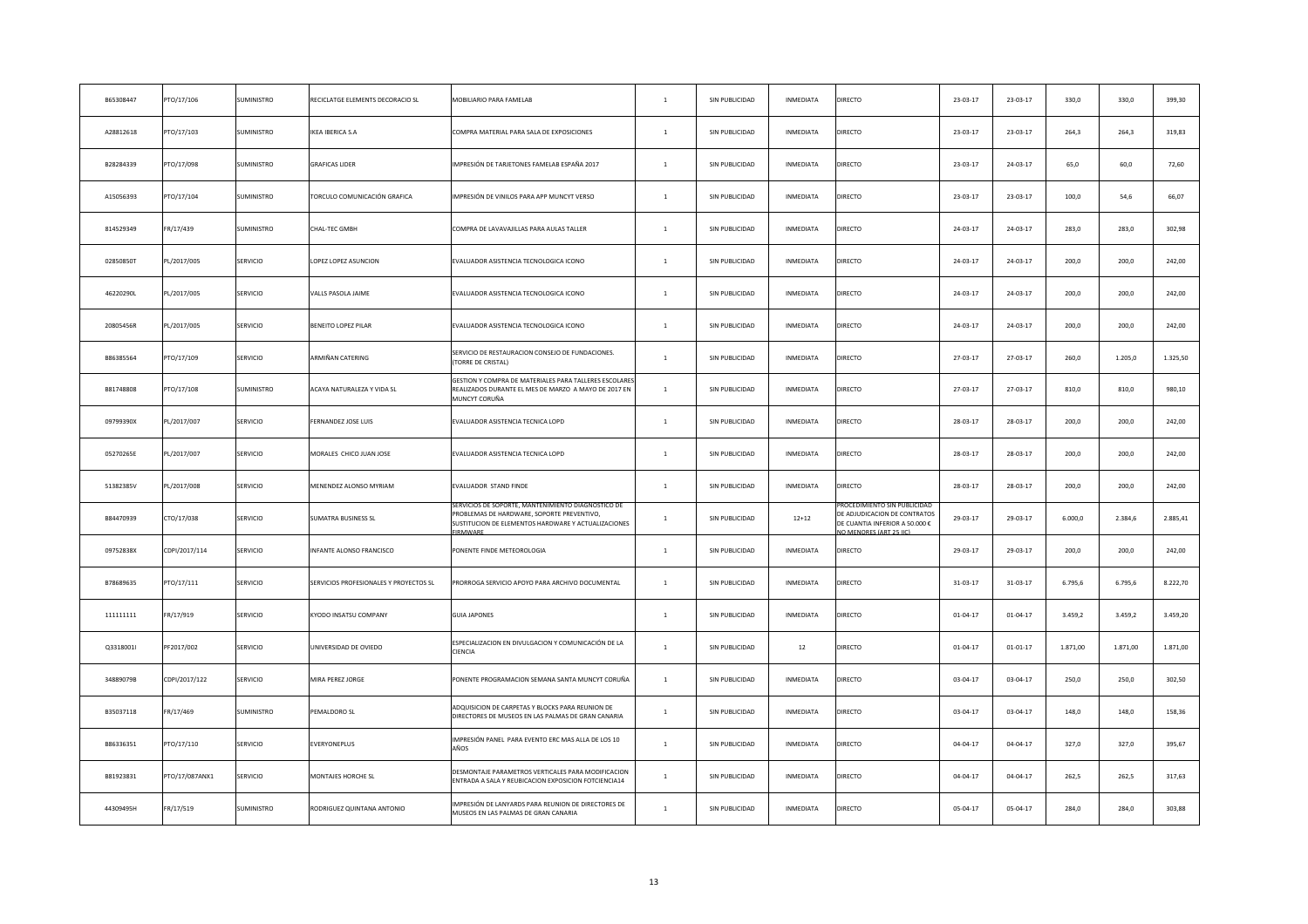| B65308447 | PTO/17/106     | SUMINISTRO        | RECICLATGE ELEMENTS DECORACIO SL       | MOBILIARIO PARA FAMELAB                                                                                                                                                  | $\mathbf{1}$   | SIN PUBLICIDAD | INMEDIATA        | DIRECTO                                                                                                              | 23-03-17       | 23-03-17       | 330,0    | 330,0    | 399,30   |
|-----------|----------------|-------------------|----------------------------------------|--------------------------------------------------------------------------------------------------------------------------------------------------------------------------|----------------|----------------|------------------|----------------------------------------------------------------------------------------------------------------------|----------------|----------------|----------|----------|----------|
| A28812618 | PTO/17/103     | SUMINISTRO        | IKEA IBERICA S.A                       | COMPRA MATERIAL PARA SALA DE EXPOSICIONES                                                                                                                                | $\mathbf{1}$   | SIN PUBLICIDAD | INMEDIATA        | DIRECTO                                                                                                              | 23-03-17       | 23-03-17       | 264,3    | 264,3    | 319,83   |
| B28284339 | PTO/17/098     | SUMINISTRO        | <b>GRAFICAS LIDER</b>                  | IMPRESIÓN DE TARJETONES FAMELAB ESPAÑA 2017                                                                                                                              | $\mathbf{1}$   | SIN PUBLICIDAD | INMEDIATA        | DIRECTO                                                                                                              | 23-03-17       | 24-03-17       | 65,0     | 60,0     | 72,60    |
| A15056393 | PTO/17/104     | SUMINISTRO        | TORCULO COMUNICACIÓN GRAFICA           | IMPRESIÓN DE VINILOS PARA APP MUNCYT VERSO                                                                                                                               | $\mathbf{1}$   | SIN PUBLICIDAD | INMEDIATA        | DIRECTO                                                                                                              | 23-03-17       | 23-03-17       | 100,0    | 54,6     | 66,07    |
| 814529349 | FR/17/439      | SUMINISTRO        | CHAL-TEC GMBH                          | COMPRA DE LAVAVAJILLAS PARA AULAS TALLER                                                                                                                                 | $\,$ 1 $\,$    | SIN PUBLICIDAD | INMEDIATA        | DIRECTO                                                                                                              | 24-03-17       | 24-03-17       | 283,0    | 283,0    | 302,98   |
| 02850850T | PL/2017/005    | SERVICIO          | OPEZ LOPEZ ASUNCION                    | EVALUADOR ASISTENCIA TECNOLOGICA ICONO                                                                                                                                   | $\mathbf{1}$   | SIN PUBLICIDAD | INMEDIATA        | DIRECTO                                                                                                              | 24-03-17       | 24-03-17       | 200,0    | 200,0    | 242,00   |
| 46220290L | PL/2017/005    | SERVICIO          | ALLS PASOLA JAIME                      | EVALUADOR ASISTENCIA TECNOLOGICA ICONO                                                                                                                                   | $\mathbf{1}$   | SIN PUBLICIDAD | INMEDIATA        | DIRECTO                                                                                                              | 24-03-17       | 24-03-17       | 200,0    | 200,0    | 242,00   |
| 20805456R | PL/2017/005    | SERVICIO          | <b>BENEITO LOPEZ PILAR</b>             | EVALUADOR ASISTENCIA TECNOLOGICA ICONO                                                                                                                                   | $\mathbf{1}$   | SIN PUBLICIDAD | INMEDIATA        | DIRECTO                                                                                                              | 24-03-17       | 24-03-17       | 200,0    | 200,0    | 242,00   |
| B86385564 | PTO/17/109     | SERVICIO          | ARMIÑAN CATERING                       | SERVICIO DE RESTAURACION CONSEJO DE FUNDACIONES.<br>(TORRE DE CRISTAL)                                                                                                   | $\mathbf{1}$   | SIN PUBLICIDAD | INMEDIATA        | DIRECTO                                                                                                              | 27-03-17       | 27-03-17       | 260,0    | 1.205,0  | 1.325,50 |
| B81748808 | PTO/17/108     | SUMINISTRO        | ACAYA NATURALEZA Y VIDA SL             | GESTION Y COMPRA DE MATERIALES PARA TALLERES ESCOLARE:<br>REALIZADOS DURANTE EL MES DE MARZO A MAYO DE 2017 EN<br>MUNCYT CORUÑA                                          | $\mathbf{1}$   | SIN PUBLICIDAD | INMEDIATA        | DIRECTO                                                                                                              | 27-03-17       | 27-03-17       | 810,0    | 810,0    | 980,10   |
| 09799390X | PL/2017/007    | SERVICIO          | ERNANDEZ JOSE LUIS                     | EVALUADOR ASISTENCIA TECNICA LOPD                                                                                                                                        | $\mathbf{1}$   | SIN PUBLICIDAD | INMEDIATA        | DIRECTO                                                                                                              | 28-03-17       | 28-03-17       | 200,0    | 200,0    | 242,00   |
| 05270265E | PL/2017/007    | SERVICIO          | MORALES CHICO JUAN JOSE                | EVALUADOR ASISTENCIA TECNICA LOPD                                                                                                                                        | $\mathbf{1}$   | SIN PUBLICIDAD | INMEDIATA        | DIRECTO                                                                                                              | 28-03-17       | 28-03-17       | 200,0    | 200.0    | 242,00   |
| 51382385V | PL/2017/008    | SERVICIO          | MENENDEZ ALONSO MYRIAM                 | EVALUADOR STAND FINDE                                                                                                                                                    | $\mathbf{1}$   | SIN PUBLICIDAD | <b>INMEDIATA</b> | DIRECTO                                                                                                              | 28-03-17       | 28-03-17       | 200,0    | 200,0    | 242,00   |
| B84470939 | CTO/17/038     | SERVICIO          | SUMATRA BUSINESS SL                    | SERVICIOS DE SOPORTE, MANTENIMIENTO DIAGNOSTICO DE<br>PROBLEMAS DE HARDWARE, SOPORTE PREVENTIVO,<br>SUSTITUCION DE ELEMENTOS HARDWARE Y ACTUALIZACIONES<br><b>IRMWAR</b> | $\mathbf{1}$   | SIN PUBLICIDAD | $12 + 12$        | ROCEDIMIENTO SIN PUBLICIDA<br>DE ADJUDICACION DE CONTRATOS<br>DE CUANTIA INFERIOR A 50.000 €<br>O MENORES (ART 25 HC | 29-03-17       | 29-03-17       | 6.000,0  | 2.384,6  | 2.885,41 |
| 09752838X | CDPI/2017/114  | SERVICIO          | NFANTE ALONSO FRANCISCO                | PONENTE FINDE METEOROLOGIA                                                                                                                                               | $\mathbf{1}$   | SIN PUBLICIDAD | INMEDIATA        | DIRECTO                                                                                                              | 29-03-17       | 29-03-17       | 200,0    | 200,0    | 242,00   |
| B78689635 | PTO/17/111     | SERVICIO          | SERVICIOS PROFESIONALES Y PROYECTOS SL | PRORROGA SERVICIO APOYO PARA ARCHIVO DOCUMENTAL                                                                                                                          | $\mathbf{1}$   | SIN PUBLICIDAD | INMEDIATA        | DIRECTO                                                                                                              | $31 - 03 - 17$ | 31-03-17       | 6.795,6  | 6.795,6  | 8.222,70 |
| 111111111 | FR/17/919      | SERVICIO          | <b>YODO INSATSU COMPANY</b>            | <b>GUIA JAPONES</b>                                                                                                                                                      | $\overline{1}$ | SIN PUBLICIDAD | INMEDIATA        | DIRECTO                                                                                                              | $01 - 04 - 17$ | $01 - 04 - 17$ | 3.459,2  | 3.459,2  | 3.459,20 |
| Q3318001l | PF2017/002     | SERVICIO          | JNIVERSIDAD DE OVIEDO                  | ESPECIALIZACION EN DIVULGACION Y COMUNICACIÓN DE LA<br>CIENCIA                                                                                                           | $\mathbf{1}$   | SIN PUBLICIDAD | $12\,$           | DIRECTO                                                                                                              | 01-04-17       | $01 - 01 - 17$ | 1.871,00 | 1.871,00 | 1.871,00 |
| 34889079B | CDPI/2017/122  | <b>SERVICIO</b>   | MIRA PEREZ JORGE                       | PONENTE PROGRAMACION SEMANA SANTA MUNCYT CORUÑA                                                                                                                          | $\overline{1}$ | SIN PUBLICIDAD | <b>INMEDIATA</b> | DIRECTO                                                                                                              | 03-04-17       | 03-04-17       | 250,0    | 250,0    | 302,50   |
| B35037118 | FR/17/469      | <b>SUMINISTRO</b> | PEMALDORO SL                           | ADQUISICION DE CARPETAS Y BLOCKS PARA REUNION DE<br>DIRECTORES DE MUSEOS EN LAS PALMAS DE GRAN CANARIA                                                                   | $\mathbf{1}$   | SIN PUBLICIDAD | INMEDIATA        | DIRECTO                                                                                                              | 03-04-17       | 03-04-17       | 148,0    | 148,0    | 158,36   |
| B86336351 | PTO/17/110     | SERVICIO          | EVERYONEPLUS                           | IMPRESIÓN PANEL PARA EVENTO ERC MAS ALLA DE LOS 10<br>AÑOS                                                                                                               | $1\,$          | SIN PUBLICIDAD | <b>INMEDIATA</b> | DIRECTO                                                                                                              | $04 - 04 - 17$ | $04 - 04 - 17$ | 327,0    | 327,0    | 395,67   |
| B81923831 | PTO/17/087ANX1 | SERVICIO          | MONTAJES HORCHE SL                     | DESMONTAJE PARAMETROS VERTICALES PARA MODIFICACION<br>ENTRADA A SALA Y REUBICACION EXPOSICION FOTCIENCIA14                                                               | $\mathbf{1}$   | SIN PUBLICIDAD | INMEDIATA        | DIRECTO                                                                                                              | 04-04-17       | 04-04-17       | 262,5    | 262,5    | 317,63   |
| 44309495H | FR/17/519      | SUMINISTRO        | RODRIGUEZ QUINTANA ANTONIO             | IMPRESIÓN DE LANYARDS PARA REUNION DE DIRECTORES DE<br>MUSEOS EN LAS PALMAS DE GRAN CANARIA                                                                              | $\mathbf{1}$   | SIN PUBLICIDAD | <b>INMEDIATA</b> | DIRECTO                                                                                                              | 05-04-17       | 05-04-17       | 284.0    | 284.0    | 303,88   |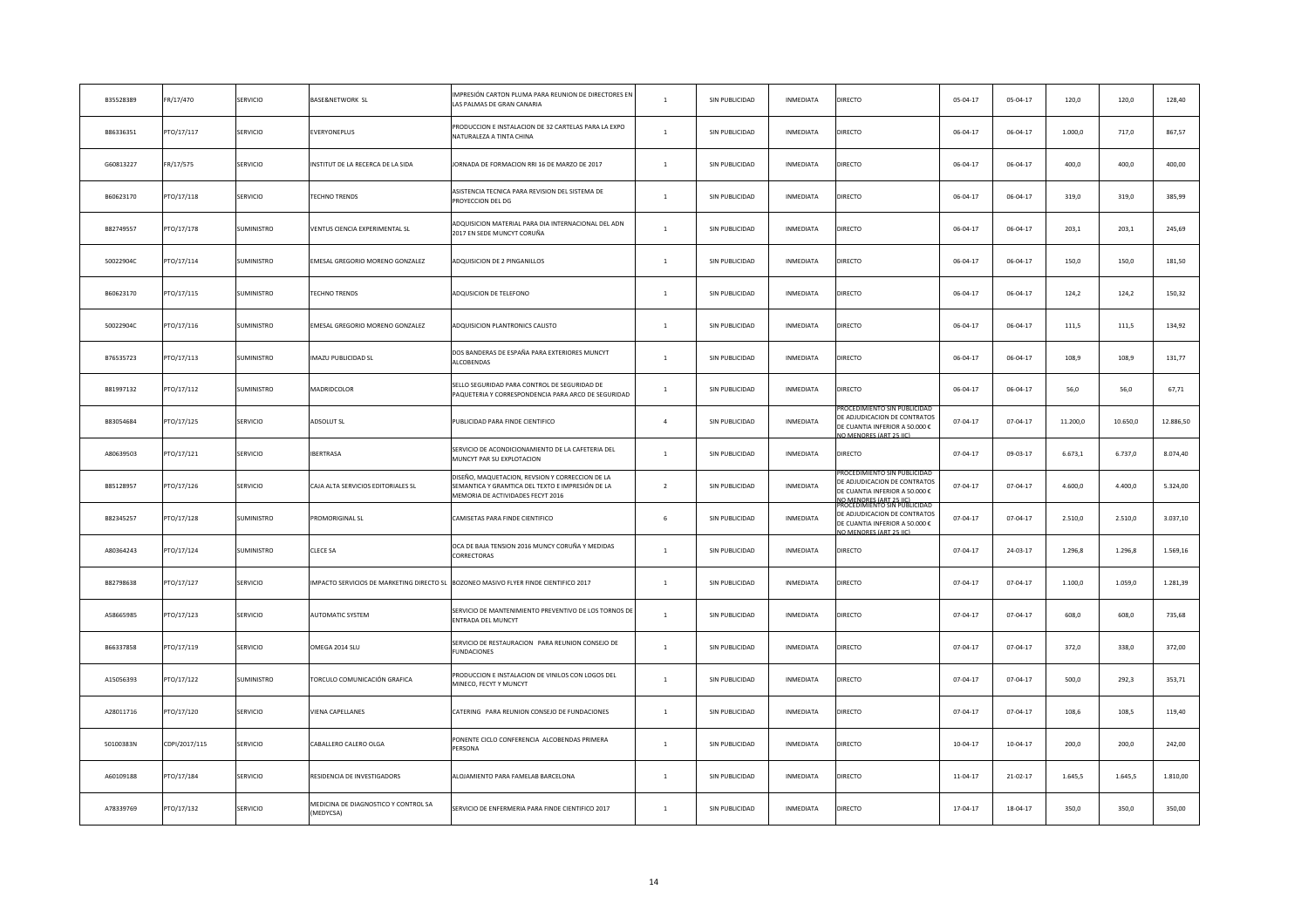| B35528389 | FR/17/470     | SERVICIO        | BASE&NETWORK SL                                  | MPRESIÓN CARTON PLUMA PARA REUNION DE DIRECTORES EN<br>LAS PALMAS DE GRAN CANARIA                                                        | $\overline{1}$ | SIN PUBLICIDAD | INMEDIATA | DIRECTO                                                                                                                                         | 05-04-17       | 05-04-17       | 120,0    | 120,0    | 128,40    |
|-----------|---------------|-----------------|--------------------------------------------------|------------------------------------------------------------------------------------------------------------------------------------------|----------------|----------------|-----------|-------------------------------------------------------------------------------------------------------------------------------------------------|----------------|----------------|----------|----------|-----------|
| B86336351 | PTO/17/117    | SERVICIO        | EVERYONEPLUS                                     | PRODUCCION E INSTALACION DE 32 CARTELAS PARA LA EXPO<br>NATURALEZA A TINTA CHINA                                                         | $\overline{1}$ | SIN PUBLICIDAD | INMEDIATA | DIRECTO                                                                                                                                         | 06-04-17       | 06-04-17       | 1.000,0  | 717,0    | 867,57    |
| G60813227 | FR/17/575     | SERVICIO        | NSTITUT DE LA RECERCA DE LA SIDA                 | JORNADA DE FORMACION RRI 16 DE MARZO DE 2017                                                                                             | $\mathbf{1}$   | SIN PUBLICIDAD | INMEDIATA | DIRECTO                                                                                                                                         | 06-04-17       | $06 - 04 - 17$ | 400,0    | 400,0    | 400,00    |
| B60623170 | PTO/17/118    | SERVICIO        | <b>FECHNO TRENDS</b>                             | ASISTENCIA TECNICA PARA REVISION DEL SISTEMA DE<br>PROYECCION DEL DG                                                                     | $\,1\,$        | SIN PUBLICIDAD | INMEDIATA | DIRECTO                                                                                                                                         | 06-04-17       | $06 - 04 - 17$ | 319,0    | 319,0    | 385,99    |
| B82749557 | PTO/17/178    | SUMINISTRO      | <b>/ENTUS CIENCIA EXPERIMENTAL SL</b>            | ADQUISICION MATERIAL PARA DIA INTERNACIONAL DEL ADN<br>2017 EN SEDE MUNCYT CORUÑA                                                        | $\,1\,$        | SIN PUBLICIDAD | INMEDIATA | DIRECTO                                                                                                                                         | $06 - 04 - 17$ | $06 - 04 - 17$ | 203,1    | 203,1    | 245,69    |
| 50022904C | PTO/17/114    | SUMINISTRO      | MESAL GREGORIO MORENO GONZALEZ                   | ADQUISICION DE 2 PINGANILLOS                                                                                                             | $\mathbf{1}$   | SIN PUBLICIDAD | INMEDIATA | DIRECTO                                                                                                                                         | $06 - 04 - 17$ | 06-04-17       | 150,0    | 150,0    | 181,50    |
| B60623170 | PTO/17/115    | SUMINISTRO      | <b>FECHNO TRENDS</b>                             | ADQUSICION DE TELEFONO                                                                                                                   | $\mathbf{1}$   | SIN PUBLICIDAD | INMEDIATA | DIRECTO                                                                                                                                         | 06-04-17       | 06-04-17       | 124,2    | 124,2    | 150,32    |
| 50022904C | PTO/17/116    | SUMINISTRO      | EMESAL GREGORIO MORENO GONZALEZ                  | ADQUISICION PLANTRONICS CALISTO                                                                                                          | $\mathbf{1}$   | SIN PUBLICIDAD | INMEDIATA | DIRECTO                                                                                                                                         | 06-04-17       | 06-04-17       | 111,5    | 111,5    | 134,92    |
| B76535723 | PTO/17/113    | SUMINISTRO      | MAZU PUBLICIDAD SL                               | DOS BANDERAS DE ESPAÑA PARA EXTERIORES MUNCYT<br>ALCOBENDAS                                                                              | $\mathbf{1}$   | SIN PUBLICIDAD | INMEDIATA | DIRECTO                                                                                                                                         | $06 - 04 - 17$ | 06-04-17       | 108,9    | 108,9    | 131,77    |
| B81997132 | PTO/17/112    | SUMINISTRO      | MADRIDCOLOR                                      | SELLO SEGURIDAD PARA CONTROL DE SEGURIDAD DE<br>PAQUETERIA Y CORRESPONDENCIA PARA ARCO DE SEGURIDAD                                      | $\mathbf{1}$   | SIN PUBLICIDAD | INMEDIATA | DIRECTO                                                                                                                                         | 06-04-17       | $06 - 04 - 17$ | 56,0     | 56,0     | 67,71     |
| B83054684 | PTO/17/125    | SERVICIO        | ADSOLUT SL                                       | PUBLICIDAD PARA FINDE CIENTIFICO                                                                                                         | $\overline{a}$ | SIN PUBLICIDAD | INMEDIATA | ROCEDIMIENTO SIN PUBLICIDA<br>DE ADJUDICACION DE CONTRATOS<br>DE CUANTIA INFERIOR A 50.000 €<br>O MENORES (ART 25 LC)                           | $07 - 04 - 17$ | 07-04-17       | 11,200.0 | 10.650,0 | 12.886,50 |
| A80639503 | PTO/17/121    | SERVICIO        | <b>IBERTRASA</b>                                 | SERVICIO DE ACONDICIONAMIENTO DE LA CAFETERIA DEL<br>MUNCYT PAR SU EXPLOTACION                                                           | $\overline{1}$ | SIN PUBLICIDAD | INMEDIATA | DIRECTO                                                                                                                                         | 07-04-17       | 09-03-17       | 6.673,1  | 6.737,0  | 8.074,40  |
| B85128957 | PTO/17/126    | SERVICIO        | CAJA ALTA SERVICIOS EDITORIALES SL               | DISEÑO, MAQUETACION, REVSION Y CORRECCION DE LA<br>SEMANTICA Y GRAMTICA DEL TEXTO E IMPRESIÓN DE LA<br>MEMORIA DE ACTIVIDADES FECYT 2016 | $\overline{2}$ | SIN PUBLICIDAD | INMEDIATA | ROCEDIMIENTO SIN PUBLICI<br>DE ADJUDICACION DE CONTRATOS<br>DE CUANTIA INFERIOR A 50.000 €                                                      | 07-04-17       | 07-04-17       | 4.600,0  | 4.400,0  | 5.324,00  |
| B82345257 | PTO/17/128    | SUMINISTRO      | <b>PROMORIGINAL SL</b>                           | CAMISETAS PARA FINDE CIENTIFICO                                                                                                          | 6              | SIN PUBLICIDAD | INMEDIATA | IO MENORES (ART 25 HG)<br>ROCEDIMIENTO SIN PUBLICIDAL<br>DE ADJUDICACION DE CONTRATOS<br>DE CUANTIA INFERIOR A 50.000 €<br>O MENORES (ART 25 HC | 07-04-17       | 07-04-17       | 2.510,0  | 2.510,0  | 3.037,10  |
| A80364243 | PTO/17/124    | SUMINISTRO      | CLECE SA                                         | OCA DE BAJA TENSION 2016 MUNCY CORUÑA Y MEDIDAS<br>CORRECTORAS                                                                           | $\overline{1}$ | SIN PUBLICIDAD | INMEDIATA | DIRECTO                                                                                                                                         | 07-04-17       | 24-03-17       | 1.296,8  | 1.296,8  | 1.569,16  |
| B82798638 | PTO/17/127    | <b>SERVICIO</b> |                                                  | IMPACTO SERVICIOS DE MARKETING DIRECTO SL BOZONEO MASIVO FLYER FINDE CIENTIFICO 2017                                                     | $\mathbf{1}$   | SIN PUBLICIDAD | INMEDIATA | DIRECTO                                                                                                                                         | 07-04-17       | 07-04-17       | 1.100,0  | 1.059,0  | 1.281,39  |
| A58665985 | PTO/17/123    | SERVICIO        | AUTOMATIC SYSTEM                                 | SERVICIO DE MANTENIMIENTO PREVENTIVO DE LOS TORNOS DE<br>ENTRADA DEL MUNCYT                                                              | $\mathbf{1}$   | SIN PUBLICIDAD | INMEDIATA | DIRECTO                                                                                                                                         | 07-04-17       | $07 - 04 - 17$ | 608,0    | 608,0    | 735,68    |
| B66337858 | PTO/17/119    | SERVICIO        | OMEGA 2014 SLU                                   | SERVICIO DE RESTAURACION PARA REUNION CONSEJO DE<br><b>FUNDACIONES</b>                                                                   | $\overline{1}$ | SIN PUBLICIDAD | INMEDIATA | DIRECTO                                                                                                                                         | $07 - 04 - 17$ | 07-04-17       | 372,0    | 338,0    | 372,00    |
| A15056393 | PTO/17/122    | SUMINISTRO      | <b>FORCULO COMUNICACIÓN GRAFICA</b>              | PRODUCCION E INSTALACION DE VINILOS CON LOGOS DEL<br>MINECO, FECYT Y MUNCYT                                                              | $\mathbf{1}$   | SIN PUBLICIDAD | INMEDIATA | DIRECTO                                                                                                                                         | $07 - 04 - 17$ | $07 - 04 - 17$ | 500,0    | 292,3    | 353,71    |
| A28011716 | PTO/17/120    | SERVICIO        | <b>JIENA CAPELLANES</b>                          | CATERING PARA REUNION CONSEJO DE FUNDACIONES                                                                                             | $\mathbf{1}$   | SIN PUBLICIDAD | INMEDIATA | DIRECTO                                                                                                                                         | $07 - 04 - 17$ | 07-04-17       | 108,6    | 108,5    | 119,40    |
| 50100383N | CDPI/2017/115 | SERVICIO        | CABALLERO CALERO OLGA                            | PONENTE CICLO CONFERENCIA ALCOBENDAS PRIMERA<br>PERSONA                                                                                  | $\mathbf{1}$   | SIN PUBLICIDAD | INMEDIATA | DIRECTO                                                                                                                                         | $10-04-17$     | $10 - 04 - 17$ | 200,0    | 200,0    | 242,00    |
| A60109188 | PTO/17/184    | SERVICIO        | RESIDENCIA DE INVESTIGADORS                      | ALOJAMIENTO PARA FAMELAB BARCELONA                                                                                                       | $\mathbf{1}$   | SIN PUBLICIDAD | INMEDIATA | DIRECTO                                                                                                                                         | $11 - 04 - 17$ | $21 - 02 - 17$ | 1.645,5  | 1.645,5  | 1.810,00  |
| A78339769 | PTO/17/132    | SERVICIO        | MEDICINA DE DIAGNOSTICO Y CONTROL SA<br>MEDYCSA) | SERVICIO DE ENFERMERIA PARA FINDE CIENTIFICO 2017                                                                                        | $\mathbf{1}$   | SIN PUBLICIDAD | INMEDIATA | DIRECTO                                                                                                                                         | 17-04-17       | 18-04-17       | 350,0    | 350,0    | 350,00    |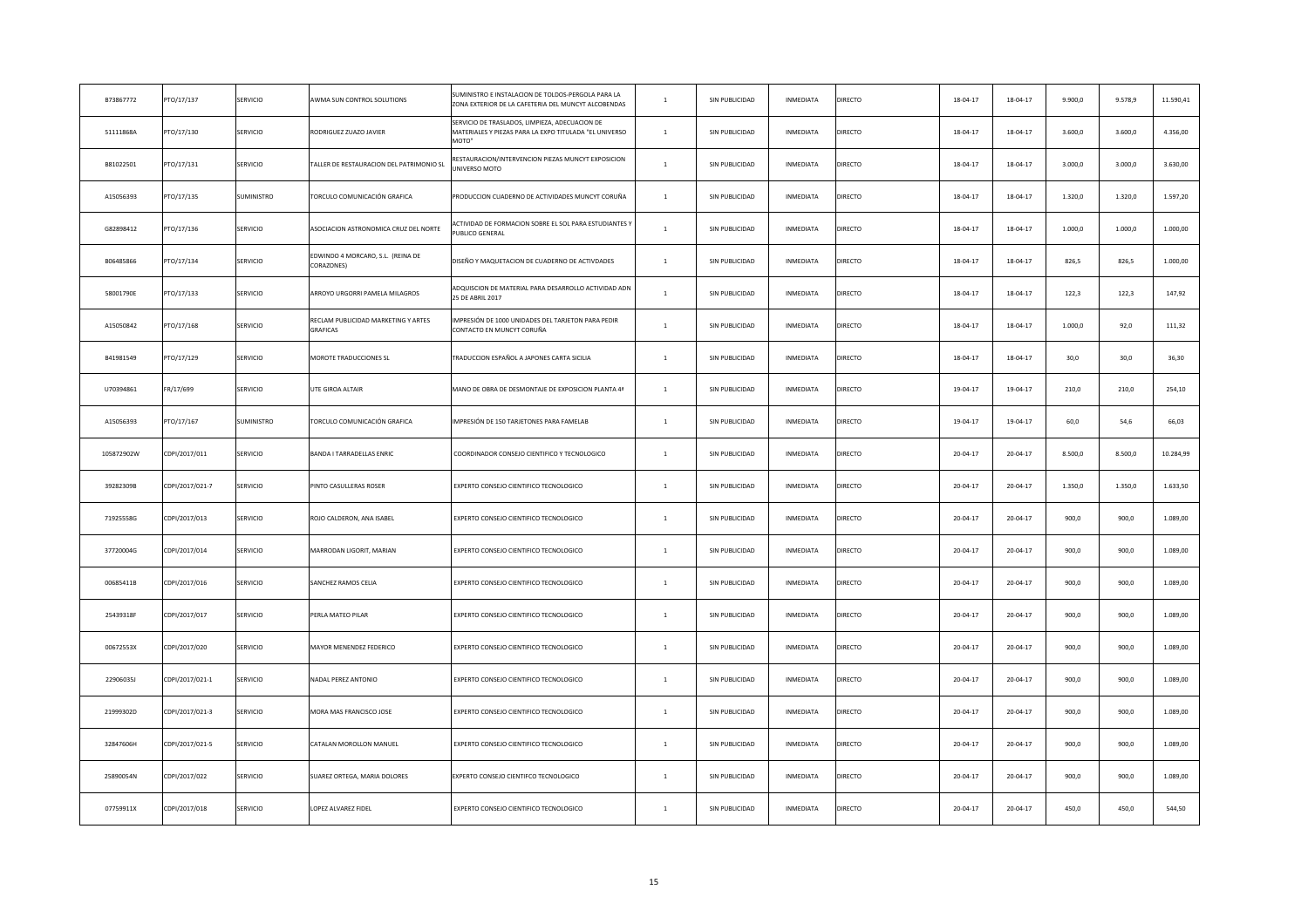| B73867772  | TO/17/137       | SERVICIO   | AWMA SUN CONTROL SOLUTIONS                      | SUMINISTRO E INSTALACION DE TOLDOS-PERGOLA PARA LA<br>ZONA EXTERIOR DE LA CAFETERIA DEL MUNCYT ALCOBENDAS         | $\mathbf{1}$   | SIN PUBLICIDAD | INMEDIATA | DIRECTO        | 18-04-17       | 18-04-17 | 9.900,0 | 9.578,9 | 11.590,41 |
|------------|-----------------|------------|-------------------------------------------------|-------------------------------------------------------------------------------------------------------------------|----------------|----------------|-----------|----------------|----------------|----------|---------|---------|-----------|
| 51111868A  | PTO/17/130      | SERVICIO   | RODRIGUEZ ZUAZO JAVIER                          | SERVICIO DE TRASLADOS, LIMPIEZA, ADECUACION DE<br>MATERIALES Y PIEZAS PARA LA EXPO TITULADA "EL UNIVERSO<br>MOTO" | $\mathbf{1}$   | SIN PUBLICIDAD | INMEDIATA | <b>DIRECTO</b> | 18-04-17       | 18-04-17 | 3.600,0 | 3.600,0 | 4.356,00  |
| B81022501  | PTO/17/131      | SERVICIO   | TALLER DE RESTAURACION DEL PATRIMONIO SL        | RESTAURACION/INTERVENCION PIEZAS MUNCYT EXPOSICION<br>NIVERSO MOTO                                                | $\mathbf{1}$   | SIN PUBLICIDAD | INMEDIATA | DIRECTO        | 18-04-17       | 18-04-17 | 3.000,0 | 3.000,0 | 3.630,00  |
| A15056393  | PTO/17/135      | SUMINISTRO | TORCULO COMUNICACIÓN GRAFICA                    | PRODUCCION CUADERNO DE ACTIVIDADES MUNCYT CORUÑA                                                                  | $\,1\,$        | SIN PUBLICIDAD | INMEDIATA | DIRECTO        | 18-04-17       | 18-04-17 | 1.320,0 | 1.320,0 | 1.597,20  |
| G82898412  | PTO/17/136      | SERVICIO   | ASOCIACION ASTRONOMICA CRUZ DEL NORTE           | CTIVIDAD DE FORMACION SOBRE EL SOL PARA ESTUDIANTES Y<br>UBLICO GENERAL                                           | $\mathbf{1}$   | SIN PUBLICIDAD | INMEDIATA | <b>DIRECTO</b> | 18-04-17       | 18-04-17 | 1.000,0 | 1.000,0 | 1.000,00  |
| B06485866  | PTO/17/134      | SERVICIO   | EDWINDO 4 MORCARO, S.L. (REINA DE<br>CORAZONES) | DISEÑO Y MAQUETACION DE CUADERNO DE ACTIVDADES                                                                    | $\mathbf{1}$   | SIN PUBLICIDAD | INMEDIATA | <b>DIRECTO</b> | 18-04-17       | 18-04-17 | 826,5   | 826,5   | 1.000,00  |
| 58001790E  | PTO/17/133      | SERVICIO   | ARROYO URGORRI PAMELA MILAGROS                  | ADQUISCION DE MATERIAL PARA DESARROLLO ACTIVIDAD ADN<br>25 DE ABRIL 2017                                          | $\mathbf{1}$   | SIN PUBLICIDAD | INMEDIATA | <b>DIRECTO</b> | 18-04-17       | 18-04-17 | 122,3   | 122,3   | 147,92    |
| A15050842  | PTO/17/168      | SERVICIO   | RECLAM PUBLICIDAD MARKETING Y ARTES<br>GRAFICAS | IMPRESIÓN DE 1000 UNIDADES DEL TARJETON PARA PEDIR<br>CONTACTO EN MUNCYT CORUÑA                                   | $\mathbf{1}$   | SIN PUBLICIDAD | INMEDIATA | <b>DIRECTO</b> | 18-04-17       | 18-04-17 | 1.000,0 | 92,0    | 111,32    |
| B41981549  | PTO/17/129      | SERVICIO   | MOROTE TRADUCCIONES SL                          | TRADUCCION ESPAÑOL A JAPONES CARTA SICILIA                                                                        | $\,$ 1 $\,$    | SIN PUBLICIDAD | INMEDIATA | <b>DIRECTO</b> | 18-04-17       | 18-04-17 | 30,0    | 30,0    | 36,30     |
| U70394861  | FR/17/699       | SERVICIO   | UTE GIROA ALTAIR                                | MANO DE OBRA DE DESMONTAJE DE EXPOSICION PLANTA 4ª                                                                | $\mathbf{1}$   | SIN PUBLICIDAD | INMEDIATA | <b>DIRECTO</b> | 19-04-17       | 19-04-17 | 210,0   | 210,0   | 254,10    |
| A15056393  | PTO/17/167      | SUMINISTRO | TORCULO COMUNICACIÓN GRAFICA                    | IMPRESIÓN DE 150 TARJETONES PARA FAMELAB                                                                          | $\mathbf{1}$   | SIN PUBLICIDAD | INMEDIATA | <b>DIRECTO</b> | 19-04-17       | 19-04-17 | 60,0    | 54,6    | 66,03     |
| 105872902W | CDPI/2017/011   | SERVICIO   | BANDA I TARRADELLAS ENRIC                       | COORDINADOR CONSEJO CIENTIFICO Y TECNOLOGICO                                                                      | $\mathbf{1}$   | SIN PUBLICIDAD | INMEDIATA | <b>DIRECTO</b> | $20 - 04 - 17$ | 20-04-17 | 8.500,0 | 8.500,0 | 10.284,99 |
| 39282309B  | CDPI/2017/021-7 | SERVICIO   | PINTO CASULLERAS ROSER                          | EXPERTO CONSEJO CIENTIFICO TECNOLOGICO                                                                            | $\mathbf{1}$   | SIN PUBLICIDAD | INMEDIATA | <b>DIRECTO</b> | 20-04-17       | 20-04-17 | 1.350,0 | 1.350,0 | 1.633,50  |
| 71925558G  | CDPI/2017/013   | SERVICIO   | ROJO CALDERON, ANA ISABEL                       | EXPERTO CONSEJO CIENTIFICO TECNOLOGICO                                                                            | $\mathbf{1}$   | SIN PUBLICIDAD | INMEDIATA | <b>DIRECTO</b> | $20 - 04 - 17$ | 20-04-17 | 900,0   | 900,0   | 1.089,00  |
| 37720004G  | CDPI/2017/014   | SERVICIO   | MARRODAN LIGORIT, MARIAN                        | EXPERTO CONSEJO CIENTIFICO TECNOLOGICO                                                                            | $\mathbf{1}$   | SIN PUBLICIDAD | INMEDIATA | DIRECTO        | 20-04-17       | 20-04-17 | 900,0   | 900,0   | 1.089,00  |
| 00685411B  | CDPI/2017/016   | SERVICIO   | SANCHEZ RAMOS CELIA                             | EXPERTO CONSEJO CIENTIFICO TECNOLOGICO                                                                            | $\mathbf{1}$   | SIN PUBLICIDAD | INMEDIATA | <b>DIRECTO</b> | $20 - 04 - 17$ | 20-04-17 | 900,0   | 900,0   | 1.089,00  |
| 25439318F  | CDPI/2017/017   | SERVICIO   | PERLA MATEO PILAR                               | EXPERTO CONSEJO CIENTIFICO TECNOLOGICO                                                                            | $\mathbf{1}$   | SIN PUBLICIDAD | INMEDIATA | <b>DIRECTO</b> | $20 - 04 - 17$ | 20-04-17 | 900,0   | 900,0   | 1.089,00  |
| 00672553X  | CDPI/2017/020   | SERVICIO   | MAYOR MENENDEZ FEDERICO                         | EXPERTO CONSEJO CIENTIFICO TECNOLOGICO                                                                            | $\mathbf{1}$   | SIN PUBLICIDAD | INMEDIATA | <b>DIRECTO</b> | $20 - 04 - 17$ | 20-04-17 | 900,0   | 900,0   | 1.089,00  |
| 22906035J  | CDPI/2017/021-1 | SERVICIO   | NADAL PEREZ ANTONIO                             | EXPERTO CONSEJO CIENTIFICO TECNOLOGICO                                                                            | $\mathbf{1}$   | SIN PUBLICIDAD | INMEDIATA | <b>DIRECTO</b> | $20 - 04 - 17$ | 20-04-17 | 900,0   | 900,0   | 1.089,00  |
| 21999302D  | CDPI/2017/021-3 | SERVICIO   | MORA MAS FRANCISCO JOSE                         | EXPERTO CONSEJO CIENTIFICO TECNOLOGICO                                                                            | $\mathbf{1}$   | SIN PUBLICIDAD | INMEDIATA | <b>DIRECTO</b> | $20 - 04 - 17$ | 20-04-17 | 900,0   | 900,0   | 1.089,00  |
| 32847606H  | CDPI/2017/021-5 | SERVICIO   | CATALAN MOROLLON MANUEL                         | EXPERTO CONSEJO CIENTIFICO TECNOLOGICO                                                                            | $\mathbf{1}$   | SIN PUBLICIDAD | INMEDIATA | <b>DIRECTO</b> | $20 - 04 - 17$ | 20-04-17 | 900,0   | 900,0   | 1.089,00  |
| 25890054N  | CDPI/2017/022   | SERVICIO   | SUAREZ ORTEGA, MARIA DOLORES                    | EXPERTO CONSEJO CIENTIFCO TECNOLOGICO                                                                             | $\overline{1}$ | SIN PUBLICIDAD | INMEDIATA | <b>DIRECTO</b> | $20 - 04 - 17$ | 20-04-17 | 900,0   | 900,0   | 1.089,00  |
| 07759911X  | CDPI/2017/018   | SERVICIO   | LOPEZ ALVAREZ FIDEL                             | EXPERTO CONSEJO CIENTIFICO TECNOLOGICO                                                                            | $\mathbf{1}$   | SIN PUBLICIDAD | INMEDIATA | <b>DIRECTO</b> | $20 - 04 - 17$ | 20-04-17 | 450,0   | 450.0   | 544,50    |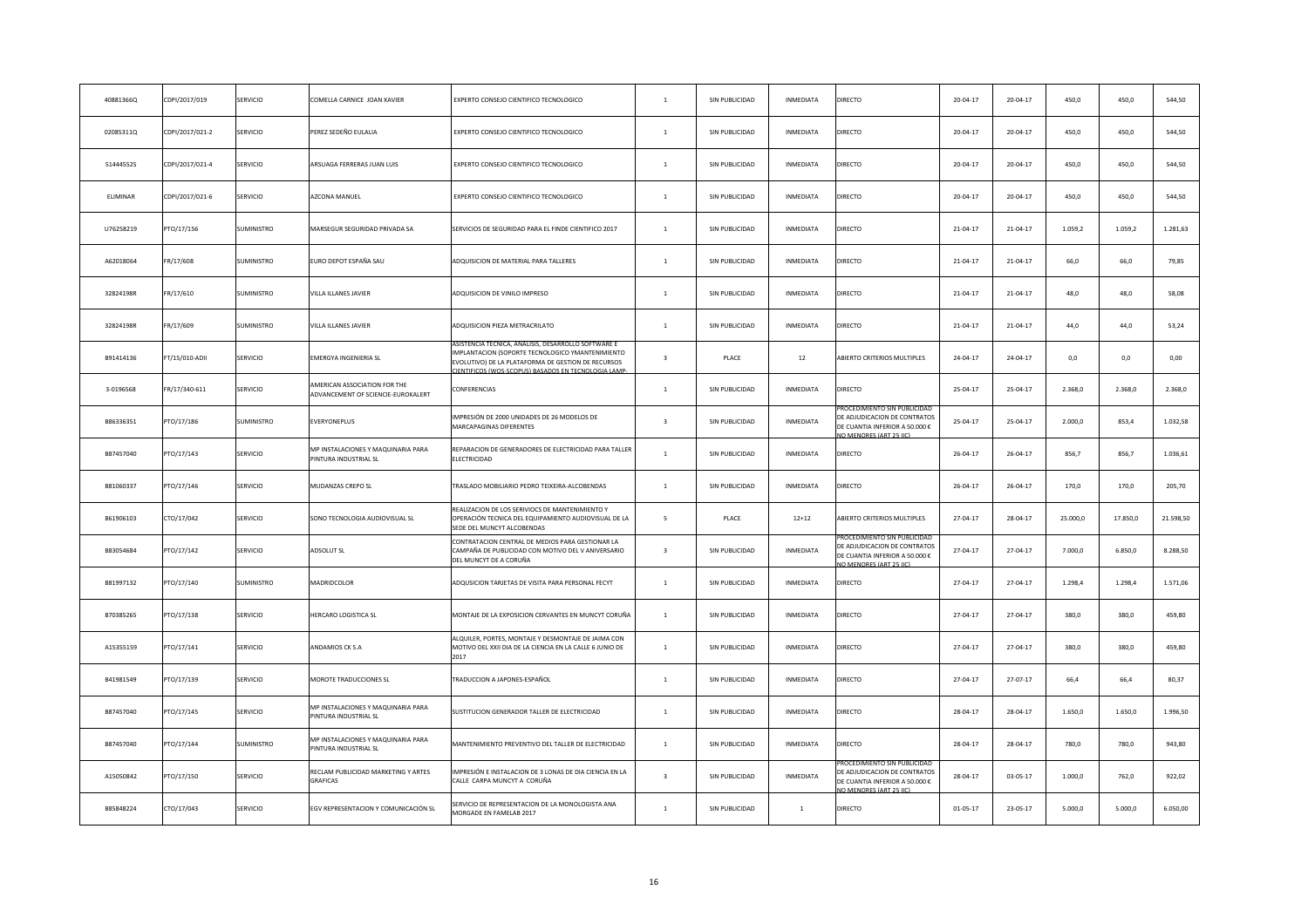| 40881366Q | CDPI/2017/019   | SERVICIO        | COMELLA CARNICE JOAN XAVIER                                        | EXPERTO CONSEJO CIENTIFICO TECNOLOGICO                                                                                                                                                 | $\mathbf{1}$            | SIN PUBLICIDAD | INMEDIATA        | DIRECTO                                                                                                                | 20-04-17       | 20-04-17 | 450,0    | 450,0    | 544,50    |
|-----------|-----------------|-----------------|--------------------------------------------------------------------|----------------------------------------------------------------------------------------------------------------------------------------------------------------------------------------|-------------------------|----------------|------------------|------------------------------------------------------------------------------------------------------------------------|----------------|----------|----------|----------|-----------|
| 02085311Q | CDPI/2017/021-2 | SERVICIO        | PEREZ SEDEÑO EULALIA                                               | EXPERTO CONSEJO CIENTIFICO TECNOLOGICO                                                                                                                                                 | $\mathbf{1}$            | SIN PUBLICIDAD | INMEDIATA        | DIRECTO                                                                                                                | 20-04-17       | 20-04-17 | 450,0    | 450,0    | 544,50    |
| 51444552S | CDPI/2017/021-4 | SERVICIO        | ARSUAGA FERRERAS JUAN LUIS                                         | EXPERTO CONSEJO CIENTIFICO TECNOLOGICO                                                                                                                                                 | $\,$ 1                  | SIN PUBLICIDAD | INMEDIATA        | DIRECTO                                                                                                                | 20-04-17       | 20-04-17 | 450,0    | 450,0    | 544,50    |
| ELIMINAR  | CDPI/2017/021-6 | SERVICIO        | AZCONA MANUEL                                                      | EXPERTO CONSEJO CIENTIFICO TECNOLOGICO                                                                                                                                                 | $\mathbf{1}$            | SIN PUBLICIDAD | INMEDIATA        | DIRECTO                                                                                                                | 20-04-17       | 20-04-17 | 450,0    | 450,0    | 544,50    |
| U76258219 | PTO/17/156      | SUMINISTRO      | MARSEGUR SEGURIDAD PRIVADA SA                                      | SERVICIOS DE SEGURIDAD PARA EL FINDE CIENTIFICO 2017                                                                                                                                   | $\mathbf{1}$            | SIN PUBLICIDAD | INMEDIATA        | <b>DIRECTO</b>                                                                                                         | 21-04-17       | 21-04-17 | 1.059,2  | 1.059,2  | 1.281,63  |
| A62018064 | FR/17/608       | SUMINISTRO      | EURO DEPOT ESPAÑA SAU                                              | ADQUISICION DE MATERIAL PARA TALLERES                                                                                                                                                  | $\overline{1}$          | SIN PUBLICIDAD | INMEDIATA        | DIRECTO                                                                                                                | 21-04-17       | 21-04-17 | 66,0     | 66,0     | 79,85     |
| 32824198R | FR/17/610       | SUMINISTRO      | VILLA ILLANES JAVIER                                               | ADQUISICION DE VINILO IMPRESO                                                                                                                                                          | $\mathbf{1}$            | SIN PUBLICIDAD | INMEDIATA        | <b>DIRECTO</b>                                                                                                         | 21-04-17       | 21-04-17 | 48,0     | 48,0     | 58,08     |
| 32824198R | FR/17/609       | SUMINISTRO      | VILLA ILLANES JAVIER                                               | ADQUISICION PIEZA METRACRILATO                                                                                                                                                         | $\mathbf{1}$            | SIN PUBLICIDAD | INMEDIATA        | DIRECTO                                                                                                                | 21-04-17       | 21-04-17 | 44,0     | 44,0     | 53,24     |
| B91414136 | FT/15/010-ADII  | SERVICIO        | EMERGYA INGENIERIA SL                                              | <b>ASISTE</b><br>MPLANTACION (SOPORTE TECNOLOGICO YMANTENIMIENTO<br>EVOLUTIVO) DE LA PLATAFORMA DE GESTION DE RECURSOS<br><b>CIENTIFICOS (WOS-SCOPLIS) BASADOS EN TECNOLOGIA LAMP-</b> | $\overline{\mathbf{3}}$ | PLACE          | 12               | ABIERTO CRITERIOS MULTIPLES                                                                                            | 24-04-17       | 24-04-17 | 0,0      | 0,0      | 0,00      |
| 3-0196568 | FR/17/340-611   | SERVICIO        | AMERICAN ASSOCIATION FOR THE<br>ADVANCEMENT OF SCIENCIE-EUROKALERT | CONFERENCIAS                                                                                                                                                                           | $\mathbf{1}$            | SIN PUBLICIDAD | INMEDIATA        | DIRECTO                                                                                                                | 25-04-17       | 25-04-17 | 2.368,0  | 2.368,0  | 2.368,0   |
| B86336351 | PTO/17/186      | SUMINISTRO      | EVERYONEPLUS                                                       | MPRESIÓN DE 2000 UNIDADES DE 26 MODELOS DE<br>MARCAPAGINAS DIFERENTES                                                                                                                  | $\overline{\mathbf{3}}$ | SIN PUBLICIDAD | INMEDIATA        | ROCEDIMIENTO SIN PUBLICIDA<br>DE ADJUDICACION DE CONTRATOS<br>DE CUANTIA INFERIOR A 50.000 €<br>O MENORES (ART 25 IIC) | 25-04-17       | 25-04-17 | 2.000,0  | 853,4    | 1.032,58  |
| B87457040 | PTO/17/143      | <b>SERVICIO</b> | MP INSTALACIONES Y MAQUINARIA PARA<br>PINTURA INDUSTRIAL SL        | REPARACION DE GENERADORES DE ELECTRICIDAD PARA TALLER<br><b>ELECTRICIDAD</b>                                                                                                           | $\mathbf{1}$            | SIN PUBLICIDAD | INMEDIATA        | DIRECTO                                                                                                                | 26-04-17       | 26-04-17 | 856,7    | 856,7    | 1.036,61  |
| B81060337 | PTO/17/146      | SERVICIO        | MUDANZAS CREPO SL                                                  | TRASLADO MOBILIARIO PEDRO TEIXEIRA-ALCOBENDAS                                                                                                                                          | $\mathbf{1}$            | SIN PUBLICIDAD | INMEDIATA        | DIRECTO                                                                                                                | 26-04-17       | 26-04-17 | 170,0    | 170,0    | 205,70    |
| B61906103 | CTO/17/042      | <b>SERVICIO</b> | SONO TECNOLOGIA AUDIOVISUAL SL                                     | REALIZACION DE LOS SERIVIOCS DE MANTENIMIENTO Y<br>OPERACIÓN TECNICA DEL EQUIPAMIENTO AUDIOVISUAL DE LA<br>SEDE DEL MUNCYT ALCOBENDAS                                                  | 5 <sup>5</sup>          | PLACE          | $12 + 12$        | ABIERTO CRITERIOS MULTIPLES                                                                                            | 27-04-17       | 28-04-17 | 25,000.0 | 17.850,0 | 21.598,50 |
| B83054684 | PTO/17/142      | SERVICIO        | ADSOLUT SL                                                         | CONTRATACION CENTRAL DE MEDIOS PARA GESTIONAR LA<br>CAMPAÑA DE PUBLICIDAD CON MOTIVO DEL V ANIVERSARIO<br>DEL MUNCYT DE A CORUÑA                                                       | $\overline{\mathbf{3}}$ | SIN PUBLICIDAD | INMEDIATA        | DE ADJUDICACION DE CONTRATOS<br>DE CUANTIA INFERIOR A 50.000 €<br>O MENORES (ART 25 LIC)                               | 27-04-17       | 27-04-17 | 7.000,0  | 6.850,0  | 8.288,50  |
| B81997132 | PTO/17/140      | SUMINISTRO      | MADRIDCOLOR                                                        | ADQUSICION TARJETAS DE VISITA PARA PERSONAL FECYT                                                                                                                                      | $\mathbf{1}$            | SIN PUBLICIDAD | INMEDIATA        | DIRECTO                                                                                                                | 27-04-17       | 27-04-17 | 1.298,4  | 1.298,4  | 1.571,06  |
| B70385265 | PTO/17/138      | SERVICIO        | HERCARO LOGISTICA SL                                               | MONTAJE DE LA EXPOSICION CERVANTES EN MUNCYT CORUÑA                                                                                                                                    | $\mathbf{1}$            | SIN PUBLICIDAD | INMEDIATA        | DIRECTO                                                                                                                | 27-04-17       | 27-04-17 | 380,0    | 380,0    | 459,80    |
| A15355159 | PTO/17/141      | SERVICIO        | ANDAMIOS CK S.A                                                    | ALQUILER, PORTES, MONTAJE Y DESMONTAJE DE JAIMA CON<br>MOTIVO DEL XXII DIA DE LA CIENCIA EN LA CALLE 6 JUNIO DE<br>2017                                                                | $\mathbf{1}$            | SIN PUBLICIDAD | INMEDIATA        | <b>DIRECTO</b>                                                                                                         | 27-04-17       | 27-04-17 | 380,0    | 380,0    | 459,80    |
| B41981549 | PTO/17/139      | SERVICIO        | MOROTE TRADUCCIONES SL                                             | TRADUCCION A JAPONES-ESPAÑOL                                                                                                                                                           | $\mathbf{1}$            | SIN PUBLICIDAD | INMEDIATA        | DIRECTO                                                                                                                | 27-04-17       | 27-07-17 | 66,4     | 66,4     | 80,37     |
| B87457040 | PTO/17/145      | SERVICIO        | MP INSTALACIONES Y MAQUINARIA PARA<br>PINTURA INDUSTRIAL SL        | SUSTITUCION GENERADOR TALLER DE ELECTRICIDAD                                                                                                                                           | $\mathbf{1}$            | SIN PUBLICIDAD | INMEDIATA        | DIRECTO                                                                                                                | 28-04-17       | 28-04-17 | 1.650,0  | 1.650,0  | 1.996,50  |
| B87457040 | PTO/17/144      | SUMINISTRO      | MP INSTALACIONES Y MAQUINARIA PARA<br>PINTURA INDUSTRIAL SL        | MANTENIMIENTO PREVENTIVO DEL TALLER DE ELECTRICIDAD                                                                                                                                    | $\mathbf{1}$            | SIN PUBLICIDAD | INMEDIATA        | DIRECTO                                                                                                                | 28-04-17       | 28-04-17 | 780,0    | 780,0    | 943,80    |
| A15050842 | PTO/17/150      | SERVICIO        | RECLAM PUBLICIDAD MARKETING Y ARTES<br><b>GRAFICAS</b>             | IMPRESIÓN E INSTALACION DE 3 LONAS DE DIA CIENCIA EN LA<br>CALLE CARPA MUNCYT A CORUÑA                                                                                                 | $\overline{3}$          | SIN PUBLICIDAD | <b>INMEDIATA</b> | ROCEDIMIENTO SIN PUBLICID.<br>DE ADJUDICACION DE CONTRATOS<br>DE CUANTIA INFERIOR A 50.000 €<br>O MENORES (ART 25 HC)  | 28-04-17       | 03-05-17 | 1.000,0  | 762,0    | 922,02    |
| B85848224 | CTO/17/043      | SERVICIO        | EGV REPRESENTACION Y COMUNICACIÓN SL                               | SERVICIO DE REPRESENTACION DE LA MONOLOGISTA ANA<br>MORGADE EN FAMELAB 2017                                                                                                            | $\mathbf{1}$            | SIN PUBLICIDAD | $\overline{1}$   | <b>DIRECTO</b>                                                                                                         | $01 - 05 - 17$ | 23-05-17 | 5.000.0  | 5.000.0  | 6.050,00  |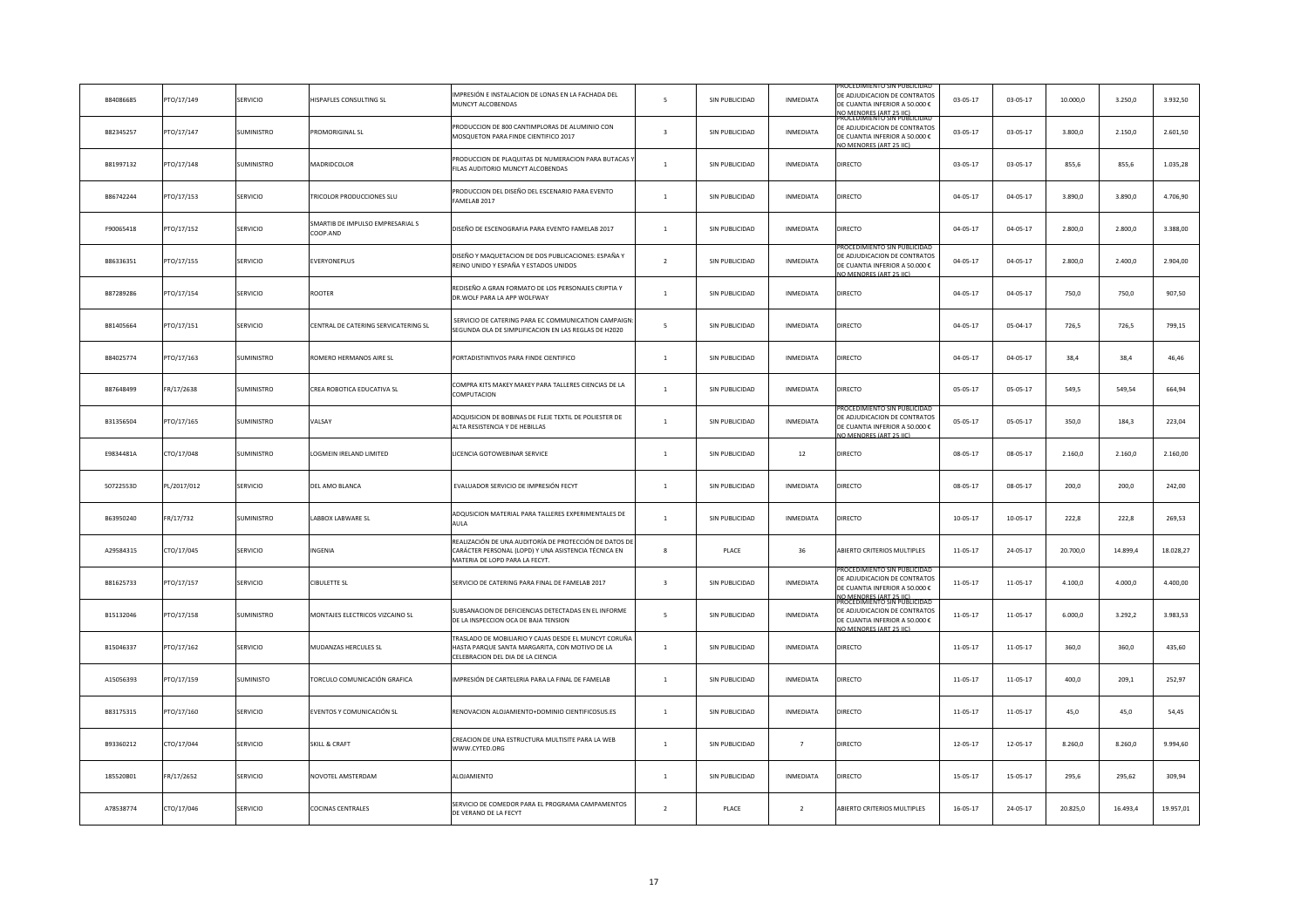| B84086685 | PTO/17/149  | SERVICIO          | <b>HISPAFLES CONSULTING SL</b>              | IMPRESIÓN E INSTALACION DE LONAS EN LA FACHADA DEL<br>MUNCYT ALCOBENDAS                                                                         | 5                       | SIN PUBLICIDAD | INMEDIATA        | <u> ROCEDIMIENTO SIN PUBLICIDA</u><br>DE ADJUDICACION DE CONTRATOS<br>DE CUANTIA INFERIOR A 50.000 €<br>IO MENORES (ART 25 HC)<br>PROCEDIMIENTO SIN PUBLICIDA | $03 - 05 - 17$ | 03-05-17       | 10.000,0 | 3.250,0  | 3.932,50  |
|-----------|-------------|-------------------|---------------------------------------------|-------------------------------------------------------------------------------------------------------------------------------------------------|-------------------------|----------------|------------------|---------------------------------------------------------------------------------------------------------------------------------------------------------------|----------------|----------------|----------|----------|-----------|
| B82345257 | PTO/17/147  | SUMINISTRO        | <b>PROMORIGINAL SL</b>                      | PRODUCCION DE 800 CANTIMPLORAS DE ALUMINIO CON<br>MOSQUETON PARA FINDE CIENTIFICO 2017                                                          | $\overline{\mathbf{3}}$ | SIN PUBLICIDAD | INMEDIATA        | DE ADJUDICACION DE CONTRATOS<br>DE CUANTIA INFERIOR A 50.000 €<br>O MENORES (ART 25 LC)                                                                       | $03 - 05 - 17$ | $03 - 05 - 17$ | 3.800,0  | 2.150,0  | 2.601,50  |
| B81997132 | PTO/17/148  | SUMINISTRO        | <b>MADRIDCOLOR</b>                          | PRODUCCION DE PLAQUITAS DE NUMERACION PARA BUTACAS<br>FILAS AUDITORIO MUNCYT ALCOBENDAS                                                         | $\,$ 1                  | SIN PUBLICIDAD | INMEDIATA        | DIRECTO                                                                                                                                                       | $03 - 05 - 17$ | 03-05-17       | 855,6    | 855,6    | 1.035,28  |
| B86742244 | PTO/17/153  | SERVICIO          | TRICOLOR PRODUCCIONES SLU                   | PRODUCCION DEL DISEÑO DEL ESCENARIO PARA EVENTO<br>FAMELAB 2017                                                                                 | $\overline{1}$          | SIN PUBLICIDAD | INMEDIATA        | <b>DIRECTO</b>                                                                                                                                                | $04 - 05 - 17$ | $04 - 05 - 17$ | 3.890,0  | 3.890,0  | 4.706,90  |
| F90065418 | PTO/17/152  | SERVICIO          | MARTIB DE IMPULSO EMPRESARIAL S<br>COOP.AND | DISEÑO DE ESCENOGRAFIA PARA EVENTO FAMELAB 2017                                                                                                 | $\mathbf{1}$            | SIN PUBLICIDAD | INMEDIATA        | DIRECTO                                                                                                                                                       | $04 - 05 - 17$ | $04 - 05 - 17$ | 2.800,0  | 2.800,0  | 3.388,00  |
| B86336351 | PTO/17/155  | SERVICIO          | EVERYONEPLUS                                | DISEÑO Y MAQUETACION DE DOS PUBLICACIONES: ESPAÑA Y<br>REINO UNIDO Y ESPAÑA Y ESTADOS UNIDOS                                                    | $\overline{2}$          | SIN PUBLICIDAD | INMEDIATA        | (OCEDIMIENTO SIN PUBLICID<br>DE ADJUDICACION DE CONTRATOS<br>DE CUANTIA INFERIOR A 50.000 €<br>O MENORES (ART 25 IIC)                                         | $04 - 05 - 17$ | $04 - 05 - 17$ | 2.800,0  | 2.400,0  | 2.904,00  |
| B87289286 | PTO/17/154  | SERVICIO          | ROOTER                                      | REDISEÑO A GRAN FORMATO DE LOS PERSONAJES CRIPTIA Y<br>DR. WOLF PARA LA APP WOLFWAY                                                             | $\mathbf{1}$            | SIN PUBLICIDAD | INMEDIATA        | DIRECTO                                                                                                                                                       | $04 - 05 - 17$ | $04 - 05 - 17$ | 750,0    | 750,0    | 907,50    |
| B81405664 | PTO/17/151  | <b>SERVICIO</b>   | CENTRAL DE CATERING SERVICATERING SL        | SERVICIO DE CATERING PARA EC COMMUNICATION CAMPAIGN<br>SEGUNDA OLA DE SIMPLIFICACION EN LAS REGLAS DE H2020                                     | 5                       | SIN PUBLICIDAD | INMEDIATA        | DIRECTO                                                                                                                                                       | $04 - 05 - 17$ | 05-04-17       | 726,5    | 726,5    | 799,15    |
| B84025774 | PTO/17/163  | SUMINISTRO        | ROMERO HERMANOS AIRE SL                     | PORTADISTINTIVOS PARA FINDE CIENTIFICO                                                                                                          | $\mathbf{1}$            | SIN PUBLICIDAD | INMEDIATA        | DIRECTO                                                                                                                                                       | $04 - 05 - 17$ | $04 - 05 - 17$ | 38,4     | 38,4     | 46,46     |
| B87648499 | FR/17/2638  | SUMINISTRO        | CREA ROBOTICA EDUCATIVA SL                  | COMPRA KITS MAKEY MAKEY PARA TALLERES CIENCIAS DE LA<br>COMPUTACION                                                                             | $\mathbf{1}$            | SIN PUBLICIDAD | INMEDIATA        | <b>DIRECTO</b>                                                                                                                                                | $05 - 05 - 17$ | 05-05-17       | 549,5    | 549,54   | 664,94    |
| B31356504 | PTO/17/165  | SUMINISTRO        | <b>/ALSAY</b>                               | ADQUISICION DE BOBINAS DE FLEJE TEXTIL DE POLIESTER DE<br>ALTA RESISTENCIA Y DE HEBILLAS                                                        | $\mathbf{1}$            | SIN PUBLICIDAD | <b>INMFDIATA</b> | ROCEDIMIENTO SIN PUBLICIDA<br>DE ADJUDICACION DE CONTRATOS<br>DE CUANTIA INFERIOR A 50.000 €<br>MENORES (ART 25 HC)                                           | $05 - 05 - 17$ | 05-05-17       | 350,0    | 184,3    | 223,04    |
| E9834481A | CTO/17/048  | SUMINISTRO        | LOGMEIN IRELAND LIMITED                     | LICENCIA GOTOWEBINAR SERVICE                                                                                                                    | $\mathbf{1}$            | SIN PUBLICIDAD | 12               | DIRECTO                                                                                                                                                       | $08 - 05 - 17$ | $08 - 05 - 17$ | 2.160,0  | 2.160,0  | 2.160,00  |
| 50722553D | PL/2017/012 | SERVICIO          | DEL AMO BLANCA                              | EVALUADOR SERVICIO DE IMPRESIÓN FECYT                                                                                                           | $\mathbf{1}$            | SIN PUBLICIDAD | INMEDIATA        | DIRECTO                                                                                                                                                       | 08-05-17       | 08-05-17       | 200,0    | 200,0    | 242,00    |
| B63950240 | FR/17/732   | <b>SUMINISTRO</b> | LABBOX LABWARE SL                           | ADQUSICION MATERIAL PARA TALLERES EXPERIMENTALES DE<br>AULA                                                                                     | $\mathbf{1}$            | SIN PUBLICIDAD | INMEDIATA        | <b>DIRECTO</b>                                                                                                                                                | $10-05-17$     | $10-05-17$     | 222,8    | 222,8    | 269,53    |
| A29584315 | CTO/17/045  | <b>SERVICIO</b>   | INGENIA                                     | REALIZACIÓN DE UNA AUDITORÍA DE PROTECCIÓN DE DATOS D<br>CARÁCTER PERSONAL (LOPD) Y UNA ASISTENCIA TÉCNICA EN<br>MATERIA DE LOPD PARA LA FECYT. | $\mathbf{R}$            | PLACE          | 36               | ABIERTO CRITERIOS MULTIPLES                                                                                                                                   | 11-05-17       | 24-05-17       | 20,700.0 | 14,899.4 | 18.028,27 |
| B81625733 | PTO/17/157  | <b>SERVICIO</b>   | <b>CIBULETTE SL</b>                         | SERVICIO DE CATERING PARA FINAL DE FAMELAB 2017                                                                                                 | $\overline{\mathbf{3}}$ | SIN PUBLICIDAD | <b>INMEDIATA</b> | ROCEDIMIENTO SIN PUBLICIDAI<br>DE ADJUDICACION DE CONTRATOS<br>DE CUANTIA INFERIOR A 50.000 €<br>IO MENORES (ART 25 HC)<br>ROCEDIMIENTO SIN PUBLICI           | 11-05-17       | $11 - 05 - 17$ | 4.100.0  | 4.000.0  | 4.400,00  |
| B15132046 | PTO/17/158  | SUMINISTRO        | MONTAJES ELECTRICOS VIZCAINO SL             | SUBSANACION DE DEFICIENCIAS DETECTADAS EN EL INFORME<br>DE LA INSPECCION OCA DE BAJA TENSION                                                    | -5                      | SIN PUBLICIDAD | <b>INMEDIATA</b> | DE ADJUDICACION DE CONTRATOS<br>DE CUANTIA INFERIOR A 50.000 €<br>CHARGES (ART 25 IIC)                                                                        | 11-05-17       | 11-05-17       | 6.000,0  | 3.292,2  | 3.983,53  |
| B15046337 | PTO/17/162  | SERVICIO          | MUDANZAS HERCULES SL                        | TRASLADO DE MOBILIARIO Y CAJAS DESDE EL MUNCYT CORUÑA<br>HASTA PARQUE SANTA MARGARITA, CON MOTIVO DE LA<br>CELEBRACION DEL DIA DE LA CIENCIA    | $\mathbf{1}$            | SIN PUBLICIDAD | INMEDIATA        | DIRECTO                                                                                                                                                       | 11-05-17       | 11-05-17       | 360,0    | 360,0    | 435,60    |
| A15056393 | PTO/17/159  | <b>SUMINISTO</b>  | FORCULO COMUNICACIÓN GRAFICA                | IMPRESIÓN DE CARTELERIA PARA LA FINAL DE FAMELAB                                                                                                | $\mathbf{1}$            | SIN PUBLICIDAD | INMEDIATA        | DIRECTO                                                                                                                                                       | 11-05-17       | 11-05-17       | 400.0    | 209,1    | 252,97    |
| B83175315 | PTO/17/160  | SERVICIO          | EVENTOS Y COMUNICACIÓN SL                   | RENOVACION ALOJAMIENTO+DOMINIO CIENTIFICOSUS.ES                                                                                                 | $\mathbf{1}$            | SIN PUBLICIDAD | INMEDIATA        | DIRECTO                                                                                                                                                       | $11 - 05 - 17$ | 11-05-17       | 45,0     | 45,0     | 54,45     |
| B93360212 | CTO/17/044  | SERVICIO          | SKILL & CRAFT                               | CREACION DE UNA ESTRUCTURA MULTISITE PARA LA WEB<br>WWW.CYTED.ORG                                                                               | $\,1\,$                 | SIN PUBLICIDAD | $\overline{7}$   | DIRECTO                                                                                                                                                       | 12-05-17       | 12-05-17       | 8.260,0  | 8.260.0  | 9.994,60  |
| 185520B01 | FR/17/2652  | SERVICIO          | NOVOTEL AMSTERDAM                           | ALOJAMIENTO                                                                                                                                     | $\mathbf{1}$            | SIN PUBLICIDAD | INMEDIATA        | DIRECTO                                                                                                                                                       | $15 - 05 - 17$ | 15-05-17       | 295,6    | 295,62   | 309,94    |
| A78538774 | CTO/17/046  | SERVICIO          | COCINAS CENTRALES                           | SERVICIO DE COMEDOR PARA EL PROGRAMA CAMPAMENTOS<br>DE VERANO DE LA FECYT                                                                       | $\overline{2}$          | PLACE          | $\overline{2}$   | ABIERTO CRITERIOS MULTIPLES                                                                                                                                   | $16 - 05 - 17$ | 24-05-17       | 20.825,0 | 16.493,4 | 19.957,01 |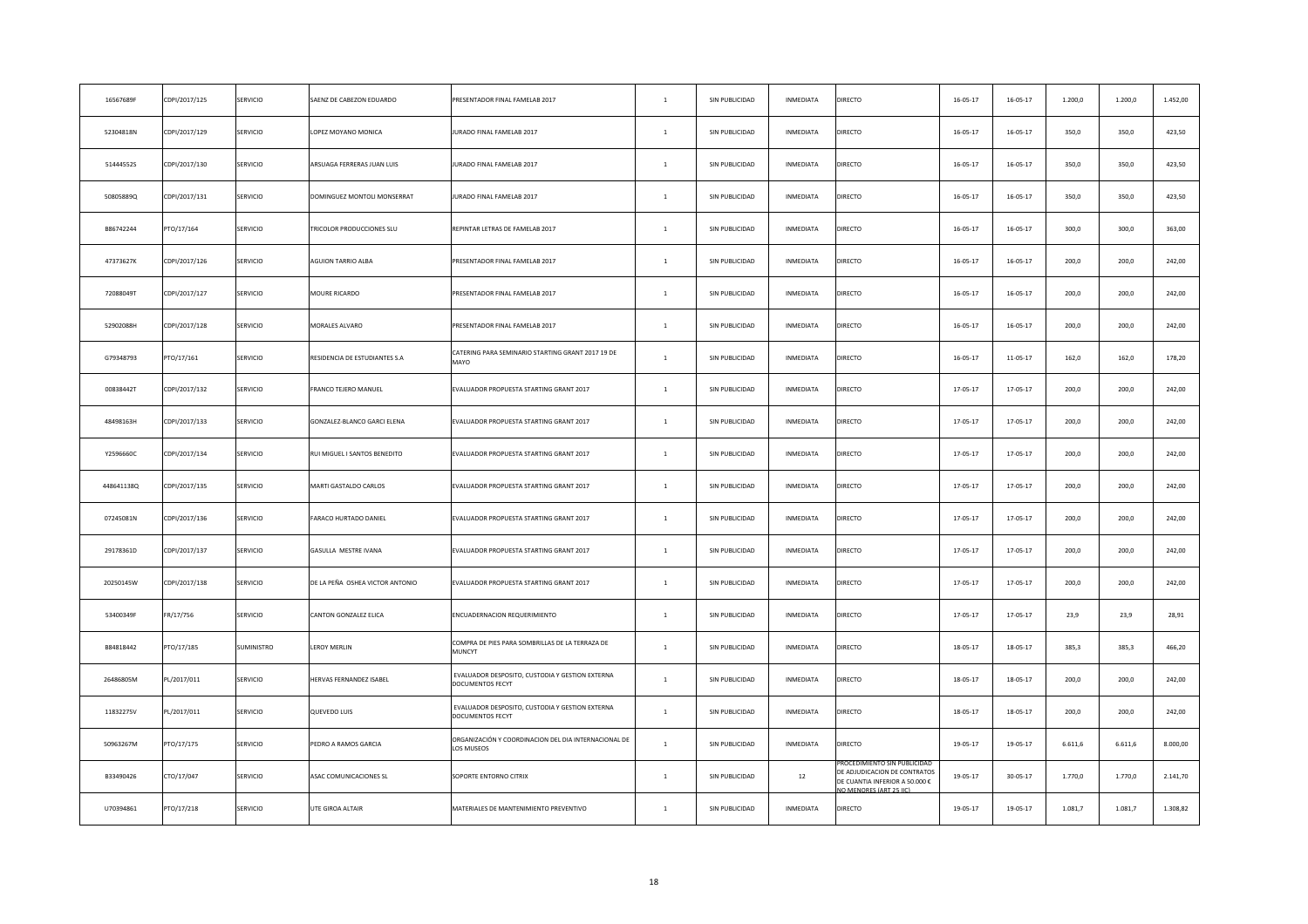| 16567689F  | CDPI/2017/125 | SERVICIO   | SAENZ DE CABEZON EDUARDO         | PRESENTADOR FINAL FAMELAB 2017                                      | $\mathbf{1}$   | SIN PUBLICIDAD | INMEDIATA        | DIRECTO                                                                                                               | $16 - 05 - 17$ | $16 - 05 - 17$ | 1.200,0  | 1.200,0 | 1.452,00 |
|------------|---------------|------------|----------------------------------|---------------------------------------------------------------------|----------------|----------------|------------------|-----------------------------------------------------------------------------------------------------------------------|----------------|----------------|----------|---------|----------|
| 52304818N  | CDPI/2017/129 | SERVICIO   | OPEZ MOYANO MONICA               | JURADO FINAL FAMELAB 2017                                           | $\mathbf{1}$   | SIN PUBLICIDAD | INMEDIATA        | DIRECTO                                                                                                               | $16 - 05 - 17$ | $16 - 05 - 17$ | 350,0    | 350,0   | 423,50   |
| 51444552S  | CDPI/2017/130 | SERVICIO   | ARSUAGA FERRERAS JUAN LUIS       | JURADO FINAL FAMELAB 2017                                           | $\mathbf{1}$   | SIN PUBLICIDAD | INMEDIATA        | DIRECTO                                                                                                               | $16 - 05 - 17$ | $16 - 05 - 17$ | 350,0    | 350,0   | 423,50   |
| 50805889Q  | CDPI/2017/131 | SERVICIO   | DOMINGUEZ MONTOLI MONSERRAT      | JURADO FINAL FAMELAB 2017                                           | $\mathbf{1}$   | SIN PUBLICIDAD | INMEDIATA        | DIRECTO                                                                                                               | $16 - 05 - 17$ | $16 - 05 - 17$ | 350,0    | 350,0   | 423,50   |
| B86742244  | PTO/17/164    | SERVICIO   | <b>FRICOLOR PRODUCCIONES SLU</b> | REPINTAR LETRAS DE FAMELAB 2017                                     | $\,$ 1 $\,$    | SIN PUBLICIDAD | INMEDIATA        | DIRECTO                                                                                                               | $16 - 05 - 17$ | $16 - 05 - 17$ | 300,0    | 300,0   | 363,00   |
| 47373627K  | CDPI/2017/126 | SERVICIO   | AGUION TARRIO ALBA               | PRESENTADOR FINAL FAMELAB 2017                                      | $\mathbf{1}$   | SIN PUBLICIDAD | INMEDIATA        | DIRECTO                                                                                                               | $16 - 05 - 17$ | $16 - 05 - 17$ | 200,0    | 200,0   | 242,00   |
| 72088049T  | CDPI/2017/127 | SERVICIO   | MOURE RICARDO                    | PRESENTADOR FINAL FAMELAB 2017                                      | $\mathbf{1}$   | SIN PUBLICIDAD | INMEDIATA        | DIRECTO                                                                                                               | $16 - 05 - 17$ | $16 - 05 - 17$ | 200,0    | 200,0   | 242,00   |
| 52902088H  | CDPI/2017/128 | SERVICIO   | MORALES ALVARO                   | PRESENTADOR FINAL FAMELAB 2017                                      | $\mathbf{1}$   | SIN PUBLICIDAD | INMEDIATA        | DIRECTO                                                                                                               | $16 - 05 - 17$ | 16-05-17       | 200,0    | 200,0   | 242,00   |
| G79348793  | PTO/17/161    | SERVICIO   | RESIDENCIA DE ESTUDIANTES S.A    | CATERING PARA SEMINARIO STARTING GRANT 2017 19 DE<br>MAYO           | $\,$ 1 $\,$    | SIN PUBLICIDAD | INMEDIATA        | DIRECTO                                                                                                               | $16 - 05 - 17$ | $11 - 05 - 17$ | 162,0    | 162,0   | 178,20   |
| 00838442T  | CDPI/2017/132 | SERVICIO   | FRANCO TEJERO MANUEL             | EVALUADOR PROPUESTA STARTING GRANT 2017                             | $\mathbf{1}$   | SIN PUBLICIDAD | INMEDIATA        | DIRECTO                                                                                                               | 17-05-17       | 17-05-17       | 200,0    | 200,0   | 242,00   |
| 48498163H  | CDPI/2017/133 | SERVICIO   | GONZALEZ-BLANCO GARCI ELENA      | EVALUADOR PROPUESTA STARTING GRANT 2017                             | $\mathbf{1}$   | SIN PUBLICIDAD | INMEDIATA        | DIRECTO                                                                                                               | $17 - 05 - 17$ | 17-05-17       | 200,0    | 200,0   | 242,00   |
| Y2596660C  | CDPI/2017/134 | SERVICIO   | RUI MIGUEL I SANTOS BENEDITO     | EVALUADOR PROPUESTA STARTING GRANT 2017                             | $\mathbf{1}$   | SIN PUBLICIDAD | INMEDIATA        | DIRECTO                                                                                                               | 17-05-17       | 17-05-17       | 200,0    | 200,0   | 242,00   |
| 448641138Q | CDPI/2017/135 | SERVICIO   | MARTI GASTALDO CARLOS            | EVALUADOR PROPUESTA STARTING GRANT 2017                             | $1$ $\,$       | SIN PUBLICIDAD | INMEDIATA        | DIRECTO                                                                                                               | $17 - 05 - 17$ | $17 - 05 - 17$ | 200,0    | 200,0   | 242,00   |
| 07245081N  | CDPI/2017/136 | SERVICIO   | ARACO HURTADO DANIEL             | EVALUADOR PROPUESTA STARTING GRANT 2017                             | $\mathbf{1}$   | SIN PUBLICIDAD | <b>INMEDIATA</b> | DIRECTO                                                                                                               | 17-05-17       | 17-05-17       | 200,0    | 200,0   | 242,00   |
| 29178361D  | CDPI/2017/137 | SERVICIO   | GASULLA MESTRE IVANA             | EVALUADOR PROPUESTA STARTING GRANT 2017                             | $\mathbf{1}$   | SIN PUBLICIDAD | INMEDIATA        | DIRECTO                                                                                                               | 17-05-17       | 17-05-17       | 200,0    | 200,0   | 242,00   |
| 20250145W  | CDPI/2017/138 | SERVICIO   | DE LA PEÑA OSHEA VICTOR ANTONIO  | EVALUADOR PROPUESTA STARTING GRANT 2017                             | $\mathbf{1}$   | SIN PUBLICIDAD | INMEDIATA        | DIRECTO                                                                                                               | 17-05-17       | 17-05-17       | 200,0    | 200,0   | 242,00   |
| 53400349F  | FR/17/756     | SERVICIO   | CANTON GONZALEZ ELICA            | ENCUADERNACION REQUERIMIENTO                                        | $\mathbf{1}$   | SIN PUBLICIDAD | INMEDIATA        | DIRECTO                                                                                                               | $17 - 05 - 17$ | 17-05-17       | 23.9     | 23,9    | 28,91    |
| B84818442  | PTO/17/185    | SUMINISTRO | <b>EROY MERLIN</b>               | COMPRA DE PIES PARA SOMBRILLAS DE LA TERRAZA DE<br>MUNCYT           | $\mathbf{1}$   | SIN PUBLICIDAD | INMEDIATA        | DIRECTO                                                                                                               | $18 - 05 - 17$ | 18-05-17       | 385,3    | 385,3   | 466,20   |
| 26486805M  | PL/2017/011   | SERVICIO   | <b>IERVAS FERNANDEZ ISABEL</b>   | EVALUADOR DESPOSITO, CUSTODIA Y GESTION EXTERNA<br>DOCUMENTOS FECYT | $\overline{1}$ | SIN PUBLICIDAD | <b>INMEDIATA</b> | DIRECTO                                                                                                               | 18-05-17       | 18-05-17       | 200,0    | 200,0   | 242,00   |
| 11832275V  | PL/2017/011   | SERVICIO   | QUEVEDO LUIS                     | EVALUADOR DESPOSITO, CUSTODIA Y GESTION EXTERNA<br>DOCUMENTOS FECYT | $\overline{1}$ | SIN PUBLICIDAD | INMEDIATA        | DIRECTO                                                                                                               | 18-05-17       | $18 - 05 - 17$ | 200,0    | 200,0   | 242,00   |
| 50963267M  | PTO/17/175    | SERVICIO   | PEDRO A RAMOS GARCIA             | ORGANIZACIÓN Y COORDINACION DEL DIA INTERNACIONAL DE<br>LOS MUSEOS  | $1\,$          | SIN PUBLICIDAD | INMEDIATA        | DIRECTO                                                                                                               | 19-05-17       | 19-05-17       | 6.611, 6 | 6.611,6 | 8.000,00 |
| B33490426  | CTO/17/047    | SERVICIO   | ASAC COMUNICACIONES SL           | SOPORTE ENTORNO CITRIX                                              | $\mathbf{1}$   | SIN PUBLICIDAD | $12\,$           | ROCEDIMIENTO SIN PUBLICIDA<br>DE ADJUDICACION DE CONTRATOS<br>DE CUANTIA INFERIOR A 50.000 €<br>O MENORES (ART 25 HC) | 19-05-17       | 30-05-17       | 1.770,0  | 1.770,0 | 2.141,70 |
| U70394861  | PTO/17/218    | SERVICIO   | UTE GIROA ALTAIR                 | MATERIALES DE MANTENIMIENTO PREVENTIVO                              | $\overline{1}$ | SIN PUBLICIDAD | INMEDIATA        | DIRECTO                                                                                                               | 19-05-17       | 19-05-17       | 1.081,7  | 1.081,7 | 1.308,82 |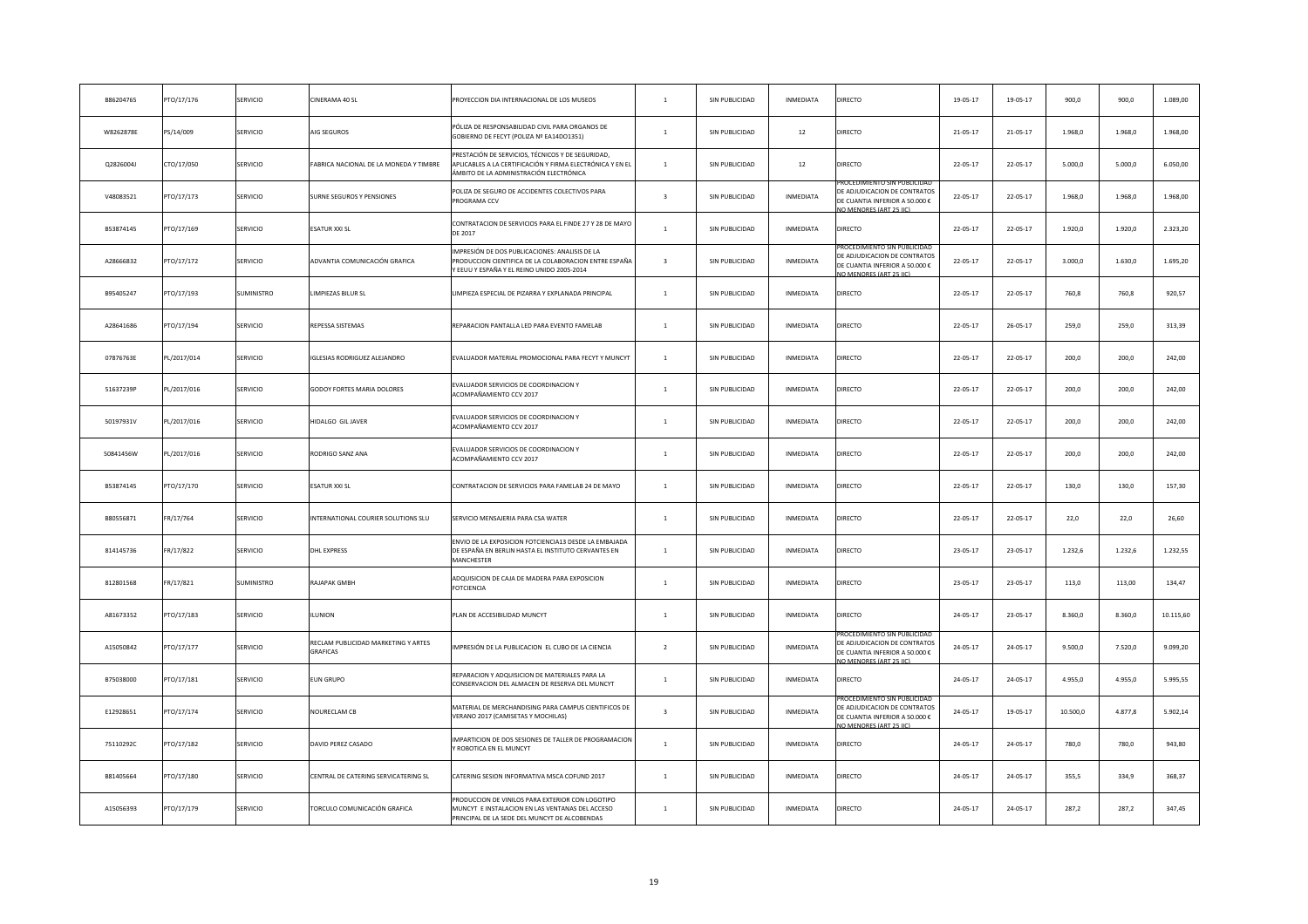| B86204765 | PTO/17/176  | SERVICIO        | CINERAMA 40 SL                                  | PROYECCION DIA INTERNACIONAL DE LOS MUSEOS                                                                                                                | $\mathbf{1}$            | SIN PUBLICIDAD | INMEDIATA | <b>DIRECTO</b>                                                                                                          | 19-05-17       | 19-05-17       | 900,0    | 900,0   | 1.089,00  |
|-----------|-------------|-----------------|-------------------------------------------------|-----------------------------------------------------------------------------------------------------------------------------------------------------------|-------------------------|----------------|-----------|-------------------------------------------------------------------------------------------------------------------------|----------------|----------------|----------|---------|-----------|
| W8262878E | PS/14/009   | SERVICIO        | AIG SEGUROS                                     | PÓLIZA DE RESPONSABILIDAD CIVIL PARA ORGANOS DE<br>GOBIERNO DE FECYT (POLIZA Nº EA14DO1351)                                                               | $\mathbf{1}$            | SIN PUBLICIDAD | 12        | DIRECTO                                                                                                                 | 21-05-17       | 21-05-17       | 1.968,0  | 1.968,0 | 1.968,00  |
| Q2826004J | CTO/17/050  | SERVICIO        | ABRICA NACIONAL DE LA MONEDA Y TIMBRE           | PRESTACIÓN DE SERVICIOS, TÉCNICOS Y DE SEGURIDAD,<br>APLICABLES A LA CERTIFICACIÓN Y FIRMA ELECTRÓNICA Y EN EL<br>ÁMBITO DE LA ADMINISTRACIÓN ELECTRÓNICA | $\mathbf{1}$            | SIN PUBLICIDAD | 12        | DIRECTO                                                                                                                 | 22-05-17       | 22-05-17       | 5.000,0  | 5.000,0 | 6.050,00  |
| V48083521 | PTO/17/173  | SERVICIO        | SURNE SEGUROS Y PENSIONES                       | POLIZA DE SEGURO DE ACCIDENTES COLECTIVOS PARA<br>PROGRAMA CCV                                                                                            | $\overline{\mathbf{3}}$ | SIN PUBLICIDAD | INMEDIATA | ROCEDIMIENTO SIN PUBLICIDAD<br>DE ADJUDICACION DE CONTRATOS<br>DE CUANTIA INFERIOR A 50.000 €<br>O MENORES (ART 25 IIC) | 22-05-17       | $22 - 05 - 17$ | 1.968,0  | 1.968,0 | 1.968,00  |
| B53874145 | PTO/17/169  | SERVICIO        | ESATUR XXI SL                                   | CONTRATACION DE SERVICIOS PARA EL FINDE 27 Y 28 DE MAYO<br>DE 2017                                                                                        | $\mathbf{1}$            | SIN PUBLICIDAD | INMEDIATA | DIRECTO                                                                                                                 | 22-05-17       | $22 - 05 - 17$ | 1.920,0  | 1.920,0 | 2.323,20  |
| A28666832 | PTO/17/172  | SERVICIO        | ADVANTIA COMUNICACIÓN GRAFICA                   | MPRESIÓN DE DOS PUBLICACIONES: ANALISIS DE LA<br>PRODUCCION CIENTIFICA DE LA COLABORACION ENTRE ESPAÑA<br>EEUU Y ESPAÑA Y EL REINO UNIDO 2005-2014        | $\overline{3}$          | SIN PUBLICIDAD | INMEDIATA | ROCEDIMIENTO SIN PUBLICIDAI<br>DE ADJUDICACION DE CONTRATOS<br>DE CUANTIA INFERIOR A 50.000 €<br>O MENORES (ART 25 IIC) | 22-05-17       | 22-05-17       | 3.000,0  | 1.630,0 | 1.695,20  |
| B95405247 | PTO/17/193  | SUMINISTRO      | LIMPIEZAS BILUR SL                              | LIMPIEZA ESPECIAL DE PIZARRA Y EXPLANADA PRINCIPAL                                                                                                        | $\mathbf{1}$            | SIN PUBLICIDAD | INMEDIATA | DIRECTO                                                                                                                 | 22-05-17       | 22-05-17       | 760,8    | 760,8   | 920,57    |
| A28641686 | PTO/17/194  | SERVICIO        | REPESSA SISTEMAS                                | REPARACION PANTALLA LED PARA EVENTO FAMELAB                                                                                                               | $\mathbf{1}$            | SIN PUBLICIDAD | INMEDIATA | DIRECTO                                                                                                                 | 22-05-17       | $26 - 05 - 17$ | 259,0    | 259,0   | 313,39    |
| 07876763E | PL/2017/014 | SERVICIO        | <b>IGLESIAS RODRIGUEZ ALEJANDRO</b>             | EVALUADOR MATERIAL PROMOCIONAL PARA FECYT Y MUNCYT                                                                                                        | $\mathbf{1}$            | SIN PUBLICIDAD | INMEDIATA | <b>DIRECTO</b>                                                                                                          | $22 - 05 - 17$ | $22 - 05 - 17$ | 200,0    | 200,0   | 242,00    |
| 51637239P | PL/2017/016 | SERVICIO        | <b>GODOY FORTES MARIA DOLORES</b>               | VALUADOR SERVICIOS DE COORDINACION Y<br><b>ACOMPAÑAMIENTO CCV 2017</b>                                                                                    | $\mathbf{1}$            | SIN PUBLICIDAD | INMEDIATA | <b>DIRECTO</b>                                                                                                          | 22-05-17       | $22 - 05 - 17$ | 200,0    | 200,0   | 242,00    |
| 50197931V | PL/2017/016 | SERVICIO        | HIDALGO GIL JAVER                               | EVALUADOR SERVICIOS DE COORDINACION Y<br><b>ACOMPAÑAMIENTO CCV 2017</b>                                                                                   | $\overline{1}$          | SIN PUBLICIDAD | INMEDIATA | <b>DIRECTO</b>                                                                                                          | $22 - 05 - 17$ | $22 - 05 - 17$ | 200,0    | 200,0   | 242,00    |
| 50841456W | PL/2017/016 | SERVICIO        | RODRIGO SANZ ANA                                | EVALUADOR SERVICIOS DE COORDINACION Y<br><b>ACOMPAÑAMIENTO CCV 2017</b>                                                                                   | $\mathbf{1}$            | SIN PUBLICIDAD | INMEDIATA | <b>DIRECTO</b>                                                                                                          | 22-05-17       | $22 - 05 - 17$ | 200,0    | 200,0   | 242,00    |
| B53874145 | PTO/17/170  | <b>SERVICIO</b> | ESATUR XXI SL                                   | CONTRATACION DE SERVICIOS PARA FAMELAB 24 DE MAYO                                                                                                         | $\overline{1}$          | SIN PUBLICIDAD | INMEDIATA | DIRECTO                                                                                                                 | 22-05-17       | $22 - 05 - 17$ | 130,0    | 130,0   | 157,30    |
| B80556871 | FR/17/764   | SERVICIO        | INTERNATIONAL COURIER SOLUTIONS SLU             | SERVICIO MENSAJERIA PARA CSA WATER                                                                                                                        | $\mathbf{1}$            | SIN PUBLICIDAD | INMEDIATA | <b>DIRECTO</b>                                                                                                          | 22-05-17       | $22 - 05 - 17$ | 22,0     | 22,0    | 26,60     |
| 814145736 | FR/17/822   | SERVICIO        | DHL EXPRESS                                     | ENVIO DE LA EXPOSICION FOTCIENCIA13 DESDE LA EMBAJADA<br>DE ESPAÑA EN BERLIN HASTA EL INSTITUTO CERVANTES EN<br>MANCHESTER                                | $\mathbf{1}$            | SIN PUBLICIDAD | INMEDIATA | DIRECTO                                                                                                                 | 23-05-17       | 23-05-17       | 1.232,6  | 1.232,6 | 1.232,55  |
| 812801568 | FR/17/821   | SUMINISTRO      | RAJAPAK GMBH                                    | ADQUISICION DE CAJA DE MADERA PARA EXPOSICION<br><b>OTCIENCIA</b>                                                                                         | $\mathbf{1}$            | SIN PUBLICIDAD | INMEDIATA | DIRECTO                                                                                                                 | 23-05-17       | 23-05-17       | 113,0    | 113,00  | 134,47    |
| A81673352 | PTO/17/183  | SERVICIO        | <b>LUNION</b>                                   | PLAN DE ACCESIBILIDAD MUNCYT                                                                                                                              | $\mathbf{1}$            | SIN PUBLICIDAD | INMEDIATA | DIRECTO                                                                                                                 | 24-05-17       | 23-05-17       | 8.360,0  | 8.360,0 | 10.115,60 |
| A15050842 | PTO/17/177  | SERVICIO        | RECLAM PUBLICIDAD MARKETING Y ARTES<br>GRAFICAS | IMPRESIÓN DE LA PUBLICACION EL CUBO DE LA CIENCIA                                                                                                         | $\overline{2}$          | SIN PUBLICIDAD | INMEDIATA | DE ADJUDICACION DE CONTRATOS<br>DE CUANTIA INFERIOR A 50.000 €<br><b>JO MENORES (ART 25 HC)</b>                         | 24-05-17       | $24 - 05 - 17$ | 9.500,0  | 7.520,0 | 9.099,20  |
| B75038000 | PTO/17/181  | SERVICIO        | EUN GRUPO                                       | REPARACION Y ADQUISICION DE MATERIALES PARA LA<br>CONSERVACION DEL ALMACEN DE RESERVA DEL MUNCYT                                                          | $\,$ 1 $\,$             | SIN PUBLICIDAD | INMEDIATA | DIRECTO                                                                                                                 | 24-05-17       | $24 - 05 - 17$ | 4.955,0  | 4.955,0 | 5.995,55  |
| E12928651 | PTO/17/174  | SERVICIO        | NOURECLAM CB                                    | MATERIAL DE MERCHANDISING PARA CAMPUS CIENTIFICOS DE<br>VERANO 2017 (CAMISETAS Y MOCHILAS)                                                                | $\overline{3}$          | SIN PUBLICIDAD | INMEDIATA | DE ADJUDICACION DE CONTRATOS<br>DE CUANTIA INFERIOR A 50.000 €<br>O MENORES (ART 25 LC)                                 | 24-05-17       | 19-05-17       | 10.500,0 | 4.877,8 | 5.902,14  |
| 75110292C | PTO/17/182  | SERVICIO        | DAVID PEREZ CASADO                              | IMPARTICION DE DOS SESIONES DE TALLER DE PROGRAMACION<br><b>ROBOTICA EN EL MUNCYT</b>                                                                     | $\mathbf{1}$            | SIN PUBLICIDAD | INMEDIATA | DIRECTO                                                                                                                 | 24-05-17       | $24 - 05 - 17$ | 780,0    | 780,0   | 943,80    |
| B81405664 | TO/17/180   | SERVICIO        | CENTRAL DE CATERING SERVICATERING SL            | CATERING SESION INFORMATIVA MSCA COFUND 2017                                                                                                              | $\mathbf{1}$            | SIN PUBLICIDAD | INMEDIATA | DIRECTO                                                                                                                 | 24-05-17       | 24-05-17       | 355,5    | 334,9   | 368,37    |
| A15056393 | PTO/17/179  | SERVICIO        | TORCULO COMUNICACIÓN GRAFICA                    | PRODUCCION DE VINILOS PARA EXTERIOR CON LOGOTIPO<br>MUNCYT E INSTALACION EN LAS VENTANAS DEL ACCESO<br>PRINCIPAL DE LA SEDE DEL MUNCYT DE ALCOBENDAS      | $\mathbf{1}$            | SIN PUBLICIDAD | INMEDIATA | <b>DIRECTO</b>                                                                                                          | 24-05-17       | 24-05-17       | 287,2    | 287,2   | 347,45    |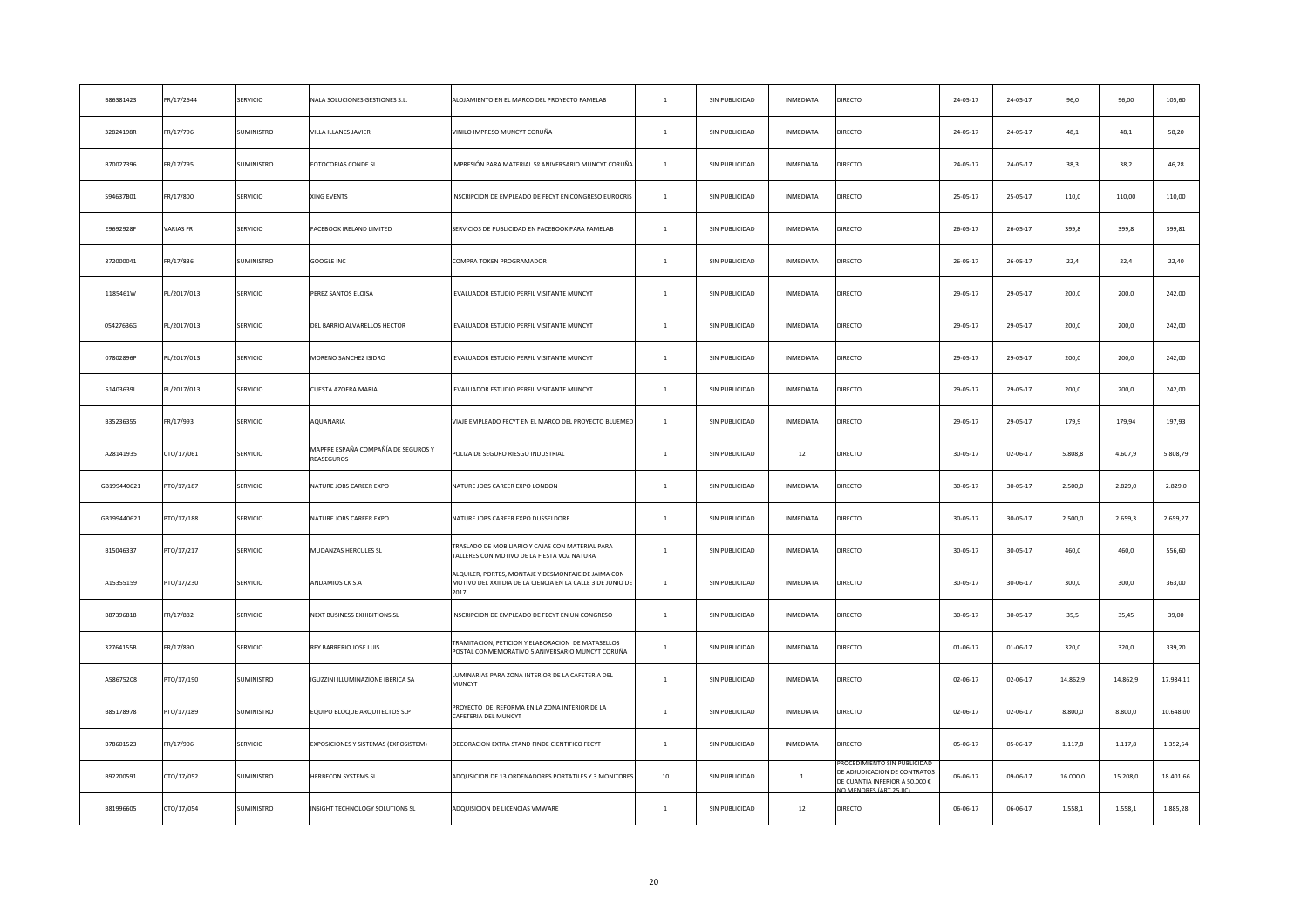| B86381423   | FR/17/2644       | SERVICIO   | NALA SOLUCIONES GESTIONES S.L.                           | ALOJAMIENTO EN EL MARCO DEL PROYECTO FAMELAB                                                                               | $\mathbf{1}$   | SIN PUBLICIDAD | INMEDIATA        | DIRECTO                                                                                      | 24-05-17       | 24-05-17       | 96,0     | 96,00    | 105,60    |
|-------------|------------------|------------|----------------------------------------------------------|----------------------------------------------------------------------------------------------------------------------------|----------------|----------------|------------------|----------------------------------------------------------------------------------------------|----------------|----------------|----------|----------|-----------|
| 32824198R   | FR/17/796        | SUMINISTRO | VILLA ILLANES JAVIER                                     | VINILO IMPRESO MUNCYT CORUÑA                                                                                               | $\mathbf{1}$   | SIN PUBLICIDAD | INMEDIATA        | DIRECTO                                                                                      | $24 - 05 - 17$ | 24-05-17       | 48,1     | 48,1     | 58,20     |
| B70027396   | FR/17/795        | SUMINISTRO | FOTOCOPIAS CONDE SL                                      | IMPRESIÓN PARA MATERIAL 5º ANIVERSARIO MUNCYT CORUÑA                                                                       | $\mathbf{1}$   | SIN PUBLICIDAD | INMEDIATA        | DIRECTO                                                                                      | 24-05-17       | 24-05-17       | 38,3     | 38,2     | 46,28     |
| 594637B01   | FR/17/800        | SERVICIO   | XING EVENTS                                              | INSCRIPCION DE EMPLEADO DE FECYT EN CONGRESO EUROCRIS                                                                      | $\mathbf{1}$   | SIN PUBLICIDAD | INMEDIATA        | DIRECTO                                                                                      | $25 - 05 - 17$ | 25-05-17       | 110,0    | 110,00   | 110,00    |
| E9692928F   | <b>VARIAS FR</b> | SERVICIO   | FACEBOOK IRELAND LIMITED                                 | SERVICIOS DE PUBLICIDAD EN FACEBOOK PARA FAMELAB                                                                           | $\mathbf{1}$   | SIN PUBLICIDAD | INMEDIATA        | DIRECTO                                                                                      | $26 - 05 - 17$ | $26 - 05 - 17$ | 399,8    | 399,8    | 399,81    |
| 372000041   | FR/17/836        | SUMINISTRO | <b>GOOGLE INC</b>                                        | COMPRA TOKEN PROGRAMADOR                                                                                                   | $\mathbf{1}$   | SIN PUBLICIDAD | INMEDIATA        | DIRECTO                                                                                      | $26 - 05 - 17$ | $26 - 05 - 17$ | 22,4     | 22,4     | 22,40     |
| 1185461W    | PL/2017/013      | SERVICIO   | PEREZ SANTOS ELOISA                                      | EVALUADOR ESTUDIO PERFIL VISITANTE MUNCYT                                                                                  | $\mathbf{1}$   | SIN PUBLICIDAD | INMEDIATA        | DIRECTO                                                                                      | 29-05-17       | 29-05-17       | 200,0    | 200,0    | 242,00    |
| 05427636G   | PL/2017/013      | SERVICIO   | DEL BARRIO ALVARELLOS HECTOR                             | EVALUADOR ESTUDIO PERFIL VISITANTE MUNCYT                                                                                  | $\mathbf{1}$   | SIN PUBLICIDAD | INMEDIATA        | DIRECTO                                                                                      | 29-05-17       | 29-05-17       | 200,0    | 200.0    | 242,00    |
| 07802896P   | PL/2017/013      | SERVICIO   | MORENO SANCHEZ ISIDRO                                    | EVALUADOR ESTUDIO PERFIL VISITANTE MUNCYT                                                                                  | $\mathbf{1}$   | SIN PUBLICIDAD | INMEDIATA        | DIRECTO                                                                                      | 29-05-17       | 29-05-17       | 200,0    | 200,0    | 242,00    |
| 51403639L   | PL/2017/013      | SERVICIO   | CUESTA AZOFRA MARIA                                      | EVALUADOR ESTUDIO PERFIL VISITANTE MUNCYT                                                                                  | $\mathbf{1}$   | SIN PUBLICIDAD | <b>INMEDIATA</b> | DIRECTO                                                                                      | 29-05-17       | 29-05-17       | 200,0    | 200,0    | 242,00    |
| B35236355   | FR/17/993        | SERVICIO   | AQUANARIA                                                | VIAJE EMPLEADO FECYT EN EL MARCO DEL PROYECTO BLUEMED                                                                      | $\mathbf{1}$   | SIN PUBLICIDAD | INMEDIATA        | DIRECTO                                                                                      | 29-05-17       | 29-05-17       | 179,9    | 179,94   | 197,93    |
| A28141935   | CTO/17/061       | SERVICIO   | MAPFRE ESPAÑA COMPAÑÍA DE SEGUROS Y<br><b>REASEGUROS</b> | POLIZA DE SEGURO RIESGO INDUSTRIAL                                                                                         | $\mathbf{1}$   | SIN PUBLICIDAD | $12\,$           | DIRECTO                                                                                      | $30 - 05 - 17$ | 02-06-17       | 5.808,8  | 4.607,9  | 5.808,79  |
| GB199440621 | PTO/17/187       | SERVICIO   | NATURE JOBS CAREER EXPO                                  | NATURE JOBS CAREER EXPO LONDON                                                                                             | $\mathbf{1}$   | SIN PUBLICIDAD | INMEDIATA        | DIRECTO                                                                                      | $30 - 05 - 17$ | $30 - 05 - 17$ | 2.500,0  | 2.829,0  | 2.829,0   |
| GB199440621 | PTO/17/188       | SERVICIO   | NATURE JOBS CAREER EXPO                                  | NATURE JOBS CAREER EXPO DUSSELDORF                                                                                         | $\mathbf{1}$   | SIN PUBLICIDAD | INMEDIATA        | DIRECTO                                                                                      | $30 - 05 - 17$ | $30 - 05 - 17$ | 2.500,0  | 2.659,3  | 2.659,27  |
| B15046337   | PTO/17/217       | SERVICIO   | MUDANZAS HERCULES SL                                     | TRASLADO DE MOBILIARIO Y CAJAS CON MATERIAL PARA<br>TALLERES CON MOTIVO DE LA FIESTA VOZ NATURA                            | $\mathbf{1}$   | SIN PUBLICIDAD | INMEDIATA        | DIRECTO                                                                                      | $30 - 05 - 17$ | $30 - 05 - 17$ | 460,0    | 460,0    | 556,60    |
| A15355159   | PTO/17/230       | SERVICIO   | ANDAMIOS CK S.A                                          | ALQUILER, PORTES, MONTAJE Y DESMONTAJE DE JAIMA CON<br>MOTIVO DEL XXII DIA DE LA CIENCIA EN LA CALLE 3 DE JUNIO DE<br>2017 | $\mathbf{1}$   | SIN PUBLICIDAD | <b>INMEDIATA</b> | DIRECTO                                                                                      | $30 - 05 - 17$ | $30 - 06 - 17$ | 300,0    | 300,0    | 363,00    |
| B87396818   | FR/17/882        | SERVICIO   | NEXT BUSINESS EXHIBITIONS SL                             | INSCRIPCION DE EMPLEADO DE FECYT EN UN CONGRESO                                                                            | $\mathbf{1}$   | SIN PUBLICIDAD | INMEDIATA        | DIRECTO                                                                                      | $30 - 05 - 17$ | $30 - 05 - 17$ | 35,5     | 35,45    | 39,00     |
| 32764155B   | FR/17/890        | SERVICIO   | REY BARRERIO JOSE LUIS                                   | TRAMITACION, PETICION Y ELABORACION DE MATASELLOS<br>OSTAL CONMEMORATIVO 5 ANIVERSARIO MUNCYT CORUÑA                       | $\mathbf{1}$   | SIN PUBLICIDAD | INMEDIATA        | DIRECTO                                                                                      | $01 - 06 - 17$ | $01 - 06 - 17$ | 320,0    | 320,0    | 339,20    |
| A58675208   | PTO/17/190       | SUMINISTRO | <b>IGUZZINI ILLUMINAZIONE IBERICA SA</b>                 | LUMINARIAS PARA ZONA INTERIOR DE LA CAFETERIA DEL<br>MUNCYT                                                                | $\mathbf{1}$   | SIN PUBLICIDAD | INMEDIATA        | DIRECTO                                                                                      | $02 - 06 - 17$ | $02 - 06 - 17$ | 14.862,9 | 14.862,9 | 17.984,11 |
| B85178978   | PTO/17/189       | SUMINISTRO | EQUIPO BLOQUE ARQUITECTOS SLP                            | PROYECTO DE REFORMA EN LA ZONA INTERIOR DE LA<br>CAFETERIA DEL MUNCYT                                                      | $\overline{1}$ | SIN PUBLICIDAD | INMEDIATA        | DIRECTO                                                                                      | $02 - 06 - 17$ | 02-06-17       | 8.800,0  | 8.800,0  | 10.648,00 |
| B78601523   | FR/17/906        | SERVICIO   | EXPOSICIONES Y SISTEMAS (EXPOSISTEM)                     | DECORACION EXTRA STAND FINDE CIENTIFICO FECYT                                                                              | $\mathbf{1}$   | SIN PUBLICIDAD | INMEDIATA        | <b>DIRECTO</b>                                                                               | 05-06-17       | 05-06-17       | 1.117,8  | 1.117,8  | 1.352,54  |
| B92200591   | CTO/17/052       | SUMINISTRO | HERBECON SYSTEMS SL                                      | ADQUSICION DE 13 ORDENADORES PORTATILES Y 3 MONITORES                                                                      | 10             | SIN PUBLICIDAD | $\,$ 1 $\,$      | DE ADJUDICACION DE CONTRATOS<br>DE CUANTIA INFERIOR A 50.000 €<br><b>MENORES (ART 25 HC)</b> | 06-06-17       | 09-06-17       | 16.000,0 | 15.208,0 | 18.401,66 |
| B81996605   | CTO/17/054       | SUMINISTRO | INSIGHT TECHNOLOGY SOLUTIONS SL                          | ADQUISICION DE LICENCIAS VMWARE                                                                                            | $\mathbf{1}$   | SIN PUBLICIDAD | 12               | <b>DIRECTO</b>                                                                               | 06-06-17       | $06 - 06 - 17$ | 1.558,1  | 1.558,1  | 1.885,28  |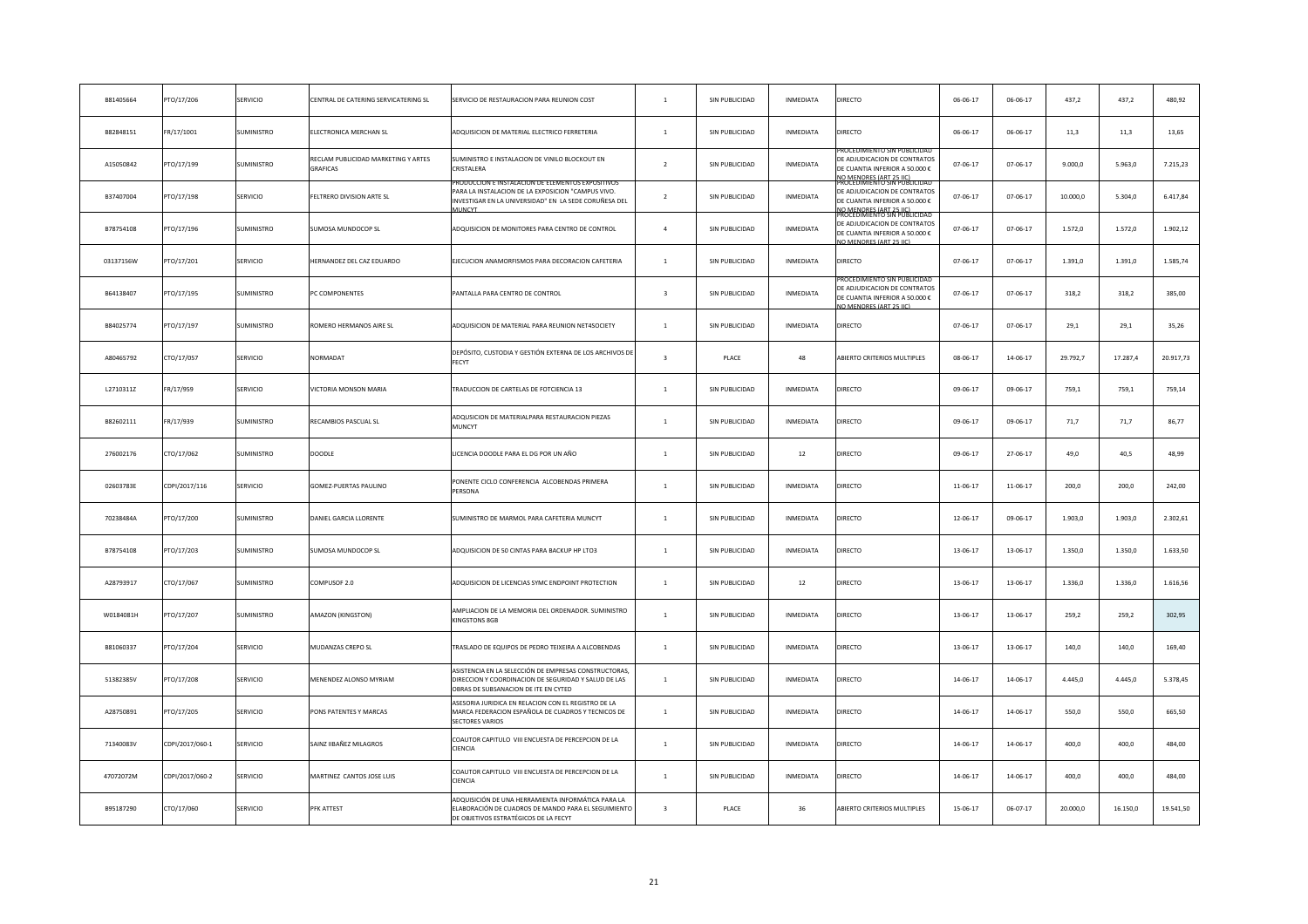| B81405664 | PTO/17/206      | SERVICIO          | CENTRAL DE CATERING SERVICATERING SL                   | SERVICIO DE RESTAURACION PARA REUNION COST                                                                                                                                        | $\mathbf{1}$            | SIN PUBLICIDAD | INMEDIATA        | DIRECTO                                                                                                                                               | 06-06-17       | $06 - 06 - 17$ | 437,2    | 437,2    | 480,92    |
|-----------|-----------------|-------------------|--------------------------------------------------------|-----------------------------------------------------------------------------------------------------------------------------------------------------------------------------------|-------------------------|----------------|------------------|-------------------------------------------------------------------------------------------------------------------------------------------------------|----------------|----------------|----------|----------|-----------|
| B82848151 | FR/17/1001      | SUMINISTRO        | <b>LECTRONICA MERCHAN SL</b>                           | ADQUISICION DE MATERIAL ELECTRICO FERRETERIA                                                                                                                                      | $\mathbf{1}$            | SIN PUBLICIDAD | INMEDIATA        | DIRECTO                                                                                                                                               | $06 - 06 - 17$ | 06-06-17       | 11,3     | 11,3     | 13,65     |
| A15050842 | PTO/17/199      | SUMINISTRO        | RECLAM PUBLICIDAD MARKETING Y ARTES<br><b>GRAFICAS</b> | SUMINISTRO E INSTALACION DE VINILO BLOCKOUT EN<br>CRISTALERA                                                                                                                      | $\overline{2}$          | SIN PUBLICIDAD | INMEDIATA        | ROCEDIMIENTO SIN PUBLICIDA<br>DE ADJUDICACION DE CONTRATOS<br>DE CUANTIA INFERIOR A 50.000 €<br>IO MENORES (ART 25 HC)<br>ROCEDIMIENTO SIN PUBLICIDAD | 07-06-17       | 07-06-17       | 9.000,0  | 5.963,0  | 7.215,23  |
| B37407004 | PTO/17/198      | SERVICIO          | ELTRERO DIVISION ARTE SL                               | PRODUCCION E INSTALACION DE ELEMENTOS EXPOSITIVOS<br>PARA LA INSTALACION DE LA EXPOSICION "CAMPUS VIVO.<br>INVESTIGAR EN LA UNIVERSIDAD" EN LA SEDE CORUÑESA DEL<br><b>MUNCYT</b> | $\overline{2}$          | SIN PUBLICIDAD | INMEDIATA        | DE ADJUDICACION DE CONTRATOS<br>DE CUANTIA INFERIOR A 50.000 €<br><u>VO MENORES (ART 25 IIC)</u><br>PROCEDIMIENTO SIN PUBLICIDA                       | $07 - 06 - 17$ | 07-06-17       | 10.000,0 | 5.304,0  | 6.417,84  |
| B78754108 | PTO/17/196      | SUMINISTRO        | <b>SUMOSA MUNDOCOP SL</b>                              | ADQUISICION DE MONITORES PARA CENTRO DE CONTROL                                                                                                                                   | $\sim$                  | SIN PUBLICIDAD | INMEDIATA        | DE ADJUDICACION DE CONTRATOS<br>DE CUANTIA INFERIOR A 50.000 €<br>IO MENORES (ART 25 LIC)                                                             | 07-06-17       | 07-06-17       | 1.572,0  | 1.572,0  | 1.902,12  |
| 03137156W | PTO/17/201      | SERVICIO          | <b>HERNANDEZ DEL CAZ EDUARDO</b>                       | EJECUCION ANAMORFISMOS PARA DECORACION CAFETERIA                                                                                                                                  | $\mathbf{1}$            | SIN PUBLICIDAD | INMEDIATA        | DIRECTO                                                                                                                                               | 07-06-17       | 07-06-17       | 1.391,0  | 1.391,0  | 1.585,74  |
| B64138407 | PTO/17/195      | SUMINISTRO        | PC COMPONENTES                                         | PANTALLA PARA CENTRO DE CONTROL                                                                                                                                                   | $\overline{\mathbf{3}}$ | SIN PUBLICIDAD | INMEDIATA        | ROCEDIMIENTO SIN PUBLICI<br>E ADJUDICACION DE CONTRATOS<br>DE CUANTIA INFERIOR A 50.000 €<br>O MENORES (ART 25 LC)                                    | 07-06-17       | 07-06-17       | 318,2    | 318,2    | 385,00    |
| B84025774 | PTO/17/197      | <b>SUMINISTRO</b> | ROMERO HERMANOS AIRE SL                                | ADQUISICION DE MATERIAL PARA REUNION NET4SOCIETY                                                                                                                                  | $\mathbf{1}$            | SIN PUBLICIDAD | INMEDIATA        | DIRECTO                                                                                                                                               | 07-06-17       | 07-06-17       | 29,1     | 29,1     | 35,26     |
| A80465792 | CTO/17/057      | SERVICIO          | VORMADAT                                               | DEPÓSITO, CUSTODIA Y GESTIÓN EXTERNA DE LOS ARCHIVOS DI<br>FECYT                                                                                                                  | $\overline{\mathbf{3}}$ | PLACE          | 48               | ABIERTO CRITERIOS MULTIPLES                                                                                                                           | 08-06-17       | 14-06-17       | 29.792,7 | 17.287,4 | 20.917,73 |
| L2710311Z | FR/17/959       | SERVICIO          | <b>/ICTORIA MONSON MARIA</b>                           | TRADUCCION DE CARTELAS DE FOTCIENCIA 13                                                                                                                                           | $\mathbf{1}$            | SIN PUBLICIDAD | INMEDIATA        | DIRECTO                                                                                                                                               | 09-06-17       | 09-06-17       | 759,1    | 759,1    | 759,14    |
| B82602111 | FR/17/939       | SUMINISTRO        | RECAMBIOS PASCUAL SL                                   | ADQUSICION DE MATERIALPARA RESTAURACION PIEZAS<br>MUNCYT                                                                                                                          | $\mathbf{1}$            | SIN PUBLICIDAD | INMEDIATA        | <b>DIRECTO</b>                                                                                                                                        | 09-06-17       | 09-06-17       | 71,7     | 71,7     | 86,77     |
| 276002176 | CTO/17/062      | <b>SUMINISTRO</b> | DOODLE                                                 | LICENCIA DOODLE PARA EL DG POR UN AÑO                                                                                                                                             | $\overline{1}$          | SIN PUBLICIDAD | 12               | DIRECTO                                                                                                                                               | 09-06-17       | 27-06-17       | 49,0     | 40,5     | 48,99     |
| 02603783E | CDPI/2017/116   | SERVICIO          | GOMEZ-PUERTAS PAULINO                                  | PONENTE CICLO CONFERENCIA ALCOBENDAS PRIMERA<br>PERSONA                                                                                                                           | $\mathbf{1}$            | SIN PUBLICIDAD | <b>INMEDIATA</b> | DIRECTO                                                                                                                                               | 11-06-17       | 11-06-17       | 200,0    | 200,0    | 242.00    |
| 70238484A | PTO/17/200      | <b>SUMINISTRO</b> | DANIEL GARCIA LLORENTE                                 | SUMINISTRO DE MARMOL PARA CAFETERIA MUNCYT                                                                                                                                        | $\overline{1}$          | SIN PUBLICIDAD | <b>INMEDIATA</b> | DIRECTO                                                                                                                                               | 12-06-17       | 09-06-17       | 1.903,0  | 1.903,0  | 2.302,61  |
| B78754108 | PTO/17/203      | <b>SUMINISTRO</b> | <b>SUMOSA MUNDOCOP SL</b>                              | ADQUISICION DE 50 CINTAS PARA BACKUP HP LTO3                                                                                                                                      | $\overline{1}$          | SIN PUBLICIDAD | INMEDIATA        | <b>DIRECTO</b>                                                                                                                                        | 13-06-17       | 13-06-17       | 1.350,0  | 1,350.0  | 1.633,50  |
| A28793917 | CTO/17/067      | <b>SUMINISTRO</b> | COMPUSOF 2.0                                           | ADQUISICION DE LICENCIAS SYMC ENDPOINT PROTECTION                                                                                                                                 | $\mathbf{1}$            | SIN PUBLICIDAD | 12               | DIRECTO                                                                                                                                               | 13-06-17       | 13-06-17       | 1.336,0  | 1.336,0  | 1.616,56  |
| W0184081H | PTO/17/207      | SUMINISTRO        | AMAZON (KINGSTON)                                      | AMPLIACION DE LA MEMORIA DEL ORDENADOR. SUMINISTRO<br><b>KINGSTONS 8GB</b>                                                                                                        | $\overline{1}$          | SIN PUBLICIDAD | INMEDIATA        | DIRECTO                                                                                                                                               | 13-06-17       | 13-06-17       | 259,2    | 259.2    | 302,95    |
| B81060337 | PTO/17/204      | SERVICIO          | MUDANZAS CREPO SL                                      | TRASLADO DE EQUIPOS DE PEDRO TEIXEIRA A ALCOBENDAS                                                                                                                                | $\mathbf{1}$            | SIN PUBLICIDAD | INMEDIATA        | DIRECTO                                                                                                                                               | 13-06-17       | 13-06-17       | 140,0    | 140,0    | 169,40    |
| 51382385V | PTO/17/208      | <b>SERVICIO</b>   | <b>MENENDEZ ALONSO MYRIAM</b>                          | ASISTENCIA EN LA SELECCIÓN DE EMPRESAS CONSTRUCTORAS,<br>DIRECCION Y COORDINACION DE SEGURIDAD Y SALUD DE LAS<br>OBRAS DE SUBSANACION DE ITE EN CYTED                             | $\overline{1}$          | SIN PUBLICIDAD | INMEDIATA        | DIRECTO                                                                                                                                               | 14-06-17       | 14-06-17       | 4.445,0  | 4.445,0  | 5.378,45  |
| A28750891 | PTO/17/205      | SERVICIO          | PONS PATENTES Y MARCAS                                 | ASESORIA JURIDICA EN RELACION CON EL REGISTRO DE LA<br>MARCA FEDERACION ESPAÑOLA DE CUADROS Y TECNICOS DE<br>SECTORES VARIOS                                                      | $\overline{1}$          | SIN PUBLICIDAD | INMEDIATA        | DIRECTO                                                                                                                                               | 14-06-17       | 14-06-17       | 550,0    | 550,0    | 665,50    |
| 71340083V | CDPI/2017/060-1 | SERVICIO          | SAINZ IIBAÑEZ MILAGROS                                 | COAUTOR CAPITULO VIII ENCUESTA DE PERCEPCION DE LA<br>CIENCIA                                                                                                                     | $\overline{1}$          | SIN PUBLICIDAD | <b>INMEDIATA</b> | DIRECTO                                                                                                                                               | 14-06-17       | 14-06-17       | 400,0    | 400,0    | 484,00    |
| 47072072M | CDPI/2017/060-2 | SERVICIO          | MARTINEZ CANTOS JOSE LUIS                              | COAUTOR CAPITULO VIII ENCUESTA DE PERCEPCION DE LA<br>CIENCIA                                                                                                                     | $\overline{1}$          | SIN PUBLICIDAD | <b>INMEDIATA</b> | DIRECTO                                                                                                                                               | 14-06-17       | 14-06-17       | 400,0    | 400,0    | 484,00    |
| B95187290 | CTO/17/060      | SERVICIO          | PFK ATTEST                                             | ADQUISICIÓN DE UNA HERRAMIENTA INFORMÁTICA PARA LA<br>ELABORACIÓN DE CUADROS DE MANDO PARA EL SEGUIMIENTO<br>DE OBJETIVOS ESTRATÉGICOS DE LA FECYT                                | $\overline{3}$          | PLACE          | 36               | ABIERTO CRITERIOS MULTIPLES                                                                                                                           | 15-06-17       | $06 - 07 - 17$ | 20,000.0 | 16,150.0 | 19.541,50 |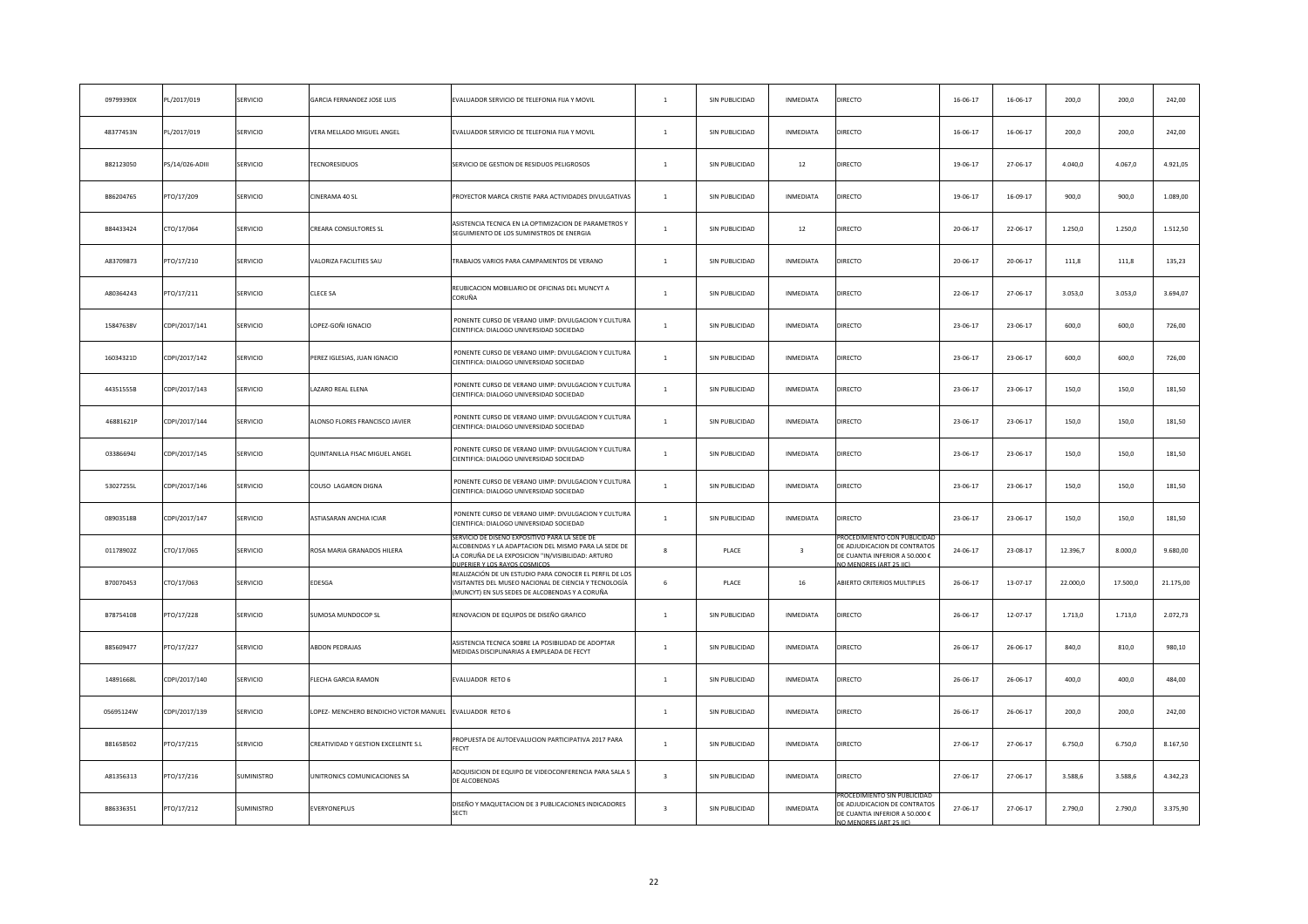| 09799390X | PL/2017/019     | SERVICIO   | GARCIA FERNANDEZ JOSE LUIS            | EVALUADOR SERVICIO DE TELEFONIA FIJA Y MOVIL                                                                                                                                                      | $\overline{1}$          | SIN PUBLICIDAD | INMEDIATA        | DIRECTO                                                                                   | 16-06-17       | $16 - 06 - 17$ | 200,0    | 200,0    | 242,00    |
|-----------|-----------------|------------|---------------------------------------|---------------------------------------------------------------------------------------------------------------------------------------------------------------------------------------------------|-------------------------|----------------|------------------|-------------------------------------------------------------------------------------------|----------------|----------------|----------|----------|-----------|
| 48377453N | PL/2017/019     | SERVICIO   | <b>/ERA MELLADO MIGUEL ANGEL</b>      | EVALUADOR SERVICIO DE TELEFONIA FIJA Y MOVIL                                                                                                                                                      | $\overline{1}$          | SIN PUBLICIDAD | INMEDIATA        | DIRECTO                                                                                   | 16-06-17       | $16 - 06 - 17$ | 200,0    | 200,0    | 242,00    |
| B82123050 | PS/14/026-ADIII | SERVICIO   | <b>FECNORESIDUOS</b>                  | SERVICIO DE GESTION DE RESIDUOS PELIGROSOS                                                                                                                                                        | $\mathbf{1}$            | SIN PUBLICIDAD | 12               | DIRECTO                                                                                   | 19-06-17       | 27-06-17       | 4.040,0  | 4.067,0  | 4.921,05  |
| B86204765 | PTO/17/209      | SERVICIO   | CINERAMA 40 SL                        | PROYECTOR MARCA CRISTIE PARA ACTIVIDADES DIVULGATIVAS                                                                                                                                             | $\mathbf{1}$            | SIN PUBLICIDAD | INMEDIATA        | DIRECTO                                                                                   | 19-06-17       | $16 - 09 - 17$ | 900,0    | 900,0    | 1.089,00  |
| B84433424 | CTO/17/064      | SERVICIO   | CREARA CONSULTORES SL                 | ASISTENCIA TECNICA EN LA OPTIMIZACION DE PARAMETROS Y<br>SEGUIMIENTO DE LOS SUMINISTROS DE ENERGIA                                                                                                | $\mathbf{1}$            | SIN PUBLICIDAD | 12               | DIRECTO                                                                                   | 20-06-17       | 22-06-17       | 1.250,0  | 1.250,0  | 1.512,50  |
| A83709873 | PTO/17/210      | SERVICIO   | <b>ALORIZA FACILITIES SAU</b>         | TRABAJOS VARIOS PARA CAMPAMENTOS DE VERANO                                                                                                                                                        | $\mathbf{1}$            | SIN PUBLICIDAD | INMEDIATA        | DIRECTO                                                                                   | 20-06-17       | 20-06-17       | 111,8    | 111,8    | 135,23    |
| A80364243 | PTO/17/211      | SERVICIO   | CLECE SA                              | REUBICACION MOBILIARIO DE OFICINAS DEL MUNCYT A<br>CORUÑA                                                                                                                                         | $1\,$                   | SIN PUBLICIDAD | INMEDIATA        | DIRECTO                                                                                   | 22-06-17       | 27-06-17       | 3.053,0  | 3.053,0  | 3.694,07  |
| 15847638V | CDPI/2017/141   | SERVICIO   | OPEZ-GOÑI IGNACIO                     | PONENTE CURSO DE VERANO UIMP: DIVULGACION Y CULTURA<br>CIENTIFICA: DIALOGO UNIVERSIDAD SOCIEDAD                                                                                                   | $\mathbf{1}$            | SIN PUBLICIDAD | INMEDIATA        | DIRECTO                                                                                   | 23-06-17       | 23-06-17       | 600,0    | 600,0    | 726,00    |
| 16034321D | CDPI/2017/142   | SERVICIO   | PEREZ IGLESIAS, JUAN IGNACIO          | PONENTE CURSO DE VERANO UIMP: DIVULGACION Y CULTURA<br>CIENTIFICA: DIALOGO UNIVERSIDAD SOCIEDAD                                                                                                   | $\mathbf{1}$            | SIN PUBLICIDAD | INMEDIATA        | DIRECTO                                                                                   | 23-06-17       | 23-06-17       | 600,0    | 600,0    | 726,00    |
| 44351555B | CDPI/2017/143   | SERVICIO   | AZARO REAL ELENA                      | PONENTE CURSO DE VERANO UIMP: DIVULGACION Y CULTURA<br>CIENTIFICA: DIALOGO UNIVERSIDAD SOCIEDAD                                                                                                   | $\mathbf{1}$            | SIN PUBLICIDAD | INMEDIATA        | DIRECTO                                                                                   | 23-06-17       | 23-06-17       | 150,0    | 150,0    | 181,50    |
| 46881621P | CDPI/2017/144   | SERVICIO   | LONSO FLORES FRANCISCO JAVIER         | PONENTE CURSO DE VERANO UIMP: DIVULGACION Y CULTURA<br>CIENTIFICA: DIALOGO UNIVERSIDAD SOCIEDAD                                                                                                   | $1\,$                   | SIN PUBLICIDAD | INMEDIATA        | DIRECTO                                                                                   | 23-06-17       | 23-06-17       | 150,0    | 150,0    | 181,50    |
| 03386694J | CDPI/2017/145   | SERVICIO   | QUINTANILLA FISAC MIGUEL ANGEL        | PONENTE CURSO DE VERANO UIMP: DIVULGACION Y CULTURA<br>CIENTIFICA: DIALOGO UNIVERSIDAD SOCIEDAD                                                                                                   | $\overline{1}$          | SIN PUBLICIDAD | INMEDIATA        | DIRECTO                                                                                   | 23-06-17       | 23-06-17       | 150,0    | 150,0    | 181,50    |
| 53027255L | CDPI/2017/146   | SERVICIO   | COUSO LAGARON DIGNA                   | PONENTE CURSO DE VERANO UIMP: DIVULGACION Y CULTURA<br>CIENTIFICA: DIALOGO UNIVERSIDAD SOCIEDAD                                                                                                   | $\mathbf{1}$            | SIN PUBLICIDAD | INMEDIATA        | DIRECTO                                                                                   | 23-06-17       | 23-06-17       | 150,0    | 150,0    | 181,50    |
| 08903518B | CDPI/2017/147   | SERVICIO   | ASTIASARAN ANCHIA ICIAR               | PONENTE CURSO DE VERANO UIMP: DIVULGACION Y CULTURA<br>CIENTIFICA: DIALOGO UNIVERSIDAD SOCIEDAD                                                                                                   | $\overline{1}$          | SIN PUBLICIDAD | INMEDIATA        | DIRECTO                                                                                   | 23-06-17       | 23-06-17       | 150,0    | 150,0    | 181,50    |
| 01178902Z | CTO/17/065      | SERVICIO   | ROSA MARIA GRANADOS HILERA            | ERVICIO DE DISENO EXPOSITIVO PARA LA SEDE D<br>ALCOBENDAS Y LA ADAPTACION DEL MISMO PARA LA SEDE DE<br>LA CORUÑA DE LA EXPOSICION "IN/VISIBILIDAD: ARTURO<br><b>UJPERIER Y LOS RAYOS COSMICOS</b> | $\mathbf{R}$            | PLACE          | $\overline{3}$   | DE ADJUDICACION DE CONTRATOS<br>DE CUANTIA INFERIOR A 50.000 €<br>O MENORES (ART 25 IIC)  | 24-06-17       | 23-08-17       | 12.396,7 | 8,000.0  | 9.680,00  |
| B70070453 | CTO/17/063      | SERVICIO   | EDESGA                                | REALIZACIÓN DE UN ESTUDIO PARA CONOCER EL PERFIL DE LOS<br>VISITANTES DEL MUSEO NACIONAL DE CIENCIA Y TECNOLOGÍA<br>(MUNCYT) EN SUS SEDES DE ALCOBENDAS Y A CORUÑA                                | 6                       | PLACE          | 16               | ABIERTO CRITERIOS MULTIPLES                                                               | 26-06-17       | 13-07-17       | 22,000.0 | 17,500.0 | 21.175,00 |
| B78754108 | PTO/17/228      | SERVICIO   | SUMOSA MUNDOCOP SL                    | RENOVACION DE EQUIPOS DE DISEÑO GRAFICO                                                                                                                                                           | $\overline{1}$          | SIN PUBLICIDAD | <b>INMEDIATA</b> | DIRECTO                                                                                   | $26 - 06 - 17$ | 12-07-17       | 1.713,0  | 1.713,0  | 2.072,73  |
| B85609477 | PTO/17/227      | SERVICIO   | <b>ABDON PEDRAJAS</b>                 | ASISTENCIA TECNICA SOBRE LA POSIBILIDAD DE ADOPTAR<br>MEDIDAS DISCIPLINARIAS A EMPLEADA DE FECYT                                                                                                  | $\overline{1}$          | SIN PUBLICIDAD | <b>INMEDIATA</b> | DIRECTO                                                                                   | $26 - 06 - 17$ | 26-06-17       | 840,0    | 810.0    | 980.10    |
| 14891668L | CDPI/2017/140   | SERVICIO   | LECHA GARCIA RAMON                    | EVALUADOR RETO 6                                                                                                                                                                                  | $\overline{1}$          | SIN PUBLICIDAD | <b>INMEDIATA</b> | DIRECTO                                                                                   | $26 - 06 - 17$ | 26-06-17       | 400,0    | 400,0    | 484,00    |
| 05695124W | CDPI/2017/139   | SERVICIO   | OPEZ- MENCHERO BENDICHO VICTOR MANUEL | EVALUADOR RETO 6                                                                                                                                                                                  | $\mathbf{1}$            | SIN PUBLICIDAD | INMEDIATA        | DIRECTO                                                                                   | $26 - 06 - 17$ | $26 - 06 - 17$ | 200,0    | 200,0    | 242,00    |
| B81658502 | PTO/17/215      | SERVICIO   | CREATIVIDAD Y GESTION EXCELENTE S.L   | PROPUESTA DE AUTOEVALUCION PARTICIPATIVA 2017 PARA<br>FECYT                                                                                                                                       | $\mathbf{1}$            | SIN PUBLICIDAD | INMEDIATA        | DIRECTO                                                                                   | 27-06-17       | 27-06-17       | 6.750,0  | 6.750,0  | 8.167,50  |
| A81356313 | PTO/17/216      | SUMINISTRO | JNITRONICS COMUNICACIONES SA          | ADQUISICION DE EQUIPO DE VIDEOCONFERENCIA PARA SALA 5<br>DE ALCOBENDAS                                                                                                                            | $\overline{\mathbf{3}}$ | SIN PUBLICIDAD | INMEDIATA        | DIRECTO                                                                                   | 27-06-17       | 27-06-17       | 3.588,6  | 3.588,6  | 4.342,23  |
| B86336351 | PTO/17/212      | SUMINISTRO | <b>EVERYONEPLUS</b>                   | DISEÑO Y MAQUETACION DE 3 PUBLICACIONES INDICADORES<br><b>SECTI</b>                                                                                                                               | $\overline{3}$          | SIN PUBLICIDAD | INMEDIATA        | DE ADJUDICACION DE CONTRATOS<br>DE CUANTIA INFERIOR A 50.000 €<br>NO MENORES (ART 25 IIC) | 27-06-17       | 27-06-17       | 2.790,0  | 2.790,0  | 3.375,90  |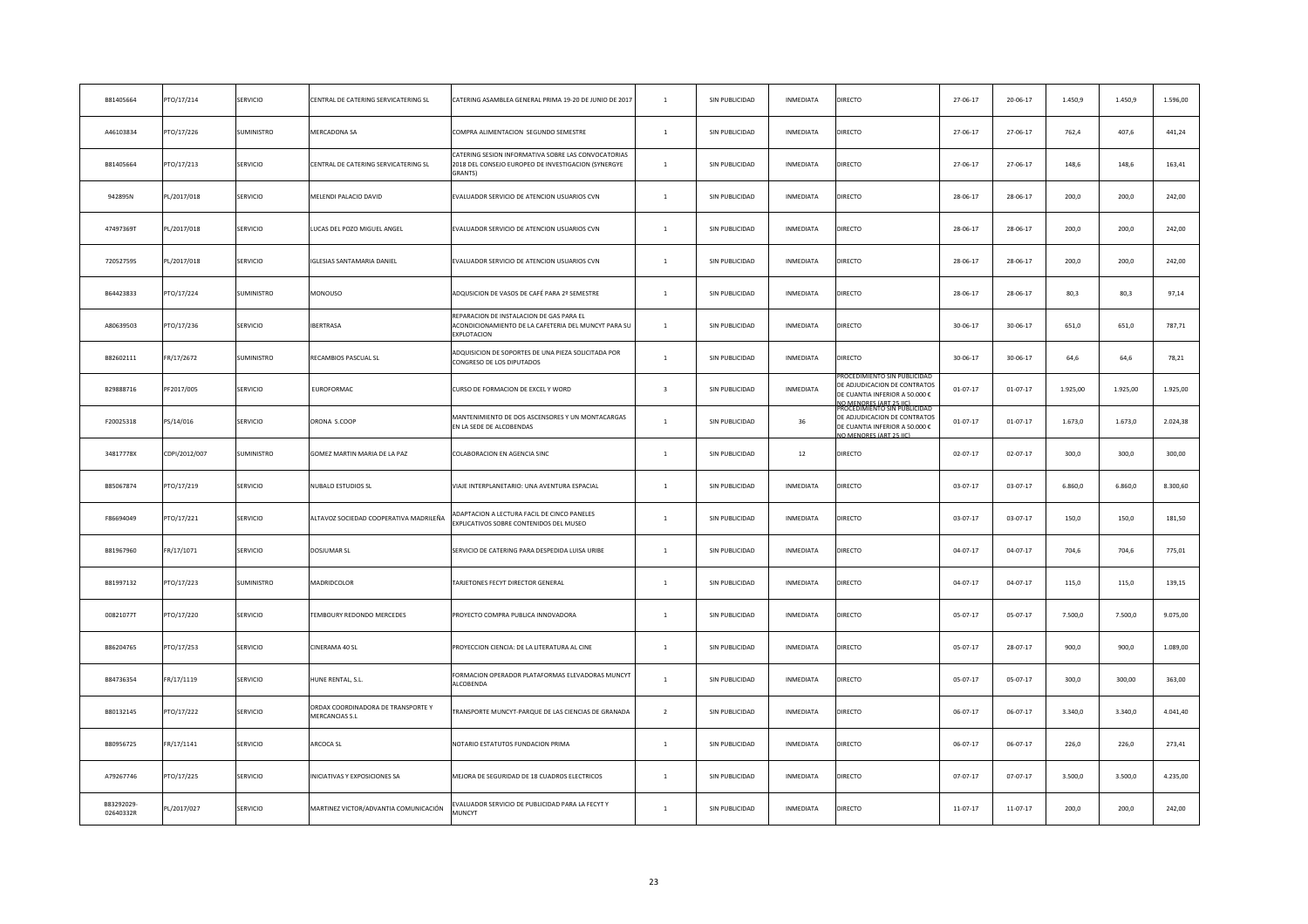| B81405664              | PTO/17/214    | SERVICIO        | CENTRAL DE CATERING SERVICATERING SL                 | CATERING ASAMBLEA GENERAL PRIMA 19-20 DE JUNIO DE 2017                                                                | $\overline{1}$          | SIN PUBLICIDAD | INMEDIATA        | DIRECTO                                                                                                                                                    | 27-06-17       | 20-06-17       | 1.450,9  | 1.450,9  | 1.596,00 |
|------------------------|---------------|-----------------|------------------------------------------------------|-----------------------------------------------------------------------------------------------------------------------|-------------------------|----------------|------------------|------------------------------------------------------------------------------------------------------------------------------------------------------------|----------------|----------------|----------|----------|----------|
| A46103834              | PTO/17/226    | SUMINISTRO      | MERCADONA SA                                         | COMPRA ALIMENTACION SEGUNDO SEMESTRE                                                                                  | $\mathbf{1}$            | SIN PUBLICIDAD | INMEDIATA        | DIRECTO                                                                                                                                                    | 27-06-17       | 27-06-17       | 762,4    | 407,6    | 441,24   |
| B81405664              | PTO/17/213    | SERVICIO        | CENTRAL DE CATERING SERVICATERING SL                 | CATERING SESION INFORMATIVA SOBRE LAS CONVOCATORIAS<br>2018 DEL CONSEJO EUROPEO DE INVESTIGACION (SYNERGYE<br>GRANTS) | $\mathbf{1}$            | SIN PUBLICIDAD | INMEDIATA        | DIRECTO                                                                                                                                                    | 27-06-17       | 27-06-17       | 148,6    | 148,6    | 163,41   |
| 942895N                | PL/2017/018   | SERVICIO        | MELENDI PALACIO DAVID                                | EVALUADOR SERVICIO DE ATENCION USUARIOS CVN                                                                           | $\mathbf{1}$            | SIN PUBLICIDAD | INMEDIATA        | DIRECTO                                                                                                                                                    | 28-06-17       | 28-06-17       | 200,0    | 200,0    | 242,00   |
| 47497369T              | PL/2017/018   | SERVICIO        | UCAS DEL POZO MIGUEL ANGEL                           | EVALUADOR SERVICIO DE ATENCION USUARIOS CVN                                                                           | $\mathbf{1}$            | SIN PUBLICIDAD | INMEDIATA        | DIRECTO                                                                                                                                                    | 28-06-17       | 28-06-17       | 200,0    | 200,0    | 242,00   |
| 72052759S              | PL/2017/018   | SERVICIO        | GLESIAS SANTAMARIA DANIEL                            | EVALUADOR SERVICIO DE ATENCION USUARIOS CVN                                                                           | $\mathbf{1}$            | SIN PUBLICIDAD | INMEDIATA        | DIRECTO                                                                                                                                                    | 28-06-17       | 28-06-17       | 200,0    | 200,0    | 242,00   |
| B64423833              | PTO/17/224    | SUMINISTRO      | <b>MONOUSO</b>                                       | ADQUSICION DE VASOS DE CAFÉ PARA 2º SEMESTRE                                                                          | $\mathbf{1}$            | SIN PUBLICIDAD | INMEDIATA        | DIRECTO                                                                                                                                                    | 28-06-17       | 28-06-17       | 80,3     | 80,3     | 97,14    |
| A80639503              | PTO/17/236    | SERVICIO        | <b>IBERTRASA</b>                                     | REPARACION DE INSTALACION DE GAS PARA EL<br>ACONDICIONAMIENTO DE LA CAFETERIA DEL MUNCYT PARA SU<br>EXPLOTACION       | $\mathbf{1}$            | SIN PUBLICIDAD | INMEDIATA        | DIRECTO                                                                                                                                                    | 30-06-17       | 30-06-17       | 651,0    | 651,0    | 787,71   |
| B82602111              | FR/17/2672    | SUMINISTRO      | RECAMBIOS PASCUAL SL                                 | ADQUISICION DE SOPORTES DE UNA PIEZA SOLICITADA POR<br>CONGRESO DE LOS DIPUTADOS                                      | $\mathbf{1}$            | SIN PUBLICIDAD | INMEDIATA        | DIRECTO                                                                                                                                                    | $30 - 06 - 17$ | 30-06-17       | 64,6     | 64,6     | 78,21    |
| B29888716              | PF2017/005    | SERVICIO        | EUROFORMAC                                           | CURSO DE FORMACION DE EXCEL Y WORD                                                                                    | $\overline{\mathbf{3}}$ | SIN PUBLICIDAD | INMEDIATA        | ROCEDIMIENTO SIN PUBLICIDA<br>DE ADJUDICACION DE CONTRATOS<br>DE CUANTIA INFERIOR A 50.000 €                                                               | $01 - 07 - 17$ | $01 - 07 - 17$ | 1.925,00 | 1.925,00 | 1.925,00 |
| F20025318              | PS/14/016     | SERVICIO        | ORONA S.COOP                                         | MANTENIMIENTO DE DOS ASCENSORES Y UN MONTACARGAS<br>EN LA SEDE DE ALCOBENDAS                                          | $\overline{1}$          | SIN PUBLICIDAD | 36               | <u>VO MENORES (ART 25 IIC).</u><br>PROCEDIMIENTO SIN PUBLICIDAD<br>DE ADJUDICACION DE CONTRATOS<br>DE CUANTIA INFERIOR A 50.000 €<br>O MENORES (ART 25 HC) | $01 - 07 - 17$ | $01 - 07 - 17$ | 1.673,0  | 1.673,0  | 2.024,38 |
| 34817778X              | CDPI/2012/007 | SUMINISTRO      | GOMEZ MARTIN MARIA DE LA PAZ                         | COLABORACION EN AGENCIA SINC                                                                                          | $\mathbf{1}$            | SIN PUBLICIDAD | 12               | DIRECTO                                                                                                                                                    | $02 - 07 - 17$ | $02 - 07 - 17$ | 300.0    | 300,0    | 300,00   |
| B85067874              | PTO/17/219    | SERVICIO        | <b>NUBALO ESTUDIOS SL</b>                            | VIAJE INTERPLANETARIO: UNA AVENTURA ESPACIAL                                                                          | $\mathbf{1}$            | SIN PUBLICIDAD | INMEDIATA        | DIRECTO                                                                                                                                                    | 03-07-17       | 03-07-17       | 6.860,0  | 6.860,0  | 8.300,60 |
| F86694049              | PTO/17/221    | <b>SERVICIO</b> | ALTAVOZ SOCIEDAD COOPERATIVA MADRILEÑA               | ADAPTACION A LECTURA FACIL DE CINCO PANELES<br>EXPLICATIVOS SOBRE CONTENIDOS DEL MUSEO                                | $\overline{1}$          | SIN PUBLICIDAD | <b>INMEDIATA</b> | DIRECTO                                                                                                                                                    | $03 - 07 - 17$ | 03-07-17       | 150.0    | 150.0    | 181,50   |
| B81967960              | FR/17/1071    | SERVICIO        | DOSJUMAR SL                                          | SERVICIO DE CATERING PARA DESPEDIDA LUISA URIBE                                                                       | $\mathbf{1}$            | SIN PUBLICIDAD | INMEDIATA        | DIRECTO                                                                                                                                                    | $04 - 07 - 17$ | $04 - 07 - 17$ | 704,6    | 704,6    | 775,01   |
| B81997132              | PTO/17/223    | SUMINISTRO      | MADRIDCOLOR                                          | TARJETONES FECYT DIRECTOR GENERAL                                                                                     | $\mathbf{1}$            | SIN PUBLICIDAD | INMEDIATA        | <b>DIRECTO</b>                                                                                                                                             | 04-07-17       | 04-07-17       | 115,0    | 115,0    | 139,15   |
| 00821077T              | PTO/17/220    | SERVICIO        | <b>FEMBOURY REDONDO MERCEDES</b>                     | PROYECTO COMPRA PUBLICA INNOVADORA                                                                                    | $\overline{1}$          | SIN PUBLICIDAD | <b>INMEDIATA</b> | DIRECTO                                                                                                                                                    | $05 - 07 - 17$ | 05-07-17       | 7.500,0  | 7.500,0  | 9.075,00 |
| B86204765              | PTO/17/253    | SERVICIO        | CINERAMA 40 SL                                       | PROYECCION CIENCIA: DE LA LITERATURA AL CINE                                                                          | $\mathbf{1}$            | SIN PUBLICIDAD | INMEDIATA        | DIRECTO                                                                                                                                                    | 05-07-17       | 28-07-17       | 900,0    | 900,0    | 1.089,00 |
| B84736354              | FR/17/1119    | SERVICIO        | IUNE RENTAL, S.L.                                    | FORMACION OPERADOR PLATAFORMAS ELEVADORAS MUNCYT<br>ALCOBENDA                                                         | $\overline{1}$          | SIN PUBLICIDAD | <b>INMEDIATA</b> | DIRECTO                                                                                                                                                    | 05-07-17       | 05-07-17       | 300,0    | 300,00   | 363,00   |
| B80132145              | PTO/17/222    | SERVICIO        | ORDAX COORDINADORA DE TRANSPORTE Y<br>MERCANCIAS S.L | TRANSPORTE MUNCYT-PARQUE DE LAS CIENCIAS DE GRANADA                                                                   | $\overline{2}$          | SIN PUBLICIDAD | INMEDIATA        | DIRECTO                                                                                                                                                    | $06 - 07 - 17$ | $06 - 07 - 17$ | 3.340,0  | 3.340,0  | 4.041,40 |
| B80956725              | FR/17/1141    | SERVICIO        | ARCOCA SL                                            | NOTARIO ESTATUTOS FUNDACION PRIMA                                                                                     | $\mathbf{1}$            | SIN PUBLICIDAD | <b>INMEDIATA</b> | DIRECTO                                                                                                                                                    | 06-07-17       | $06 - 07 - 17$ | 226,0    | 226,0    | 273,41   |
| A79267746              | PTO/17/225    | SERVICIO        | NICIATIVAS Y EXPOSICIONES SA                         | MEJORA DE SEGURIDAD DE 18 CUADROS ELECTRICOS                                                                          | $\overline{1}$          | SIN PUBLICIDAD | INMEDIATA        | DIRECTO                                                                                                                                                    | $07 - 07 - 17$ | 07-07-17       | 3.500,0  | 3.500,0  | 4.235,00 |
| B83292029<br>02640332R | PL/2017/027   | SERVICIO        | MARTINEZ VICTOR/ADVANTIA COMUNICACIÓN                | EVALUADOR SERVICIO DE PUBLICIDAD PARA LA FECYT Y<br>MUNCYT                                                            | $\overline{1}$          | SIN PUBLICIDAD | <b>INMEDIATA</b> | DIRECTO                                                                                                                                                    | $11 - 07 - 17$ | $11-07-17$     | 200.0    | 200.0    | 242,00   |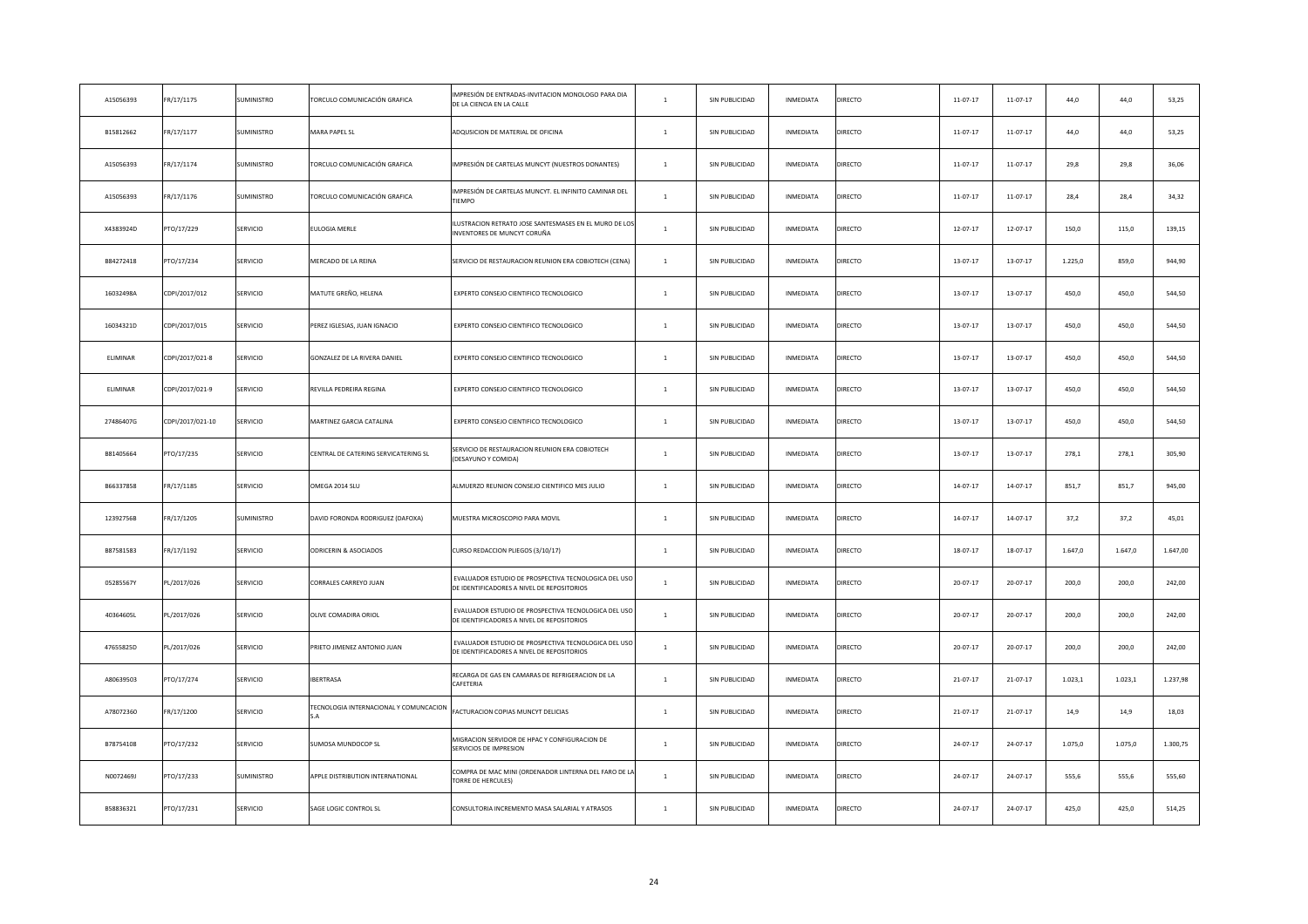| A15056393 | FR/17/1175       | SUMINISTRO      | <b>FORCULO COMUNICACIÓN GRAFICA</b>    | IMPRESIÓN DE ENTRADAS-INVITACION MONOLOGO PARA DIA<br>DE LA CIENCIA EN LA CALLE                    | $\mathbf{1}$   | SIN PUBLICIDAD | INMEDIATA        | DIRECTO | 11-07-17       | 11-07-17       | 44,0    | 44,0    | 53,25    |
|-----------|------------------|-----------------|----------------------------------------|----------------------------------------------------------------------------------------------------|----------------|----------------|------------------|---------|----------------|----------------|---------|---------|----------|
| B15812662 | FR/17/1177       | SUMINISTRO      | <b>MARA PAPEL SL</b>                   | ADQUSICION DE MATERIAL DE OFICINA                                                                  | $\mathbf{1}$   | SIN PUBLICIDAD | INMEDIATA        | DIRECTO | $11 - 07 - 17$ | $11 - 07 - 17$ | 44,0    | 44,0    | 53,25    |
| A15056393 | FR/17/1174       | SUMINISTRO      | <b>FORCULO COMUNICACIÓN GRAFICA</b>    | IMPRESIÓN DE CARTELAS MUNCYT (NUESTROS DONANTES)                                                   | $\mathbf{1}$   | SIN PUBLICIDAD | INMEDIATA        | DIRECTO | 11-07-17       | 11-07-17       | 29,8    | 29,8    | 36,06    |
| A15056393 | FR/17/1176       | SUMINISTRO      | <b>FORCULO COMUNICACIÓN GRAFICA</b>    | IMPRESIÓN DE CARTELAS MUNCYT. EL INFINITO CAMINAR DEL<br>TIEMPO                                    | $\mathbf{1}$   | SIN PUBLICIDAD | INMEDIATA        | DIRECTO | 11-07-17       | 11-07-17       | 28,4    | 28,4    | 34,32    |
| X4383924D | PTO/17/229       | SERVICIO        | ULOGIA MERLE                           | ILUSTRACION RETRATO JOSE SANTESMASES EN EL MURO DE LO:<br>INVENTORES DE MUNCYT CORUÑA              | $\mathbf{1}$   | SIN PUBLICIDAD | INMEDIATA        | DIRECTO | 12-07-17       | $12 - 07 - 17$ | 150,0   | 115,0   | 139,15   |
| B84272418 | PTO/17/234       | SERVICIO        | MERCADO DE LA REINA                    | SERVICIO DE RESTAURACION REUNION ERA COBIOTECH (CENA)                                              | $\mathbf{1}$   | SIN PUBLICIDAD | INMEDIATA        | DIRECTO | 13-07-17       | 13-07-17       | 1.225,0 | 859,0   | 944,90   |
| 16032498A | CDPI/2017/012    | SERVICIO        | VATUTE GREÑO, HELENA                   | EXPERTO CONSEJO CIENTIFICO TECNOLOGICO                                                             | $\mathbf{1}$   | SIN PUBLICIDAD | INMEDIATA        | DIRECTO | 13-07-17       | 13-07-17       | 450,0   | 450,0   | 544,50   |
| 16034321D | CDPI/2017/015    | SERVICIO        | PEREZ IGLESIAS, JUAN IGNACIO           | EXPERTO CONSEJO CIENTIFICO TECNOLOGICO                                                             | $\mathbf{1}$   | SIN PUBLICIDAD | INMEDIATA        | DIRECTO | 13-07-17       | 13-07-17       | 450,0   | 450,0   | 544,50   |
| ELIMINAR  | CDPI/2017/021-8  | SERVICIO        | GONZALEZ DE LA RIVERA DANIEL           | EXPERTO CONSEJO CIENTIFICO TECNOLOGICO                                                             | $\mathbf{1}$   | SIN PUBLICIDAD | INMEDIATA        | DIRECTO | 13-07-17       | 13-07-17       | 450,0   | 450,0   | 544,50   |
| ELIMINAR  | CDPI/2017/021-9  | SERVICIO        | REVILLA PEDREIRA REGINA                | EXPERTO CONSEJO CIENTIFICO TECNOLOGICO                                                             | $\mathbf{1}$   | SIN PUBLICIDAD | INMEDIATA        | DIRECTO | 13-07-17       | 13-07-17       | 450,0   | 450,0   | 544,50   |
| 27486407G | CDPI/2017/021-10 | SERVICIO        | <b>MARTINEZ GARCIA CATALINA</b>        | EXPERTO CONSEJO CIENTIFICO TECNOLOGICO                                                             | $\mathbf{1}$   | SIN PUBLICIDAD | INMEDIATA        | DIRECTO | 13-07-17       | 13-07-17       | 450,0   | 450,0   | 544,50   |
| B81405664 | PTO/17/235       | SERVICIO        | CENTRAL DE CATERING SERVICATERING SL   | SERVICIO DE RESTAURACION REUNION ERA COBIOTECH<br>(DESAYUNO Y COMIDA)                              | $\mathbf{1}$   | SIN PUBLICIDAD | INMEDIATA        | DIRECTO | 13-07-17       | 13-07-17       | 278,1   | 278,1   | 305,90   |
| B66337858 | FR/17/1185       | SERVICIO        | OMEGA 2014 SLU                         | ALMUERZO REUNION CONSEJO CIENTIFICO MES JULIO                                                      | $1$ $\,$       | SIN PUBLICIDAD | <b>INMEDIATA</b> | DIRECTO | $14 - 07 - 17$ | $14 - 07 - 17$ | 851,7   | 851,7   | 945,00   |
| 12392756B | FR/17/1205       | SUMINISTRO      | DAVID FORONDA RODRIGUEZ (DAFOXA)       | MUESTRA MICROSCOPIO PARA MOVIL                                                                     | $\mathbf{1}$   | SIN PUBLICIDAD | <b>INMEDIATA</b> | DIRECTO | 14-07-17       | 14-07-17       | 37,2    | 37,2    | 45,01    |
| B87581583 | FR/17/1192       | SERVICIO        | ODRICERIN & ASOCIADOS                  | CURSO REDACCION PLIEGOS (3/10/17)                                                                  | $\overline{1}$ | SIN PUBLICIDAD | INMEDIATA        | DIRECTO | 18-07-17       | 18-07-17       | 1.647,0 | 1.647,0 | 1.647,00 |
| 05285567Y | PL/2017/026      | SERVICIO        | CORRALES CARREYO JUAN                  | EVALUADOR ESTUDIO DE PROSPECTIVA TECNOLOGICA DEL USO<br>DE IDENTIFICADORES A NIVEL DE REPOSITORIOS | $\mathbf{1}$   | SIN PUBLICIDAD | INMEDIATA        | DIRECTO | 20-07-17       | 20-07-17       | 200,0   | 200,0   | 242,00   |
| 40364605L | PL/2017/026      | SERVICIO        | OLIVE COMADIRA ORIOL                   | EVALUADOR ESTUDIO DE PROSPECTIVA TECNOLOGICA DEL USO<br>DE IDENTIFICADORES A NIVEL DE REPOSITORIOS | $\overline{1}$ | SIN PUBLICIDAD | INMEDIATA        | DIRECTO | $20 - 07 - 17$ | 20-07-17       | 200,0   | 200.0   | 242,00   |
| 47655825D | PL/2017/026      | SERVICIO        | PRIETO JIMENEZ ANTONIO JUAN            | EVALUADOR ESTUDIO DE PROSPECTIVA TECNOLOGICA DEL USO<br>DE IDENTIFICADORES A NIVEL DE REPOSITORIOS | $\mathbf{1}$   | SIN PUBLICIDAD | INMEDIATA        | DIRECTO | 20-07-17       | $20 - 07 - 17$ | 200,0   | 200,0   | 242,00   |
| A80639503 | PTO/17/274       | <b>SERVICIO</b> | <b>BERTRASA</b>                        | RECARGA DE GAS EN CAMARAS DE REFRIGERACION DE LA<br>CAFETERIA                                      | $\overline{1}$ | SIN PUBLICIDAD | <b>INMEDIATA</b> | DIRECTO | $21 - 07 - 17$ | 21-07-17       | 1.023,1 | 1.023.1 | 1.237,98 |
| A78072360 | FR/17/1200       | SERVICIO        | FECNOLOGIA INTERNACIONAL Y COMUNCACION | FACTURACION COPIAS MUNCYT DELICIAS                                                                 | $\overline{1}$ | SIN PUBLICIDAD | INMEDIATA        | DIRECTO | 21-07-17       | 21-07-17       | 14,9    | 14,9    | 18,03    |
| B78754108 | PTO/17/232       | SERVICIO        | SUMOSA MUNDOCOP SL                     | MIGRACION SERVIDOR DE HPAC Y CONFIGURACION DE<br>SERVICIOS DE IMPRESION                            | $1\,$          | SIN PUBLICIDAD | <b>INMEDIATA</b> | DIRECTO | 24-07-17       | 24-07-17       | 1.075,0 | 1.075,0 | 1.300,75 |
| N0072469J | PTO/17/233       | SUMINISTRO      | APPLE DISTRIBUTION INTERNATIONAL       | COMPRA DE MAC MINI (ORDENADOR LINTERNA DEL FARO DE L<br>TORRE DE HERCULES)                         | $\overline{1}$ | SIN PUBLICIDAD | INMEDIATA        | DIRECTO | 24-07-17       | 24-07-17       | 555,6   | 555,6   | 555,60   |
| B58836321 | PTO/17/231       | SERVICIO        | SAGE LOGIC CONTROL SL                  | CONSULTORIA INCREMENTO MASA SALARIAL Y ATRASOS                                                     | $\mathbf{1}$   | SIN PUBLICIDAD | <b>INMEDIATA</b> | DIRECTO | 24-07-17       | 24-07-17       | 425,0   | 425.0   | 514,25   |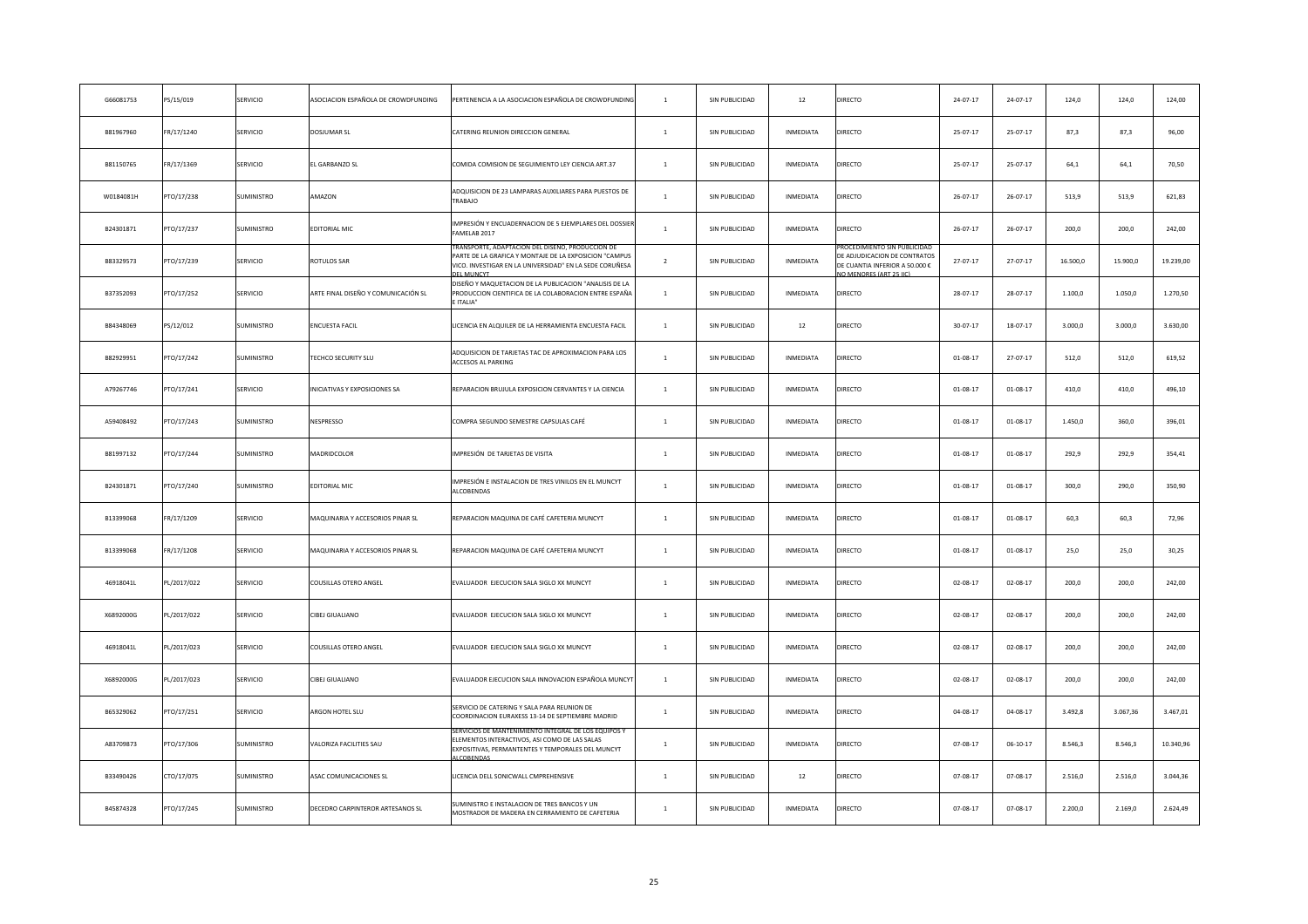| G66081753 | PS/15/019   | SERVICIO          | ASOCIACION ESPAÑOLA DE CROWDFUNDING     | PERTENENCIA A LA ASOCIACION ESPAÑOLA DE CROWDFUNDIN                                                                                                                                       | $\mathbf{1}$   | SIN PUBLICIDAD | 12               | DIRECTO                                                                                                                  | 24-07-17       | 24-07-17       | 124,0    | 124,0    | 124,00    |
|-----------|-------------|-------------------|-----------------------------------------|-------------------------------------------------------------------------------------------------------------------------------------------------------------------------------------------|----------------|----------------|------------------|--------------------------------------------------------------------------------------------------------------------------|----------------|----------------|----------|----------|-----------|
| B81967960 | FR/17/1240  | SERVICIO          | DOSJUMAR SL                             | CATERING REUNION DIRECCION GENERAL                                                                                                                                                        | $\mathbf{1}$   | SIN PUBLICIDAD | INMEDIATA        | DIRECTO                                                                                                                  | $25 - 07 - 17$ | 25-07-17       | 87,3     | 87,3     | 96,00     |
| B81150765 | FR/17/1369  | SERVICIO          | L GARBANZO SL                           | COMIDA COMISION DE SEGUIMIENTO LEY CIENCIA ART.37                                                                                                                                         | $\mathbf{1}$   | SIN PUBLICIDAD | INMEDIATA        | DIRECTO                                                                                                                  | 25-07-17       | 25-07-17       | 64,1     | 64,1     | 70,50     |
| W0184081H | PTO/17/238  | SUMINISTRO        | AMAZON                                  | ADQUISICION DE 23 LAMPARAS AUXILIARES PARA PUESTOS DE<br>TRABAJO                                                                                                                          | $\mathbf{1}$   | SIN PUBLICIDAD | INMEDIATA        | DIRECTO                                                                                                                  | $26 - 07 - 17$ | $26 - 07 - 17$ | 513,9    | 513,9    | 621,83    |
| B24301871 | PTO/17/237  | SUMINISTRO        | <b>DITORIAL MIC</b>                     | IMPRESIÓN Y ENCUADERNACION DE 5 EJEMPLARES DEL DOSSIE<br>FAMELAB 2017                                                                                                                     | $\mathbf{1}$   | SIN PUBLICIDAD | INMEDIATA        | DIRECTO                                                                                                                  | $26 - 07 - 17$ | $26 - 07 - 17$ | 200,0    | 200,0    | 242,00    |
| B83329573 | PTO/17/239  | SERVICIO          | ROTULOS SAR                             | RANSPORTE, ADAPTACION DEL DISENO, PRODUCCION DE<br>PARTE DE LA GRAFICA Y MONTAJE DE LA EXPOSICION "CAMPUS<br>VICO. INVESTIGAR EN LA UNIVERSIDAD" EN LA SEDE CORUÑESA<br><b>DEL MUNCYT</b> | $\overline{2}$ | SIN PUBLICIDAD | INMEDIATA        | ROCEDIMIENTO SIN PUBLICIDAI<br>DE ADJUDICACION DE CONTRATOS<br>DE CUANTIA INFERIOR A 50.000 €<br>IO MENORES (ART 25 IIC) | 27-07-17       | 27-07-17       | 16.500,0 | 15.900,0 | 19.239,00 |
| B37352093 | PTO/17/252  | SERVICIO          | ARTE FINAL DISEÑO Y COMUNICACIÓN SL     | DISEÑO Y MAQUETACION DE LA PUBLICACION "ANALISIS DE LA<br>PRODUCCION CIENTIFICA DE LA COLABORACION ENTRE ESPAÑA<br>E ITALIA"                                                              | $\mathbf{1}$   | SIN PUBLICIDAD | INMEDIATA        | DIRECTO                                                                                                                  | 28-07-17       | 28-07-17       | 1.100,0  | 1.050,0  | 1.270,50  |
| B84348069 | PS/12/012   | <b>SUMINISTRO</b> | <b>INCUESTA FACIL</b>                   | LICENCIA EN ALQUILER DE LA HERRAMIENTA ENCUESTA FACIL                                                                                                                                     | $\mathbf{1}$   | SIN PUBLICIDAD | 12               | DIRECTO                                                                                                                  | 30-07-17       | 18-07-17       | 3.000,0  | 3.000,0  | 3.630,00  |
| B82929951 | PTO/17/242  | SUMINISTRO        | <b>FECHCO SECURITY SLU</b>              | ADQUISICION DE TARJETAS TAC DE APROXIMACION PARA LOS<br>ACCESOS AL PARKING                                                                                                                | $\mathbf{1}$   | SIN PUBLICIDAD | INMEDIATA        | DIRECTO                                                                                                                  | $01-08-17$     | 27-07-17       | 512,0    | 512,0    | 619,52    |
| A79267746 | PTO/17/241  | SERVICIO          | INICIATIVAS Y EXPOSICIONES SA           | REPARACION BRUJULA EXPOSICION CERVANTES Y LA CIENCIA                                                                                                                                      | $\mathbf{1}$   | SIN PUBLICIDAD | INMEDIATA        | DIRECTO                                                                                                                  | $01-08-17$     | $01 - 08 - 17$ | 410,0    | 410,0    | 496,10    |
| A59408492 | PTO/17/243  | SUMINISTRO        | VESPRESSO                               | COMPRA SEGUNDO SEMESTRE CAPSULAS CAFÉ                                                                                                                                                     | $\mathbf{1}$   | SIN PUBLICIDAD | INMEDIATA        | DIRECTO                                                                                                                  | $01 - 08 - 17$ | $01 - 08 - 17$ | 1.450,0  | 360,0    | 396,01    |
| B81997132 | PTO/17/244  | <b>SUMINISTRO</b> | MADRIDCOLOR                             | IMPRESIÓN DE TARJETAS DE VISITA                                                                                                                                                           | $\overline{1}$ | SIN PUBLICIDAD | <b>INMEDIATA</b> | DIRECTO                                                                                                                  | $01 - 08 - 17$ | $01 - 08 - 17$ | 292,9    | 292,9    | 354,41    |
| B24301871 | PTO/17/240  | <b>SUMINISTRO</b> | EDITORIAL MIC                           | IMPRESIÓN E INSTALACION DE TRES VINILOS EN EL MUNCYT<br>ALCOBENDAS                                                                                                                        | $\mathbf{1}$   | SIN PUBLICIDAD | <b>INMEDIATA</b> | DIRECTO                                                                                                                  | 01-08-17       | $01 - 08 - 17$ | 300,0    | 290,0    | 350,90    |
| B13399068 | FR/17/1209  | SERVICIO          | MAQUINARIA Y ACCESORIOS PINAR SL        | REPARACION MAQUINA DE CAFÉ CAFETERIA MUNCYT                                                                                                                                               | $\overline{1}$ | SIN PUBLICIDAD | <b>INMEDIATA</b> | DIRECTO                                                                                                                  | $01 - 08 - 17$ | $01 - 08 - 17$ | 60,3     | 60,3     | 72,96     |
| B13399068 | FR/17/1208  | <b>SERVICIO</b>   | <b>MAQUINARIA Y ACCESORIOS PINAR SL</b> | REPARACION MAQUINA DE CAFÉ CAFETERIA MUNCYT                                                                                                                                               | $\overline{1}$ | SIN PUBLICIDAD | INMEDIATA        | <b>DIRECTO</b>                                                                                                           | $01 - 08 - 17$ | $01 - 08 - 17$ | 25,0     | 25,0     | 30,25     |
| 46918041L | PL/2017/022 | SERVICIO          | COUSILLAS OTERO ANGEL                   | EVALUADOR EJECUCION SALA SIGLO XX MUNCYT                                                                                                                                                  | $\mathbf{1}$   | SIN PUBLICIDAD | INMEDIATA        | DIRECTO                                                                                                                  | $02 - 08 - 17$ | $02 - 08 - 17$ | 200,0    | 200,0    | 242,00    |
| X6892000G | PL/2017/022 | SERVICIO          | CIBEJ GIUALIANO                         | EVALUADOR EJECUCION SALA SIGLO XX MUNCYT                                                                                                                                                  | $\mathbf{1}$   | SIN PUBLICIDAD | INMEDIATA        | DIRECTO                                                                                                                  | $02 - 08 - 17$ | $02 - 08 - 17$ | 200,0    | 200.0    | 242,00    |
| 46918041L | PL/2017/023 | SERVICIO          | COUSILLAS OTERO ANGEL                   | EVALUADOR EJECUCION SALA SIGLO XX MUNCYT                                                                                                                                                  | $\mathbf{1}$   | SIN PUBLICIDAD | INMEDIATA        | DIRECTO                                                                                                                  | $02 - 08 - 17$ | $02 - 08 - 17$ | 200,0    | 200,0    | 242,00    |
| X6892000G | PL/2017/023 | <b>SERVICIO</b>   | <b>CIBEJ GIUALIANO</b>                  | EVALUADOR EJECUCION SALA INNOVACION ESPAÑOLA MUNCY                                                                                                                                        | $\overline{1}$ | SIN PUBLICIDAD | <b>INMEDIATA</b> | DIRECTO                                                                                                                  | $02 - 08 - 17$ | $02 - 08 - 17$ | 200,0    | 200,0    | 242,00    |
| B65329062 | PTO/17/251  | SERVICIO          | ARGON HOTEL SLU                         | SERVICIO DE CATERING Y SALA PARA REUNION DE<br>COORDINACION EURAXESS 13-14 DE SEPTIEMBRE MADRID                                                                                           | $\overline{1}$ | SIN PUBLICIDAD | INMEDIATA        | DIRECTO                                                                                                                  | $04 - 08 - 17$ | $04 - 08 - 17$ | 3.492,8  | 3.067,36 | 3.467,01  |
| A83709873 | PTO/17/306  | SUMINISTRO        | <b>/ALORIZA FACILITIES SAU</b>          | ELEMENTOS INTERACTIVOS, ASI COMO DE LAS SALAS<br>EXPOSITIVAS, PERMANTENTES Y TEMPORALES DEL MUNCYT<br>ALCORENDAS                                                                          | $\mathbf{1}$   | SIN PUBLICIDAD | INMEDIATA        | DIRECTO                                                                                                                  | 07-08-17       | $06 - 10 - 17$ | 8.546,3  | 8.546,3  | 10.340,96 |
| B33490426 | CTO/17/075  | SUMINISTRO        | ASAC COMUNICACIONES SL                  | LICENCIA DELL SONICWALL CMPREHENSIVE                                                                                                                                                      | $\mathbf{1}$   | SIN PUBLICIDAD | $12\,$           | DIRECTO                                                                                                                  | 07-08-17       | $07 - 08 - 17$ | 2.516,0  | 2.516,0  | 3.044,36  |
| B45874328 | PTO/17/245  | SUMINISTRO        | DECEDRO CARPINTEROR ARTESANOS SL        | SUMINISTRO E INSTALACION DE TRES BANCOS Y UN<br>MOSTRADOR DE MADERA EN CERRAMIENTO DE CAFETERIA                                                                                           | $\overline{1}$ | SIN PUBLICIDAD | <b>INMEDIATA</b> | DIRECTO                                                                                                                  | $07 - 08 - 17$ | 07-08-17       | 2.200.0  | 2.169.0  | 2.624,49  |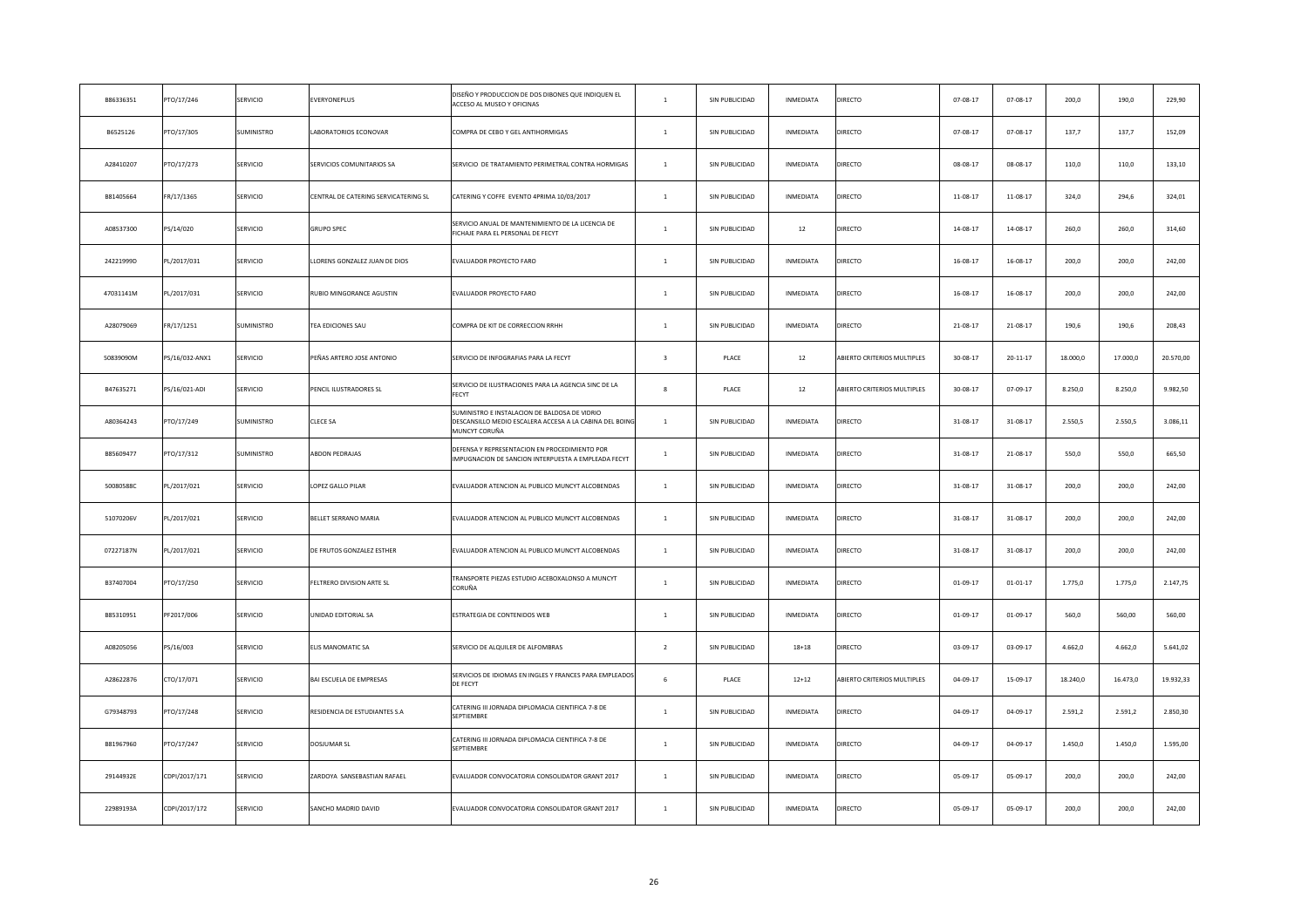| B86336351 | PTO/17/246     | SERVICIO        | EVERYONEPLUS                         | DISEÑO Y PRODUCCION DE DOS DIBONES QUE INDIQUEN EL<br>ACCESO AL MUSEO Y OFICINAS                                          | $\mathbf{1}$            | SIN PUBLICIDAD | INMEDIATA        | DIRECTO                     | 07-08-17       | $07 - 08 - 17$ | 200,0    | 190,0    | 229,90    |
|-----------|----------------|-----------------|--------------------------------------|---------------------------------------------------------------------------------------------------------------------------|-------------------------|----------------|------------------|-----------------------------|----------------|----------------|----------|----------|-----------|
| B6525126  | PTO/17/305     | SUMINISTRO      | ABORATORIOS ECONOVAR                 | COMPRA DE CEBO Y GEL ANTIHORMIGAS                                                                                         | $\mathbf{1}$            | SIN PUBLICIDAD | INMEDIATA        | DIRECTO                     | 07-08-17       | $07 - 08 - 17$ | 137,7    | 137,7    | 152,09    |
| A28410207 | PTO/17/273     | SERVICIO        | <b>SERVICIOS COMUNITARIOS SA</b>     | SERVICIO DE TRATAMIENTO PERIMETRAL CONTRA HORMIGAS                                                                        | $\mathbf{1}$            | SIN PUBLICIDAD | INMEDIATA        | DIRECTO                     | 08-08-17       | 08-08-17       | 110,0    | 110,0    | 133,10    |
| B81405664 | FR/17/1365     | SERVICIO        | CENTRAL DE CATERING SERVICATERING SL | CATERING Y COFFE EVENTO 4PRIMA 10/03/2017                                                                                 | $\,$ 1 $\,$             | SIN PUBLICIDAD | INMEDIATA        | DIRECTO                     | 11-08-17       | $11-08-17$     | 324,0    | 294,6    | 324,01    |
| A08537300 | PS/14/020      | SERVICIO        | <b>GRUPO SPEC</b>                    | SERVICIO ANUAL DE MANTENIMIENTO DE LA LICENCIA DE<br>FICHAJE PARA EL PERSONAL DE FECYT                                    | $\mathbf{1}$            | SIN PUBLICIDAD | 12               | DIRECTO                     | 14-08-17       | 14-08-17       | 260,0    | 260,0    | 314,60    |
| 24221999D | PL/2017/031    | SERVICIO        | LLORENS GONZALEZ JUAN DE DIOS        | EVALUADOR PROYECTO FARO                                                                                                   | $\mathbf{1}$            | SIN PUBLICIDAD | INMEDIATA        | DIRECTO                     | 16-08-17       | $16 - 08 - 17$ | 200,0    | 200,0    | 242,00    |
| 47031141M | PL/2017/031    | SERVICIO        | RUBIO MINGORANCE AGUSTIN             | EVALUADOR PROYECTO FARO                                                                                                   | $\mathbf{1}$            | SIN PUBLICIDAD | INMEDIATA        | DIRECTO                     | 16-08-17       | $16 - 08 - 17$ | 200,0    | 200,0    | 242,00    |
| A28079069 | FR/17/1251     | SUMINISTRO      | <b>FEA EDICIONES SAU</b>             | COMPRA DE KIT DE CORRECCION RRHH                                                                                          | $\mathbf{1}$            | SIN PUBLICIDAD | INMEDIATA        | DIRECTO                     | 21-08-17       | 21-08-17       | 190,6    | 190,6    | 208,43    |
| 50839090M | PS/16/032-ANX1 | SERVICIO        | PEÑAS ARTERO JOSE ANTONIO            | SERVICIO DE INFOGRAFIAS PARA LA FECYT                                                                                     | $\overline{\mathbf{3}}$ | PLACE          | $12\,$           | ABIERTO CRITERIOS MULTIPLES | 30-08-17       | $20 - 11 - 17$ | 18.000,0 | 17.000,0 | 20.570,00 |
| B47635271 | PS/16/021-ADI  | <b>SERVICIO</b> | PENCIL ILUSTRADORES SL               | SERVICIO DE ILUSTRACIONES PARA LA AGENCIA SINC DE LA<br>FECYT                                                             | $\mathbf{R}$            | PLACE          | $12\,$           | ABIERTO CRITERIOS MULTIPLES | $30 - 08 - 17$ | 07-09-17       | 8.250,0  | 8.250,0  | 9.982,50  |
| A80364243 | PTO/17/249     | SUMINISTRO      | CLECE SA                             | SUMINISTRO E INSTALACION DE BALDOSA DE VIDRIO<br>DESCANSILLO MEDIO ESCALERA ACCESA A LA CABINA DEL BOINO<br>MUNCYT CORUÑA | $\mathbf{1}$            | SIN PUBLICIDAD | INMEDIATA        | DIRECTO                     | 31-08-17       | $31 - 08 - 17$ | 2.550,5  | 2.550,5  | 3.086,11  |
| B85609477 | PTO/17/312     | SUMINISTRO      | <b>ABDON PEDRAJAS</b>                | DEFENSA Y REPRESENTACION EN PROCEDIMIENTO POR<br>IMPUGNACION DE SANCION INTERPUESTA A EMPLEADA FECYT                      | $\mathbf{1}$            | SIN PUBLICIDAD | INMEDIATA        | DIRECTO                     | 31-08-17       | 21-08-17       | 550,0    | 550,0    | 665,50    |
| 50080588C | PL/2017/021    | SERVICIO        | OPEZ GALLO PILAR                     | EVALUADOR ATENCION AL PUBLICO MUNCYT ALCOBENDAS                                                                           | $\mathbf{1}$            | SIN PUBLICIDAD | <b>INMEDIATA</b> | DIRECTO                     | 31-08-17       | $31 - 08 - 17$ | 200,0    | 200,0    | 242,00    |
| 51070206V | PL/2017/021    | SERVICIO        | BELLET SERRANO MARIA                 | EVALUADOR ATENCION AL PUBLICO MUNCYT ALCOBENDAS                                                                           | $\overline{1}$          | SIN PUBLICIDAD | INMEDIATA        | DIRECTO                     | 31-08-17       | $31 - 08 - 17$ | 200,0    | 200,0    | 242,00    |
| 07227187N | PL/2017/021    | SERVICIO        | DE FRUTOS GONZALEZ ESTHER            | EVALUADOR ATENCION AL PUBLICO MUNCYT ALCOBENDAS                                                                           | $\mathbf{1}$            | SIN PUBLICIDAD | <b>INMEDIATA</b> | DIRECTO                     | 31-08-17       | $31 - 08 - 17$ | 200,0    | 200,0    | 242,00    |
| B37407004 | PTO/17/250     | SERVICIO        | FELTRERO DIVISION ARTE SL            | TRANSPORTE PIEZAS ESTUDIO ACEBOXALONSO A MUNCYT<br>CORUÑA                                                                 | $\mathbf{1}$            | SIN PUBLICIDAD | INMEDIATA        | DIRECTO                     | $01-09-17$     | $01 - 01 - 17$ | 1.775,0  | 1.775,0  | 2.147,75  |
| B85310951 | PF2017/006     | SERVICIO        | JNIDAD EDITORIAL SA                  | ESTRATEGIA DE CONTENIDOS WEB                                                                                              | $\mathbf{1}$            | SIN PUBLICIDAD | INMEDIATA        | DIRECTO                     | $01 - 09 - 17$ | $01-09-17$     | 560,0    | 560,00   | 560,00    |
| A08205056 | PS/16/003      | SERVICIO        | ELIS MANOMATIC SA                    | SERVICIO DE ALQUILER DE ALFOMBRAS                                                                                         | $\overline{2}$          | SIN PUBLICIDAD | $18 + 18$        | DIRECTO                     | 03-09-17       | 03-09-17       | 4.662,0  | 4.662,0  | 5.641,02  |
| A28622876 | CTO/17/071     | SERVICIO        | BAI ESCUELA DE EMPRESAS              | SERVICIOS DE IDIOMAS EN INGLES Y FRANCES PARA EMPLEADOS<br>DE FECYT                                                       | 6                       | PLACE          | $12 + 12$        | ABIERTO CRITERIOS MULTIPLES | 04-09-17       | 15-09-17       | 18.240,0 | 16.473,0 | 19.932,33 |
| G79348793 | PTO/17/248     | SERVICIO        | RESIDENCIA DE ESTUDIANTES S.A        | CATERING III JORNADA DIPLOMACIA CIENTIFICA 7-8 DE<br>SEPTIEMBRE                                                           | $\mathbf{1}$            | SIN PUBLICIDAD | INMEDIATA        | DIRECTO                     | $04 - 09 - 17$ | 04-09-17       | 2.591,2  | 2.591,2  | 2.850,30  |
| B81967960 | PTO/17/247     | SERVICIO        | DOSJUMAR SL                          | CATERING III JORNADA DIPLOMACIA CIENTIFICA 7-8 DE<br>SEPTIEMBRE                                                           | $\mathbf{1}$            | SIN PUBLICIDAD | INMEDIATA        | DIRECTO                     | 04-09-17       | $04 - 09 - 17$ | 1.450,0  | 1.450,0  | 1.595,00  |
| 29144932E | CDPI/2017/171  | SERVICIO        | ZARDOYA SANSEBASTIAN RAFAEL          | EVALUADOR CONVOCATORIA CONSOLIDATOR GRANT 2017                                                                            | $\mathbf{1}$            | SIN PUBLICIDAD | INMEDIATA        | DIRECTO                     | 05-09-17       | 05-09-17       | 200,0    | 200,0    | 242,00    |
| 22989193A | CDPI/2017/172  | SERVICIO        | SANCHO MADRID DAVID                  | EVALUADOR CONVOCATORIA CONSOLIDATOR GRANT 2017                                                                            | $\mathbf{1}$            | SIN PUBLICIDAD | INMEDIATA        | DIRECTO                     | 05-09-17       | 05-09-17       | 200,0    | 200,0    | 242,00    |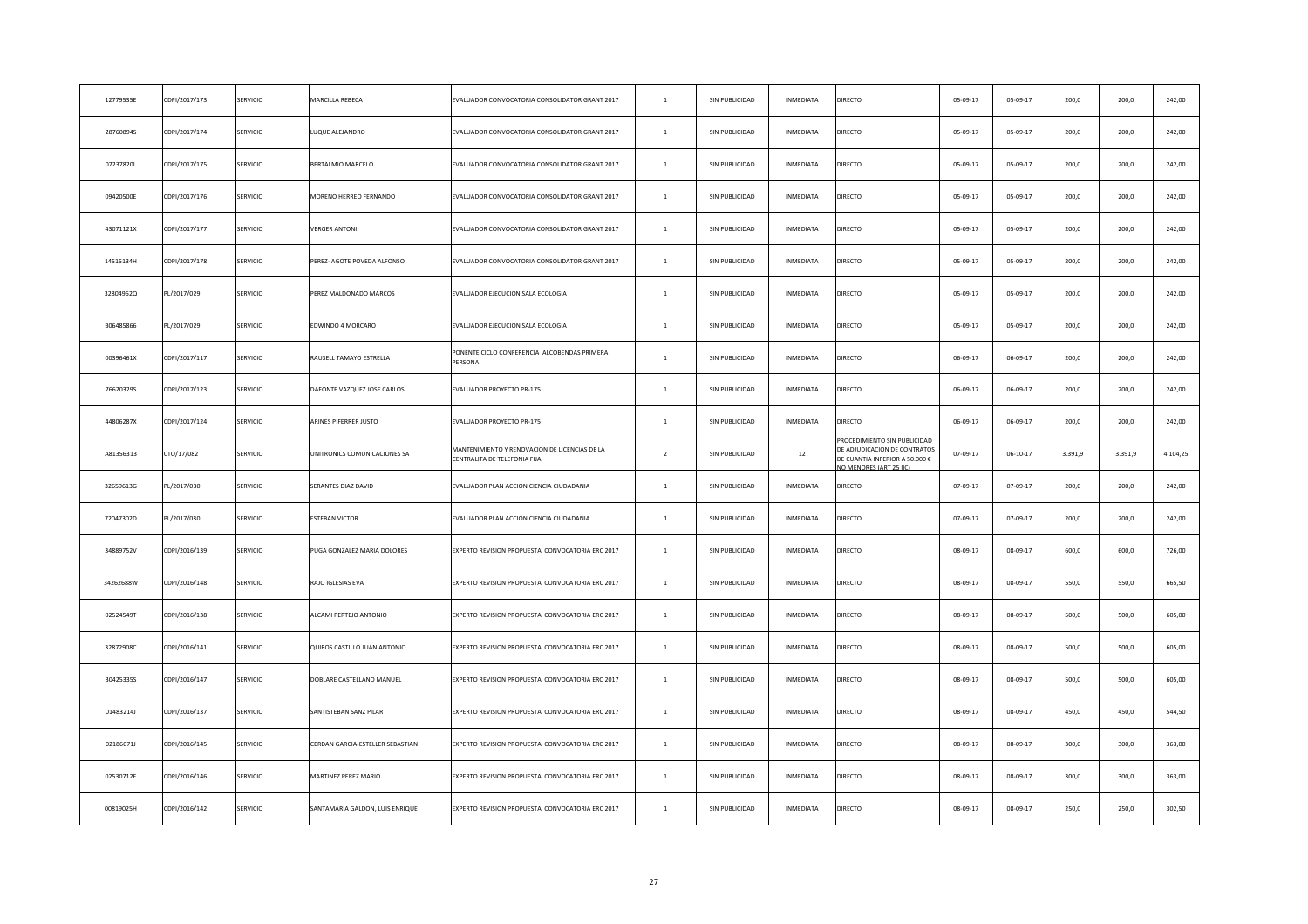| 12779535E | CDPI/2017/173 | SERVICIO | MARCILLA REBECA                  | EVALUADOR CONVOCATORIA CONSOLIDATOR GRANT 2017                                | $\mathbf{1}$   | SIN PUBLICIDAD | INMEDIATA | DIRECTO                                                                                | 05-09-17       | 05-09-17       | 200,0   | 200,0   | 242,00   |
|-----------|---------------|----------|----------------------------------|-------------------------------------------------------------------------------|----------------|----------------|-----------|----------------------------------------------------------------------------------------|----------------|----------------|---------|---------|----------|
| 28760894S | CDPI/2017/174 | SERVICIO | UQUE ALEJANDRO                   | EVALUADOR CONVOCATORIA CONSOLIDATOR GRANT 2017                                | $\,$ 1 $\,$    | SIN PUBLICIDAD | INMEDIATA | DIRECTO                                                                                | 05-09-17       | 05-09-17       | 200,0   | 200,0   | 242,00   |
| 07237820L | CDPI/2017/175 | SERVICIO | BERTALMIO MARCELO                | EVALUADOR CONVOCATORIA CONSOLIDATOR GRANT 2017                                | $\mathbf{1}$   | SIN PUBLICIDAD | INMEDIATA | <b>DIRECTO</b>                                                                         | 05-09-17       | 05-09-17       | 200,0   | 200,0   | 242,00   |
| 09420500E | CDPI/2017/176 | SERVICIO | MORENO HERREO FERNANDO           | EVALUADOR CONVOCATORIA CONSOLIDATOR GRANT 2017                                | $\,$ 1 $\,$    | SIN PUBLICIDAD | INMEDIATA | DIRECTO                                                                                | 05-09-17       | 05-09-17       | 200,0   | 200,0   | 242,00   |
| 43071121X | CDPI/2017/177 | SERVICIO | <b>/ERGER ANTONI</b>             | EVALUADOR CONVOCATORIA CONSOLIDATOR GRANT 2017                                | $\mathbf{1}$   | SIN PUBLICIDAD | INMEDIATA | DIRECTO                                                                                | 05-09-17       | 05-09-17       | 200,0   | 200,0   | 242,00   |
| 14515134H | CDPI/2017/178 | SERVICIO | PEREZ- AGOTE POVEDA ALFONSO      | EVALUADOR CONVOCATORIA CONSOLIDATOR GRANT 2017                                | $\mathbf{1}$   | SIN PUBLICIDAD | INMEDIATA | DIRECTO                                                                                | 05-09-17       | 05-09-17       | 200,0   | 200,0   | 242,00   |
| 32804962Q | PL/2017/029   | SERVICIO | PEREZ MALDONADO MARCOS           | EVALUADOR EJECUCION SALA ECOLOGIA                                             | $\,$ 1 $\,$    | SIN PUBLICIDAD | INMEDIATA | DIRECTO                                                                                | 05-09-17       | 05-09-17       | 200,0   | 200,0   | 242,00   |
| B06485866 | PL/2017/029   | SERVICIO | EDWINDO 4 MORCARO                | EVALUADOR EJECUCION SALA ECOLOGIA                                             | $\mathbf{1}$   | SIN PUBLICIDAD | INMEDIATA | DIRECTO                                                                                | 05-09-17       | 05-09-17       | 200,0   | 200,0   | 242,00   |
| 00396461X | CDPI/2017/117 | SERVICIO | RAUSELL TAMAYO ESTRELLA          | PONENTE CICLO CONFERENCIA ALCOBENDAS PRIMERA<br>PERSONA                       | <sup>1</sup>   | SIN PUBLICIDAD | INMEDIATA | DIRECTO                                                                                | $06 - 09 - 17$ | $06 - 09 - 17$ | 200,0   | 200,0   | 242,00   |
| 76620329S | CDPI/2017/123 | SERVICIO | DAFONTE VAZQUEZ JOSE CARLOS      | EVALUADOR PROYECTO PR-175                                                     | $\overline{1}$ | SIN PUBLICIDAD | INMEDIATA | DIRECTO                                                                                | 06-09-17       | 06-09-17       | 200,0   | 200,0   | 242,00   |
| 44806287X | CDPI/2017/124 | SERVICIO | ARINES PIFERRER JUSTO            | EVALUADOR PROYECTO PR-175                                                     | <sup>1</sup>   | SIN PUBLICIDAD | INMEDIATA | DIRECTO                                                                                | $06 - 09 - 17$ | $06 - 09 - 17$ | 200,0   | 200,0   | 242,00   |
| A81356313 | CTO/17/082    | SERVICIO | UNITRONICS COMUNICACIONES SA     | MANTENIMIENTO Y RENOVACION DE LICENCIAS DE LA<br>CENTRALITA DE TELEFONIA FIJA | $\overline{2}$ | SIN PUBLICIDAD | 12        | DE ADJUDICACION DE CONTRATOS<br>DE CUANTIA INFERIOR A 50.000 €<br>O MENORES (ART 25 HC | 07-09-17       | $06 - 10 - 17$ | 3.391,9 | 3.391,9 | 4.104,25 |
| 32659613G | PL/2017/030   | SERVICIO | SERANTES DIAZ DAVID              | EVALUADOR PLAN ACCION CIENCIA CIUDADANIA                                      | $\mathbf{1}$   | SIN PUBLICIDAD | INMEDIATA | DIRECTO                                                                                | $07 - 09 - 17$ | 07-09-17       | 200,0   | 200,0   | 242,00   |
| 72047302D | PL/2017/030   | SERVICIO | <b>ESTEBAN VICTOR</b>            | EVALUADOR PLAN ACCION CIENCIA CIUDADANIA                                      | <sup>1</sup>   | SIN PUBLICIDAD | INMEDIATA | DIRECTO                                                                                | 07-09-17       | $07 - 09 - 17$ | 200,0   | 200,0   | 242,00   |
| 34889752V | CDPI/2016/139 | SERVICIO | PUGA GONZALEZ MARIA DOLORES      | EXPERTO REVISION PROPUESTA CONVOCATORIA ERC 2017                              | $\overline{1}$ | SIN PUBLICIDAD | INMEDIATA | DIRECTO                                                                                | 08-09-17       | 08-09-17       | 600,0   | 600,0   | 726,00   |
| 34262688W | CDPI/2016/148 | SERVICIO | RAJO IGLESIAS EVA                | EXPERTO REVISION PROPUESTA CONVOCATORIA ERC 2017                              | $\mathbf{1}$   | SIN PUBLICIDAD | INMEDIATA | DIRECTO                                                                                | 08-09-17       | 08-09-17       | 550,0   | 550,0   | 665,50   |
| 02524549T | CDPI/2016/138 | SERVICIO | ALCAMI PERTEJO ANTONIO           | EXPERTO REVISION PROPUESTA CONVOCATORIA ERC 2017                              | $\overline{1}$ | SIN PUBLICIDAD | INMEDIATA | <b>DIRECTO</b>                                                                         | 08-09-17       | 08-09-17       | 500,0   | 500,0   | 605,00   |
| 32872908C | CDPI/2016/141 | SERVICIO | QUIROS CASTILLO JUAN ANTONIO     | EXPERTO REVISION PROPUESTA CONVOCATORIA ERC 2017                              | $\mathbf{1}$   | SIN PUBLICIDAD | INMEDIATA | DIRECTO                                                                                | 08-09-17       | 08-09-17       | 500,0   | 500,0   | 605,00   |
| 30425335S | CDPI/2016/147 | SERVICIO | DOBLARE CASTELLANO MANUEL        | EXPERTO REVISION PROPUESTA CONVOCATORIA ERC 2017                              | $\overline{1}$ | SIN PUBLICIDAD | INMEDIATA | DIRECTO                                                                                | 08-09-17       | 08-09-17       | 500,0   | 500,0   | 605,00   |
| 01483214J | CDPI/2016/137 | SERVICIO | ANTISTEBAN SANZ PILAR            | EXPERTO REVISION PROPUESTA CONVOCATORIA ERC 2017                              | $\mathbf{1}$   | SIN PUBLICIDAD | INMEDIATA | DIRECTO                                                                                | 08-09-17       | 08-09-17       | 450,0   | 450,0   | 544,50   |
| 02186071J | CDPI/2016/145 | SERVICIO | CERDAN GARCIA-ESTELLER SEBASTIAN | EXPERTO REVISION PROPUESTA CONVOCATORIA ERC 2017                              | $\,$ $\,$      | SIN PUBLICIDAD | INMEDIATA | DIRECTO                                                                                | 08-09-17       | 08-09-17       | 300,0   | 300,0   | 363,00   |
| 02530712E | CDPI/2016/146 | SERVICIO | <b>MARTINEZ PEREZ MARIO</b>      | EXPERTO REVISION PROPUESTA CONVOCATORIA ERC 2017                              | $\mathbf{1}$   | SIN PUBLICIDAD | INMEDIATA | <b>DIRECTO</b>                                                                         | 08-09-17       | 08-09-17       | 300,0   | 300,0   | 363,00   |
| 00819025H | CDPI/2016/142 | SERVICIO | SANTAMARIA GALDON, LUIS ENRIQUE  | EXPERTO REVISION PROPUESTA CONVOCATORIA ERC 2017                              | $\mathbf{1}$   | SIN PUBLICIDAD | INMEDIATA | DIRECTO                                                                                | 08-09-17       | 08-09-17       | 250,0   | 250,0   | 302,50   |
|           |               |          |                                  |                                                                               |                |                |           |                                                                                        |                |                |         |         |          |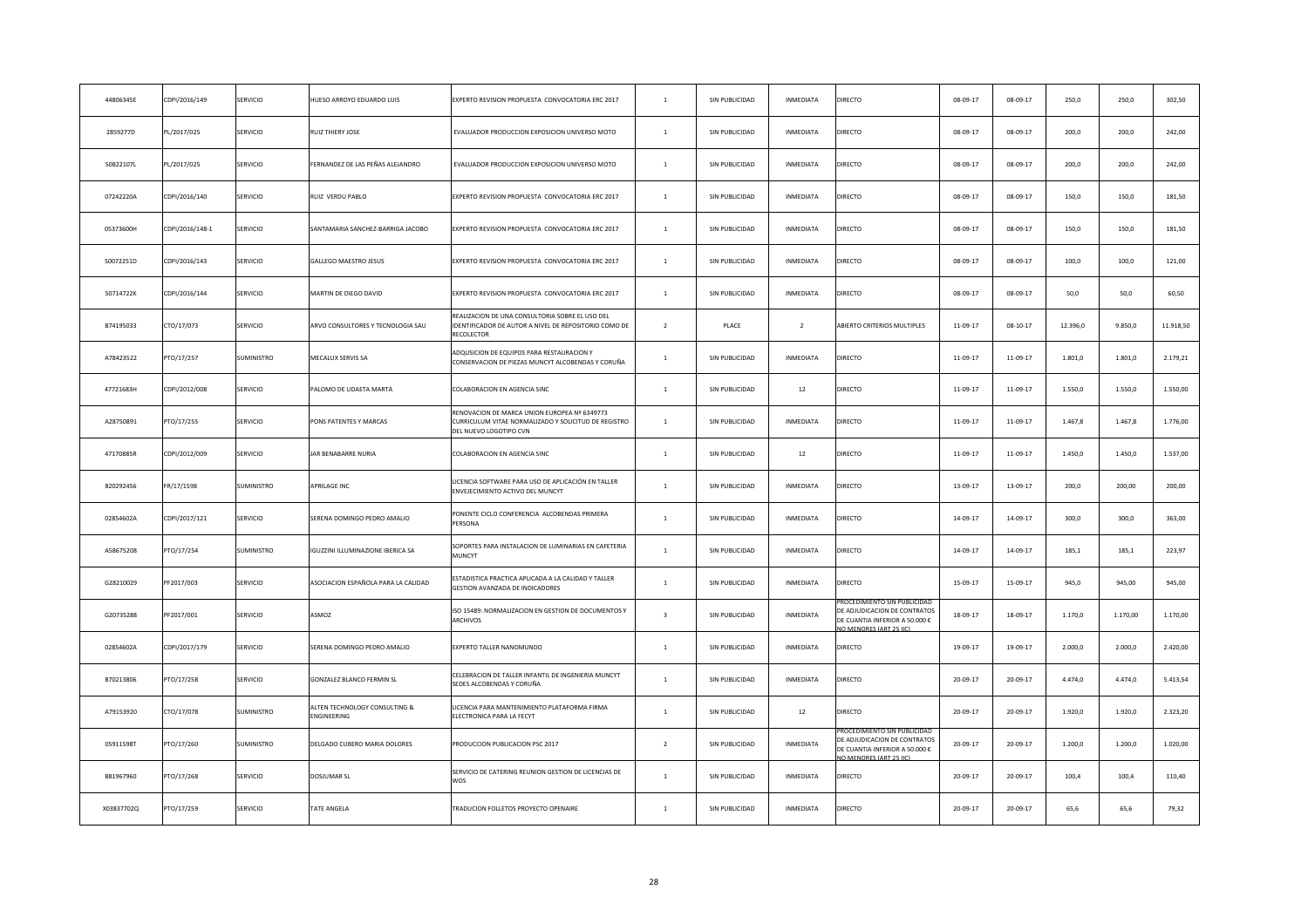| 44806345E  | CDPI/2016/149   | SERVICIO        | IUESO ARROYO EDUARDO LUIS                               | EXPERTO REVISION PROPUESTA CONVOCATORIA ERC 2017                                                                               | $\mathbf{1}$            | SIN PUBLICIDAD | INMEDIATA        | DIRECTO                                                                                   | $08 - 09 - 17$ | 08-09-17   | 250,0    | 250,0    | 302,50    |
|------------|-----------------|-----------------|---------------------------------------------------------|--------------------------------------------------------------------------------------------------------------------------------|-------------------------|----------------|------------------|-------------------------------------------------------------------------------------------|----------------|------------|----------|----------|-----------|
| 2859277D   | PL/2017/025     | SERVICIO        | RUIZ THIERY JOSE                                        | EVALUADOR PRODUCCION EXPOSICION UNIVERSO MOTO                                                                                  | $\mathbf{1}$            | SIN PUBLICIDAD | INMEDIATA        | DIRECTO                                                                                   | 08-09-17       | 08-09-17   | 200,0    | 200,0    | 242,00    |
| 50822107L  | PL/2017/025     | SERVICIO        | ERNANDEZ DE LAS PEÑAS ALEJANDRO                         | EVALUADOR PRODUCCION EXPOSICION UNIVERSO MOTO                                                                                  | $\mathbf{1}$            | SIN PUBLICIDAD | INMEDIATA        | DIRECTO                                                                                   | 08-09-17       | 08-09-17   | 200,0    | 200,0    | 242,00    |
| 07242220A  | CDPI/2016/140   | SERVICIO        | RUIZ VERDU PABLO                                        | EXPERTO REVISION PROPUESTA CONVOCATORIA ERC 2017                                                                               | $\mathbf{1}$            | SIN PUBLICIDAD | INMEDIATA        | DIRECTO                                                                                   | 08-09-17       | 08-09-17   | 150,0    | 150,0    | 181,50    |
| 05373600H  | CDPI/2016/148-1 | SERVICIO        | SANTAMARIA SANCHEZ-BARRIGA JACOBO                       | EXPERTO REVISION PROPUESTA CONVOCATORIA ERC 2017                                                                               | $\mathbf{1}$            | SIN PUBLICIDAD | INMEDIATA        | DIRECTO                                                                                   | $08 - 09 - 17$ | 08-09-17   | 150,0    | 150,0    | 181,50    |
| 50072251D  | CDPI/2016/143   | SERVICIO        | GALLEGO MAESTRO JESUS                                   | EXPERTO REVISION PROPUESTA CONVOCATORIA ERC 2017                                                                               | $\mathbf{1}$            | SIN PUBLICIDAD | INMEDIATA        | DIRECTO                                                                                   | $08 - 09 - 17$ | 08-09-17   | 100,0    | 100,0    | 121,00    |
| 50714722K  | CDPI/2016/144   | SERVICIO        | MARTIN DE DIEGO DAVID                                   | EXPERTO REVISION PROPUESTA CONVOCATORIA ERC 2017                                                                               | $\mathbf{1}$            | SIN PUBLICIDAD | INMEDIATA        | DIRECTO                                                                                   | 08-09-17       | 08-09-17   | 50,0     | 50,0     | 60,50     |
| B74195033  | CTO/17/073      | SERVICIO        | ARVO CONSULTORES Y TECNOLOGIA SAU                       | REALIZACION DE UNA CONSULTORIA SOBRE EL USO DEL<br>IDENTIFICADOR DE AUTOR A NIVEL DE REPOSITORIO COMO DE<br>RECOLECTOR         | $\overline{2}$          | PLACE          | $\overline{2}$   | ABIERTO CRITERIOS MULTIPLES                                                               | 11-09-17       | $08-10-17$ | 12.396,0 | 9.850,0  | 11.918,50 |
| A78423522  | PTO/17/257      | SUMINISTRO      | <b>MECALUX SERVIS SA</b>                                | ADQUSICION DE EQUIPOS PARA RESTAURACION Y<br>CONSERVACION DE PIEZAS MUNCYT ALCOBENDAS Y CORUÑA                                 | $\mathbf{1}$            | SIN PUBLICIDAD | INMEDIATA        | DIRECTO                                                                                   | 11-09-17       | 11-09-17   | 1.801,0  | 1.801,0  | 2.179,21  |
| 47721683H  | CDPI/2012/008   | SERVICIO        | ALOMO DE UDAETA MARTA                                   | COLABORACION EN AGENCIA SINC                                                                                                   | $\overline{1}$          | SIN PUBLICIDAD | 12               | DIRECTO                                                                                   | 11-09-17       | 11-09-17   | 1.550,0  | 1.550,0  | 1.550,00  |
| A28750891  | PTO/17/255      | SERVICIO        | ONS PATENTES Y MARCAS                                   | RENOVACION DE MARCA UNION EUROPEA Nº 6349773<br>CURRICULUM VITAE NORMALIZADO Y SOLICITUD DE REGISTRO<br>DEL NUEVO LOGOTIPO CVN | $\mathbf{1}$            | SIN PUBLICIDAD | INMEDIATA        | DIRECTO                                                                                   | 11-09-17       | 11-09-17   | 1.467,8  | 1.467,8  | 1.776,00  |
| 47170885R  | CDPI/2012/009   | SERVICIO        | AR BENABARRE NURIA                                      | COLABORACION EN AGENCIA SINC                                                                                                   | $\mathbf{1}$            | SIN PUBLICIDAD | 12               | DIRECTO                                                                                   | 11-09-17       | 11-09-17   | 1.450,0  | 1.450,0  | 1.537,00  |
| 820292456  | FR/17/1598      | SUMINISTRO      | <b>APRILAGE INC</b>                                     | ICENCIA SOFTWARE PARA USO DE APLICACIÓN EN TALLER<br>ENVEJECIMIENTO ACTIVO DEL MUNCYT                                          | $\mathbf{1}$            | SIN PUBLICIDAD | INMEDIATA        | DIRECTO                                                                                   | 13-09-17       | 13-09-17   | 200,0    | 200,00   | 200,00    |
| 02854602A  | CDPI/2017/121   | SERVICIO        | SERENA DOMINGO PEDRO AMALIO                             | PONENTE CICLO CONFERENCIA ALCOBENDAS PRIMERA<br>PERSONA                                                                        | $\mathbf{1}$            | SIN PUBLICIDAD | INMEDIATA        | DIRECTO                                                                                   | 14-09-17       | 14-09-17   | 300,0    | 300,0    | 363,00    |
| A58675208  | PTO/17/254      | SUMINISTRO      | GUZZINI ILLUMINAZIONE IBERICA SA                        | SOPORTES PARA INSTALACION DE LUMINARIAS EN CAFETERIA<br><b>MUNCYT</b>                                                          | $\mathbf{1}$            | SIN PUBLICIDAD | INMEDIATA        | DIRECTO                                                                                   | 14-09-17       | 14-09-17   | 185,1    | 185,1    | 223,97    |
| G28210029  | PF2017/003      | SERVICIO        | ASOCIACION ESPAÑOLA PARA LA CALIDAD                     | STADISTICA PRACTICA APLICADA A LA CALIDAD Y TALLER<br>GESTION AVANZADA DE INDICADORES                                          | $\mathbf{1}$            | SIN PUBLICIDAD | INMEDIATA        | DIRECTO                                                                                   | 15-09-17       | 15-09-17   | 945,0    | 945,00   | 945,00    |
| G20735288  | PF2017/001      | SERVICIO        | ASMOZ                                                   | ISO 15489: NORMALIZACION EN GESTION DE DOCUMENTOS Y<br>ARCHIVOS                                                                | $\overline{\mathbf{3}}$ | SIN PUBLICIDAD | INMEDIATA        | DE ADJUDICACION DE CONTRATOS<br>DE CUANTIA INFERIOR A 50.000 €<br>O MENORES (ART 25 IIC)  | 18-09-17       | 18-09-17   | 1.170,0  | 1.170,00 | 1.170,00  |
| 02854602A  | CDPI/2017/179   | SERVICIO        | SERENA DOMINGO PEDRO AMALIO                             | EXPERTO TALLER NANOMUNDO                                                                                                       | $\mathbf{1}$            | SIN PUBLICIDAD | INMEDIATA        | DIRECTO                                                                                   | 19-09-17       | 19-09-17   | 2.000,0  | 2.000,0  | 2.420,00  |
| B70213806  | PTO/17/258      | <b>SERVICIO</b> | GONZALEZ BLANCO FERMIN SL                               | CELEBRACION DE TALLER INFANTIL DE INGENIERIA MUNCYT<br>SEDES ALCOBENDAS Y CORUÑA                                               | $\overline{1}$          | SIN PUBLICIDAD | INMEDIATA        | DIRECTO                                                                                   | 20-09-17       | 20-09-17   | 4.474.0  | 4.474,0  | 5.413,54  |
| A79153920  | CTO/17/078      | SUMINISTRO      | <b>ALTEN TECHNOLOGY CONSULTING &amp;</b><br>ENGINEERING | ICENCIA PARA MANTENIMIENTO PLATAFORMA FIRMA<br>ELECTRONICA PARA LA FECYT                                                       | $\mathbf{1}$            | SIN PUBLICIDAD | $12\,$           | DIRECTO                                                                                   | 20-09-17       | 20-09-17   | 1.920,0  | 1.920,0  | 2.323,20  |
| 05911598T  | PTO/17/260      | SUMINISTRO      | DELGADO CUBERO MARIA DOLORES                            | PRODUCCION PUBLICACION PSC 2017                                                                                                | $\overline{2}$          | SIN PUBLICIDAD | <b>INMEDIATA</b> | DE ADJUDICACION DE CONTRATOS<br>DE CUANTIA INFERIOR A 50.000 €<br>IO MENORES (ART 25 IIC) | 20-09-17       | 20-09-17   | 1.200,0  | 1.200,0  | 1.020,00  |
| B81967960  | PTO/17/268      | SERVICIO        | DOSJUMAR SL                                             | SERVICIO DE CATERING REUNION GESTION DE LICENCIAS DE<br><b>WOS</b>                                                             | $\overline{1}$          | SIN PUBLICIDAD | INMEDIATA        | <b>DIRECTO</b>                                                                            | 20-09-17       | 20-09-17   | 100,4    | 100,4    | 110,40    |
| X03837702Q | PTO/17/259      | <b>SERVICIO</b> | <b>TATE ANGELA</b>                                      | TRADUCION FOLLETOS PROYECTO OPENAIRE                                                                                           | $\overline{1}$          | SIN PUBLICIDAD | <b>INMEDIATA</b> | <b>DIRECTO</b>                                                                            | 20-09-17       | 20-09-17   | 65,6     | 65,6     | 79.32     |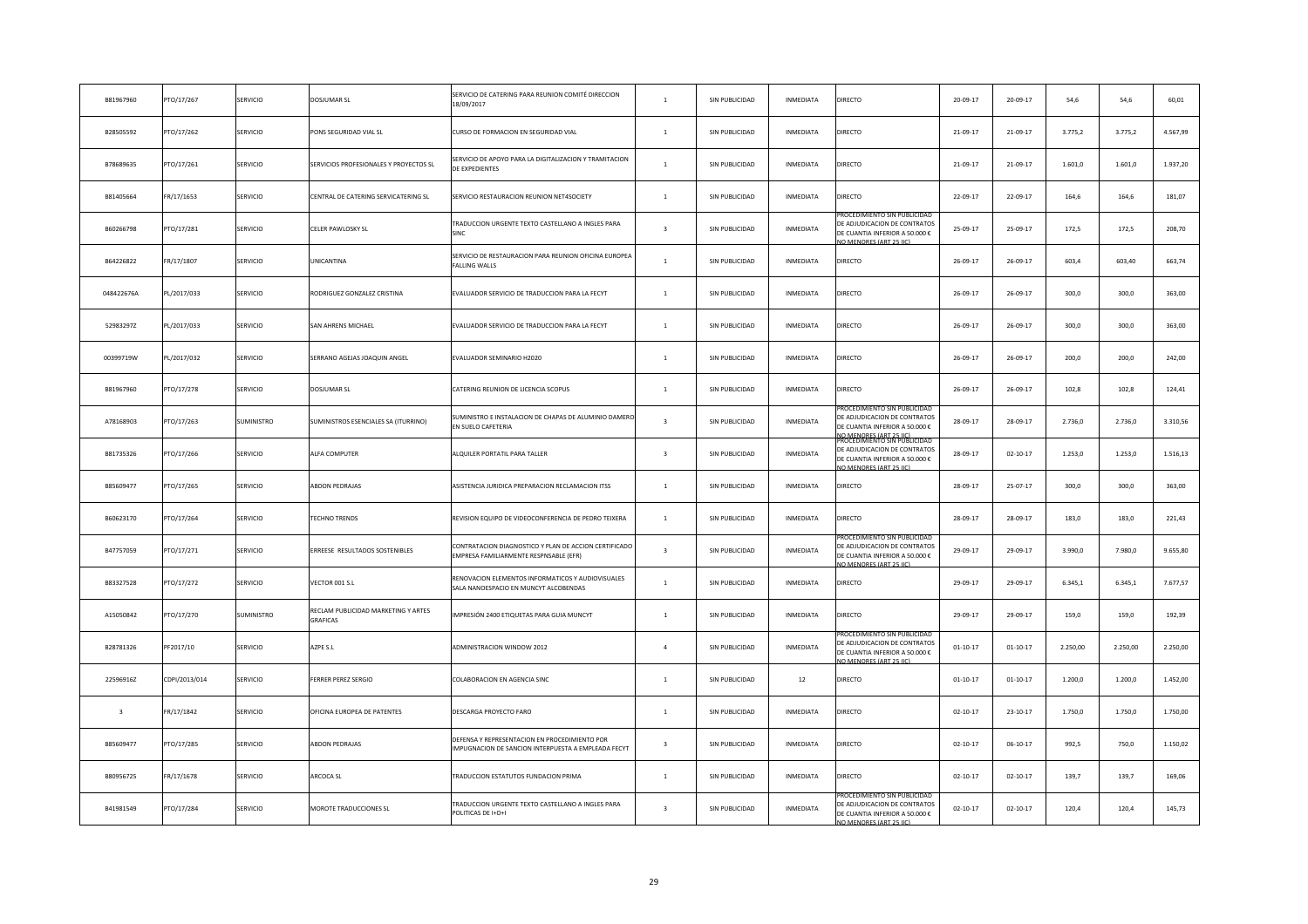| B81967960               | PTO/17/267    | SERVICIO   | DOSJUMAR SL                                     | SERVICIO DE CATERING PARA REUNION COMITÉ DIRECCION<br>18/09/2017                                     | $\overline{1}$          | SIN PUBLICIDAD | INMEDIATA        | DIRECTO                                                                                                                                                 | 20-09-17       | 20-09-17       | 54,6     | 54,6     | 60,01    |
|-------------------------|---------------|------------|-------------------------------------------------|------------------------------------------------------------------------------------------------------|-------------------------|----------------|------------------|---------------------------------------------------------------------------------------------------------------------------------------------------------|----------------|----------------|----------|----------|----------|
| B28505592               | PTO/17/262    | SERVICIO   | PONS SEGURIDAD VIAL SL                          | CURSO DE FORMACION EN SEGURIDAD VIAL                                                                 | $\mathbf{1}$            | SIN PUBLICIDAD | INMEDIATA        | DIRECTO                                                                                                                                                 | 21-09-17       | 21-09-17       | 3.775,2  | 3.775,2  | 4.567,99 |
| B78689635               | PTO/17/261    | SERVICIO   | SERVICIOS PROFESIONALES Y PROYECTOS SL          | SERVICIO DE APOYO PARA LA DIGITALIZACION Y TRAMITACION<br>DE EXPEDIENTES                             | $\overline{1}$          | SIN PUBLICIDAD | INMEDIATA        | DIRECTO                                                                                                                                                 | 21-09-17       | 21-09-17       | 1.601,0  | 1.601,0  | 1.937,20 |
| B81405664               | FR/17/1653    | SERVICIO   | CENTRAL DE CATERING SERVICATERING SL            | SERVICIO RESTAURACION REUNION NET4SOCIETY                                                            | $\mathbf{1}$            | SIN PUBLICIDAD | INMEDIATA        | DIRECTO                                                                                                                                                 | 22-09-17       | 22-09-17       | 164,6    | 164,6    | 181,07   |
| B60266798               | PTO/17/281    | SERVICIO   | CELER PAWLOSKY SL                               | TRADUCCION URGENTE TEXTO CASTELLANO A INGLES PARA<br>SINC                                            | $\overline{\mathbf{3}}$ | SIN PUBLICIDAD | INMEDIATA        | ROCEDIMIENTO SIN PUBLICID<br>DE ADJUDICACION DE CONTRATOS<br>DE CUANTIA INFERIOR A 50.000 €<br>IO MENORES (ART 25 IIC)                                  | 25-09-17       | 25-09-17       | 172,5    | 172,5    | 208,70   |
| B64226822               | FR/17/1807    | SERVICIO   | <b>JNICANTINA</b>                               | SERVICIO DE RESTAURACION PARA REUNION OFICINA EUROPEA<br><b>FALLING WALLS</b>                        | $\mathbf{1}$            | SIN PUBLICIDAD | INMEDIATA        | DIRECTO                                                                                                                                                 | 26-09-17       | 26-09-17       | 603,4    | 603,40   | 663,74   |
| 048422676A              | PL/2017/033   | SERVICIO   | RODRIGUEZ GONZALEZ CRISTINA                     | EVALUADOR SERVICIO DE TRADUCCION PARA LA FECYT                                                       | $\mathbf{1}$            | SIN PUBLICIDAD | INMEDIATA        | DIRECTO                                                                                                                                                 | 26-09-17       | 26-09-17       | 300,0    | 300,0    | 363,00   |
| 52983297Z               | PL/2017/033   | SERVICIO   | SAN AHRENS MICHAEL                              | EVALUADOR SERVICIO DE TRADUCCION PARA LA FECYT                                                       | $\mathbf{1}$            | SIN PUBLICIDAD | INMEDIATA        | DIRECTO                                                                                                                                                 | 26-09-17       | 26-09-17       | 300,0    | 300,0    | 363,00   |
| 00399719W               | PL/2017/032   | SERVICIO   | SERRANO AGEJAS JOAQUIN ANGEL                    | EVALUADOR SEMINARIO H2020                                                                            | $\mathbf{1}$            | SIN PUBLICIDAD | INMEDIATA        | DIRECTO                                                                                                                                                 | $26 - 09 - 17$ | 26-09-17       | 200,0    | 200.0    | 242,00   |
| B81967960               | PTO/17/278    | SERVICIO   | DOSJUMAR SL                                     | CATERING REUNION DE LICENCIA SCOPUS                                                                  | $\mathbf{1}$            | SIN PUBLICIDAD | INMEDIATA        | DIRECTO                                                                                                                                                 | 26-09-17       | 26-09-17       | 102,8    | 102,8    | 124,41   |
| A78168903               | PTO/17/263    | SUMINISTRO | SUMINISTROS ESENCIALES SA (ITURRINO)            | SUMINISTRO E INSTALACION DE CHAPAS DE ALUMINIO DAMERO<br>EN SUELO CAFETERIA                          | $\mathbf{R}$            | SIN PUBLICIDAD | INMEDIATA        | OCEDIMIENTO SIN PUBLICIDA<br>DE ADJUDICACION DE CONTRATO:<br>DE CUANTIA INFERIOR A 50.000 €                                                             | 28-09-17       | 28-09-17       | 2.736,0  | 2.736,0  | 3.310,56 |
| B81735326               | PTO/17/266    | SERVICIO   | ALFA COMPUTER                                   | ALQUILER PORTATIL PARA TALLER                                                                        | $\overline{\mathbf{3}}$ | SIN PUBLICIDAD | INMEDIATA        | <u>IO MENORES (ART 25 IIC)</u><br>ROCEDIMIENTO SIN PUBLICIDA<br>DE ADJUDICACION DE CONTRATOS<br>DE CUANTIA INFERIOR A 50.000 €<br>O MENORES (ART 25 HC) | 28-09-17       | $02 - 10 - 17$ | 1.253,0  | 1.253,0  | 1.516,13 |
| B85609477               | PTO/17/265    | SERVICIO   | <b>ABDON PEDRAJAS</b>                           | ASISTENCIA JURIDICA PREPARACION RECLAMACION ITSS                                                     | $\mathbf{1}$            | SIN PUBLICIDAD | INMEDIATA        | DIRECTO                                                                                                                                                 | 28-09-17       | 25-07-17       | 300,0    | 300,0    | 363,00   |
| B60623170               | PTO/17/264    | SERVICIO   | <b>FECHNO TRENDS</b>                            | REVISION EQUIPO DE VIDEOCONFERENCIA DE PEDRO TEIXERA                                                 | $\overline{1}$          | SIN PUBLICIDAD | INMEDIATA        | DIRECTO                                                                                                                                                 | 28-09-17       | 28-09-17       | 183,0    | 183,0    | 221,43   |
| B47757059               | PTO/17/271    | SERVICIO   | <b>ERREESE RESULTADOS SOSTENIBLES</b>           | CONTRATACION DIAGNOSTICO Y PLAN DE ACCION CERTIFICADO<br>EMPRESA FAMILIARMENTE RESPNSABLE (EFR)      | $\overline{\mathbf{3}}$ | SIN PUBLICIDAD | <b>INMEDIATA</b> | DE ADJUDICACION DE CONTRATOS<br>DE CUANTIA INFERIOR A 50.000 €<br>O MENORES (ART 25 IIC)                                                                | 29-09-17       | 29-09-17       | 3.990,0  | 7.980,0  | 9.655,80 |
| B83327528               | PTO/17/272    | SERVICIO   | VECTOR 001 S.L                                  | RENOVACION ELEMENTOS INFORMATICOS Y AUDIOVISUALES<br>SALA NANOESPACIO EN MUNCYT ALCOBENDAS           | $\overline{1}$          | SIN PUBLICIDAD | INMEDIATA        | DIRECTO                                                                                                                                                 | 29-09-17       | 29-09-17       | 6.345,1  | 6.345,1  | 7.677,57 |
| A15050842               | PTO/17/270    | SUMINISTRO | RECLAM PUBLICIDAD MARKETING Y ARTES<br>GRAFICAS | IMPRESIÓN 2400 ETIQUETAS PARA GUIA MUNCYT                                                            | $\mathbf{1}$            | SIN PUBLICIDAD | INMEDIATA        | DIRECTO                                                                                                                                                 | 29-09-17       | 29-09-17       | 159,0    | 159,0    | 192,39   |
| B28781326               | PF2017/10     | SERVICIO   | AZPE S.L                                        | ADMINISTRACION WINDOW 2012                                                                           | $\overline{a}$          | SIN PUBLICIDAD | INMEDIATA        | DE ADJUDICACION DE CONTRATOS<br>DE CUANTIA INFERIOR A 50.000 €<br>IO MENORES (ART 25 IIC)                                                               | $01 - 10 - 17$ | $01 - 10 - 17$ | 2.250,00 | 2.250,00 | 2.250,00 |
| 22596916Z               | CDPI/2013/014 | SERVICIO   | ERRER PEREZ SERGIO                              | COLABORACION EN AGENCIA SINC                                                                         | $\mathbf{1}$            | SIN PUBLICIDAD | $12\,$           | <b>DIRECTO</b>                                                                                                                                          | $01-10-17$     | $01 - 10 - 17$ | 1.200,0  | 1.200,0  | 1.452,00 |
| $\overline{\mathbf{3}}$ | FR/17/1842    | SERVICIO   | OFICINA EUROPEA DE PATENTES                     | DESCARGA PROYECTO FARO                                                                               | $\mathbf{1}$            | SIN PUBLICIDAD | INMEDIATA        | DIRECTO                                                                                                                                                 | $02 - 10 - 17$ | $23 - 10 - 17$ | 1.750,0  | 1.750,0  | 1.750,00 |
| B85609477               | PTO/17/285    | SERVICIO   | <b>ABDON PEDRAJAS</b>                           | DEFENSA Y REPRESENTACION EN PROCEDIMIENTO POR<br>IMPUGNACION DE SANCION INTERPUESTA A EMPLEADA FECYT | $\overline{\mathbf{3}}$ | SIN PUBLICIDAD | INMEDIATA        | DIRECTO                                                                                                                                                 | $02 - 10 - 17$ | $06 - 10 - 17$ | 992,5    | 750,0    | 1.150,02 |
| B80956725               | FR/17/1678    | SERVICIO   | ARCOCA SL                                       | TRADUCCION ESTATUTOS FUNDACION PRIMA                                                                 | $\mathbf{1}$            | SIN PUBLICIDAD | INMEDIATA        | DIRECTO                                                                                                                                                 | $02 - 10 - 17$ | $02 - 10 - 17$ | 139,7    | 139,7    | 169,06   |
| B41981549               | PTO/17/284    | SERVICIO   | <b>MOROTE TRADUCCIONES SL</b>                   | TRADUCCION URGENTE TEXTO CASTELLANO A INGLES PARA<br>POLITICAS DE I+D+I                              | $\overline{\mathbf{3}}$ | SIN PUBLICIDAD | INMEDIATA        | OCEDIMIENTO SIN PUBLICIDAL<br>DE ADJUDICACION DE CONTRATOS<br>DE CUANTIA INFERIOR A 50.000 €<br>NO MENORES (ART 25 LIC)                                 | $02 - 10 - 17$ | $02 - 10 - 17$ | 120,4    | 120,4    | 145,73   |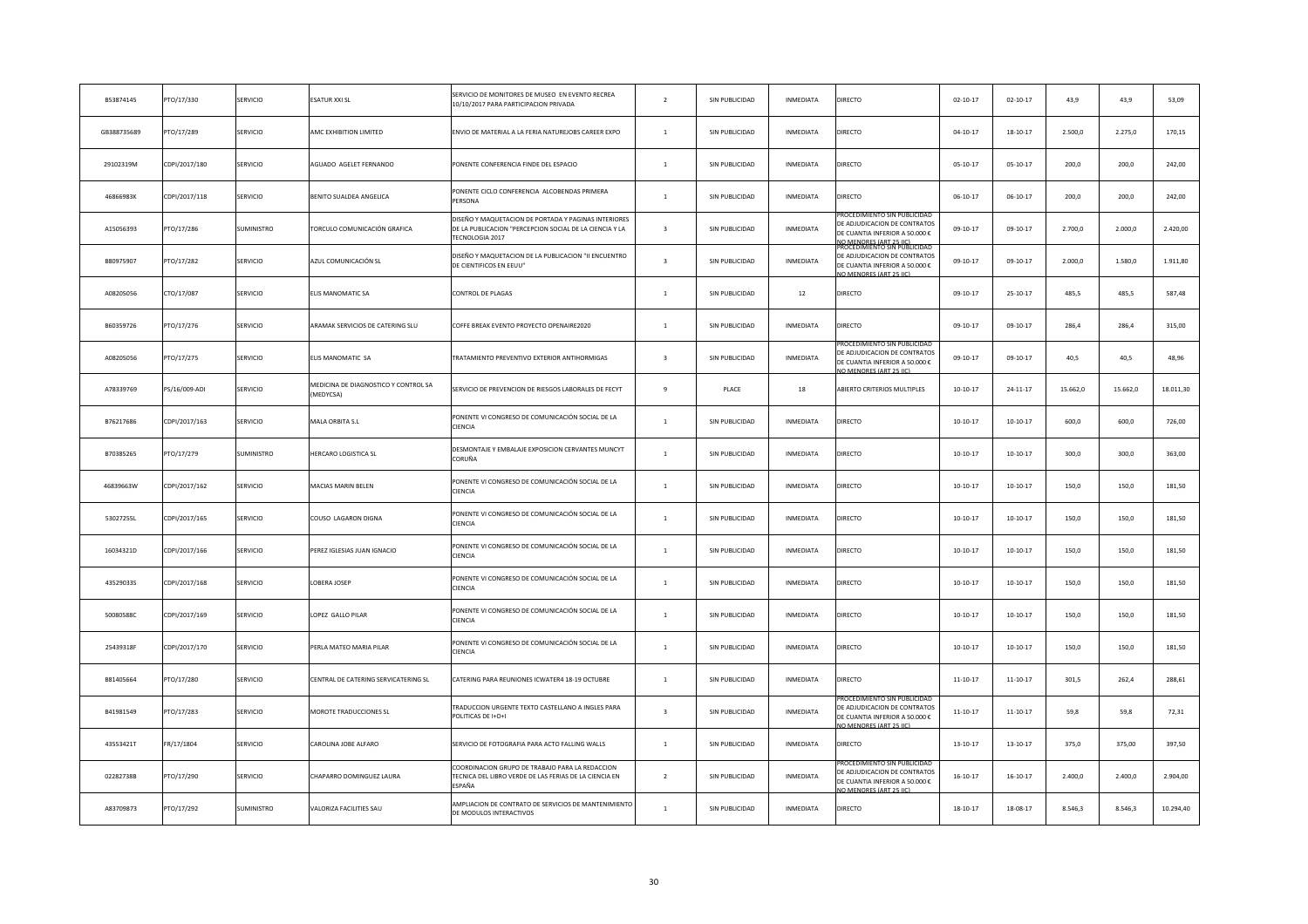| B53874145   | PTO/17/330    | SERVICIO          | <b>SATUR XXI SL</b>                               | SERVICIO DE MONITORES DE MUSEO EN EVENTO RECREA<br>10/10/2017 PARA PARTICIPACION PRIVADA                                           | $\overline{2}$          | SIN PUBLICIDAD | INMEDIATA        | DIRECTO                                                                                                                                            | $02 - 10 - 17$ | $02 - 10 - 17$ | 43,9     | 43,9     | 53,09     |
|-------------|---------------|-------------------|---------------------------------------------------|------------------------------------------------------------------------------------------------------------------------------------|-------------------------|----------------|------------------|----------------------------------------------------------------------------------------------------------------------------------------------------|----------------|----------------|----------|----------|-----------|
| GB388735689 | PTO/17/289    | SERVICIO          | AMC EXHIBITION LIMITED                            | ENVIO DE MATERIAL A LA FERIA NATUREJOBS CAREER EXPO                                                                                | $\mathbf{1}$            | SIN PUBLICIDAD | INMEDIATA        | DIRECTO                                                                                                                                            | $04 - 10 - 17$ | $18 - 10 - 17$ | 2.500,0  | 2.275,0  | 170,15    |
| 29102319M   | CDPI/2017/180 | SERVICIO          | <b>AGUADO AGELET FERNANDO</b>                     | PONENTE CONFERENCIA FINDE DEL ESPACIO                                                                                              | $\mathbf{1}$            | SIN PUBLICIDAD | INMEDIATA        | DIRECTO                                                                                                                                            | $05-10-17$     | $05 - 10 - 17$ | 200,0    | 200,0    | 242,00    |
| 46866983K   | CDPI/2017/118 | SERVICIO          | BENITO SUALDEA ANGELICA                           | PONENTE CICLO CONFERENCIA ALCOBENDAS PRIMERA<br>PERSONA                                                                            | $\mathbf{1}$            | SIN PUBLICIDAD | INMEDIATA        | DIRECTO                                                                                                                                            | $06 - 10 - 17$ | $06-10-17$     | 200,0    | 200,0    | 242,00    |
| A15056393   | PTO/17/286    | SUMINISTRO        | <b>FORCULO COMUNICACIÓN GRAFICA</b>               | DISEÑO Y MAQUETACION DE PORTADA Y PAGINAS INTERIORES<br>DE LA PUBLICACION "PERCEPCION SOCIAL DE LA CIENCIA Y LA<br>TECNOLOGIA 2017 | $\overline{\mathbf{3}}$ | SIN PUBLICIDAD | INMEDIATA        | ROCEDIMIENTO SIN PUBLICIDA<br>DE ADJUDICACION DE CONTRATOS<br>DE CUANTIA INFERIOR A 50.000 €                                                       | $09 - 10 - 17$ | $09 - 10 - 17$ | 2.700,0  | 2.000,0  | 2.420,00  |
| B80975907   | PTO/17/282    | SERVICIO          | AZUL COMUNICACIÓN SL                              | DISEÑO Y MAQUETACION DE LA PUBLICACION "II ENCUENTRO<br>DE CIENTIFICOS EN EEUU"                                                    | $\overline{\mathbf{3}}$ | SIN PUBLICIDAD | INMEDIATA        | IO MENORES (ART 25 IIC)<br>ROCEDIMIENTO SIN PUBLICIDAD<br>DE ADJUDICACION DE CONTRATOS<br>DE CUANTIA INFERIOR A 50.000 €<br>O MENORES (ART 25 IIC) | $09-10-17$     | $09 - 10 - 17$ | 2.000,0  | 1.580,0  | 1.911,80  |
| A08205056   | CTO/17/087    | SERVICIO          | <b>LIS MANOMATIC SA</b>                           | CONTROL DE PLAGAS                                                                                                                  | $\mathbf{1}$            | SIN PUBLICIDAD | $12\,$           | DIRECTO                                                                                                                                            | 09-10-17       | $25 - 10 - 17$ | 485,5    | 485,5    | 587,48    |
| B60359726   | PTO/17/276    | SERVICIO          | ARAMAK SERVICIOS DE CATERING SLU                  | COFFE BREAK EVENTO PROYECTO OPENAIRE2020                                                                                           | $\mathbf{1}$            | SIN PUBLICIDAD | INMEDIATA        | DIRECTO                                                                                                                                            | $09-10-17$     | 09-10-17       | 286,4    | 286,4    | 315,00    |
| A08205056   | PTO/17/275    | SERVICIO          | <b>ELIS MANOMATIC SA</b>                          | TRATAMIENTO PREVENTIVO EXTERIOR ANTIHORMIGAS                                                                                       | $\overline{\mathbf{3}}$ | SIN PUBLICIDAD | INMEDIATA        | ROCEDIMIENTO SIN PUBLICIDA<br>DE ADJUDICACION DE CONTRATOS<br>DE CUANTIA INFERIOR A 50.000 €<br>O MENORES (ART 25 LC)                              | 09-10-17       | $09 - 10 - 17$ | 40,5     | 40,5     | 48,96     |
| A78339769   | PS/16/009-ADI | SERVICIO          | MEDICINA DE DIAGNOSTICO Y CONTROL SA<br>(MEDYCSA) | SERVICIO DE PREVENCION DE RIESGOS LABORALES DE FECYT                                                                               | $\overline{9}$          | PLACE          | 18               | <b>ABIERTO CRITERIOS MULTIPLES</b>                                                                                                                 | $10 - 10 - 17$ | $24 - 11 - 17$ | 15.662,0 | 15.662,0 | 18.011,30 |
| B76217686   | CDPI/2017/163 | SERVICIO          | <b>MALA ORBITA S.L</b>                            | PONENTE VI CONGRESO DE COMUNICACIÓN SOCIAL DE LA<br>CIENCIA                                                                        | $\mathbf{1}$            | SIN PUBLICIDAD | INMEDIATA        | DIRECTO                                                                                                                                            | $10-10-17$     | $10 - 10 - 17$ | 600,0    | 600,0    | 726,00    |
| B70385265   | PTO/17/279    | SUMINISTRO        | <b>HERCARO LOGISTICA SL</b>                       | DESMONTAJE Y EMBALAJE EXPOSICION CERVANTES MUNCYT<br>CORUÑA                                                                        | $\overline{1}$          | SIN PUBLICIDAD | INMEDIATA        | DIRECTO                                                                                                                                            | $10-10-17$     | $10 - 10 - 17$ | 300,0    | 300,0    | 363,00    |
| 46839663W   | CDPI/2017/162 | SERVICIO          | <b>AACIAS MARIN BELEN</b>                         | PONENTE VI CONGRESO DE COMUNICACIÓN SOCIAL DE LA<br>CIENCIA                                                                        | $\mathbf{1}$            | SIN PUBLICIDAD | INMEDIATA        | DIRECTO                                                                                                                                            | $10-10-17$     | $10 - 10 - 17$ | 150,0    | 150,0    | 181,50    |
| 53027255L   | CDPI/2017/165 | SERVICIO          | COUSO LAGARON DIGNA                               | PONENTE VI CONGRESO DE COMUNICACIÓN SOCIAL DE LA<br>CIENCIA                                                                        | $\mathbf{1}$            | SIN PUBLICIDAD | INMEDIATA        | DIRECTO                                                                                                                                            | $10-10-17$     | $10 - 10 - 17$ | 150,0    | 150,0    | 181,50    |
| 16034321D   | CDPI/2017/166 | SERVICIO          | <b>PEREZ IGLESIAS JUAN IGNACIO</b>                | PONENTE VI CONGRESO DE COMUNICACIÓN SOCIAL DE LA<br>CIENCIA                                                                        | $\mathbf{1}$            | SIN PUBLICIDAD | INMEDIATA        | DIRECTO                                                                                                                                            | $10-10-17$     | $10-10-17$     | 150,0    | 150,0    | 181,50    |
| 43529033S   | CDPI/2017/168 | SERVICIO          | LOBERA JOSEP                                      | PONENTE VI CONGRESO DE COMUNICACIÓN SOCIAL DE LA<br>CIENCIA                                                                        | $\mathbf{1}$            | SIN PUBLICIDAD | INMEDIATA        | DIRECTO                                                                                                                                            | $10-10-17$     | $10-10-17$     | 150,0    | 150,0    | 181,50    |
| 50080588C   | CDPI/2017/169 | SERVICIO          | OPEZ GALLO PILAR                                  | PONENTE VI CONGRESO DE COMUNICACIÓN SOCIAL DE LA<br>CIENCIA                                                                        | $\mathbf{1}$            | SIN PUBLICIDAD | INMEDIATA        | DIRECTO                                                                                                                                            | $10-10-17$     | $10-10-17$     | 150,0    | 150,0    | 181,50    |
| 25439318F   | CDPI/2017/170 | SERVICIO          | PERLA MATEO MARIA PILAR                           | PONENTE VI CONGRESO DE COMUNICACIÓN SOCIAL DE LA<br>CIENCIA                                                                        | $\mathbf{1}$            | SIN PUBLICIDAD | INMEDIATA        | DIRECTO                                                                                                                                            | $10-10-17$     | $10-10-17$     | 150,0    | 150,0    | 181,50    |
| B81405664   | PTO/17/280    | SERVICIO          | CENTRAL DE CATERING SERVICATERING SL              | CATERING PARA REUNIONES ICWATER4 18-19 OCTUBRE                                                                                     | $\mathbf{1}$            | SIN PUBLICIDAD | INMEDIATA        | DIRECTO                                                                                                                                            | $11 - 10 - 17$ | 11-10-17       | 301,5    | 262,4    | 288,61    |
| B41981549   | PTO/17/283    | SERVICIO          | MOROTE TRADUCCIONES SL                            | TRADUCCION URGENTE TEXTO CASTELLANO A INGLES PARA<br>POLITICAS DE I+D+I                                                            | $\overline{\mathbf{3}}$ | SIN PUBLICIDAD | INMEDIATA        | ROCEDIMIENTO SIN PUBLICID<br>DE ADJUDICACION DE CONTRATOS<br>DE CUANTIA INFERIOR A 50.000 €<br>O MENORES (ART 25 HC                                | $11-10-17$     | $11 - 10 - 17$ | 59,8     | 59,8     | 72,31     |
| 43553421T   | FR/17/1804    | <b>SERVICIO</b>   | CAROLINA JOBE ALFARO                              | SERVICIO DE FOTOGRAFIA PARA ACTO FALLING WALLS                                                                                     | $\mathbf{1}$            | SIN PUBLICIDAD | INMEDIATA        | DIRECTO                                                                                                                                            | 13-10-17       | $13 - 10 - 17$ | 375,0    | 375,00   | 397,50    |
| 02282738B   | PTO/17/290    | SERVICIO          | CHAPARRO DOMINGUEZ LAURA                          | COORDINACION GRUPO DE TRABAJO PARA LA REDACCION<br>TECNICA DEL LIBRO VERDE DE LAS FERIAS DE LA CIENCIA EN<br>ESPAÑA                | $\overline{2}$          | SIN PUBLICIDAD | <b>INMEDIATA</b> | ROCEDIMIENTO SIN PUBLICIDA<br>DE ADJUDICACION DE CONTRATOS<br>DE CUANTIA INFERIOR A 50.000 €<br>O MENORES (ART 25 IN                               | 16-10-17       | $16 - 10 - 17$ | 2.400,0  | 2.400,0  | 2.904,00  |
| A83709873   | PTO/17/292    | <b>SUMINISTRO</b> | <b>/ALORIZA FACILITIES SAU</b>                    | AMPLIACION DE CONTRATO DE SERVICIOS DE MANTENIMIENTO<br>DE MODULOS INTERACTIVOS                                                    | $\mathbf{1}$            | SIN PUBLICIDAD | INMEDIATA        | <b>DIRECTO</b>                                                                                                                                     | 18-10-17       | 18-08-17       | 8.546,3  | 8.546,3  | 10.294,40 |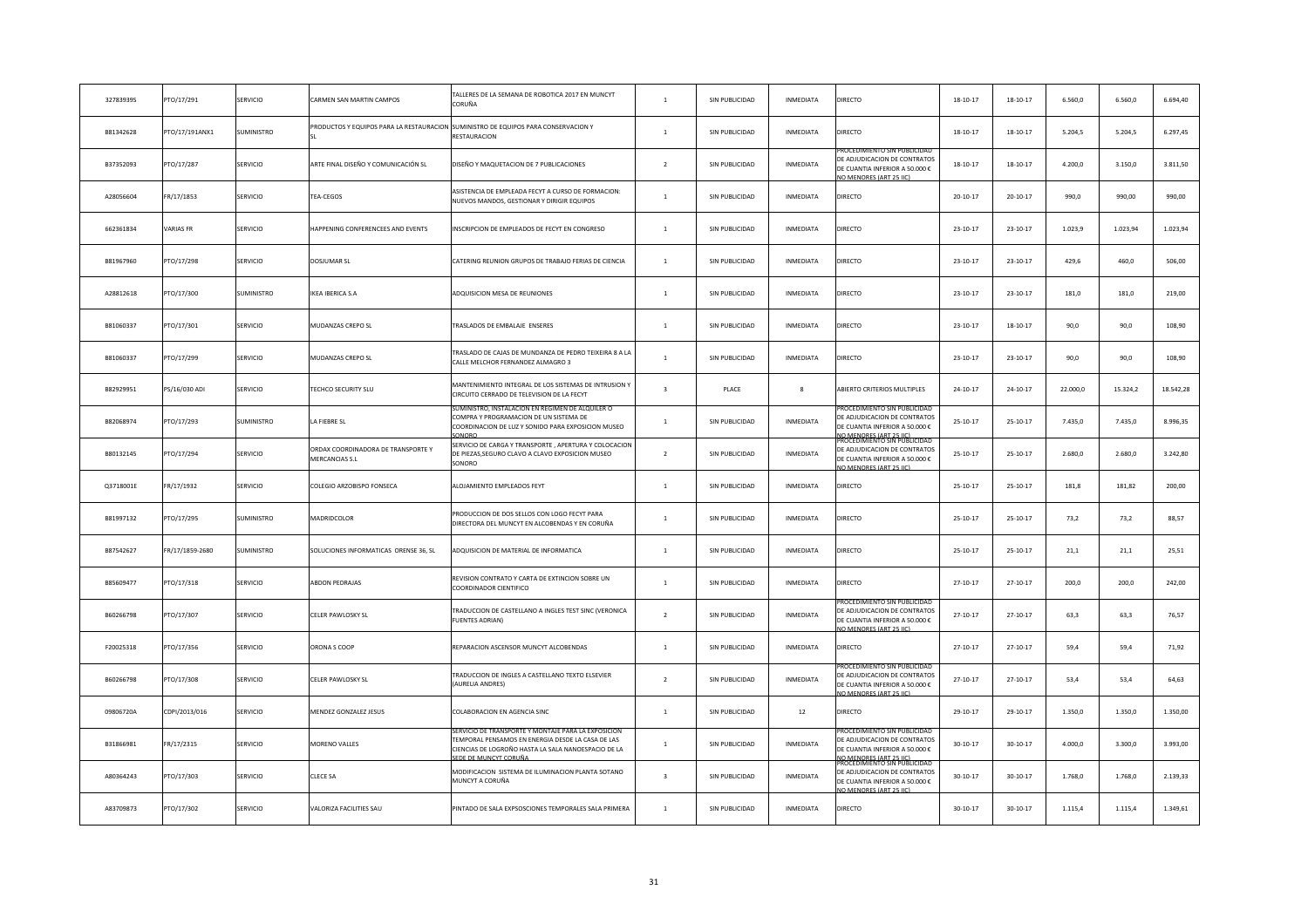| 32783939S | PTO/17/291      | SERVICIO        | CARMEN SAN MARTIN CAMPOS                             | TALLERES DE LA SEMANA DE ROBOTICA 2017 EN MUNCYT<br>CORUÑA                                                                                      | $\mathbf{1}$            | SIN PUBLICIDAD | INMEDIATA        | DIRECTO                                                                                                                                             | $18 - 10 - 17$ | $18 - 10 - 17$ | 6.560,0  | 6.560,0  | 6.694,40  |
|-----------|-----------------|-----------------|------------------------------------------------------|-------------------------------------------------------------------------------------------------------------------------------------------------|-------------------------|----------------|------------------|-----------------------------------------------------------------------------------------------------------------------------------------------------|----------------|----------------|----------|----------|-----------|
| B81342628 | PTO/17/191ANX1  | SUMINISTRO      |                                                      | RODUCTOS Y EQUIPOS PARA LA RESTAURACION SUMINISTRO DE EQUIPOS PARA CONSERVACION Y<br>RESTAURACION                                               | $\mathbf{1}$            | SIN PUBLICIDAD | INMEDIATA        | DIRECTO                                                                                                                                             | $18 - 10 - 17$ | $18-10-17$     | 5.204,5  | 5.204,5  | 6.297,45  |
| B37352093 | PTO/17/287      | SERVICIO        | ARTE FINAL DISEÑO Y COMUNICACIÓN SL                  | DISEÑO Y MAQUETACION DE 7 PUBLICACIONES                                                                                                         | $\overline{2}$          | SIN PUBLICIDAD | INMEDIATA        | ROCEDIMIENTO SIN PUBLICIDA<br>DE ADJUDICACION DE CONTRATO:<br>DE CUANTIA INFERIOR A 50.000 €<br>O MENORES (ART 25 HC)                               | $18 - 10 - 17$ | $18 - 10 - 17$ | 4.200,0  | 3.150,0  | 3.811,50  |
| A28056604 | FR/17/1853      | SERVICIO        | TEA-CEGOS                                            | ASISTENCIA DE EMPLEADA FECYT A CURSO DE FORMACION:<br>NUEVOS MANDOS, GESTIONAR Y DIRIGIR EQUIPOS                                                | $\mathbf{1}$            | SIN PUBLICIDAD | INMEDIATA        | DIRECTO                                                                                                                                             | $20 - 10 - 17$ | $20 - 10 - 17$ | 990,0    | 990,00   | 990,00    |
| 662361834 | VARIAS FR       | SERVICIO        | APPENING CONFERENCEES AND EVENTS                     | INSCRIPCION DE EMPLEADOS DE FECYT EN CONGRESO                                                                                                   | $\mathbf{1}$            | SIN PUBLICIDAD | INMEDIATA        | DIRECTO                                                                                                                                             | 23-10-17       | $23 - 10 - 17$ | 1.023,9  | 1.023,94 | 1.023,94  |
| B81967960 | PTO/17/298      | SERVICIO        | DOSJUMAR SL                                          | CATERING REUNION GRUPOS DE TRABAJO FERIAS DE CIENCIA                                                                                            | $\mathbf{1}$            | SIN PUBLICIDAD | INMEDIATA        | DIRECTO                                                                                                                                             | 23-10-17       | $23 - 10 - 17$ | 429,6    | 460,0    | 506,00    |
| A28812618 | PTO/17/300      | SUMINISTRO      | KEA IBERICA S.A                                      | ADQUISICION MESA DE REUNIONES                                                                                                                   | $\mathbf{1}$            | SIN PUBLICIDAD | INMEDIATA        | DIRECTO                                                                                                                                             | 23-10-17       | $23 - 10 - 17$ | 181,0    | 181,0    | 219,00    |
| B81060337 | PTO/17/301      | SERVICIO        | MUDANZAS CREPO SL                                    | TRASLADOS DE EMBALAJE ENSERES                                                                                                                   | $\mathbf{1}$            | SIN PUBLICIDAD | INMEDIATA        | DIRECTO                                                                                                                                             | 23-10-17       | $18 - 10 - 17$ | 90,0     | 90,0     | 108,90    |
| B81060337 | PTO/17/299      | SERVICIO        | <b>MUDANZAS CREPO SL</b>                             | TRASLADO DE CAJAS DE MUNDANZA DE PEDRO TEIXEIRA 8 A LA<br>CALLE MELCHOR FERNANDEZ ALMAGRO 3                                                     | $\overline{1}$          | SIN PUBLICIDAD | INMEDIATA        | DIRECTO                                                                                                                                             | 23-10-17       | $23 - 10 - 17$ | 90,0     | 90,0     | 108,90    |
| B82929951 | PS/16/030 ADI   | SERVICIO        | <b>FECHCO SECURITY SLU</b>                           | MANTENIMIENTO INTEGRAL DE LOS SISTEMAS DE INTRUSION Y<br>CIRCUITO CERRADO DE TELEVISION DE LA FECYT                                             | $\overline{\mathbf{3}}$ | PLACE          | 8                | ABIERTO CRITERIOS MULTIPLES                                                                                                                         | $24 - 10 - 17$ | $24 - 10 - 17$ | 22.000,0 | 15.324,2 | 18.542,28 |
| B82068974 | PTO/17/293      | SUMINISTRO      | A FIEBRE SL                                          | UMINISTRO. INSTALACION EN REGIMEN DE ALQUILER O<br>COMPRA Y PROGRAMACION DE UN SISTEMA DE<br>COORDINACION DE LUZ Y SONIDO PARA EXPOSICION MUSEO | $\mathbf{1}$            | SIN PUBLICIDAD | INMEDIATA        | ROCEDIMIENTO SIN PUBLICIDA<br>DE ADJUDICACION DE CONTRATOS<br>DE CUANTIA INFERIOR A 50.000 €                                                        | $25 - 10 - 17$ | $25 - 10 - 17$ | 7.435,0  | 7.435,0  | 8.996,35  |
| B80132145 | PTO/17/294      | <b>SERVICIO</b> | ORDAX COORDINADORA DE TRANSPORTE Y<br>MERCANCIAS S.L | SERVICIO DE CARGA Y TRANSPORTE, APERTURA Y COLOCACION<br>DE PIEZAS, SEGURO CLAVO A CLAVO EXPOSICION MUSEO<br>SONORO                             | $\overline{2}$          | SIN PUBLICIDAD | INMEDIATA        | IO MENORES (ART 25 HC)<br>ROCEDIMIENTO SIN PUBLICIDAL<br>DE ADJUDICACION DE CONTRATOS<br>DE CUANTIA INFERIOR A 50.000 €<br>O MENORES (ART 25 IIC    | 25-10-17       | $25 - 10 - 17$ | 2.680,0  | 2.680,0  | 3.242,80  |
| Q3718001E | FR/17/1932      | SERVICIO        | COLEGIO ARZOBISPO FONSECA                            | ALOJAMIENTO EMPLEADOS FEYT                                                                                                                      | $\mathbf{1}$            | SIN PUBLICIDAD | INMEDIATA        | DIRECTO                                                                                                                                             | $25 - 10 - 17$ | $25 - 10 - 17$ | 181,8    | 181,82   | 200,00    |
| B81997132 | PTO/17/295      | SUMINISTRO      | MADRIDCOLOR                                          | PRODUCCION DE DOS SELLOS CON LOGO FECYT PARA<br>DIRECTORA DEL MUNCYT EN ALCOBENDAS Y EN CORUÑA                                                  | $\mathbf{1}$            | SIN PUBLICIDAD | INMEDIATA        | DIRECTO                                                                                                                                             | $25 - 10 - 17$ | 25-10-17       | 73,2     | 73,2     | 88,57     |
| B87542627 | FR/17/1859-2680 | SUMINISTRO      | SOLUCIONES INFORMATICAS ORENSE 36, SL                | ADQUISICION DE MATERIAL DE INFORMATICA                                                                                                          | $\mathbf{1}$            | SIN PUBLICIDAD | INMEDIATA        | DIRECTO                                                                                                                                             | $25 - 10 - 17$ | $25 - 10 - 17$ | 21,1     | 21,1     | 25,51     |
| B85609477 | PTO/17/318      | <b>SERVICIO</b> | ABDON PEDRAJAS                                       | REVISION CONTRATO Y CARTA DE EXTINCION SOBRE UN<br>COORDINADOR CIENTIFICO                                                                       | $\mathbf{1}$            | SIN PUBLICIDAD | INMEDIATA        | DIRECTO                                                                                                                                             | 27-10-17       | 27-10-17       | 200,0    | 200.0    | 242,00    |
| B60266798 | PTO/17/307      | SERVICIO        | CELER PAWLOSKY SL                                    | TRADUCCION DE CASTELLANO A INGLES TEST SINC (VERONICA<br><b>FUENTES ADRIAN)</b>                                                                 | $\overline{2}$          | SIN PUBLICIDAD | INMEDIATA        | DE ADJUDICACION DE CONTRATOS<br>DE CUANTIA INFERIOR A 50.000 €<br>O MENORES (ART 25 LC)                                                             | 27-10-17       | 27-10-17       | 63,3     | 63,3     | 76,57     |
| F20025318 | PTO/17/356      | SERVICIO        | ORONA S COOP                                         | REPARACION ASCENSOR MUNCYT ALCOBENDAS                                                                                                           | $\mathbf{1}$            | SIN PUBLICIDAD | INMEDIATA        | DIRECTO                                                                                                                                             | 27-10-17       | 27-10-17       | 59,4     | 59,4     | 71,92     |
| B60266798 | PTO/17/308      | <b>SERVICIO</b> | CELER PAWLOSKY SL                                    | TRADUCCION DE INGLES A CASTELLANO TEXTO ELSEVIER<br>(AURELIA ANDRES)                                                                            | $\overline{2}$          | SIN PUBLICIDAD | <b>INMEDIATA</b> | ROCEDIMIENTO SIN PUBLICIDA<br>DE ADJUDICACION DE CONTRATOS<br>DE CUANTIA INFERIOR A 50.000 €<br>O MENORES (ART 25 HC)                               | 27-10-17       | 27-10-17       | 53,4     | 53,4     | 64,63     |
| 09806720A | CDPI/2013/016   | SERVICIO        | MENDEZ GONZALEZ JESUS                                | COLABORACION EN AGENCIA SINC                                                                                                                    | $\mathbf{1}$            | SIN PUBLICIDAD | 12               | DIRECTO                                                                                                                                             | 29-10-17       | 29-10-17       | 1.350,0  | 1,350.0  | 1.350,00  |
| B31866981 | FR/17/2315      | <b>SERVICIO</b> | <b>MORENO VALLES</b>                                 | TEMPORAL PENSAMOS EN ENERGIA DESDE LA CASA DE LAS<br>CIENCIAS DE LOGROÑO HASTA LA SALA NANOESPACIO DE LA<br><b>EDE DE MUNCYT CORUÑ</b>          | $\mathbf{1}$            | SIN PUBLICIDAD | <b>INMEDIATA</b> | ROCEDIMIENTO SIN PUBLIO<br>DE ADJUDICACION DE CONTRATOS<br>DE CUANTIA INFERIOR A 50.000 €<br>IO MENORES (ART 25 HC)<br>PROCEDIMIENTO SIN PUBLICIDAL | $30 - 10 - 17$ | $30 - 10 - 17$ | 4.000,0  | 3.300,0  | 3.993,00  |
| A80364243 | PTO/17/303      | SERVICIO        | CLECE SA                                             | MODIFICACION SISTEMA DE ILUMINACION PLANTA SOTANO<br>MUNCYT A CORUÑA                                                                            | $\overline{3}$          | SIN PUBLICIDAD | <b>INMEDIATA</b> | DE ADJUDICACION DE CONTRATOS<br>DE CUANTIA INFERIOR A 50.000 €<br>O MENORES (ART 25 HO                                                              | $30 - 10 - 17$ | 30-10-17       | 1.768,0  | 1.768,0  | 2.139,33  |
| A83709873 | PTO/17/302      | <b>SERVICIO</b> | <b>VALORIZA FACILITIES SAU</b>                       | PINTADO DE SALA EXPSOSCIONES TEMPORALES SALA PRIMERA                                                                                            | $\overline{1}$          | SIN PUBLICIDAD | <b>INMEDIATA</b> | <b>DIRECTO</b>                                                                                                                                      | $30 - 10 - 17$ | $30 - 10 - 17$ | 1.115,4  | 1.115,4  | 1.349,61  |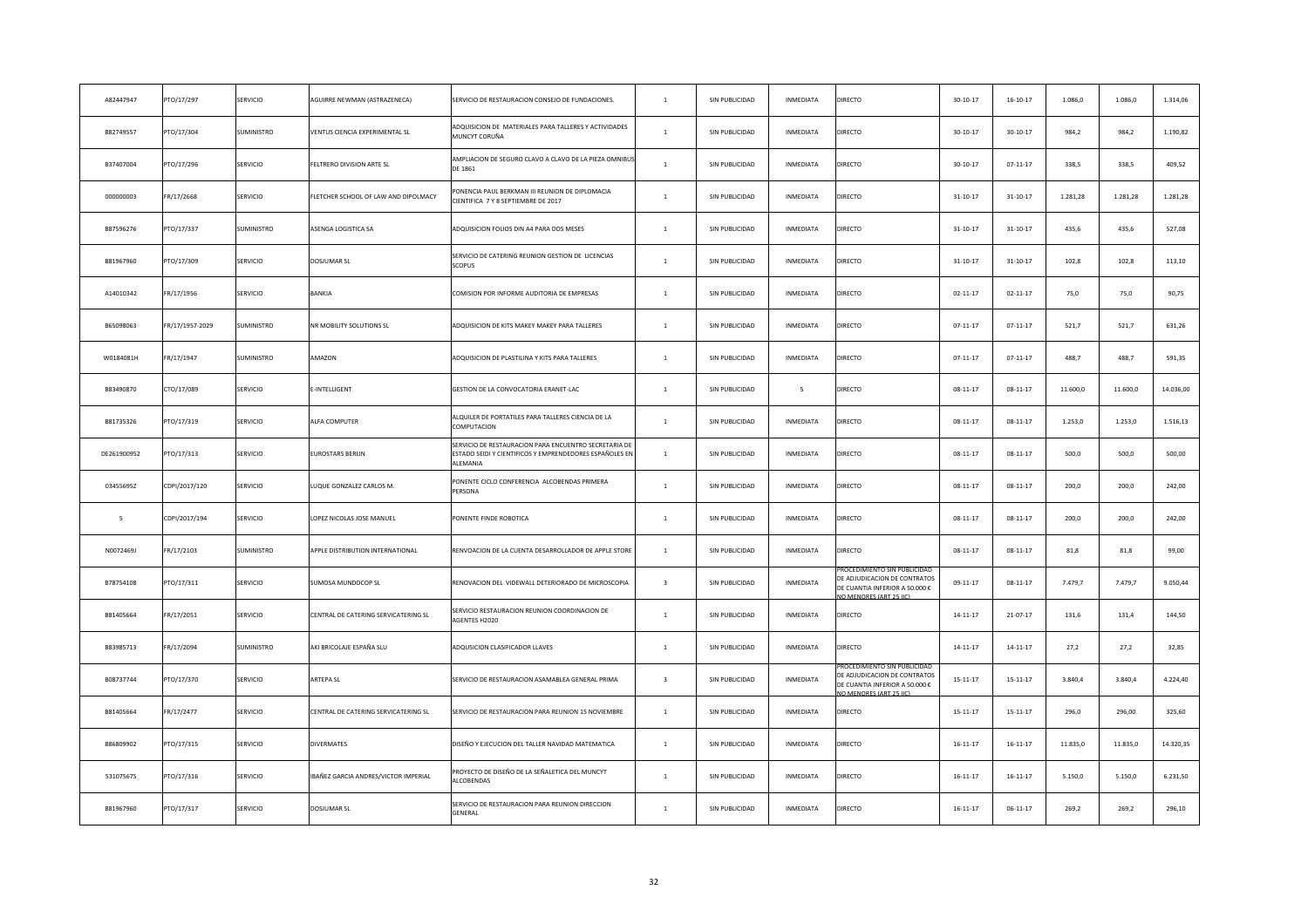| A82447947   | PTO/17/297      | SERVICIO        | <b>AGUIRRE NEWMAN (ASTRAZENECA)</b>   | SERVICIO DE RESTAURACION CONSEJO DE FUNDACIONES.                                                                             | $\mathbf{1}$            | SIN PUBLICIDAD | INMEDIATA        | DIRECTO                                                                                                                 | $30 - 10 - 17$ | $16 - 10 - 17$ | 1.086,0  | 1.086,0  | 1.314,06  |
|-------------|-----------------|-----------------|---------------------------------------|------------------------------------------------------------------------------------------------------------------------------|-------------------------|----------------|------------------|-------------------------------------------------------------------------------------------------------------------------|----------------|----------------|----------|----------|-----------|
| B82749557   | PTO/17/304      | SUMINISTRO      | <b>/ENTUS CIENCIA EXPERIMENTAL SL</b> | ADQUISICION DE MATERIALES PARA TALLERES Y ACTIVIDADES<br>MUNCYT CORUÑA                                                       | $\overline{1}$          | SIN PUBLICIDAD | INMEDIATA        | DIRECTO                                                                                                                 | $30-10-17$     | $30 - 10 - 17$ | 984,2    | 984,2    | 1.190,82  |
| B37407004   | PTO/17/296      | SERVICIO        | ELTRERO DIVISION ARTE SL              | AMPLIACION DE SEGURO CLAVO A CLAVO DE LA PIEZA OMNIBU<br>DE 1861                                                             | $\mathbf{1}$            | SIN PUBLICIDAD | INMEDIATA        | DIRECTO                                                                                                                 | $30 - 10 - 17$ | $07 - 11 - 17$ | 338,5    | 338,5    | 409,52    |
| 000000003   | FR/17/2668      | SERVICIO        | LETCHER SCHOOL OF LAW AND DIPOLMACY   | PONENCIA PAUL BERKMAN III REUNION DE DIPLOMACIA<br>CIENTIFICA 7 Y 8 SEPTIEMBRE DE 2017                                       | $\mathbf{1}$            | SIN PUBLICIDAD | INMEDIATA        | DIRECTO                                                                                                                 | $31 - 10 - 17$ | $31 - 10 - 17$ | 1.281,28 | 1.281,28 | 1.281,28  |
| B87596276   | PTO/17/337      | SUMINISTRO      | ASENGA LOGISTICA SA                   | ADQUISICION FOLIOS DIN A4 PARA DOS MESES                                                                                     | $\mathbf{1}$            | SIN PUBLICIDAD | INMEDIATA        | DIRECTO                                                                                                                 | $31 - 10 - 17$ | $31 - 10 - 17$ | 435,6    | 435,6    | 527,08    |
| B81967960   | PTO/17/309      | SERVICIO        | DOSJUMAR SL                           | SERVICIO DE CATERING REUNION GESTION DE LICENCIAS<br>SCOPUS                                                                  | $\mathbf{1}$            | SIN PUBLICIDAD | INMEDIATA        | DIRECTO                                                                                                                 | $31 - 10 - 17$ | $31 - 10 - 17$ | 102,8    | 102,8    | 113,10    |
| A14010342   | FR/17/1956      | SERVICIO        | <b>BANKIA</b>                         | COMISION POR INFORME AUDITORIA DE EMPRESAS                                                                                   | $\mathbf{1}$            | SIN PUBLICIDAD | INMEDIATA        | DIRECTO                                                                                                                 | $02 - 11 - 17$ | $02 - 11 - 17$ | 75,0     | 75,0     | 90,75     |
| B65098063   | FR/17/1957-2029 | SUMINISTRO      | <b>VR MOBILITY SOLUTIONS SL</b>       | ADQUISICION DE KITS MAKEY MAKEY PARA TALLERES                                                                                | $\mathbf{1}$            | SIN PUBLICIDAD | INMEDIATA        | DIRECTO                                                                                                                 | $07 - 11 - 17$ | $07 - 11 - 17$ | 521,7    | 521,7    | 631,26    |
| W0184081H   | FR/17/1947      | SUMINISTRO      | AMAZON                                | ADQUISICION DE PLASTILINA Y KITS PARA TALLERES                                                                               | $\mathbf{1}$            | SIN PUBLICIDAD | INMEDIATA        | DIRECTO                                                                                                                 | $07 - 11 - 17$ | $07 - 11 - 17$ | 488,7    | 488,7    | 591,35    |
| B83490870   | CTO/17/089      | SERVICIO        | -INTELLIGENT                          | GESTION DE LA CONVOCATORIA ERANET-LAC                                                                                        | $\mathbf{1}$            | SIN PUBLICIDAD | 5                | DIRECTO                                                                                                                 | $08 - 11 - 17$ | $08 - 11 - 17$ | 11.600,0 | 11.600,0 | 14.036,00 |
| B81735326   | PTO/17/319      | SERVICIO        | <b>ALFA COMPUTER</b>                  | ALQUILER DE PORTATILES PARA TALLERES CIENCIA DE LA<br>COMPUTACION                                                            | $\overline{1}$          | SIN PUBLICIDAD | INMEDIATA        | DIRECTO                                                                                                                 | $08 - 11 - 17$ | $08 - 11 - 17$ | 1.253,0  | 1.253,0  | 1.516,13  |
| DE261900952 | PTO/17/313      | SERVICIO        | <b>UROSTARS BERLIN</b>                | SERVICIO DE RESTAURACION PARA ENCUENTRO SECRETARIA DE<br>ESTADO SEIDI Y CIENTIFICOS Y EMPRENDEDORES ESPAÑOLES EN<br>ALEMANIA | $\mathbf{1}$            | SIN PUBLICIDAD | INMEDIATA        | DIRECTO                                                                                                                 | $08 - 11 - 17$ | $08-11-17$     | 500,0    | 500,0    | 500,00    |
| 03455695Z   | CDPI/2017/120   | SERVICIO        | UQUE GONZALEZ CARLOS M.               | PONENTE CICLO CONFERENCIA ALCOBENDAS PRIMERA<br>PERSONA                                                                      | $\mathbf{1}$            | SIN PUBLICIDAD | INMEDIATA        | DIRECTO                                                                                                                 | $08 - 11 - 17$ | $08 - 11 - 17$ | 200,0    | 200,0    | 242,00    |
| -5          | CDPI/2017/194   | <b>SERVICIO</b> | OPEZ NICOLAS JOSE MANUEL              | PONENTE FINDE ROBOTICA                                                                                                       | $\overline{1}$          | SIN PUBLICIDAD | INMEDIATA        | DIRECTO                                                                                                                 | $08 - 11 - 17$ | $08-11-17$     | 200.0    | 200.0    | 242.00    |
| N0072469J   | FR/17/2103      | SUMINISTRO      | APPLE DISTRIBUTION INTERNATIONAL      | RENVOACION DE LA CUENTA DESARROLLADOR DE APPLE STORE                                                                         | $\mathbf{1}$            | SIN PUBLICIDAD | INMEDIATA        | DIRECTO                                                                                                                 | $08 - 11 - 17$ | $08 - 11 - 17$ | 81,8     | 81,8     | 99,00     |
| B78754108   | PTO/17/311      | SERVICIO        | SUMOSA MUNDOCOP SL                    | RENOVACION DEL VIDEWALL DETERIORADO DE MICROSCOPIA                                                                           | $\overline{\mathbf{3}}$ | SIN PUBLICIDAD | INMEDIATA        | ROCEDIMIENTO SIN PUBLICIDAI<br>DE ADJUDICACION DE CONTRATOS<br>DE CUANTIA INFERIOR A 50.000 €<br>O MENORES (ART 25 IIC  | $09-11-17$     | $08 - 11 - 17$ | 7.479,7  | 7.479,7  | 9.050,44  |
| B81405664   | FR/17/2051      | SERVICIO        | CENTRAL DE CATERING SERVICATERING SL  | SERVICIO RESTAURACION REUNION COORDINACION DE<br>AGENTES H2020                                                               | $\overline{1}$          | SIN PUBLICIDAD | INMEDIATA        | DIRECTO                                                                                                                 | $14 - 11 - 17$ | 21-07-17       | 131,6    | 131,4    | 144,50    |
| B83985713   | FR/17/2094      | SUMINISTRO      | AKI BRICOLAJE ESPAÑA SLU              | ADQUSICION CLASIFICADOR LLAVES                                                                                               | $\mathbf{1}$            | SIN PUBLICIDAD | INMEDIATA        | DIRECTO                                                                                                                 | $14 - 11 - 17$ | $14 - 11 - 17$ | 27,2     | 27,2     | 32,85     |
| B08737744   | PTO/17/370      | SERVICIO        | ARTEPA SL                             | SERVICIO DE RESTAURACION ASAMABLEA GENERAL PRIMA                                                                             | $\overline{3}$          | SIN PUBLICIDAD | <b>INMEDIATA</b> | ROCEDIMIENTO SIN PUBLICIDAI<br>DE ADJUDICACION DE CONTRATOS<br>DE CUANTIA INFERIOR A 50.000 €<br>O MENORES (ART 25 LIC) | $15 - 11 - 17$ | $15 - 11 - 17$ | 3.840,4  | 3.840,4  | 4.224,40  |
| B81405664   | FR/17/2477      | SERVICIO        | CENTRAL DE CATERING SERVICATERING SL  | SERVICIO DE RESTAURACION PARA REUNION 15 NOVIEMBRE                                                                           | $\overline{1}$          | SIN PUBLICIDAD | INMEDIATA        | DIRECTO                                                                                                                 | $15 - 11 - 17$ | $15 - 11 - 17$ | 296,0    | 296,00   | 325,60    |
| B86809902   | PTO/17/315      | SERVICIO        | <b>DIVERMATES</b>                     | DISEÑO Y EJECUCION DEL TALLER NAVIDAD MATEMATICA                                                                             | $\mathbf{1}$            | SIN PUBLICIDAD | <b>INMEDIATA</b> | DIRECTO                                                                                                                 | $16 - 11 - 17$ | $16 - 11 - 17$ | 11.835,0 | 11.835,0 | 14.320,35 |
| 53107567S   | PTO/17/316      | SERVICIO        | BAÑEZ GARCIA ANDRES/VICTOR IMPERIAL   | ROYECTO DE DISEÑO DE LA SEÑALETICA DEL MUNCYT<br>ALCOBENDAS                                                                  | $\overline{1}$          | SIN PUBLICIDAD | <b>INMEDIATA</b> | DIRECTO                                                                                                                 | $16 - 11 - 17$ | $16 - 11 - 17$ | 5.150,0  | 5.150,0  | 6.231,50  |
| B81967960   | PTO/17/317      | SERVICIO        | DOSJUMAR SL                           | SERVICIO DE RESTAURACION PARA REUNION DIRECCION<br>GENERAL                                                                   | $\overline{1}$          | SIN PUBLICIDAD | <b>INMEDIATA</b> | DIRECTO                                                                                                                 | $16 - 11 - 17$ | $06 - 11 - 17$ | 269.2    | 269.2    | 296.10    |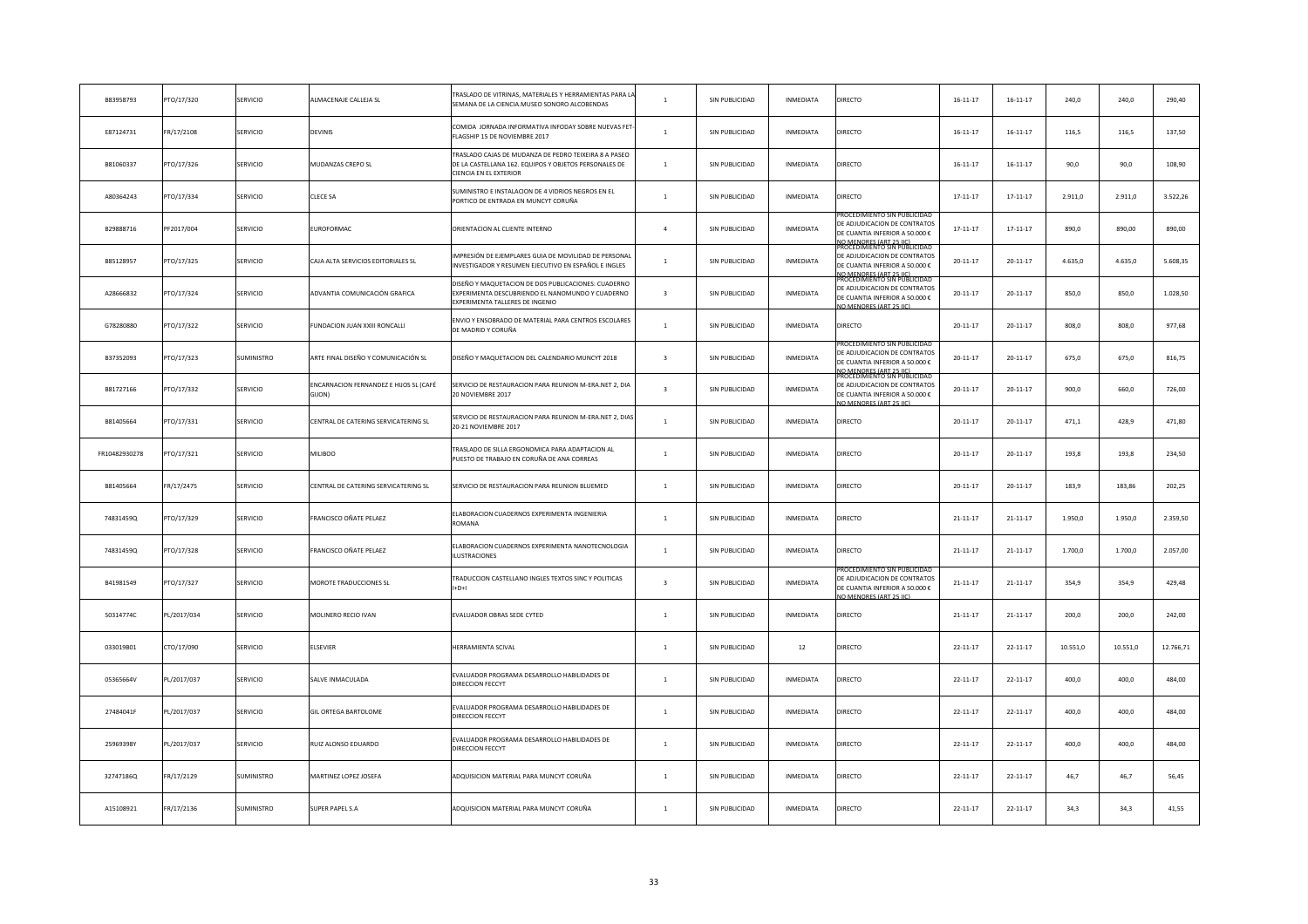| B83958793     | PTO/17/320  | SERVICIO          | LMACENAJE CALLEJA SL                                   | <b>FRASLADO DE VITRINAS, MATERIALES Y HERRAMIENTAS PARA I</b><br>SEMANA DE LA CIENCIA.MUSEO SONORO ALCOBENDAS                                   | $\mathbf{1}$            | SIN PUBLICIDAD | INMEDIATA        | <b>DIRECTO</b>                                                                                                                                                                    | $16 - 11 - 17$ | $16 - 11 - 17$ | 240,0    | 240,0    | 290,40    |
|---------------|-------------|-------------------|--------------------------------------------------------|-------------------------------------------------------------------------------------------------------------------------------------------------|-------------------------|----------------|------------------|-----------------------------------------------------------------------------------------------------------------------------------------------------------------------------------|----------------|----------------|----------|----------|-----------|
| E87124731     | FR/17/2108  | SERVICIO          | <b>DEVINIS</b>                                         | COMIDA JORNADA INFORMATIVA INFODAY SOBRE NUEVAS FET<br>FLAGSHIP 15 DE NOVIEMBRE 2017                                                            | $\mathbf{1}$            | SIN PUBLICIDAD | INMEDIATA        | DIRECTO                                                                                                                                                                           | $16 - 11 - 17$ | $16 - 11 - 17$ | 116,5    | 116,5    | 137,50    |
| B81060337     | PTO/17/326  | SERVICIO          | <b>MUDANZAS CREPO SL</b>                               | TRASLADO CAJAS DE MUDANZA DE PEDRO TEIXEIRA 8 A PASEO<br>DE LA CASTELLANA 162. EQUIPOS Y OBJETOS PERSONALES DE<br><b>CIENCIA EN EL EXTERIOR</b> | $\mathbf{1}$            | SIN PUBLICIDAD | INMEDIATA        | <b>DIRECTO</b>                                                                                                                                                                    | $16 - 11 - 17$ | $16 - 11 - 17$ | 90,0     | 90,0     | 108,90    |
| A80364243     | PTO/17/334  | SERVICIO          | CLECE SA                                               | SUMINISTRO E INSTALACION DE 4 VIDRIOS NEGROS EN EL<br>PORTICO DE ENTRADA EN MUNCYT CORUÑA                                                       | $\mathbf{1}$            | SIN PUBLICIDAD | INMEDIATA        | DIRECTO                                                                                                                                                                           | $17 - 11 - 17$ | $17 - 11 - 17$ | 2.911,0  | 2.911,0  | 3.522,26  |
| B29888716     | PF2017/004  | SERVICIO          | UROFORMAC                                              | ORIENTACION AL CLIENTE INTERNO                                                                                                                  | $\overline{4}$          | SIN PUBLICIDAD | INMEDIATA        | ROCEDIMIENTO SIN PUBLICIDA<br>DE ADJUDICACION DE CONTRATOS<br>DE CUANTIA INFERIOR A 50.000 €                                                                                      | $17 - 11 - 17$ | $17 - 11 - 17$ | 890,0    | 890,00   | 890,00    |
| B85128957     | PTO/17/325  | SERVICIO          | CAJA ALTA SERVICIOS EDITORIALES SL                     | IMPRESIÓN DE EJEMPLARES GUIA DE MOVILIDAD DE PERSONA<br>INVESTIGADOR Y RESUMEN EJECUTIVO EN ESPAÑOL E INGLES                                    | $\mathbf{1}$            | SIN PUBLICIDAD | INMEDIATA        | IO MENORES (ART 25 IIC)<br>ROCEDIMIENTO SIN PUBLICIDAD<br>DE ADJUDICACION DE CONTRATOS<br>DE CUANTIA INFERIOR A 50.000 €<br>IO MENORES (ART 25 HC)<br>ROCEDIMIENTO SIN PUBLICIDAI | $20 - 11 - 17$ | $20 - 11 - 17$ | 4.635,0  | 4.635,0  | 5.608,35  |
| A28666832     | PTO/17/324  | SERVICIO          | ADVANTIA COMUNICACIÓN GRAFICA                          | DISEÑO Y MAQUETACION DE DOS PUBLICACIONES: CUADERNO<br>EXPERIMENTA DESCUBRIENDO EL NANOMUNDO Y CUADERNO<br>EXPERIMENTA TALLERES DE INGENIO      | $\overline{3}$          | SIN PUBLICIDAD | INMEDIATA        | DE ADJUDICACION DE CONTRATOS<br>DE CUANTIA INFERIOR A 50.000 €<br>O MENORES (ART 25 HC)                                                                                           | $20 - 11 - 17$ | $20 - 11 - 17$ | 850,0    | 850,0    | 1.028,50  |
| G78280880     | PTO/17/322  | SERVICIO          | UNDACION JUAN XXIII RONCALLI                           | ENVIO Y ENSOBRADO DE MATERIAL PARA CENTROS ESCOLARES<br>DE MADRID Y CORUÑA                                                                      | $\mathbf{1}$            | SIN PUBLICIDAD | INMEDIATA        | DIRECTO                                                                                                                                                                           | $20 - 11 - 17$ | $20 - 11 - 17$ | 808,0    | 808,0    | 977,68    |
| B37352093     | PTO/17/323  | SUMINISTRO        | ARTE FINAL DISEÑO Y COMUNICACIÓN SL                    | DISEÑO Y MAQUETACION DEL CALENDARIO MUNCYT 2018                                                                                                 | $\overline{3}$          | SIN PUBLICIDAD | INMEDIATA        | ROCEDIMIENTO SIN PUBLICI<br>DE ADJUDICACION DE CONTRATOS<br>DE CUANTIA INFERIOR A 50.000 €<br>IO MENORES (ART 25 HC)<br>ROCEDIMIENTO SIN PUBLICIDA                                | $20 - 11 - 17$ | $20 - 11 - 17$ | 675,0    | 675,0    | 816,75    |
| B81727166     | PTO/17/332  | SERVICIO          | NCARNACION FERNANDEZ E HIJOS SL (CAFÉ<br><b>GIIONI</b> | SERVICIO DE RESTAURACION PARA REUNION M-ERA.NET 2, DIA<br>20 NOVIEMBRE 2017                                                                     | $\overline{\mathbf{3}}$ | SIN PUBLICIDAD | INMEDIATA        | DE ADJUDICACION DE CONTRATOS<br>DE CUANTIA INFERIOR A 50.000 €<br>IO MENORES (ART 25 IIC)                                                                                         | $20 - 11 - 17$ | $20 - 11 - 17$ | 900,0    | 660,0    | 726,00    |
| B81405664     | PTO/17/331  | SERVICIO          | CENTRAL DE CATERING SERVICATERING SL                   | SERVICIO DE RESTAURACION PARA REUNION M-ERA.NET 2, DIA<br>20-21 NOVIEMBRE 2017                                                                  | $\overline{1}$          | SIN PUBLICIDAD | INMEDIATA        | DIRECTO                                                                                                                                                                           | $20 - 11 - 17$ | $20 - 11 - 17$ | 471,1    | 428,9    | 471,80    |
| FR10482930278 | PTO/17/321  | SERVICIO          | MILIBOO                                                | TRASLADO DE SILLA ERGONOMICA PARA ADAPTACION AL<br>PUESTO DE TRABAJO EN CORUÑA DE ANA CORREAS                                                   | $\overline{1}$          | SIN PUBLICIDAD | <b>INMEDIATA</b> | DIRECTO                                                                                                                                                                           | $20 - 11 - 17$ | $20 - 11 - 17$ | 193.8    | 193.8    | 234,50    |
| B81405664     | FR/17/2475  | SERVICIO          | CENTRAL DE CATERING SERVICATERING SL                   | SERVICIO DE RESTAURACION PARA REUNION BLUEMED                                                                                                   | $\mathbf{1}$            | SIN PUBLICIDAD | INMEDIATA        | DIRECTO                                                                                                                                                                           | $20 - 11 - 17$ | $20 - 11 - 17$ | 183,9    | 183,86   | 202,25    |
| 74831459Q     | PTO/17/329  | <b>SERVICIO</b>   | RANCISCO OÑATE PELAEZ                                  | ELABORACION CUADERNOS EXPERIMENTA INGENIERIA<br>ROMANA                                                                                          | $\overline{1}$          | SIN PUBLICIDAD | INMEDIATA        | <b>DIRECTO</b>                                                                                                                                                                    | $21 - 11 - 17$ | 21-11-17       | 1.950.0  | 1.950.0  | 2.359,50  |
| 74831459Q     | PTO/17/328  | SERVICIO          | RANCISCO OÑATE PELAEZ                                  | ELABORACION CUADERNOS EXPERIMENTA NANOTECNOLOGIA<br>ILUSTRACIONES                                                                               | $\mathbf{1}$            | SIN PUBLICIDAD | INMEDIATA        | DIRECTO                                                                                                                                                                           | 21-11-17       | $21 - 11 - 17$ | 1.700,0  | 1.700,0  | 2.057,00  |
| B41981549     | PTO/17/327  | SERVICIO          | MOROTE TRADUCCIONES SL                                 | TRADUCCION CASTELLANO INGLES TEXTOS SINC Y POLITICAS<br>$H+D+I$                                                                                 | $\overline{\mathbf{3}}$ | SIN PUBLICIDAD | INMEDIATA        | ROCEDIMIENTO SIN PUBLICIDAI<br>DE ADJUDICACION DE CONTRATOS<br>DE CUANTIA INFERIOR A 50.000 €<br>O MENORES (ART 25 IIC                                                            | 21-11-17       | $21 - 11 - 17$ | 354,9    | 354,9    | 429,48    |
| 50314774C     | PL/2017/034 | SERVICIO          | MOLINERO RECIO IVAN                                    | EVALUADOR OBRAS SEDE CYTED                                                                                                                      | $\overline{1}$          | SIN PUBLICIDAD | INMEDIATA        | DIRECTO                                                                                                                                                                           | $21 - 11 - 17$ | $21 - 11 - 17$ | 200,0    | 200,0    | 242,00    |
| 033019B01     | CTO/17/090  | SERVICIO          | <b>LSEVIER</b>                                         | HERRAMIENTA SCIVAL                                                                                                                              | $\mathbf{1}$            | SIN PUBLICIDAD | 12               | DIRECTO                                                                                                                                                                           | $22 - 11 - 17$ | $22 - 11 - 17$ | 10.551,0 | 10.551,0 | 12.766,71 |
| 05365664V     | PL/2017/037 | SERVICIO          | <b>SALVE INMACULADA</b>                                | EVALUADOR PROGRAMA DESARROLLO HABILIDADES DE<br>DIRECCION FECCYT                                                                                | $\overline{1}$          | SIN PUBLICIDAD | INMEDIATA        | DIRECTO                                                                                                                                                                           | $22 - 11 - 17$ | $22 - 11 - 17$ | 400,0    | 400,0    | 484,00    |
| 27484041F     | PL/2017/037 | SERVICIO          | GIL ORTEGA BARTOLOME                                   | EVALUADOR PROGRAMA DESARROLLO HABILIDADES DE<br>DIRECCION FECCYT                                                                                | $\overline{1}$          | SIN PUBLICIDAD | INMEDIATA        | DIRECTO                                                                                                                                                                           | $22 - 11 - 17$ | $22 - 11 - 17$ | 400,0    | 400,0    | 484,00    |
| 25969398Y     | PL/2017/037 | SERVICIO          | RUIZ ALONSO EDUARDO                                    | EVALUADOR PROGRAMA DESARROLLO HABILIDADES DE<br>DIRECCION FECCYT                                                                                | $\overline{1}$          | SIN PUBLICIDAD | <b>INMEDIATA</b> | DIRECTO                                                                                                                                                                           | $22 - 11 - 17$ | $22 - 11 - 17$ | 400,0    | 400,0    | 484,00    |
| 32747186Q     | FR/17/2129  | SUMINISTRO        | MARTINEZ LOPEZ JOSEFA                                  | ADQUISICION MATERIAL PARA MUNCYT CORUÑA                                                                                                         | <sup>1</sup>            | SIN PUBLICIDAD | INMEDIATA        | DIRECTO                                                                                                                                                                           | $22 - 11 - 17$ | $22 - 11 - 17$ | 46,7     | 46,7     | 56,45     |
| A15108921     | FR/17/2136  | <b>SUMINISTRO</b> | <b>SUPER PAPEL S.A</b>                                 | ADQUISICION MATERIAL PARA MUNCYT CORUÑA                                                                                                         | $\mathbf{1}$            | SIN PUBLICIDAD | <b>INMEDIATA</b> | DIRECTO                                                                                                                                                                           | $22 - 11 - 17$ | $22 - 11 - 17$ | 34.3     | 34.3     | 41,55     |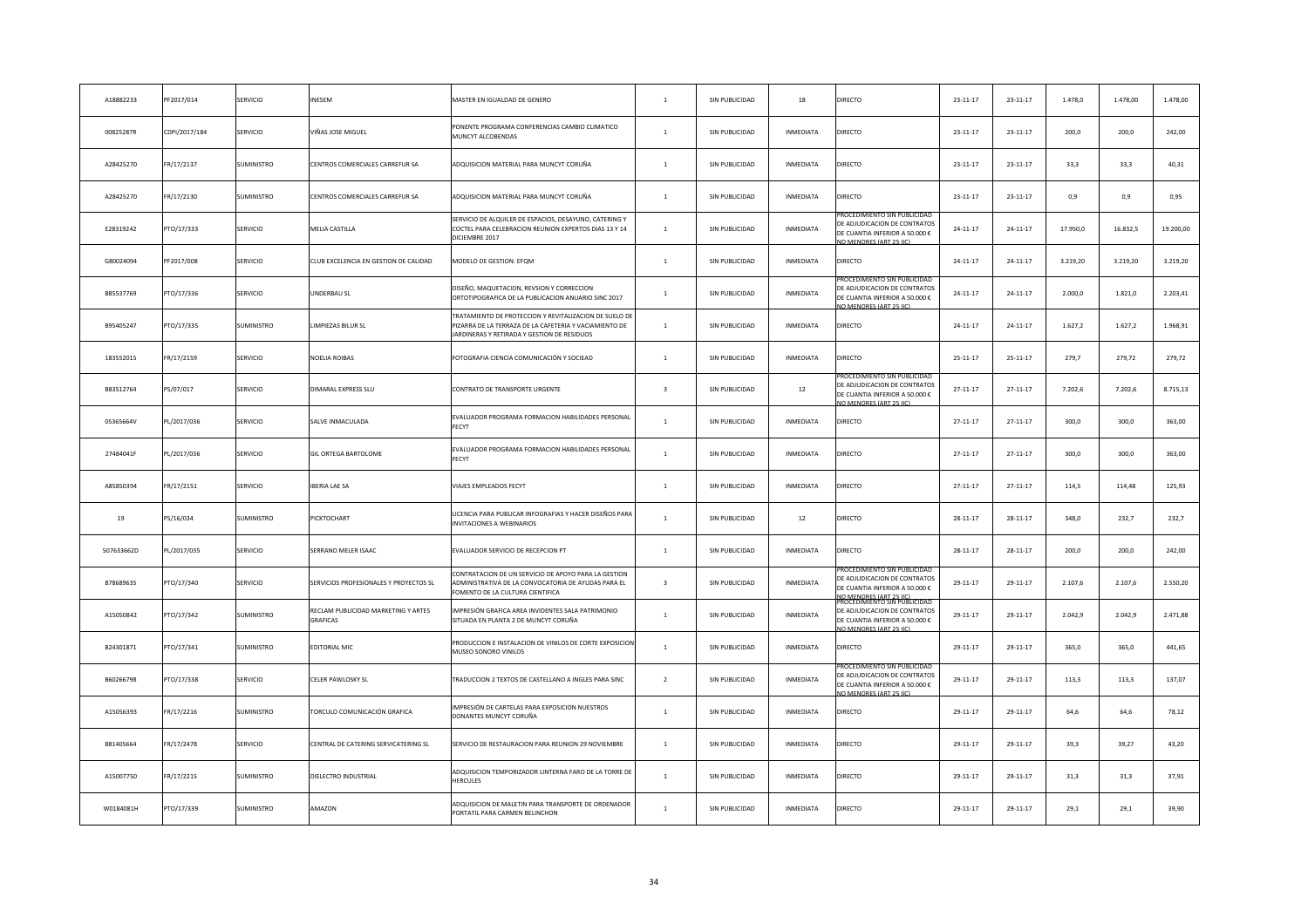| A18882233  | PF2017/014    | SERVICIO          | NESEM                                           | MASTER EN IGUALDAD DE GENERO                                                                                                                                    | $\mathbf{1}$            | SIN PUBLICIDAD | 18               | DIRECTO                                                                                                                                              | 23-11-17       | $23 - 11 - 17$ | 1.478,0  | 1.478,00 | 1.478,00  |
|------------|---------------|-------------------|-------------------------------------------------|-----------------------------------------------------------------------------------------------------------------------------------------------------------------|-------------------------|----------------|------------------|------------------------------------------------------------------------------------------------------------------------------------------------------|----------------|----------------|----------|----------|-----------|
| 00825287R  | CDPI/2017/184 | SERVICIO          | /IÑAS JOSE MIGUEL                               | PONENTE PROGRAMA CONFERENCIAS CAMBIO CLIMATICO<br>MUNCYT ALCOBENDAS                                                                                             | $\mathbf{1}$            | SIN PUBLICIDAD | INMEDIATA        | DIRECTO                                                                                                                                              | $23 - 11 - 17$ | $23 - 11 - 17$ | 200,0    | 200,0    | 242,00    |
| A28425270  | FR/17/2137    | SUMINISTRO        | CENTROS COMERCIALES CARREFUR SA                 | ADQUISICION MATERIAL PARA MUNCYT CORUÑA                                                                                                                         | $\mathbf{1}$            | SIN PUBLICIDAD | INMEDIATA        | DIRECTO                                                                                                                                              | 23-11-17       | $23 - 11 - 17$ | 33,3     | 33,3     | 40,31     |
| A28425270  | FR/17/2130    | SUMINISTRO        | CENTROS COMERCIALES CARREFUR SA                 | ADQUISICION MATERIAL PARA MUNCYT CORUÑA                                                                                                                         | $\mathbf{1}$            | SIN PUBLICIDAD | INMEDIATA        | <b>DIRECTO</b>                                                                                                                                       | 23-11-17       | $23 - 11 - 17$ | 0,9      | 0,9      | 0,95      |
| E28319242  | PTO/17/333    | SERVICIO          | <b>MELIA CASTILLA</b>                           | SERVICIO DE ALQUILER DE ESPACIOS, DESAYUNO, CATERING Y<br>COCTEL PARA CELEBRACION REUNION EXPERTOS DIAS 13 Y 14<br>DICIEMBRE 2017                               | $\mathbf{1}$            | SIN PUBLICIDAD | INMEDIATA        | ROCEDIMIENTO SIN PUBLICID<br>DE ADJUDICACION DE CONTRATOS<br>DE CUANTIA INFERIOR A 50.000 €<br><b>JO MENORES (ART 25 LIC)</b>                        | $24 - 11 - 17$ | 24-11-17       | 17.950,0 | 16.832,5 | 19.200,00 |
| G80024094  | PF2017/008    | SERVICIO          | CLUB EXCELENCIA EN GESTION DE CALIDAD           | MODELO DE GESTION: EFQM                                                                                                                                         | $\mathbf{1}$            | SIN PUBLICIDAD | INMEDIATA        | DIRECTO                                                                                                                                              | $24 - 11 - 17$ | 24-11-17       | 3.219,20 | 3.219,20 | 3.219,20  |
| B85537769  | PTO/17/336    | SERVICIO          | JNDERBAU SL                                     | DISEÑO, MAQUETACION, REVSION Y CORRECCION<br>ORTOTIPOGRAFICA DE LA PUBLICACION ANUARIO SINC 2017                                                                | $\mathbf{1}$            | SIN PUBLICIDAD | INMEDIATA        | ROCEDIMIENTO SIN PUBLIC<br>E ADJUDICACION DE CONTRATOS<br>DE CUANTIA INFERIOR A 50.000 €<br>O MENORES (ART 25 LC)                                    | $24 - 11 - 17$ | $24 - 11 - 17$ | 2.000,0  | 1.821,0  | 2.203,41  |
| B95405247  | PTO/17/335    | SUMINISTRO        | IMPIEZAS BILUR SL                               | TRATAMIENTO DE PROTECCION Y REVITALIZACION DE SUELO DI<br>PIZARRA DE LA TERRAZA DE LA CAFETERIA Y VACIAMIENTO DE<br>JARDINERAS Y RETIRADA Y GESTION DE RESIDUOS | $\mathbf{1}$            | SIN PUBLICIDAD | INMEDIATA        | DIRECTO                                                                                                                                              | $24 - 11 - 17$ | $24 - 11 - 17$ | 1.627,2  | 1.627.2  | 1.968,91  |
| 183552015  | FR/17/2159    | SERVICIO          | <b>VOELIA ROIBAS</b>                            | FOTOGRAFIA CIENCIA COMUNICACIÓN Y SOCIEAD                                                                                                                       | $\mathbf{1}$            | SIN PUBLICIDAD | INMEDIATA        | DIRECTO                                                                                                                                              | $25 - 11 - 17$ | 25-11-17       | 279,7    | 279,72   | 279,72    |
| B83512764  | PS/07/017     | SERVICIO          | DIMARAL EXPRESS SLU                             | CONTRATO DE TRANSPORTE URGENTE                                                                                                                                  | $\overline{\mathbf{3}}$ | SIN PUBLICIDAD | 12               | ROCEDIMIENTO SIN PUBLICID.<br>DE ADJUDICACION DE CONTRATOS<br>DE CUANTIA INFERIOR A 50.000 €<br><b>IO MENORES (ART 25 IIC)</b>                       | $27 - 11 - 17$ | $27 - 11 - 17$ | 7.202,6  | 7.202,6  | 8.715,13  |
| 05365664V  | PL/2017/036   | SERVICIO          | SALVE INMACULADA                                | EVALUADOR PROGRAMA FORMACION HABILIDADES PERSONAI<br>FECYT                                                                                                      | $\overline{1}$          | SIN PUBLICIDAD | INMEDIATA        | DIRECTO                                                                                                                                              | 27-11-17       | 27-11-17       | 300,0    | 300,0    | 363,00    |
| 27484041F  | PL/2017/036   | SERVICIO          | GIL ORTEGA BARTOLOME                            | EVALUADOR PROGRAMA FORMACION HABILIDADES PERSONAI<br>FECYT                                                                                                      | $\overline{1}$          | SIN PUBLICIDAD | <b>INMEDIATA</b> | DIRECTO                                                                                                                                              | $27 - 11 - 17$ | $27 - 11 - 17$ | 300,0    | 300.0    | 363,00    |
| A85850394  | FR/17/2151    | <b>SERVICIO</b>   | IBERIA LAE SA                                   | VIAJES EMPLEADOS FECYT                                                                                                                                          | $\overline{1}$          | SIN PUBLICIDAD | <b>INMEDIATA</b> | <b>DIRECTO</b>                                                                                                                                       | $27 - 11 - 17$ | 27-11-17       | 114,5    | 114.48   | 125,93    |
| 19         | PS/16/034     | <b>SUMINISTRO</b> | <b>PICKTOCHART</b>                              | LICENCIA PARA PUBLICAR INFOGRAFIAS Y HACER DISEÑOS PARA<br>INVITACIONES A WEBINARIOS                                                                            | $\overline{1}$          | SIN PUBLICIDAD | 12               | DIRECTO                                                                                                                                              | 28-11-17       | $28 - 11 - 17$ | 348,0    | 232,7    | 232,7     |
| 507633662D | PL/2017/035   | <b>SERVICIO</b>   | SERRANO MELER ISAAC                             | EVALUADOR SERVICIO DE RECEPCION PT                                                                                                                              | $\overline{1}$          | SIN PUBLICIDAD | INMEDIATA        | <b>DIRECTO</b>                                                                                                                                       | $28 - 11 - 17$ | 28-11-17       | 200,0    | 200,0    | 242,00    |
| B78689635  | PTO/17/340    | <b>SERVICIO</b>   | SERVICIOS PROFESIONALES Y PROYECTOS SL          | CONTRATACION DE UN SERVICIO DE APOYO PARA LA GESTION<br>ADMINISTRATIVA DE LA CONVOCATORIA DE AYUDAS PARA EL<br>FOMENTO DE LA CULTURA CIENTIFICA                 | $\overline{\mathbf{3}}$ | SIN PUBLICIDAD | <b>INMEDIATA</b> | ROCEDIMIENTO SIN PUBLICIDAI<br>DE ADJUDICACION DE CONTRATOS<br>DE CUANTIA INFERIOR A 50.000 €<br>O MENORES (ART 25 HC)<br>ROCEDIMIENTO SIN PUBLICIDA | 29-11-17       | 29-11-17       | 2.107,6  | 2.107,6  | 2.550,20  |
| A15050842  | PTO/17/342    | SUMINISTRO        | RECLAM PUBLICIDAD MARKETING Y ARTES<br>GRAFICAS | IMPRESIÓN GRAFICA AREA INVIDENTES SALA PATRIMONIO<br>SITUADA EN PLANTA 2 DE MUNCYT CORUÑA                                                                       | $\overline{1}$          | SIN PUBLICIDAD | INMEDIATA        | DE ADJUDICACION DE CONTRATOS<br>DE CUANTIA INFERIOR A 50.000 €<br>O MENORES (ART 25 LIC)                                                             | $29 - 11 - 17$ | 29-11-17       | 2.042,9  | 2.042,9  | 2.471,88  |
| B24301871  | PTO/17/341    | SUMINISTRO        | <b>DITORIAL MIC</b>                             | PRODUCCION E INSTALACION DE VINILOS DE CORTE EXPOSICIO<br>MUSEO SONORO VINILOS                                                                                  | $\mathbf{1}$            | SIN PUBLICIDAD | INMEDIATA        | <b>DIRECTO</b>                                                                                                                                       | 29-11-17       | 29-11-17       | 365,0    | 365,0    | 441,65    |
| B60266798  | PTO/17/338    | <b>SERVICIO</b>   | CELER PAWLOSKY SL                               | TRADUCCION 2 TEXTOS DE CASTELLANO A INGLES PARA SINC                                                                                                            | $\overline{2}$          | SIN PUBLICIDAD | <b>INMEDIATA</b> | OCEDIMIENTO SIN PUBLICID<br>DE ADJUDICACION DE CONTRATOS<br>DE CUANTIA INFERIOR A 50.000 €<br>O MENORES (ART 25 IIC)                                 | 29-11-17       | 29-11-17       | 113.3    | 113,3    | 137,07    |
| A15056393  | FR/17/2216    | <b>SUMINISTRO</b> | <b>FORCULO COMUNICACIÓN GRAFICA</b>             | IMPRESIÓN DE CARTELAS PARA EXPOSICION NUESTROS<br>DONANTES MUNCYT CORUÑA                                                                                        | $\overline{1}$          | SIN PUBLICIDAD | INMEDIATA        | DIRECTO                                                                                                                                              | 29-11-17       | 29-11-17       | 64,6     | 64.6     | 78,12     |
| B81405664  | FR/17/2478    | <b>SERVICIO</b>   | CENTRAL DE CATERING SERVICATERING SL            | SERVICIO DE RESTAURACION PARA REUNION 29 NOVIEMBRE                                                                                                              | $\mathbf{1}$            | SIN PUBLICIDAD | <b>INMEDIATA</b> | DIRECTO                                                                                                                                              | 29-11-17       | 29-11-17       | 39,3     | 39,27    | 43,20     |
| A15007750  | FR/17/2215    | SUMINISTRO        | DIELECTRO INDUSTRIAL                            | ADQUISICION TEMPORIZADOR LINTERNA FARO DE LA TORRE DE<br><b>HERCULES</b>                                                                                        | $\overline{1}$          | SIN PUBLICIDAD | INMEDIATA        | DIRECTO                                                                                                                                              | 29-11-17       | 29-11-17       | 31,3     | 31,3     | 37,91     |
| W0184081H  | PTO/17/339    | <b>SUMINISTRO</b> | <b>MAZON</b>                                    | ADQUISICION DE MALETIN PARA TRANSPORTE DE ORDENADOR<br>PORTATIL PARA CARMEN BELINCHON                                                                           | $\mathbf{1}$            | SIN PUBLICIDAD | <b>INMEDIATA</b> | DIRECTO                                                                                                                                              | 29-11-17       | 29-11-17       | 29.1     | 29.1     | 39,90     |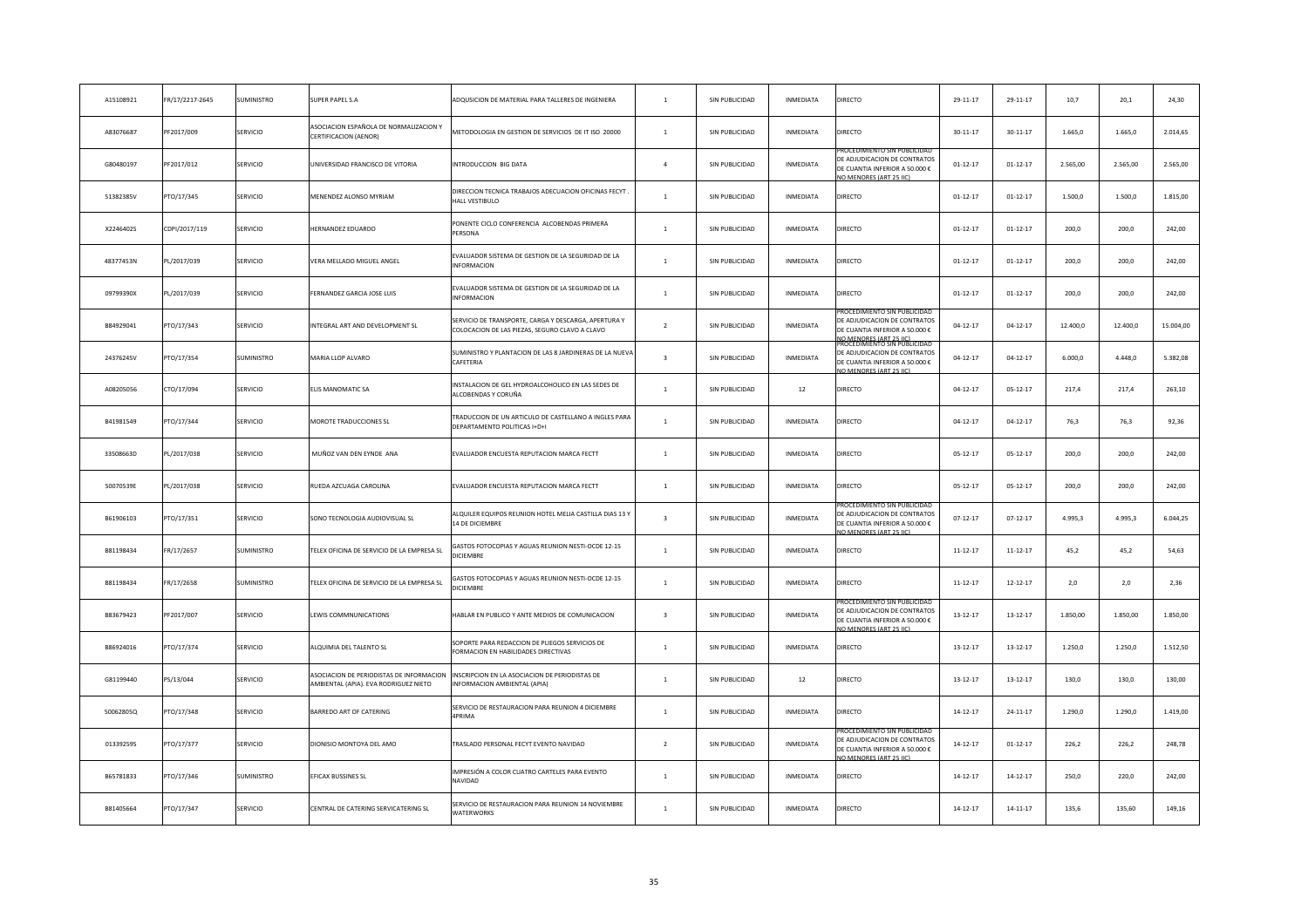| A15108921 | FR/17/2217-2645 | SUMINISTRO        | SUPER PAPEL S.A                                                                   | ADQUSICION DE MATERIAL PARA TALLERES DE INGENIERA                                                      | $\mathbf{1}$            | SIN PUBLICIDAD | INMEDIATA        | DIRECTO                                                                                                                                           | 29-11-17       | 29-11-17       | 10,7     | 20,1     | 24,30     |
|-----------|-----------------|-------------------|-----------------------------------------------------------------------------------|--------------------------------------------------------------------------------------------------------|-------------------------|----------------|------------------|---------------------------------------------------------------------------------------------------------------------------------------------------|----------------|----------------|----------|----------|-----------|
| A83076687 | PF2017/009      | SERVICIO          | ASOCIACION ESPAÑOLA DE NORMALIZACION Y<br>CERTIFICACION (AENOR)                   | METODOLOGIA EN GESTION DE SERVICIOS DE IT ISO 20000                                                    | $\mathbf{1}$            | SIN PUBLICIDAD | INMEDIATA        | DIRECTO                                                                                                                                           | $30 - 11 - 17$ | $30 - 11 - 17$ | 1.665,0  | 1.665,0  | 2.014,65  |
| G80480197 | PF2017/012      | SERVICIO          | JNIVERSIDAD FRANCISCO DE VITORIA                                                  | INTRODUCCION BIG DATA                                                                                  | $\overline{a}$          | SIN PUBLICIDAD | INMEDIATA        | ROCEDIMIENTO SIN PUBLICIDA<br>DE ADJUDICACION DE CONTRATOS<br>DE CUANTIA INFERIOR A 50.000 €<br>O MENORES (ART 25 LC)                             | $01 - 12 - 17$ | $01 - 12 - 17$ | 2.565,00 | 2.565,00 | 2.565,00  |
| 51382385V | PTO/17/345      | SERVICIO          | MENENDEZ ALONSO MYRIAM                                                            | DIRECCION TECNICA TRABAJOS ADECUACION OFICINAS FECYT.<br>HALL VESTIBULO                                | $\mathbf{1}$            | SIN PUBLICIDAD | INMEDIATA        | DIRECTO                                                                                                                                           | $01 - 12 - 17$ | $01 - 12 - 17$ | 1.500,0  | 1.500,0  | 1.815,00  |
| X2246402S | CDPI/2017/119   | SERVICIO          | <b>IERNANDEZ EDUARDO</b>                                                          | PONENTE CICLO CONFERENCIA ALCOBENDAS PRIMERA<br>PERSONA                                                | $\mathbf{1}$            | SIN PUBLICIDAD | INMEDIATA        | DIRECTO                                                                                                                                           | $01 - 12 - 17$ | $01 - 12 - 17$ | 200,0    | 200,0    | 242,00    |
| 48377453N | PL/2017/039     | SERVICIO          | <b>/ERA MELLADO MIGUEL ANGEL</b>                                                  | EVALUADOR SISTEMA DE GESTION DE LA SEGURIDAD DE LA<br><b>INFORMACION</b>                               | $\overline{1}$          | SIN PUBLICIDAD | INMEDIATA        | DIRECTO                                                                                                                                           | $01 - 12 - 17$ | $01 - 12 - 17$ | 200,0    | 200,0    | 242,00    |
| 09799390X | PL/2017/039     | SERVICIO          | ERNANDEZ GARCIA JOSE LUIS                                                         | VALUADOR SISTEMA DE GESTION DE LA SEGURIDAD DE LA<br><b>INFORMACION</b>                                | $\mathbf{1}$            | SIN PUBLICIDAD | INMEDIATA        | DIRECTO                                                                                                                                           | $01 - 12 - 17$ | $01 - 12 - 17$ | 200,0    | 200,0    | 242,00    |
| B84929041 | PTO/17/343      | SERVICIO          | INTEGRAL ART AND DEVELOPMENT SL                                                   | SERVICIO DE TRANSPORTE, CARGA Y DESCARGA, APERTURA Y<br>COLOCACION DE LAS PIEZAS, SEGURO CLAVO A CLAVO | $\overline{2}$          | SIN PUBLICIDAD | INMEDIATA        | ROCEDIMIENTO SIN PUBLICIDAI<br>DE ADJUDICACION DE CONTRATOS<br>DE CUANTIA INFERIOR A 50.000 €                                                     | $04 - 12 - 17$ | $04 - 12 - 17$ | 12.400,0 | 12.400,0 | 15.004,00 |
| 24376245V | PTO/17/354      | SUMINISTRO        | <b>MARIA LLOP ALVARO</b>                                                          | SUMINISTRO Y PLANTACION DE LAS 8 JARDINERAS DE LA NUEVA<br>CAFETERIA                                   | $\overline{\mathbf{3}}$ | SIN PUBLICIDAD | INMEDIATA        | IO MENORES (ART 25 HG)<br>ROCEDIMIENTO SIN PUBLICIDAL<br>DE ADJUDICACION DE CONTRATOS<br>DE CUANTIA INFERIOR A 50.000 €<br>O MENORES (ART 25 IIC) | $04 - 12 - 17$ | $04 - 12 - 17$ | 6.000,0  | 4.448,0  | 5.382,08  |
| A08205056 | CTO/17/094      | SERVICIO          | <b>LIS MANOMATIC SA</b>                                                           | INSTALACION DE GEL HYDROALCOHOLICO EN LAS SEDES DE<br>ALCOBENDAS Y CORUÑA                              | $\mathbf{1}$            | SIN PUBLICIDAD | 12               | DIRECTO                                                                                                                                           | $04 - 12 - 17$ | $05 - 12 - 17$ | 217,4    | 217,4    | 263,10    |
| B41981549 | PTO/17/344      | SERVICIO          | <b>MOROTE TRADUCCIONES SL</b>                                                     | TRADUCCION DE UN ARTICULO DE CASTELLANO A INGLES PARA<br>DEPARTAMENTO POLITICAS I+D+I                  | $\overline{1}$          | SIN PUBLICIDAD | INMEDIATA        | DIRECTO                                                                                                                                           | $04 - 12 - 17$ | $04 - 12 - 17$ | 76,3     | 76,3     | 92,36     |
| 33508663D | PL/2017/038     | SERVICIO          | MUÑOZ VAN DEN EYNDE ANA                                                           | EVALUADOR ENCUESTA REPUTACION MARCA FECTT                                                              | $\mathbf{1}$            | SIN PUBLICIDAD | INMEDIATA        | DIRECTO                                                                                                                                           | $05 - 12 - 17$ | $05-12-17$     | 200,0    | 200,0    | 242,00    |
| 50070539E | PL/2017/038     | SERVICIO          | RUEDA AZCUAGA CAROLINA                                                            | EVALUADOR ENCUESTA REPUTACION MARCA FECTT                                                              | $\mathbf{1}$            | SIN PUBLICIDAD | INMEDIATA        | DIRECTO                                                                                                                                           | $05 - 12 - 17$ | $05 - 12 - 17$ | 200,0    | 200,0    | 242,00    |
| B61906103 | PTO/17/351      | <b>SERVICIO</b>   | SONO TECNOLOGIA AUDIOVISUAL SL                                                    | ALQUILER EQUIPOS REUNION HOTEL MELIA CASTILLA DIAS 13 Y<br>14 DE DICIEMBRE                             | $\mathbf{R}$            | SIN PUBLICIDAD | <b>INMEDIATA</b> | ROCEDIMIENTO SIN PUBLICIDA<br>DE ADJUDICACION DE CONTRATOS<br>DE CUANTIA INFERIOR A 50.000 €<br>O MENORES (ART 25 IIC)                            | $07 - 12 - 17$ | $07 - 12 - 17$ | 4.995,3  | 4.995,3  | 6.044,25  |
| B81198434 | FR/17/2657      | SUMINISTRO        | FELEX OFICINA DE SERVICIO DE LA EMPRESA SL                                        | GASTOS FOTOCOPIAS Y AGUAS REUNION NESTI-OCDE 12-15<br>DICIEMBRE                                        | $\overline{1}$          | SIN PUBLICIDAD | INMEDIATA        | DIRECTO                                                                                                                                           | $11 - 12 - 17$ | $11 - 12 - 17$ | 45,2     | 45,2     | 54,63     |
| B81198434 | FR/17/2658      | <b>SUMINISTRO</b> | FELEX OFICINA DE SERVICIO DE LA EMPRESA SL                                        | GASTOS FOTOCOPIAS Y AGUAS REUNION NESTI-OCDE 12-15<br>DICIEMBRE                                        | $\mathbf{1}$            | SIN PUBLICIDAD | <b>INMEDIATA</b> | DIRECTO                                                                                                                                           | $11 - 12 - 17$ | $12 - 12 - 17$ | 2,0      | 2,0      | 2,36      |
| B83679423 | PF2017/007      | SERVICIO          | EWIS COMMNUNICATIONS                                                              | HABLAR EN PUBLICO Y ANTE MEDIOS DE COMUNICACION                                                        | $\overline{3}$          | SIN PUBLICIDAD | INMEDIATA        | DE ADJUDICACION DE CONTRATOS<br>DE CUANTIA INFERIOR A 50.000 €<br>O MENORES (ART 25 LC)                                                           | $13 - 12 - 17$ | $13 - 12 - 17$ | 1.850,00 | 1.850,00 | 1.850,00  |
| B86924016 | PTO/17/374      | SERVICIO          | ALQUIMIA DEL TALENTO SL                                                           | SOPORTE PARA REDACCION DE PLIEGOS SERVICIOS DE<br>FORMACION EN HABILIDADES DIRECTIVAS                  | $\overline{1}$          | SIN PUBLICIDAD | INMEDIATA        | DIRECTO                                                                                                                                           | $13 - 12 - 17$ | $13 - 12 - 17$ | 1.250,0  | 1.250,0  | 1.512,50  |
| G81199440 | PS/13/044       | SERVICIO          | ASOCIACION DE PERIODISTAS DE INFORMACION<br>AMBIENTAL (APIA). EVA RODRIGUEZ NIETO | INSCRIPCION EN LA ASOCIACION DE PERIODISTAS DE<br>INFORMACION AMBIENTAL (APIA)                         | $\overline{1}$          | SIN PUBLICIDAD | 12               | DIRECTO                                                                                                                                           | $13 - 12 - 17$ | $13 - 12 - 17$ | 130.0    | 130,0    | 130,00    |
| 50062805Q | PTO/17/348      | SERVICIO          | BARREDO ART OF CATERING                                                           | SERVICIO DE RESTAURACION PARA REUNION 4 DICIEMBRE<br>4PRIMA                                            | $\overline{1}$          | SIN PUBLICIDAD | INMEDIATA        | DIRECTO                                                                                                                                           | $14 - 12 - 17$ | $24 - 11 - 17$ | 1.290.0  | 1,290.0  | 1.419,00  |
| 013392595 | PTO/17/377      | SERVICIO          | DIONISIO MONTOYA DEL AMO                                                          | TRASLADO PERSONAL FECYT EVENTO NAVIDAD                                                                 | $\overline{2}$          | SIN PUBLICIDAD | INMEDIATA        | DE ADJUDICACION DE CONTRATOS<br>DE CUANTIA INFERIOR A 50.000 €<br>O MENORES (ART 25 IIC)                                                          | $14 - 12 - 17$ | $01 - 12 - 17$ | 226,2    | 226,2    | 248,78    |
| B65781833 | PTO/17/346      | SUMINISTRO        | <b>FICAX BUSSINES SL</b>                                                          | IMPRESIÓN A COLOR CUATRO CARTELES PARA EVENTO<br>NAVIDAD                                               | $\overline{1}$          | SIN PUBLICIDAD | <b>INMEDIATA</b> | DIRECTO                                                                                                                                           | $14 - 12 - 17$ | $14 - 12 - 17$ | 250,0    | 220,0    | 242,00    |
| B81405664 | PTO/17/347      | <b>SERVICIO</b>   | CENTRAL DE CATERING SERVICATERING SL                                              | SERVICIO DE RESTAURACION PARA REUNION 14 NOVIEMBRE<br><b>WATERWORKS</b>                                | $\mathbf{1}$            | SIN PUBLICIDAD | INMEDIATA        | <b>DIRECTO</b>                                                                                                                                    | $14 - 12 - 17$ | $14 - 11 - 17$ | 135,6    | 135,60   | 149,16    |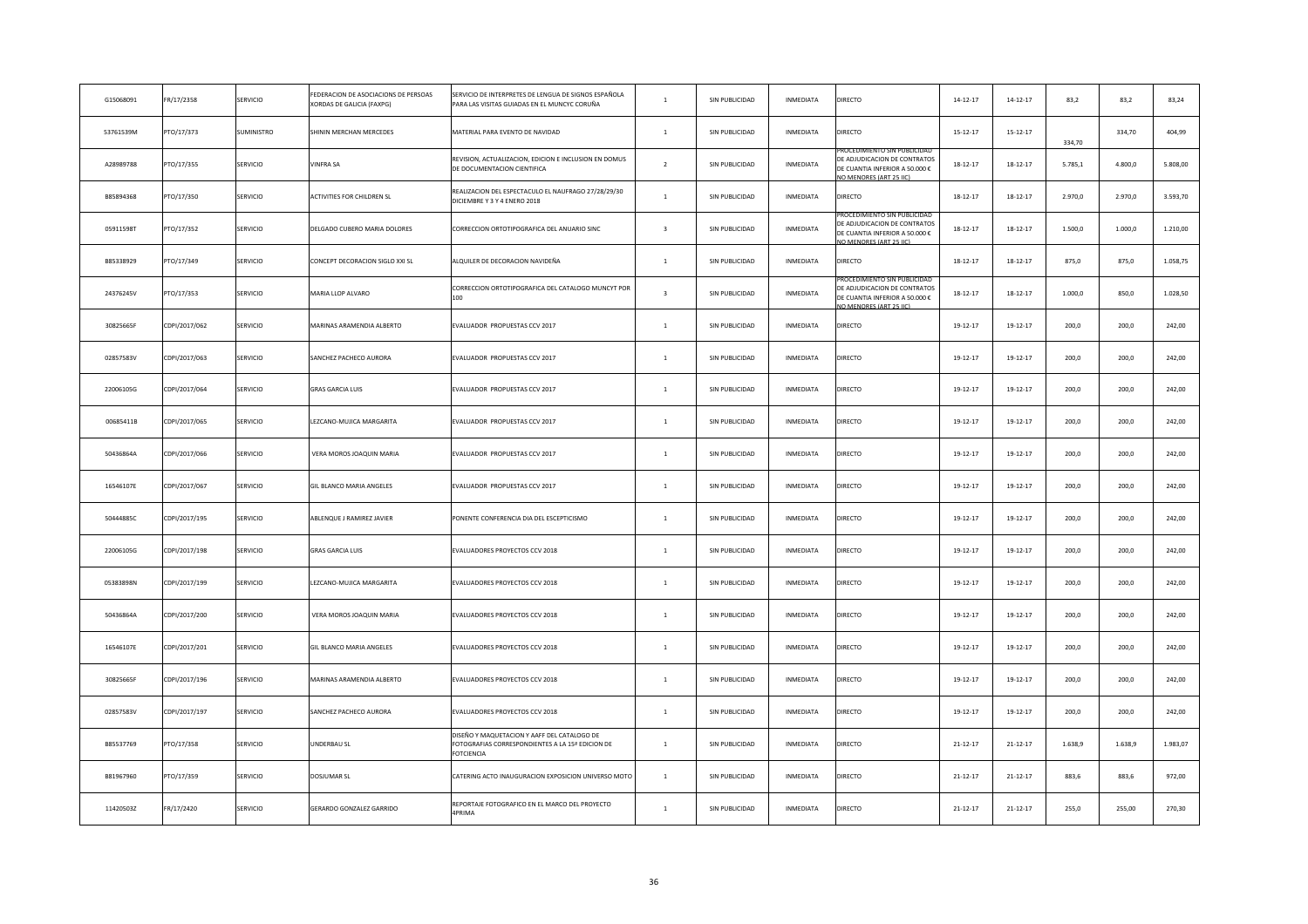| G15068091 | FR/17/2358    | SERVICIO        | EDERACION DE ASOCIACIONS DE PERSOAS<br><b>(ORDAS DE GALICIA (FAXPG)</b> | SERVICIO DE INTERPRETES DE LENGUA DE SIGNOS ESPAÑOLA<br>PARA LAS VISITAS GUIADAS EN EL MUNCYC CORUÑA                 | $\mathbf{1}$            | SIN PUBLICIDAD | INMEDIATA        | DIRECTO                                                                                                                       | $14 - 12 - 17$ | $14 - 12 - 17$ | 83,2    | 83,2    | 83,24    |
|-----------|---------------|-----------------|-------------------------------------------------------------------------|----------------------------------------------------------------------------------------------------------------------|-------------------------|----------------|------------------|-------------------------------------------------------------------------------------------------------------------------------|----------------|----------------|---------|---------|----------|
| 53761539M | PTO/17/373    | SUMINISTRO      | HININ MERCHAN MERCEDES                                                  | MATERIAL PARA EVENTO DE NAVIDAD                                                                                      | $\mathbf{1}$            | SIN PUBLICIDAD | INMEDIATA        | DIRECTO                                                                                                                       | $15 - 12 - 17$ | $15 - 12 - 17$ | 334,70  | 334,70  | 404,99   |
| A28989788 | PTO/17/355    | SERVICIO        | /INFRA SA                                                               | REVISION, ACTUALIZACION, EDICION E INCLUSION EN DOMUS<br>DE DOCUMENTACION CIENTIFICA                                 | $\overline{2}$          | SIN PUBLICIDAD | INMEDIATA        | ROCEDIMIENTO SIN PUBLICIDA<br>DE ADJUDICACION DE CONTRATOS<br>DE CUANTIA INFERIOR A 50.000 €<br>O MENORES (ART 25 LC)         | $18 - 12 - 17$ | $18 - 12 - 17$ | 5.785,1 | 4.800,0 | 5.808,00 |
| B85894368 | PTO/17/350    | SERVICIO        | <b>ACTIVITIES FOR CHILDREN SL</b>                                       | REALIZACION DEL ESPECTACULO EL NAUFRAGO 27/28/29/30<br>DICIEMBRE Y 3 Y 4 ENERO 2018                                  | $\mathbf{1}$            | SIN PUBLICIDAD | INMEDIATA        | DIRECTO                                                                                                                       | $18 - 12 - 17$ | $18 - 12 - 17$ | 2.970,0 | 2.970,0 | 3.593,70 |
| 05911598T | PTO/17/352    | SERVICIO        | DELGADO CUBERO MARIA DOLORES                                            | CORRECCION ORTOTIPOGRAFICA DEL ANUARIO SINC                                                                          | $\overline{\mathbf{3}}$ | SIN PUBLICIDAD | INMEDIATA        | ROCEDIMIENTO SIN PUBLICIDA<br>DE ADJUDICACION DE CONTRATOS<br>DE CUANTIA INFERIOR A 50.000 €<br><b>JO MENORES (ART 25 LC)</b> | $18 - 12 - 17$ | $18 - 12 - 17$ | 1.500,0 | 1.000,0 | 1.210,00 |
| B85338929 | PTO/17/349    | SERVICIO        | CONCEPT DECORACION SIGLO XXI SL                                         | ALQUILER DE DECORACION NAVIDEÑA                                                                                      | $\mathbf{1}$            | SIN PUBLICIDAD | INMEDIATA        | DIRECTO                                                                                                                       | $18 - 12 - 17$ | $18 - 12 - 17$ | 875,0   | 875,0   | 1.058,75 |
| 24376245V | PTO/17/353    | SERVICIO        | <b>MARIA LLOP ALVARO</b>                                                | CORRECCION ORTOTIPOGRAFICA DEL CATALOGO MUNCYT POR                                                                   | $\overline{\mathbf{3}}$ | SIN PUBLICIDAD | INMEDIATA        | ROCEDIMIENTO SIN PUBLICIDA<br>E ADJUDICACION DE CONTRATOS<br>DE CUANTIA INFERIOR A 50.000 €<br>O MENORES (ART 25 IIC)         | $18 - 12 - 17$ | $18 - 12 - 17$ | 1.000,0 | 850,0   | 1.028,50 |
| 30825665F | CDPI/2017/062 | SERVICIO        | MARINAS ARAMENDIA ALBERTO                                               | EVALUADOR PROPUESTAS CCV 2017                                                                                        | $\mathbf{1}$            | SIN PUBLICIDAD | INMEDIATA        | DIRECTO                                                                                                                       | 19-12-17       | 19-12-17       | 200,0   | 200,0   | 242,00   |
| 02857583V | CDPI/2017/063 | SERVICIO        | SANCHEZ PACHECO AURORA                                                  | EVALUADOR PROPUESTAS CCV 2017                                                                                        | $\mathbf{1}$            | SIN PUBLICIDAD | INMEDIATA        | DIRECTO                                                                                                                       | 19-12-17       | 19-12-17       | 200,0   | 200,0   | 242,00   |
| 22006105G | CDPI/2017/064 | SERVICIO        | <b>GRAS GARCIA LUIS</b>                                                 | EVALUADOR PROPUESTAS CCV 2017                                                                                        | $\mathbf{1}$            | SIN PUBLICIDAD | INMEDIATA        | DIRECTO                                                                                                                       | $19 - 12 - 17$ | 19-12-17       | 200,0   | 200,0   | 242,00   |
| 00685411B | CDPI/2017/065 | SERVICIO        | EZCANO-MUJICA MARGARITA                                                 | EVALUADOR PROPUESTAS CCV 2017                                                                                        | $\mathbf{1}$            | SIN PUBLICIDAD | INMEDIATA        | DIRECTO                                                                                                                       | 19-12-17       | 19-12-17       | 200,0   | 200,0   | 242,00   |
| 50436864A | CDPI/2017/066 | SERVICIO        | VERA MOROS JOAQUIN MARIA                                                | EVALUADOR PROPUESTAS CCV 2017                                                                                        | $\mathbf{1}$            | SIN PUBLICIDAD | INMEDIATA        | DIRECTO                                                                                                                       | $19-12-17$     | 19-12-17       | 200,0   | 200,0   | 242,00   |
| 16546107E | CDPI/2017/067 | SERVICIO        | GIL BLANCO MARIA ANGELES                                                | EVALUADOR PROPUESTAS CCV 2017                                                                                        | $\mathbf{1}$            | SIN PUBLICIDAD | INMEDIATA        | DIRECTO                                                                                                                       | 19-12-17       | 19-12-17       | 200,0   | 200,0   | 242,00   |
| 50444885C | CDPI/2017/195 | SERVICIO        | ABLENQUE J RAMIREZ JAVIER                                               | PONENTE CONFERENCIA DIA DEL ESCEPTICISMO                                                                             | $\mathbf{1}$            | SIN PUBLICIDAD | INMEDIATA        | DIRECTO                                                                                                                       | 19-12-17       | 19-12-17       | 200,0   | 200,0   | 242,00   |
| 22006105G | CDPI/2017/198 | SERVICIO        | <b>GRAS GARCIA LUIS</b>                                                 | EVALUADORES PROYECTOS CCV 2018                                                                                       | $\mathbf{1}$            | SIN PUBLICIDAD | INMEDIATA        | DIRECTO                                                                                                                       | 19-12-17       | 19-12-17       | 200,0   | 200,0   | 242,00   |
| 05383898N | CDPI/2017/199 | <b>SERVICIO</b> | EZCANO-MUJICA MARGARITA                                                 | EVALUADORES PROYECTOS CCV 2018                                                                                       | $\mathbf{1}$            | SIN PUBLICIDAD | INMEDIATA        | DIRECTO                                                                                                                       | 19-12-17       | 19-12-17       | 200,0   | 200,0   | 242,00   |
| 50436864A | CDPI/2017/200 | SERVICIO        | VERA MOROS JOAQUIN MARIA                                                | EVALUADORES PROYECTOS CCV 2018                                                                                       | $\,$ 1 $\,$             | SIN PUBLICIDAD | INMEDIATA        | DIRECTO                                                                                                                       | $19-12-17$     | 19-12-17       | 200,0   | 200,0   | 242,00   |
| 16546107E | CDPI/2017/201 | SERVICIO        | GIL BLANCO MARIA ANGELES                                                | EVALUADORES PROYECTOS CCV 2018                                                                                       | $\mathbf{1}$            | SIN PUBLICIDAD | INMEDIATA        | DIRECTO                                                                                                                       | 19-12-17       | 19-12-17       | 200,0   | 200,0   | 242,00   |
| 30825665F | CDPI/2017/196 | SERVICIO        | <b>MARINAS ARAMENDIA ALBERTO</b>                                        | EVALUADORES PROYECTOS CCV 2018                                                                                       | $\overline{1}$          | SIN PUBLICIDAD | <b>INMEDIATA</b> | DIRECTO                                                                                                                       | 19-12-17       | 19-12-17       | 200,0   | 200,0   | 242,00   |
| 02857583V | CDPI/2017/197 | SERVICIO        | SANCHEZ PACHECO AURORA                                                  | EVALUADORES PROYECTOS CCV 2018                                                                                       | $\mathbf{1}$            | SIN PUBLICIDAD | INMEDIATA        | DIRECTO                                                                                                                       | 19-12-17       | 19-12-17       | 200,0   | 200.0   | 242,00   |
| B85537769 | PTO/17/358    | SERVICIO        | JNDERBAU SL                                                             | DISEÑO Y MAQUETACION Y AAFF DEL CATALOGO DE<br>FOTOGRAFIAS CORRESPONDIENTES A LA 15ª EDICION DE<br><b>FOTCIENCIA</b> | $\mathbf{1}$            | SIN PUBLICIDAD | <b>INMEDIATA</b> | DIRECTO                                                                                                                       | $21 - 12 - 17$ | 21-12-17       | 1.638,9 | 1.638,9 | 1.983,07 |
| B81967960 | PTO/17/359    | SERVICIO        | DOSJUMAR SL                                                             | CATERING ACTO INAUGURACION EXPOSICION UNIVERSO MOTO                                                                  | $\mathbf{1}$            | SIN PUBLICIDAD | <b>INMEDIATA</b> | DIRECTO                                                                                                                       | $21 - 12 - 17$ | $21 - 12 - 17$ | 883,6   | 883,6   | 972,00   |
| 11420503Z | FR/17/2420    | <b>SERVICIO</b> | GERARDO GONZALEZ GARRIDO                                                | REPORTAJE FOTOGRAFICO EN EL MARCO DEL PROYECTO<br>4PRIMA                                                             | $\overline{1}$          | SIN PUBLICIDAD | <b>INMEDIATA</b> | <b>DIRECTO</b>                                                                                                                | $21 - 12 - 17$ | 21-12-17       | 255,0   | 255,00  | 270,30   |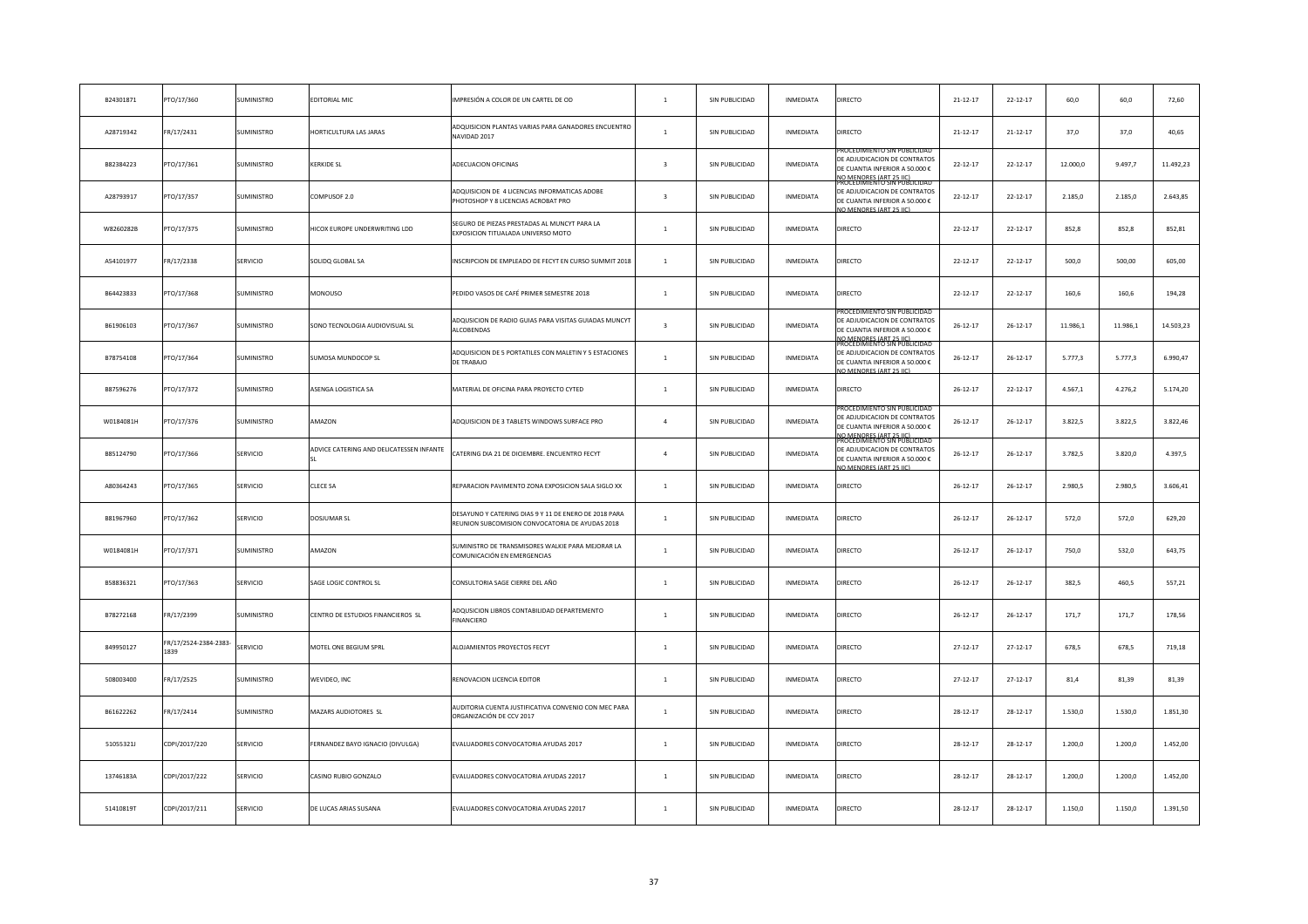| B24301871 | PTO/17/360                    | SUMINISTRO        | EDITORIAL MIC                            | IMPRESIÓN A COLOR DE UN CARTEL DE OD                                                                     | $\mathbf{1}$            | SIN PUBLICIDAD | INMEDIATA        | DIRECTO                                                                                                                                                       | $21 - 12 - 17$ | $22 - 12 - 17$ | 60,0     | 60,0     | 72,60     |
|-----------|-------------------------------|-------------------|------------------------------------------|----------------------------------------------------------------------------------------------------------|-------------------------|----------------|------------------|---------------------------------------------------------------------------------------------------------------------------------------------------------------|----------------|----------------|----------|----------|-----------|
| A28719342 | FR/17/2431                    | SUMINISTRO        | <b>IORTICULTURA LAS JARAS</b>            | ADQUISICION PLANTAS VARIAS PARA GANADORES ENCUENTRO<br>NAVIDAD 2017                                      | $\mathbf{1}$            | SIN PUBLICIDAD | INMEDIATA        | DIRECTO                                                                                                                                                       | $21 - 12 - 17$ | $21 - 12 - 17$ | 37,0     | 37,0     | 40,65     |
| B82384223 | PTO/17/361                    | SUMINISTRO        | <b>CERKIDE SL</b>                        | ADECUACION OFICINAS                                                                                      | $\overline{\mathbf{3}}$ | SIN PUBLICIDAD | INMEDIATA        | ROCEDIMIENTO SIN PUBLICIDA<br>DE ADJUDICACION DE CONTRATOS<br>DE CUANTIA INFERIOR A 50.000 €<br>IO MENORES (ART 25 JIC)<br>ROCEDIMIENTO SIN PUBLICIDAD        | $22 - 12 - 17$ | $22 - 12 - 17$ | 12.000,0 | 9.497,7  | 11.492,23 |
| A28793917 | PTO/17/357                    | SUMINISTRO        | COMPUSOF 2.0                             | ADQUISICION DE 4 LICENCIAS INFORMATICAS ADOBE<br>PHOTOSHOP Y 8 LICENCIAS ACROBAT PRO                     | $\overline{\mathbf{3}}$ | SIN PUBLICIDAD | INMEDIATA        | DE ADJUDICACION DE CONTRATOS<br>DE CUANTIA INFERIOR A 50.000 €<br>O MENORES (ART 25 IIC)                                                                      | $22 - 12 - 17$ | $22 - 12 - 17$ | 2.185,0  | 2.185,0  | 2.643,85  |
| W8260282B | PTO/17/375                    | SUMINISTRO        | <b>IICOX EUROPE UNDERWRITING LDD</b>     | SEGURO DE PIEZAS PRESTADAS AL MUNCYT PARA LA<br>EXPOSICION TITUALADA UNIVERSO MOTO                       | $\mathbf{1}$            | SIN PUBLICIDAD | INMEDIATA        | DIRECTO                                                                                                                                                       | $22 - 12 - 17$ | $22 - 12 - 17$ | 852,8    | 852,8    | 852,81    |
| A54101977 | FR/17/2338                    | SERVICIO          | SOLIDQ GLOBAL SA                         | INSCRIPCION DE EMPLEADO DE FECYT EN CURSO SUMMIT 2018                                                    | $\mathbf{1}$            | SIN PUBLICIDAD | INMEDIATA        | DIRECTO                                                                                                                                                       | $22 - 12 - 17$ | $22 - 12 - 17$ | 500,0    | 500,00   | 605,00    |
| B64423833 | PTO/17/368                    | SUMINISTRO        | <b>MONOUSO</b>                           | PEDIDO VASOS DE CAFÉ PRIMER SEMESTRE 2018                                                                | $\mathbf{1}$            | SIN PUBLICIDAD | INMEDIATA        | DIRECTO                                                                                                                                                       | $22 - 12 - 17$ | $22 - 12 - 17$ | 160,6    | 160,6    | 194,28    |
| B61906103 | PTO/17/367                    | <b>SUMINISTRO</b> | SONO TECNOLOGIA AUDIOVISUAL SL           | ADQUSICION DE RADIO GUIAS PARA VISITAS GUIADAS MUNCYT<br>ALCOBENDAS                                      | $\overline{\mathbf{3}}$ | SIN PUBLICIDAD | INMEDIATA        | ROCEDIMIENTO SIN PUBLICIDAI<br>DE ADJUDICACION DE CONTRATOS<br>DE CUANTIA INFERIOR A 50.000 €                                                                 | $26 - 12 - 17$ | $26 - 12 - 17$ | 11.986,1 | 11.986,1 | 14.503,23 |
| B78754108 | PTO/17/364                    | SUMINISTRO        | SUMOSA MUNDOCOP SL                       | ADQUISICION DE 5 PORTATILES CON MALETIN Y 5 ESTACIONES<br>DE TRABAJO                                     | $\mathbf{1}$            | SIN PUBLICIDAD | INMEDIATA        | IO MENORES (ART 25 HC)<br>ROCEDIMIENTO SIN PUBLICIDAI<br>DE ADJUDICACION DE CONTRATOS<br>DE CUANTIA INFERIOR A 50.000 €<br>O MENORES (ART 25 LC)              | $26 - 12 - 17$ | $26 - 12 - 17$ | 5.777,3  | 5.777,3  | 6.990,47  |
| B87596276 | PTO/17/372                    | SUMINISTRO        | ASENGA LOGISTICA SA                      | MATERIAL DE OFICINA PARA PROYECTO CYTED                                                                  | $\mathbf{1}$            | SIN PUBLICIDAD | INMEDIATA        | DIRECTO                                                                                                                                                       | $26 - 12 - 17$ | $22 - 12 - 17$ | 4.567,1  | 4.276,2  | 5.174,20  |
| W0184081H | PTO/17/376                    | SUMINISTRO        | AMAZON                                   | ADQUISICION DE 3 TABLETS WINDOWS SURFACE PRO                                                             | $\overline{a}$          | SIN PUBLICIDAD | INMEDIATA        | ROCEDIMIENTO SIN PUBLICIDAI<br>DE ADJUDICACION DE CONTRATOS<br>DE CUANTIA INFERIOR A 50.000 €<br><u>IO MENORES (ART 25 IIC)</u><br>ROCEDIMIENTO SIN PUBLICIDA | $26 - 12 - 17$ | $26 - 12 - 17$ | 3.822,5  | 3.822,5  | 3.822,46  |
| B85124790 | PTO/17/366                    | SERVICIO          | ADVICE CATERING AND DELICATESSEN INFANTE | CATERING DIA 21 DE DICIEMBRE. ENCUENTRO FECYT                                                            | $\overline{a}$          | SIN PUBLICIDAD | INMEDIATA        | DE ADJUDICACION DE CONTRATOS<br>DE CUANTIA INFERIOR A 50.000 €<br>O MENORES (ART 25 HC                                                                        | $26 - 12 - 17$ | $26 - 12 - 17$ | 3.782,5  | 3.820,0  | 4.397,5   |
| A80364243 | PTO/17/365                    | SERVICIO          | CLECE SA                                 | REPARACION PAVIMENTO ZONA EXPOSICION SALA SIGLO XX                                                       | $\mathbf{1}$            | SIN PUBLICIDAD | INMEDIATA        | DIRECTO                                                                                                                                                       | $26 - 12 - 17$ | $26 - 12 - 17$ | 2.980,5  | 2.980,5  | 3.606,41  |
| B81967960 | PTO/17/362                    | SERVICIO          | DOSJUMAR SL                              | DESAYUNO Y CATERING DIAS 9 Y 11 DE ENERO DE 2018 PARA<br>REUNION SUBCOMISION CONVOCATORIA DE AYUDAS 2018 | $\overline{1}$          | SIN PUBLICIDAD | <b>INMEDIATA</b> | DIRECTO                                                                                                                                                       | $26 - 12 - 17$ | $26 - 12 - 17$ | 572,0    | 572,0    | 629,20    |
| W0184081H | PTO/17/371                    | <b>SUMINISTRO</b> | AMAZON                                   | SUMINISTRO DE TRANSMISORES WALKIE PARA MEJORAR LA<br>COMUNICACIÓN EN EMERGENCIAS                         | $\overline{1}$          | SIN PUBLICIDAD | <b>INMEDIATA</b> | <b>DIRECTO</b>                                                                                                                                                | $26 - 12 - 17$ | 26-12-17       | 750,0    | 532,0    | 643,75    |
| B58836321 | PTO/17/363                    | SERVICIO          | SAGE LOGIC CONTROL SL                    | CONSULTORIA SAGE CIERRE DEL AÑO                                                                          | $\mathbf{1}$            | SIN PUBLICIDAD | <b>INMEDIATA</b> | DIRECTO                                                                                                                                                       | $26 - 12 - 17$ | $26 - 12 - 17$ | 382,5    | 460,5    | 557,21    |
| B78272168 | FR/17/2399                    | SUMINISTRO        | CENTRO DE ESTUDIOS FINANCIEROS SL        | ADQUSICION LIBROS CONTABILIDAD DEPARTEMENTO<br>FINANCIERO                                                | $\overline{1}$          | SIN PUBLICIDAD | <b>INMEDIATA</b> | DIRECTO                                                                                                                                                       | $26 - 12 - 17$ | $26 - 12 - 17$ | 171,7    | 171,7    | 178,56    |
| 849950127 | FR/17/2524-2384-2383-<br>1839 | SERVICIO          | MOTEL ONE BEGIUM SPRL                    | ALOJAMIENTOS PROYECTOS FECYT                                                                             | $\mathbf{1}$            | SIN PUBLICIDAD | INMEDIATA        | DIRECTO                                                                                                                                                       | $27 - 12 - 17$ | $27 - 12 - 17$ | 678,5    | 678,5    | 719,18    |
| 508003400 | FR/17/2525                    | <b>SUMINISTRO</b> | <b>NEVIDEO, INC</b>                      | RENOVACION LICENCIA EDITOR                                                                               | $\overline{1}$          | SIN PUBLICIDAD | <b>INMEDIATA</b> | DIRECTO                                                                                                                                                       | $27 - 12 - 17$ | $27 - 12 - 17$ | 81,4     | 81,39    | 81,39     |
| B61622262 | FR/17/2414                    | SUMINISTRO        | MAZARS AUDIOTORES SL                     | AUDITORIA CUENTA JUSTIFICATIVA CONVENIO CON MEC PARA<br>ORGANIZACIÓN DE CCV 2017                         | $\overline{1}$          | SIN PUBLICIDAD | <b>INMEDIATA</b> | DIRECTO                                                                                                                                                       | $28 - 12 - 17$ | $28 - 12 - 17$ | 1.530,0  | 1.530,0  | 1.851,30  |
| 51055321J | CDPI/2017/220                 | SERVICIO          | ERNANDEZ BAYO IGNACIO (DIVULGA)          | EVALUADORES CONVOCATORIA AYUDAS 2017                                                                     | $\mathbf{1}$            | SIN PUBLICIDAD | INMEDIATA        | DIRECTO                                                                                                                                                       | $28 - 12 - 17$ | $28 - 12 - 17$ | 1.200,0  | 1,200.0  | 1.452,00  |
| 13746183A | CDPI/2017/222                 | SERVICIO          | CASINO RUBIO GONZALO                     | EVALUADORES CONVOCATORIA AYUDAS 22017                                                                    | $\mathbf{1}$            | SIN PUBLICIDAD | <b>INMEDIATA</b> | DIRECTO                                                                                                                                                       | $28 - 12 - 17$ | $28 - 12 - 17$ | 1.200,0  | 1.200,0  | 1.452,00  |
| 51410819T | CDPI/2017/211                 | SERVICIO          | DE LUCAS ARIAS SUSANA                    | EVALUADORES CONVOCATORIA AYUDAS 22017                                                                    | $\overline{1}$          | SIN PUBLICIDAD | <b>INMEDIATA</b> | DIRECTO                                                                                                                                                       | $28 - 12 - 17$ | $28 - 12 - 17$ | 1.150,0  | 1.150.0  | 1.391,50  |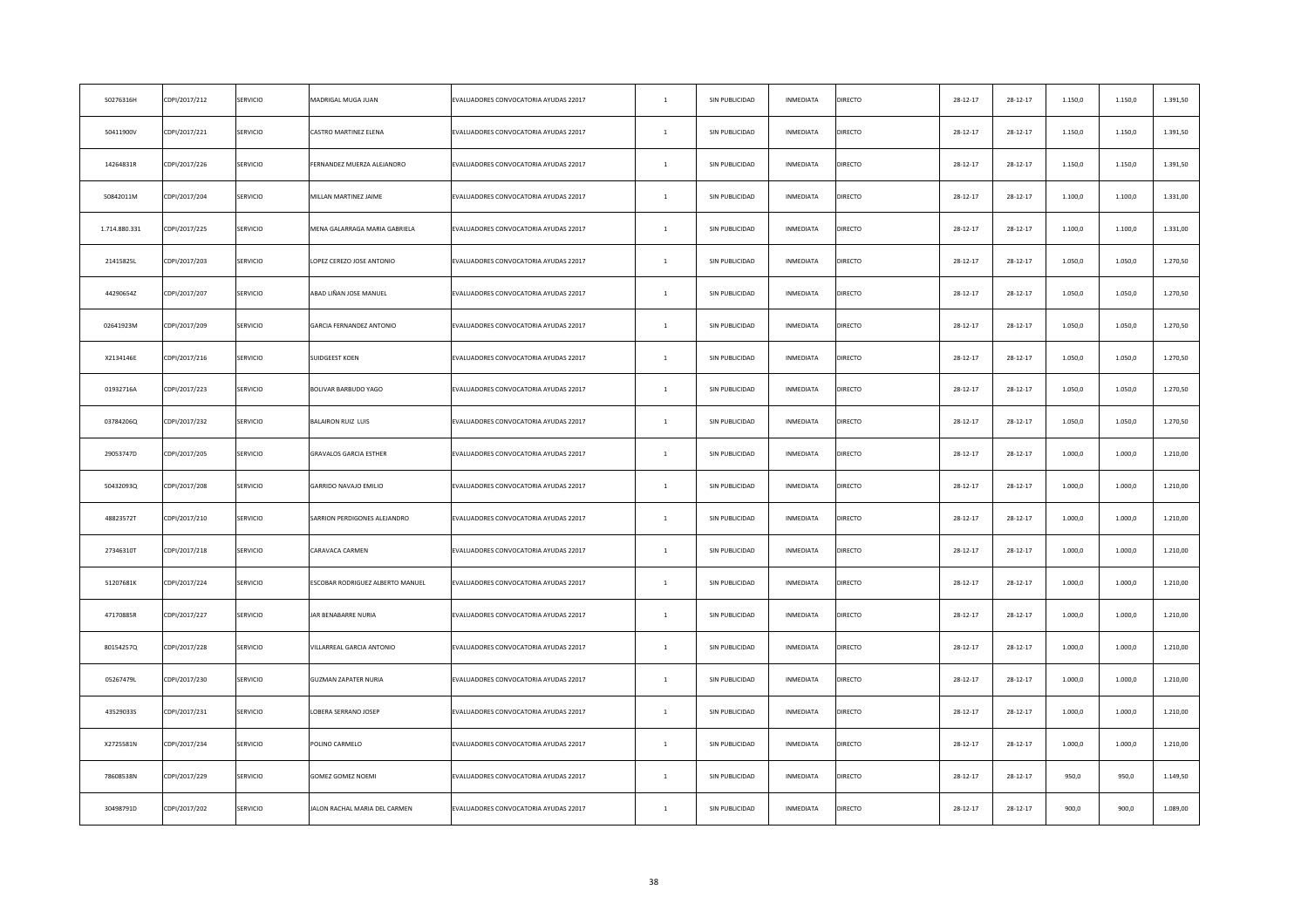| 50276316H     | CDPI/2017/212 | SERVICIO | MADRIGAL MUGA JUAN               | EVALUADORES CONVOCATORIA AYUDAS 22017 | $\mathbf{1}$ | SIN PUBLICIDAD | INMEDIATA | <b>DIRECTO</b> | $28 - 12 - 17$ | 28-12-17       | 1.150,0 | 1.150,0 | 1.391,50 |
|---------------|---------------|----------|----------------------------------|---------------------------------------|--------------|----------------|-----------|----------------|----------------|----------------|---------|---------|----------|
| 50411900V     | CDPI/2017/221 | SERVICIO | CASTRO MARTINEZ ELENA            | EVALUADORES CONVOCATORIA AYUDAS 22017 | $\mathbf{1}$ | SIN PUBLICIDAD | INMEDIATA | <b>DIRECTO</b> | $28 - 12 - 17$ | $28 - 12 - 17$ | 1.150,0 | 1.150,0 | 1.391,50 |
| 14264831R     | CDPI/2017/226 | SERVICIO | FERNANDEZ MUERZA ALEJANDRO       | EVALUADORES CONVOCATORIA AYUDAS 22017 | $\mathbf{1}$ | SIN PUBLICIDAD | INMEDIATA | <b>DIRECTO</b> | $28 - 12 - 17$ | $28 - 12 - 17$ | 1.150,0 | 1.150,0 | 1.391,50 |
| 50842011M     | CDPI/2017/204 | SERVICIO | MILLAN MARTINEZ JAIME            | EVALUADORES CONVOCATORIA AYUDAS 22017 | $\mathbf{1}$ | SIN PUBLICIDAD | INMEDIATA | <b>DIRECTO</b> | $28 - 12 - 17$ | 28-12-17       | 1.100,0 | 1.100,0 | 1.331,00 |
| 1.714.880.331 | CDPI/2017/225 | SERVICIO | MENA GALARRAGA MARIA GABRIELA    | EVALUADORES CONVOCATORIA AYUDAS 22017 | $\mathbf{1}$ | SIN PUBLICIDAD | INMEDIATA | <b>DIRECTO</b> | $28 - 12 - 17$ | $28 - 12 - 17$ | 1.100,0 | 1.100,0 | 1.331,00 |
| 21415825L     | CDPI/2017/203 | SERVICIO | LOPEZ CEREZO JOSE ANTONIO        | EVALUADORES CONVOCATORIA AYUDAS 22017 | $\mathbf{1}$ | SIN PUBLICIDAD | INMEDIATA | <b>DIRECTO</b> | 28-12-17       | 28-12-17       | 1.050,0 | 1.050,0 | 1.270,50 |
| 44290654Z     | CDPI/2017/207 | SERVICIO | ABAD LIÑAN JOSE MANUEL           | EVALUADORES CONVOCATORIA AYUDAS 22017 | $\mathbf{1}$ | SIN PUBLICIDAD | INMEDIATA | <b>DIRECTO</b> | $28 - 12 - 17$ | 28-12-17       | 1.050,0 | 1.050,0 | 1.270,50 |
| 02641923M     | CDPI/2017/209 | SERVICIO | <b>GARCIA FERNANDEZ ANTONIO</b>  | EVALUADORES CONVOCATORIA AYUDAS 22017 | $\mathbf{1}$ | SIN PUBLICIDAD | INMEDIATA | <b>DIRECTO</b> | 28-12-17       | 28-12-17       | 1.050,0 | 1.050,0 | 1.270,50 |
| X2134146E     | CDPI/2017/216 | SERVICIO | <b>SUIDGEEST KOEN</b>            | EVALUADORES CONVOCATORIA AYUDAS 22017 | $\,$ 1 $\,$  | SIN PUBLICIDAD | INMEDIATA | <b>DIRECTO</b> | $28 - 12 - 17$ | $28 - 12 - 17$ | 1.050,0 | 1.050,0 | 1.270,50 |
| 01932716A     | CDPI/2017/223 | SERVICIO | BOLIVAR BARBUDO YAGO             | EVALUADORES CONVOCATORIA AYUDAS 22017 | $\mathbf{1}$ | SIN PUBLICIDAD | INMEDIATA | <b>DIRECTO</b> | $28 - 12 - 17$ | 28-12-17       | 1.050,0 | 1.050,0 | 1.270,50 |
| 03784206Q     | CDPI/2017/232 | SERVICIO | BALAIRON RUIZ LUIS               | EVALUADORES CONVOCATORIA AYUDAS 22017 | $\mathbf{1}$ | SIN PUBLICIDAD | INMEDIATA | DIRECTO        | $28 - 12 - 17$ | 28-12-17       | 1.050,0 | 1.050,0 | 1.270,50 |
| 29053747D     | CDPI/2017/205 | SERVICIO | <b>GRAVALOS GARCIA ESTHER</b>    | EVALUADORES CONVOCATORIA AYUDAS 22017 | $\,1\,$      | SIN PUBLICIDAD | INMEDIATA | <b>DIRECTO</b> | $28 - 12 - 17$ | $28 - 12 - 17$ | 1.000,0 | 1.000,0 | 1.210,00 |
| 50432093Q     | CDPI/2017/208 | SERVICIO | GARRIDO NAVAJO EMILIO            | EVALUADORES CONVOCATORIA AYUDAS 22017 | $\,$ 1 $\,$  | SIN PUBLICIDAD | INMEDIATA | <b>DIRECTO</b> | $28 - 12 - 17$ | $28 - 12 - 17$ | 1.000,0 | 1.000,0 | 1.210,00 |
| 48823572T     | CDPI/2017/210 | SERVICIO | SARRION PERDIGONES ALEJANDRO     | EVALUADORES CONVOCATORIA AYUDAS 22017 | $\mathbf{1}$ | SIN PUBLICIDAD | INMEDIATA | <b>DIRECTO</b> | $28 - 12 - 17$ | 28-12-17       | 1.000,0 | 1.000,0 | 1.210,00 |
| 27346310T     | CDPI/2017/218 | SERVICIO | CARAVACA CARMEN                  | EVALUADORES CONVOCATORIA AYUDAS 22017 | $\mathbf{1}$ | SIN PUBLICIDAD | INMEDIATA | DIRECTO        | $28 - 12 - 17$ | 28-12-17       | 1.000,0 | 1.000,0 | 1.210,00 |
| 51207681K     | CDPI/2017/224 | SERVICIO | ESCOBAR RODRIGUEZ ALBERTO MANUEL | EVALUADORES CONVOCATORIA AYUDAS 22017 | 1            | SIN PUBLICIDAD | INMEDIATA | <b>DIRECTO</b> | $28 - 12 - 17$ | 28-12-17       | 1.000,0 | 1.000,0 | 1.210,00 |
| 47170885R     | CDPI/2017/227 | SERVICIO | JAR BENABARRE NURIA              | EVALUADORES CONVOCATORIA AYUDAS 22017 | $\mathbf{1}$ | SIN PUBLICIDAD | INMEDIATA | <b>DIRECTO</b> | $28 - 12 - 17$ | $28 - 12 - 17$ | 1.000,0 | 1.000,0 | 1.210,00 |
| 80154257Q     | CDPI/2017/228 | SERVICIO | VILLARREAL GARCIA ANTONIO        | EVALUADORES CONVOCATORIA AYUDAS 22017 | $\mathbf{1}$ | SIN PUBLICIDAD | INMEDIATA | <b>DIRECTO</b> | $28 - 12 - 17$ | 28-12-17       | 1.000,0 | 1.000,0 | 1.210,00 |
| 05267479L     | CDPI/2017/230 | SERVICIO | <b>GUZMAN ZAPATER NURIA</b>      | EVALUADORES CONVOCATORIA AYUDAS 22017 | $\mathbf{1}$ | SIN PUBLICIDAD | INMEDIATA | <b>DIRECTO</b> | $28 - 12 - 17$ | 28-12-17       | 1.000,0 | 1.000,0 | 1.210,00 |
| 43529033S     | CDPI/2017/231 | SERVICIO | LOBERA SERRANO JOSEP             | EVALUADORES CONVOCATORIA AYUDAS 22017 | $\mathbf{1}$ | SIN PUBLICIDAD | INMEDIATA | <b>DIRECTO</b> | $28 - 12 - 17$ | 28-12-17       | 1.000,0 | 1.000,0 | 1.210,00 |
| X2725581N     | CDPI/2017/234 | SERVICIO | POLINO CARMELO                   | EVALUADORES CONVOCATORIA AYUDAS 22017 | $\,1\,$      | SIN PUBLICIDAD | INMEDIATA | <b>DIRECTO</b> | $28 - 12 - 17$ | $28 - 12 - 17$ | 1.000,0 | 1.000,0 | 1.210,00 |
| 78608538N     | CDPI/2017/229 | SERVICIO | GOMEZ GOMEZ NOEMI                | EVALUADORES CONVOCATORIA AYUDAS 22017 | $\mathbf{1}$ | SIN PUBLICIDAD | INMEDIATA | <b>DIRECTO</b> | $28 - 12 - 17$ | 28-12-17       | 950,0   | 950,0   | 1.149,50 |
| 30498791D     | CDPI/2017/202 | SERVICIO | JALON RACHAL MARIA DEL CARMEN    | EVALUADORES CONVOCATORIA AYUDAS 22017 | $\mathbf{1}$ | SIN PUBLICIDAD | INMEDIATA | <b>DIRECTO</b> | $28 - 12 - 17$ | $28 - 12 - 17$ | 900,0   | 900,0   | 1.089,00 |